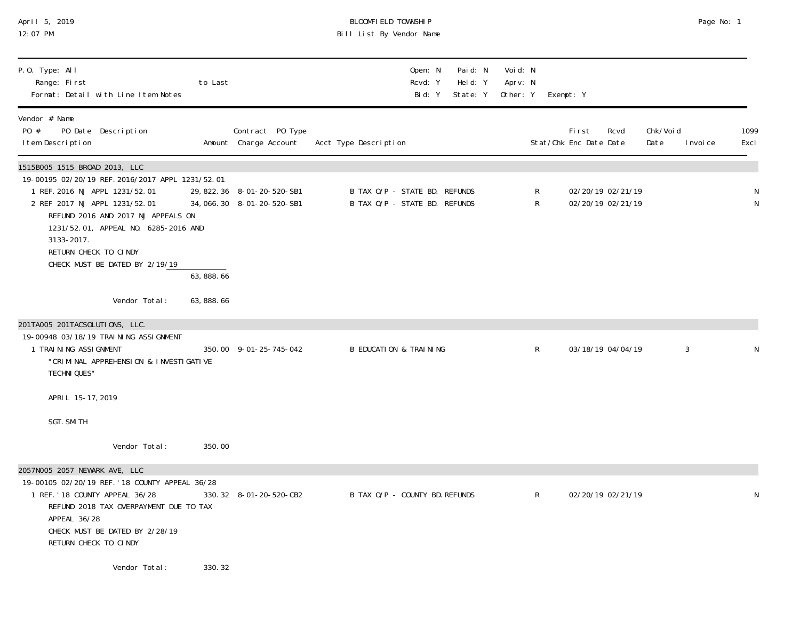| April 5, 2019<br>12:07 PM                                                                                                                                                                                                                                                                                   |             |                                                            | BLOOMFIELD TOWNSHIP<br>Bill List By Vendor Name                |                                |                                              |                                         |                               | Page No: 1   |
|-------------------------------------------------------------------------------------------------------------------------------------------------------------------------------------------------------------------------------------------------------------------------------------------------------------|-------------|------------------------------------------------------------|----------------------------------------------------------------|--------------------------------|----------------------------------------------|-----------------------------------------|-------------------------------|--------------|
| P.O. Type: All<br>Range: First<br>Format: Detail with Line Item Notes                                                                                                                                                                                                                                       | to Last     |                                                            | Open: N<br>Rcvd: Y<br>Bid: Y                                   | Paid: N<br>Held: Y<br>State: Y | Voi d: N<br>Aprv: N<br>Other: Y<br>Exempt: Y |                                         |                               |              |
| Vendor # Name<br>PO Date Description<br>PO #<br>I tem Description                                                                                                                                                                                                                                           |             | Contract PO Type<br>Amount Charge Account                  | Acct Type Description                                          |                                |                                              | First<br>Rcvd<br>Stat/Chk Enc Date Date | Chk/Void<br>Date<br>I nvoi ce | 1099<br>Excl |
| 1515B005 1515 BROAD 2013, LLC<br>19-00195 02/20/19 REF. 2016/2017 APPL 1231/52.01<br>1 REF. 2016 NJ APPL 1231/52.01<br>2 REF 2017 NJ APPL 1231/52.01<br>REFUND 2016 AND 2017 NJ APPEALS ON<br>1231/52.01, APPEAL NO. 6285-2016 AND<br>3133-2017.<br>RETURN CHECK TO CINDY<br>CHECK MUST BE DATED BY 2/19/19 | 63, 888. 66 | 29, 822. 36 8-01-20-520-SB1<br>34, 066. 30 8-01-20-520-SB1 | B TAX O/P - STATE BD. REFUNDS<br>B TAX O/P - STATE BD. REFUNDS |                                | R<br>R                                       | 02/20/19 02/21/19<br>02/20/19 02/21/19  |                               |              |
| Vendor Total:                                                                                                                                                                                                                                                                                               | 63, 888. 66 |                                                            |                                                                |                                |                                              |                                         |                               |              |
| 201TA005 201TACSOLUTIONS, LLC.<br>19-00948 03/18/19 TRAINING ASSIGNMENT<br>1 TRAINING ASSIGNMENT<br>"CRIMINAL APPREHENSION & INVESTIGATIVE<br>TECHNI QUES"                                                                                                                                                  |             | 350.00 9-01-25-745-042                                     | <b>B EDUCATION &amp; TRAINING</b>                              |                                | R                                            | 03/18/19 04/04/19                       | 3                             |              |
| APRIL 15-17, 2019                                                                                                                                                                                                                                                                                           |             |                                                            |                                                                |                                |                                              |                                         |                               |              |
| SGT. SMI TH                                                                                                                                                                                                                                                                                                 |             |                                                            |                                                                |                                |                                              |                                         |                               |              |
| Vendor Total:                                                                                                                                                                                                                                                                                               | 350.00      |                                                            |                                                                |                                |                                              |                                         |                               |              |
| 19-00105 02/20/19 REF. '18 COUNTY APPEAL 36/28<br>1 REF. '18 COUNTY APPEAL 36/28<br>REFUND 2018 TAX OVERPAYMENT DUE TO TAX<br>APPEAL 36/28<br>CHECK MUST BE DATED BY 2/28/19<br>RETURN CHECK TO CINDY                                                                                                       |             | 330.32 8-01-20-520-CB2                                     | B TAX O/P - COUNTY BD. REFUNDS                                 |                                | R.                                           | 02/20/19 02/21/19                       |                               |              |
| Vendor Total:                                                                                                                                                                                                                                                                                               | 330.32      |                                                            |                                                                |                                |                                              |                                         |                               |              |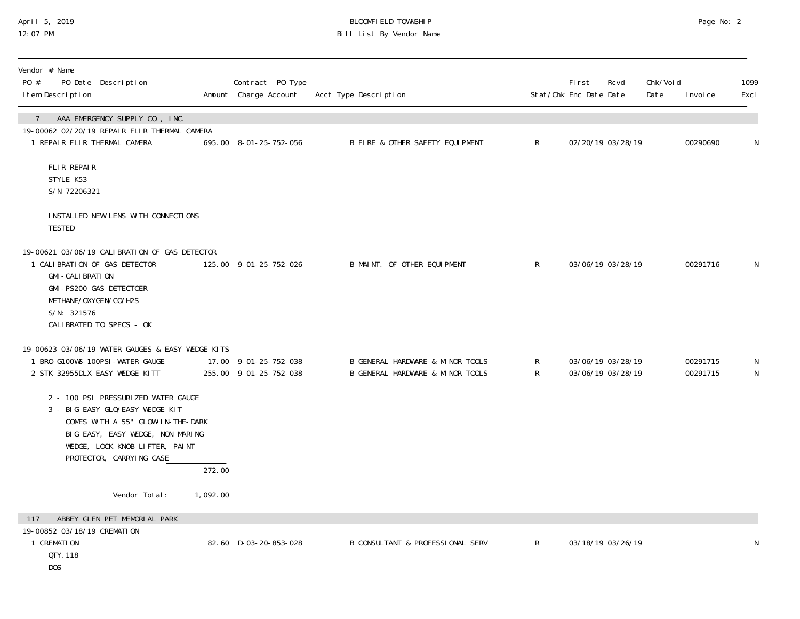## April 5, 2019 BLOOMFIELD TOWNSHIP Page No: 2 12:07 PM Bill List By Vendor Name

| Vendor # Name<br>PO #<br>PO Date Description<br>I tem Description                                                                                                                                             |                     | Contract PO Type<br>Amount Charge Account       | Acct Type Description                                                |                              | <b>First</b><br>Stat/Chk Enc Date Date | Rcvd              | Chk/Voi d<br>Date | I nvoi ce            | 1099<br>Excl |
|---------------------------------------------------------------------------------------------------------------------------------------------------------------------------------------------------------------|---------------------|-------------------------------------------------|----------------------------------------------------------------------|------------------------------|----------------------------------------|-------------------|-------------------|----------------------|--------------|
| AAA EMERGENCY SUPPLY CO., INC.<br>$\left  \right $<br>19-00062 02/20/19 REPAIR FLIR THERMAL CAMERA<br>1 REPAIR FLIR THERMAL CAMERA                                                                            |                     | 695.00 8-01-25-752-056                          | B FIRE & OTHER SAFETY EQUIPMENT                                      | R                            |                                        | 02/20/19 03/28/19 |                   | 00290690             | N            |
| FLIR REPAIR<br>STYLE K53<br>S/N 72206321                                                                                                                                                                      |                     |                                                 |                                                                      |                              |                                        |                   |                   |                      |              |
| INSTALLED NEW LENS WITH CONNECTIONS<br><b>TESTED</b>                                                                                                                                                          |                     |                                                 |                                                                      |                              |                                        |                   |                   |                      |              |
| 19-00621 03/06/19 CALIBRATION OF GAS DETECTOR<br>1 CALIBRATION OF GAS DETECTOR<br><b>GMI-CALIBRATION</b><br>GMI-PS200 GAS DETECTOER<br>METHANE/OXYGEN/CO/H2S<br>S/N: 321576<br>CALIBRATED TO SPECS - OK       |                     | 125.00 9-01-25-752-026                          | B MAINT. OF OTHER EQUIPMENT                                          | $\mathsf{R}$                 |                                        | 03/06/19 03/28/19 |                   | 00291716             | N            |
| 19-00623 03/06/19 WATER GAUGES & EASY WEDGE KITS<br>1 BRO-G100WS-100PSI-WATER GAUGE<br>2 STK-32955DLX-EASY WEDGE KITT                                                                                         |                     | 17.00 9-01-25-752-038<br>255.00 9-01-25-752-038 | B GENERAL HARDWARE & MINOR TOOLS<br>B GENERAL HARDWARE & MINOR TOOLS | $\mathsf{R}$<br>$\mathsf{R}$ | 03/06/19 03/28/19                      | 03/06/19 03/28/19 |                   | 00291715<br>00291715 | N<br>N       |
| 2 - 100 PSI PRESSURIZED WATER GAUGE<br>3 - BIG EASY GLO/EASY WEDGE KIT<br>COMES WITH A 55" GLOW-IN-THE-DARK<br>BIG EASY, EASY WEDGE, NON MARING<br>WEDGE, LOCK KNOB LIFTER, PAINT<br>PROTECTOR, CARRYING CASE |                     |                                                 |                                                                      |                              |                                        |                   |                   |                      |              |
|                                                                                                                                                                                                               | $\overline{272.00}$ |                                                 |                                                                      |                              |                                        |                   |                   |                      |              |
| Vendor Total:                                                                                                                                                                                                 | 1,092.00            |                                                 |                                                                      |                              |                                        |                   |                   |                      |              |
| ABBEY GLEN PET MEMORIAL PARK<br>117<br>19-00852 03/18/19 CREMATION<br>1 CREMATION<br>QTY. 118<br>DOS                                                                                                          |                     | 82.60 D-03-20-853-028                           | B CONSULTANT & PROFESSIONAL SERV                                     | $\mathsf{R}$                 |                                        | 03/18/19 03/26/19 |                   |                      | N            |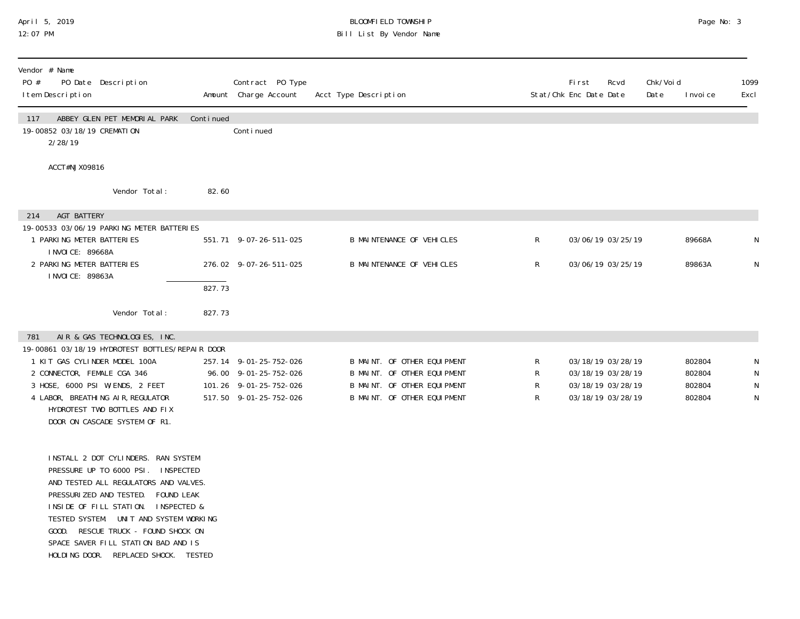### April 5, 2019 BLOOMFIELD TOWNSHIP Page No: 3 12:07 PM Bill List By Vendor Name

| Vendor # Name<br>PO Date Description<br>PO #<br>I tem Description                                                                                                                                                                                                                                                                                                     |           | Contract PO Type<br>Amount Charge Account       | Acct Type Description                                      |        | <b>First</b><br>Stat/Chk Enc Date Date | Rcvd | Chk/Voi d<br>Date | I nvoi ce        | 1099<br>Excl     |
|-----------------------------------------------------------------------------------------------------------------------------------------------------------------------------------------------------------------------------------------------------------------------------------------------------------------------------------------------------------------------|-----------|-------------------------------------------------|------------------------------------------------------------|--------|----------------------------------------|------|-------------------|------------------|------------------|
| ABBEY GLEN PET MEMORIAL PARK<br>117<br>19-00852 03/18/19 CREMATION<br>2/28/19                                                                                                                                                                                                                                                                                         | Continued | Conti nued                                      |                                                            |        |                                        |      |                   |                  |                  |
| ACCT#NJX09816                                                                                                                                                                                                                                                                                                                                                         |           |                                                 |                                                            |        |                                        |      |                   |                  |                  |
| Vendor Total:                                                                                                                                                                                                                                                                                                                                                         | 82.60     |                                                 |                                                            |        |                                        |      |                   |                  |                  |
| <b>AGT BATTERY</b><br>214<br>19-00533 03/06/19 PARKING METER BATTERIES                                                                                                                                                                                                                                                                                                |           |                                                 |                                                            |        |                                        |      |                   |                  |                  |
| 1 PARKING METER BATTERIES<br>I NVOI CE: 89668A                                                                                                                                                                                                                                                                                                                        |           | 551.71 9-07-26-511-025                          | <b>B MAINTENANCE OF VEHICLES</b>                           | R      | 03/06/19 03/25/19                      |      |                   | 89668A           | N                |
| 2 PARKING METER BATTERIES<br>I NVOI CE: 89863A                                                                                                                                                                                                                                                                                                                        |           | 276.02 9-07-26-511-025                          | <b>B MAINTENANCE OF VEHICLES</b>                           | R      | 03/06/19 03/25/19                      |      |                   | 89863A           | ${\sf N}$        |
|                                                                                                                                                                                                                                                                                                                                                                       | 827.73    |                                                 |                                                            |        |                                        |      |                   |                  |                  |
| Vendor Total:                                                                                                                                                                                                                                                                                                                                                         | 827.73    |                                                 |                                                            |        |                                        |      |                   |                  |                  |
| AIR & GAS TECHNOLOGIES, INC.<br>781                                                                                                                                                                                                                                                                                                                                   |           |                                                 |                                                            |        |                                        |      |                   |                  |                  |
| 19-00861 03/18/19 HYDROTEST BOTTLES/REPAIR DOOR<br>1 KIT GAS CYLINDER MODEL 100A<br>2 CONNECTOR, FEMALE CGA 346                                                                                                                                                                                                                                                       |           | 257.14 9-01-25-752-026<br>96.00 9-01-25-752-026 | B MAINT. OF OTHER EQUIPMENT<br>B MAINT. OF OTHER EQUIPMENT | R<br>R | 03/18/19 03/28/19<br>03/18/19 03/28/19 |      |                   | 802804<br>802804 | N<br>$\mathsf N$ |
| 3 HOSE, 6000 PSI W/ENDS, 2 FEET                                                                                                                                                                                                                                                                                                                                       |           | 101.26 9-01-25-752-026                          | B MAINT. OF OTHER EQUIPMENT                                | R      | 03/18/19 03/28/19                      |      |                   | 802804           | N                |
| 4 LABOR, BREATHING AIR, REGULATOR<br>HYDROTEST TWO BOTTLES AND FIX<br>DOOR ON CASCADE SYSTEM OF R1.                                                                                                                                                                                                                                                                   |           | 517.50 9-01-25-752-026                          | B MAINT. OF OTHER EQUIPMENT                                | R      | 03/18/19 03/28/19                      |      |                   | 802804           | N                |
| INSTALL 2 DOT CYLINDERS. RAN SYSTEM<br>PRESSURE UP TO 6000 PSI. INSPECTED<br>AND TESTED ALL REGULATORS AND VALVES.<br>PRESSURIZED AND TESTED.<br>FOUND LEAK<br>INSIDE OF FILL STATION.<br>INSPECTED &<br>TESTED SYSTEM. UNIT AND SYSTEM WORKING<br>GOOD. RESCUE TRUCK - FOUND SHOCK ON<br>SPACE SAVER FILL STATION BAD AND IS<br>HOLDING DOOR. REPLACED SHOCK. TESTED |           |                                                 |                                                            |        |                                        |      |                   |                  |                  |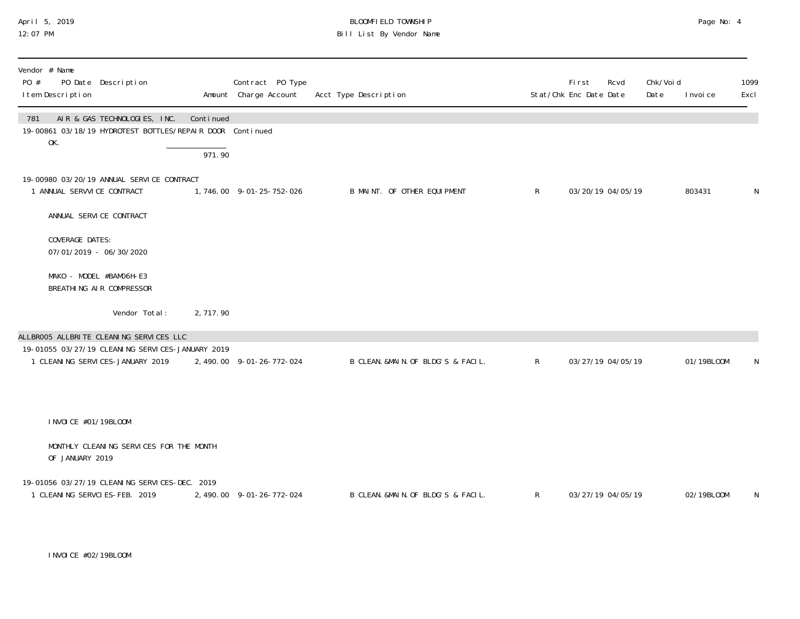## April 5, 2019 BLOOMFIELD TOWNSHIP Page No: 4 12:07 PM Bill List By Vendor Name

| Vendor # Name<br>PO #<br>PO Date Description<br>I tem Description                                       |           | Contract PO Type<br>Amount Charge Account | Acct Type Description              |              | First<br>Rcvd<br>Stat/Chk Enc Date Date | Chk/Voi d<br>Date | I nvoi ce  | 1099<br>Excl |
|---------------------------------------------------------------------------------------------------------|-----------|-------------------------------------------|------------------------------------|--------------|-----------------------------------------|-------------------|------------|--------------|
| AIR & GAS TECHNOLOGIES, INC.<br>781<br>19-00861 03/18/19 HYDROTEST BOTTLES/REPAIR DOOR Continued<br>OK. | Continued |                                           |                                    |              |                                         |                   |            |              |
|                                                                                                         | 971.90    |                                           |                                    |              |                                         |                   |            |              |
| 19-00980 03/20/19 ANNUAL SERVICE CONTRACT<br>1 ANNUAL SERVVICE CONTRACT                                 |           | 1,746.00 9-01-25-752-026                  | B MAINT. OF OTHER EQUIPMENT        | $\mathsf{R}$ | 03/20/19 04/05/19                       |                   | 803431     | N            |
| ANNUAL SERVICE CONTRACT                                                                                 |           |                                           |                                    |              |                                         |                   |            |              |
| COVERAGE DATES:<br>07/01/2019 - 06/30/2020                                                              |           |                                           |                                    |              |                                         |                   |            |              |
| MAKO - MODEL #BAMO6H-E3<br>BREATHING AIR COMPRESSOR                                                     |           |                                           |                                    |              |                                         |                   |            |              |
| Vendor Total:                                                                                           | 2,717.90  |                                           |                                    |              |                                         |                   |            |              |
| ALLBROO5 ALLBRITE CLEANING SERVICES LLC                                                                 |           |                                           |                                    |              |                                         |                   |            |              |
| 19-01055 03/27/19 CLEANING SERVICES-JANUARY 2019<br>1 CLEANING SERVICES-JANUARY 2019                    |           | 2, 490.00 9-01-26-772-024                 | B CLEAN. &MAIN. OF BLDG'S & FACIL. | $\mathsf{R}$ | 03/27/19 04/05/19                       |                   | 01/19BL00M | N            |
| INVOICE #01/19BLOOM                                                                                     |           |                                           |                                    |              |                                         |                   |            |              |
| MONTHLY CLEANING SERVICES FOR THE MONTH<br>OF JANUARY 2019                                              |           |                                           |                                    |              |                                         |                   |            |              |
| 19-01056 03/27/19 CLEANING SERVICES-DEC. 2019<br>1 CLEANING SERVCIES-FEB. 2019                          |           | 2, 490.00 9-01-26-772-024                 | B CLEAN. &MAIN. OF BLDG'S & FACIL. | $\mathsf{R}$ | 03/27/19 04/05/19                       |                   | 02/19BL00M | N            |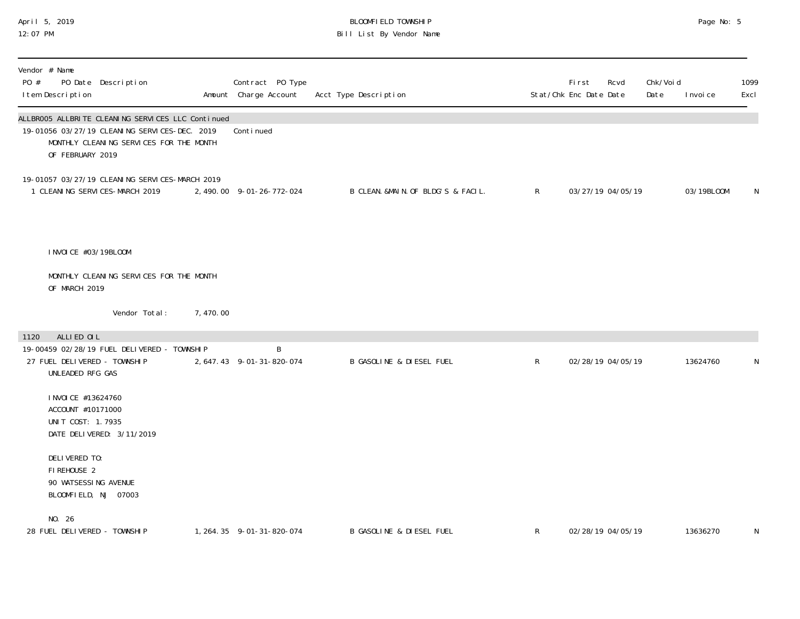#### April 5, 2019 BLOOMFIELD TOWNSHIP Page No: 5 12:07 PM Bill List By Vendor Name

| Vendor # Name<br>PO #<br>I tem Description                                   | PO Date Description                                                                                                                           |           | Contract PO Type<br>Amount Charge Account | Acct Type Description               |              | First<br>Stat/Chk Enc Date Date | Rcvd | Chk/Voi d<br>Date | I nvoi ce  | 1099<br>Excl |
|------------------------------------------------------------------------------|-----------------------------------------------------------------------------------------------------------------------------------------------|-----------|-------------------------------------------|-------------------------------------|--------------|---------------------------------|------|-------------------|------------|--------------|
| OF FEBRUARY 2019                                                             | ALLBROO5 ALLBRITE CLEANING SERVICES LLC Continued<br>19-01056 03/27/19 CLEANING SERVICES-DEC. 2019<br>MONTHLY CLEANING SERVICES FOR THE MONTH |           | Continued                                 |                                     |              |                                 |      |                   |            |              |
| 1 CLEANING SERVICES-MARCH 2019                                               | 19-01057 03/27/19 CLEANING SERVICES-MARCH 2019                                                                                                |           | 2, 490.00 9-01-26-772-024                 | B CLEAN. &MAIN. OF BLDG'S & FACIL.  | $\mathsf{R}$ | 03/27/19 04/05/19               |      |                   | 03/19BL00M | N            |
| I NVOI CE #03/19BLOOM                                                        | MONTHLY CLEANING SERVICES FOR THE MONTH                                                                                                       |           |                                           |                                     |              |                                 |      |                   |            |              |
| OF MARCH 2019                                                                | Vendor Total:                                                                                                                                 | 7, 470.00 |                                           |                                     |              |                                 |      |                   |            |              |
|                                                                              |                                                                                                                                               |           |                                           |                                     |              |                                 |      |                   |            |              |
| ALLIED OIL<br>1120<br>27 FUEL DELIVERED - TOWNSHIP<br>UNLEADED RFG GAS       | 19-00459 02/28/19 FUEL DELIVERED - TOWNSHIP                                                                                                   |           | B<br>2, 647.43 9-01-31-820-074            | B GASOLINE & DIESEL FUEL            | $\mathsf{R}$ | 02/28/19 04/05/19               |      |                   | 13624760   | N            |
| I NVOI CE #13624760<br>ACCOUNT #10171000<br>UNIT COST: 1.7935                | DATE DELIVERED: 3/11/2019                                                                                                                     |           |                                           |                                     |              |                                 |      |                   |            |              |
| DELIVERED TO:<br>FIREHOUSE 2<br>90 WATSESSING AVENUE<br>BLOOMFIELD, NJ 07003 |                                                                                                                                               |           |                                           |                                     |              |                                 |      |                   |            |              |
| NO. 26<br>28 FUEL DELIVERED - TOWNSHIP                                       |                                                                                                                                               |           | 1, 264. 35 9-01-31-820-074                | <b>B GASOLINE &amp; DIESEL FUEL</b> | R            | 02/28/19 04/05/19               |      |                   | 13636270   | N            |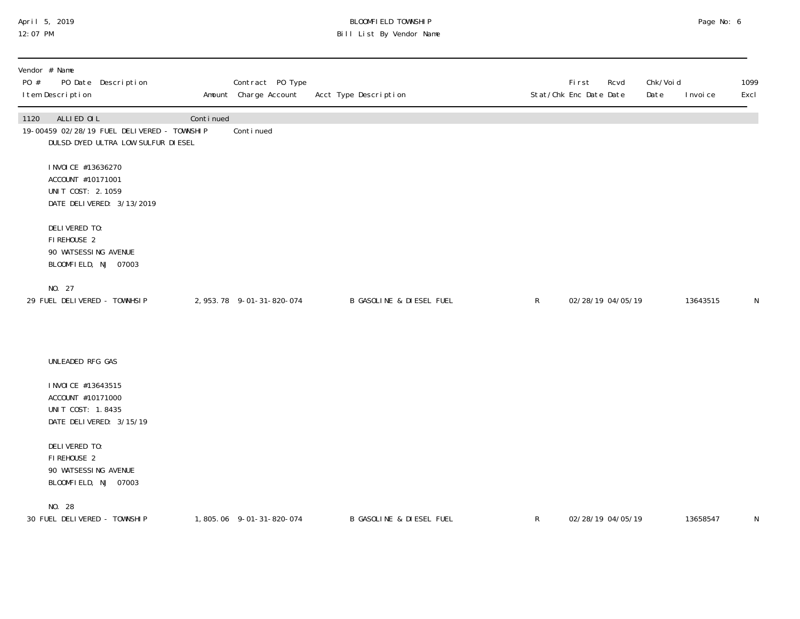## April 5, 2019 BLOOMFIELD TOWNSHIP Page No: 6 12:07 PM Bill List By Vendor Name

| PO # | Vendor # Name<br>I tem Description                                                       | PO Date Description                                                               |           | Contract PO Type<br>Amount Charge Account | Acct Type Description               |              | First<br>Stat/Chk Enc Date Date | Rcvd | Chk/Voi d<br>Date | I nvoi ce | 1099<br>Excl |
|------|------------------------------------------------------------------------------------------|-----------------------------------------------------------------------------------|-----------|-------------------------------------------|-------------------------------------|--------------|---------------------------------|------|-------------------|-----------|--------------|
| 1120 | ALLIED OIL                                                                               | 19-00459 02/28/19 FUEL DELIVERED - TOWNSHIP<br>DULSD-DYED ULTRA LOW SULFUR DIESEL | Continued | Conti nued                                |                                     |              |                                 |      |                   |           |              |
|      | I NVOI CE #13636270<br>ACCOUNT #10171001<br>UNIT COST: 2.1059                            | DATE DELIVERED: 3/13/2019                                                         |           |                                           |                                     |              |                                 |      |                   |           |              |
|      | DELIVERED TO:<br>FIREHOUSE 2<br>90 WATSESSING AVENUE<br>BLOOMFIELD, NJ 07003             |                                                                                   |           |                                           |                                     |              |                                 |      |                   |           |              |
|      | NO. 27<br>29 FUEL DELIVERED - TOWNHSIP                                                   |                                                                                   |           | 2, 953. 78 9-01-31-820-074                | B GASOLINE & DIESEL FUEL            | $\mathsf{R}$ | 02/28/19 04/05/19               |      |                   | 13643515  | N            |
|      | UNLEADED RFG GAS                                                                         |                                                                                   |           |                                           |                                     |              |                                 |      |                   |           |              |
|      | I NVOI CE #13643515<br>ACCOUNT #10171000<br>UNIT COST: 1.8435<br>DATE DELIVERED: 3/15/19 |                                                                                   |           |                                           |                                     |              |                                 |      |                   |           |              |
|      | DELIVERED TO:<br>FIREHOUSE 2<br>90 WATSESSING AVENUE<br>BLOOMFIELD, NJ 07003             |                                                                                   |           |                                           |                                     |              |                                 |      |                   |           |              |
|      | NO. 28<br>30 FUEL DELIVERED - TOWNSHIP                                                   |                                                                                   |           | 1,805.06 9-01-31-820-074                  | <b>B GASOLINE &amp; DIESEL FUEL</b> | $\mathsf{R}$ | 02/28/19 04/05/19               |      |                   | 13658547  | N            |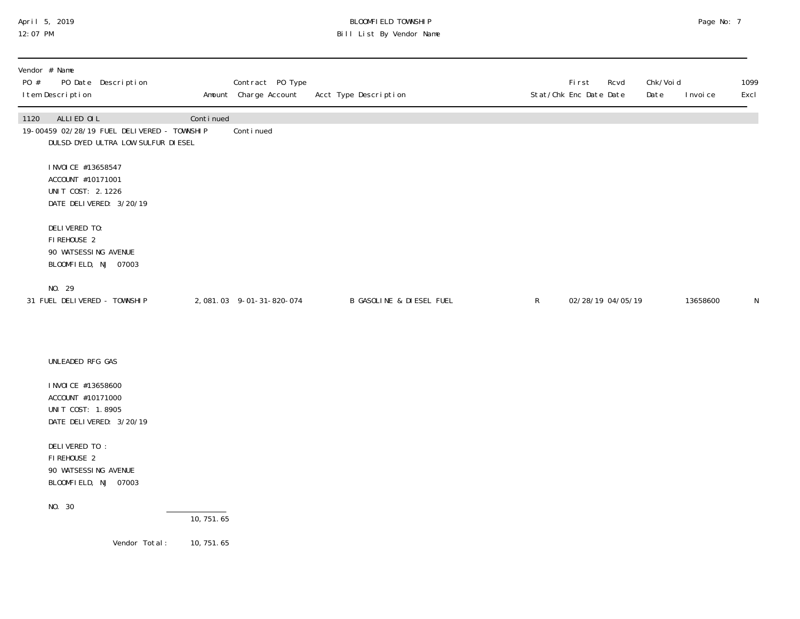## April 5, 2019 BLOOMFIELD TOWNSHIP Page No: 7 12:07 PM Bill List By Vendor Name

| Vendor # Name<br>PO #<br>I tem Description                                               | PO Date Description                                                               |                         | Contract PO Type<br>Amount Charge Account | Acct Type Description               |              | First<br>Rcvd<br>Stat/Chk Enc Date Date | Chk/Voi d<br>Date | I nvoi ce | 1099<br>Excl |
|------------------------------------------------------------------------------------------|-----------------------------------------------------------------------------------|-------------------------|-------------------------------------------|-------------------------------------|--------------|-----------------------------------------|-------------------|-----------|--------------|
| ALLIED OIL<br>1120                                                                       | 19-00459 02/28/19 FUEL DELIVERED - TOWNSHIP<br>DULSD-DYED ULTRA LOW SULFUR DIESEL | Continued               | Conti nued                                |                                     |              |                                         |                   |           |              |
| I NVOI CE #13658547<br>ACCOUNT #10171001<br>UNIT COST: 2.1226<br>DATE DELIVERED: 3/20/19 |                                                                                   |                         |                                           |                                     |              |                                         |                   |           |              |
| DELIVERED TO:<br>FI REHOUSE 2<br>90 WATSESSING AVENUE<br>BLOOMFIELD, NJ 07003            |                                                                                   |                         |                                           |                                     |              |                                         |                   |           |              |
| NO. 29<br>31 FUEL DELIVERED - TOWNSHIP                                                   |                                                                                   |                         | 2,081.03 9-01-31-820-074                  | <b>B GASOLINE &amp; DIESEL FUEL</b> | $\mathsf{R}$ | 02/28/19 04/05/19                       |                   | 13658600  | N            |
| UNLEADED RFG GAS                                                                         |                                                                                   |                         |                                           |                                     |              |                                         |                   |           |              |
| I NVOI CE #13658600<br>ACCOUNT #10171000<br>UNIT COST: 1.8905<br>DATE DELIVERED: 3/20/19 |                                                                                   |                         |                                           |                                     |              |                                         |                   |           |              |
| DELIVERED TO:<br>FI REHOUSE 2<br>90 WATSESSING AVENUE<br>BLOOMFIELD, NJ 07003            |                                                                                   |                         |                                           |                                     |              |                                         |                   |           |              |
| NO. 30                                                                                   |                                                                                   | $\overline{10, 751.65}$ |                                           |                                     |              |                                         |                   |           |              |
|                                                                                          | Vendor Total:                                                                     | 10, 751. 65             |                                           |                                     |              |                                         |                   |           |              |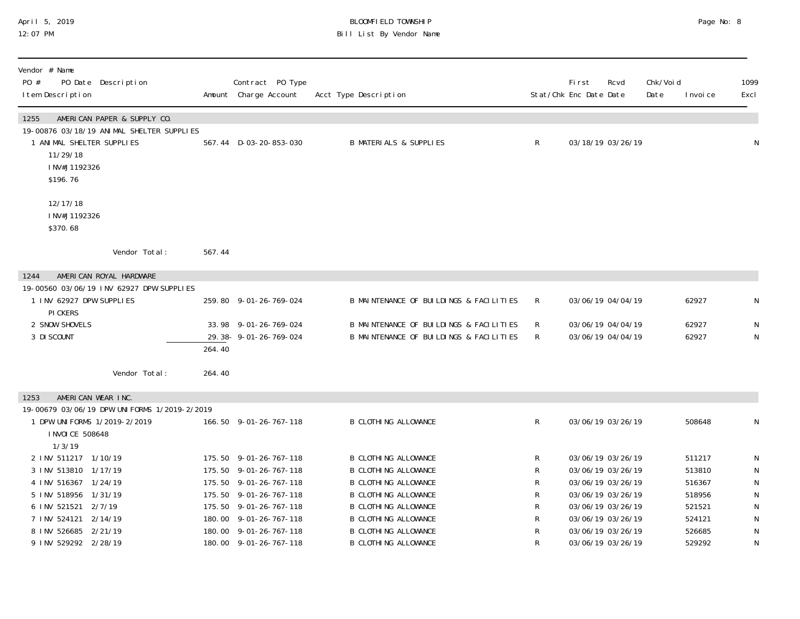## April 5, 2019 BLOOMFIELD TOWNSHIP Page No: 8 12:07 PM Bill List By Vendor Name

| Vendor # Name<br>PO #<br>PO Date Description<br>I tem Description                                                                                     |        | Contract PO Type<br>Amount Charge Account      | Acct Type Description                                                              |              | Fi rst<br>Rcvd<br>Stat/Chk Enc Date Date | Chk/Voi d<br>Date | I nvoi ce      | 1099<br>Excl |
|-------------------------------------------------------------------------------------------------------------------------------------------------------|--------|------------------------------------------------|------------------------------------------------------------------------------------|--------------|------------------------------------------|-------------------|----------------|--------------|
| 1255<br>AMERICAN PAPER & SUPPLY CO.<br>19-00876 03/18/19 ANIMAL SHELTER SUPPLIES<br>1 ANIMAL SHELTER SUPPLIES<br>11/29/18<br>INV#J1192326<br>\$196.76 |        | 567.44 D-03-20-853-030                         | <b>B MATERIALS &amp; SUPPLIES</b>                                                  | $\mathsf{R}$ | 03/18/19 03/26/19                        |                   |                | N            |
| 12/17/18<br>INV#J1192326<br>\$370.68                                                                                                                  |        |                                                |                                                                                    |              |                                          |                   |                |              |
| Vendor Total:                                                                                                                                         | 567.44 |                                                |                                                                                    |              |                                          |                   |                |              |
| 1244<br>AMERICAN ROYAL HARDWARE                                                                                                                       |        |                                                |                                                                                    |              |                                          |                   |                |              |
| 19-00560 03/06/19 INV 62927 DPW SUPPLIES<br>1 INV 62927 DPW SUPPLIES<br>PI CKERS                                                                      |        | 259.80 9-01-26-769-024                         | B MAINTENANCE OF BUILDINGS & FACILITIES                                            | $\mathsf{R}$ | 03/06/19 04/04/19                        |                   | 62927          | N            |
| 2 SNOW SHOVELS<br>3 DI SCOUNT                                                                                                                         | 264.40 | 33.98 9-01-26-769-024<br>29.38-9-01-26-769-024 | B MAINTENANCE OF BUILDINGS & FACILITIES<br>B MAINTENANCE OF BUILDINGS & FACILITIES | R<br>R.      | 03/06/19 04/04/19<br>03/06/19 04/04/19   |                   | 62927<br>62927 | N<br>N       |
| Vendor Total:                                                                                                                                         | 264.40 |                                                |                                                                                    |              |                                          |                   |                |              |
| AMERICAN WEAR INC.<br>1253                                                                                                                            |        |                                                |                                                                                    |              |                                          |                   |                |              |
| 19-00679 03/06/19 DPW UNIFORMS 1/2019-2/2019                                                                                                          |        |                                                |                                                                                    |              |                                          |                   |                |              |
| 1 DPW UNIFORMS 1/2019-2/2019<br>I NVOI CE 508648                                                                                                      |        | 166.50 9-01-26-767-118                         | <b>B CLOTHING ALLOWANCE</b>                                                        | R            | 03/06/19 03/26/19                        |                   | 508648         | N            |
| 1/3/19<br>2 INV 511217 1/10/19                                                                                                                        |        | 175.50 9-01-26-767-118                         | <b>B CLOTHING ALLOWANCE</b>                                                        | R            | 03/06/19 03/26/19                        |                   | 511217         | N            |
| 1/17/19<br>3 INV 513810                                                                                                                               |        | 175.50 9-01-26-767-118                         | <b>B CLOTHING ALLOWANCE</b>                                                        | R            | 03/06/19 03/26/19                        |                   | 513810         | $\mathsf N$  |
| 4 INV 516367 1/24/19                                                                                                                                  |        | 175.50 9-01-26-767-118                         | <b>B CLOTHING ALLOWANCE</b>                                                        | R            | 03/06/19 03/26/19                        |                   | 516367         | N            |
| 5 INV 518956<br>1/31/19                                                                                                                               |        | 175.50 9-01-26-767-118                         | <b>B CLOTHING ALLOWANCE</b>                                                        | R            | 03/06/19 03/26/19                        |                   | 518956         | N            |
| 6 INV 521521 2/7/19                                                                                                                                   |        | 175.50 9-01-26-767-118                         | <b>B CLOTHING ALLOWANCE</b>                                                        | R            | 03/06/19 03/26/19                        |                   | 521521         | N            |
| 7 INV 524121 2/14/19                                                                                                                                  |        | 180.00 9-01-26-767-118                         | <b>B CLOTHING ALLOWANCE</b>                                                        | R            | 03/06/19 03/26/19                        |                   | 524121         | ${\sf N}$    |
| 8 INV 526685 2/21/19                                                                                                                                  |        | 180.00 9-01-26-767-118                         | <b>B CLOTHING ALLOWANCE</b>                                                        | R            | 03/06/19 03/26/19                        |                   | 526685         | $\mathsf N$  |
| 9 INV 529292 2/28/19                                                                                                                                  |        | 180.00 9-01-26-767-118                         | <b>B CLOTHING ALLOWANCE</b>                                                        | R            | 03/06/19 03/26/19                        |                   | 529292         | $\mathsf N$  |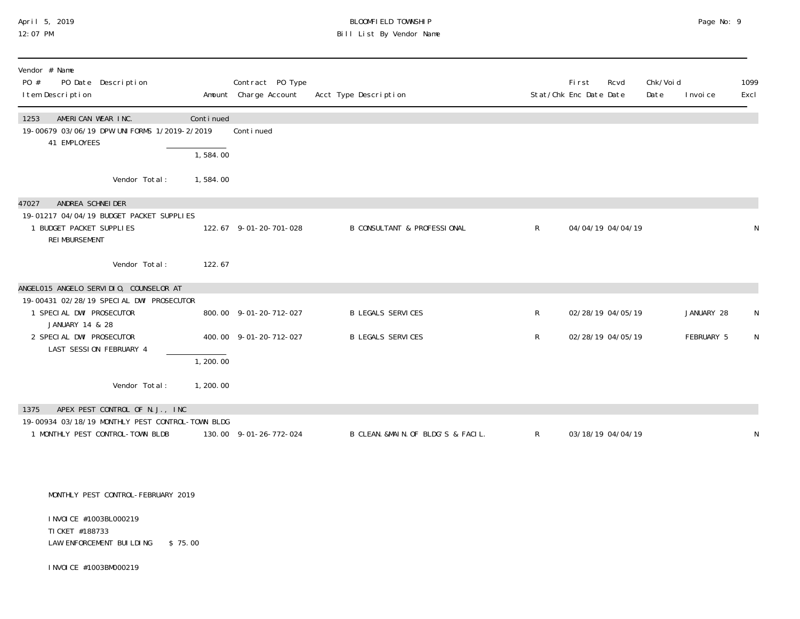#### April 5, 2019 BLOOMFIELD TOWNSHIP Page No: 9 12:07 PM Bill List By Vendor Name

| Vendor # Name<br>PO #<br>PO Date Description<br>I tem Description                                                                    |                       | Contract PO Type<br>Amount Charge Account | Acct Type Description                  |              | First<br>Stat/Chk Enc Date Date | Rcvd              | Chk/Voi d<br>Date | I nvoi ce  | 1099<br>Excl |
|--------------------------------------------------------------------------------------------------------------------------------------|-----------------------|-------------------------------------------|----------------------------------------|--------------|---------------------------------|-------------------|-------------------|------------|--------------|
| AMERICAN WEAR INC.<br>1253<br>19-00679 03/06/19 DPW UNIFORMS 1/2019-2/2019<br>41 EMPLOYEES                                           | Continued<br>1,584.00 | Conti nued                                |                                        |              |                                 |                   |                   |            |              |
| Vendor Total:                                                                                                                        | 1,584.00              |                                           |                                        |              |                                 |                   |                   |            |              |
| ANDREA SCHNEIDER<br>47027<br>19-01217 04/04/19 BUDGET PACKET SUPPLIES<br>1 BUDGET PACKET SUPPLIES<br>REI MBURSEMENT<br>Vendor Total: | 122.67                | 122.67 9-01-20-701-028                    | <b>B CONSULTANT &amp; PROFESSIONAL</b> | $\mathsf{R}$ |                                 | 04/04/19 04/04/19 |                   |            | N            |
| ANGELO15 ANGELO SERVIDIO, COUNSELOR AT                                                                                               |                       |                                           |                                        |              |                                 |                   |                   |            |              |
| 19-00431 02/28/19 SPECIAL DWI PROSECUTOR<br>1 SPECIAL DWI PROSECUTOR<br>JANUARY 14 & 28                                              |                       | 800.00 9-01-20-712-027                    | <b>B LEGALS SERVICES</b>               | $\mathsf{R}$ |                                 | 02/28/19 04/05/19 |                   | JANUARY 28 | N            |
| 2 SPECIAL DWI PROSECUTOR<br>LAST SESSION FEBRUARY 4                                                                                  |                       | 400.00 9-01-20-712-027                    | <b>B LEGALS SERVICES</b>               | $\mathsf{R}$ |                                 | 02/28/19 04/05/19 |                   | FEBRUARY 5 | N            |
|                                                                                                                                      | 1,200.00              |                                           |                                        |              |                                 |                   |                   |            |              |
| Vendor Total:                                                                                                                        | 1, 200.00             |                                           |                                        |              |                                 |                   |                   |            |              |
| APEX PEST CONTROL OF N.J., INC<br>1375<br>19-00934 03/18/19 MONTHLY PEST CONTROL-TOWN BLDG<br>1 MONTHLY PEST CONTROL-TOWN BLDB       |                       | 130.00 9-01-26-772-024                    | B CLEAN. &MAIN. OF BLDG'S & FACIL.     | $\mathsf{R}$ |                                 | 03/18/19 04/04/19 |                   |            | N            |
| MONTHLY PEST CONTROL-FEBRUARY 2019                                                                                                   |                       |                                           |                                        |              |                                 |                   |                   |            |              |
| I NVOI CE #1003BL000219<br>TI CKET #188733<br>LAW ENFORCEMENT BUILDING                                                               | \$75.00               |                                           |                                        |              |                                 |                   |                   |            |              |

INVOICE #1003BM000219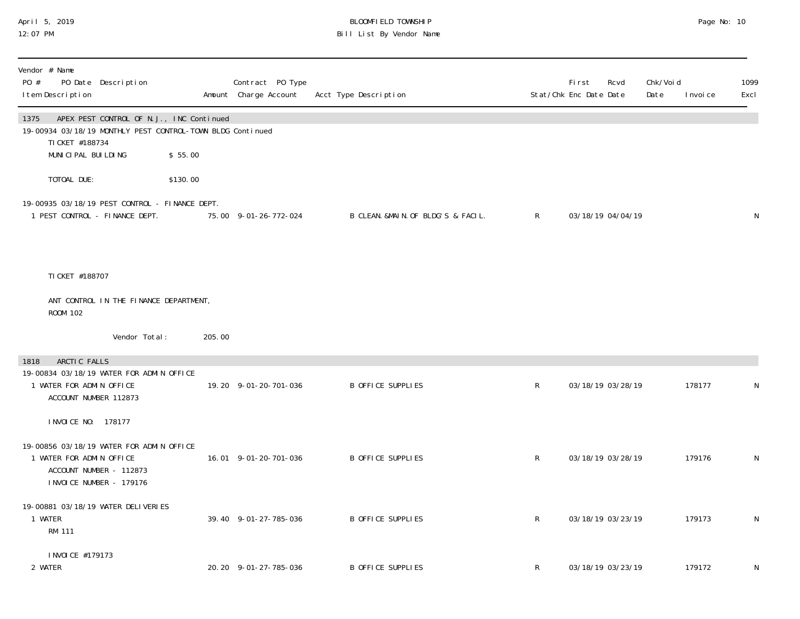# April 5, 2019 BLOOMFIELD TOWNSHIP Page No: 10 Bill List By Vendor Name

| Vendor # Name<br>PO #<br>I tem Description                                                                                 | PO Date Description                      |          | Contract PO Type<br>Amount Charge Account | Acct Type Description              |              | <b>First</b><br>Rcvd<br>Stat/Chk Enc Date Date | Chk/Voi d<br>Date | I nvoi ce | 1099<br>Excl |
|----------------------------------------------------------------------------------------------------------------------------|------------------------------------------|----------|-------------------------------------------|------------------------------------|--------------|------------------------------------------------|-------------------|-----------|--------------|
| 1375<br>19-00934 03/18/19 MONTHLY PEST CONTROL-TOWN BLDG Continued<br>TI CKET #188734<br>MUNICIPAL BUILDING                | APEX PEST CONTROL OF N.J., INC Continued | \$55.00  |                                           |                                    |              |                                                |                   |           |              |
| TOTOAL DUE:                                                                                                                |                                          | \$130.00 |                                           |                                    |              |                                                |                   |           |              |
| 19-00935 03/18/19 PEST CONTROL - FINANCE DEPT.<br>1 PEST CONTROL - FINANCE DEPT.                                           |                                          |          | 75.00 9-01-26-772-024                     | B CLEAN. &MAIN. OF BLDG'S & FACIL. | $\mathsf{R}$ | 03/18/19 04/04/19                              |                   |           | N            |
| TI CKET #188707                                                                                                            |                                          |          |                                           |                                    |              |                                                |                   |           |              |
| ROOM 102                                                                                                                   | ANT CONTROL IN THE FINANCE DEPARTMENT,   |          |                                           |                                    |              |                                                |                   |           |              |
|                                                                                                                            | Vendor Total:                            | 205.00   |                                           |                                    |              |                                                |                   |           |              |
| ARCTIC FALLS<br>1818<br>19-00834 03/18/19 WATER FOR ADMIN OFFICE<br>1 WATER FOR ADMIN OFFICE<br>ACCOUNT NUMBER 112873      |                                          |          | 19.20 9-01-20-701-036                     | B OFFICE SUPPLIES                  | $\mathsf{R}$ | 03/18/19 03/28/19                              |                   | 178177    | N            |
| I NVOI CE NO: 178177                                                                                                       |                                          |          |                                           |                                    |              |                                                |                   |           |              |
| 19-00856 03/18/19 WATER FOR ADMIN OFFICE<br>1 WATER FOR ADMIN OFFICE<br>ACCOUNT NUMBER - 112873<br>INVOICE NUMBER - 179176 |                                          |          | 16.01 9-01-20-701-036                     | B OFFICE SUPPLIES                  | $\mathsf{R}$ | 03/18/19 03/28/19                              |                   | 179176    | N            |
| 19-00881 03/18/19 WATER DELIVERIES<br>1 WATER<br><b>RM 111</b>                                                             |                                          |          | 39.40 9-01-27-785-036                     | B OFFICE SUPPLIES                  | $\mathsf R$  | 03/18/19 03/23/19                              |                   | 179173    | N            |
| I NVOI CE #179173<br>2 WATER                                                                                               |                                          |          | 20.20 9-01-27-785-036                     | <b>B OFFICE SUPPLIES</b>           | R            | 03/18/19 03/23/19                              |                   | 179172    | N            |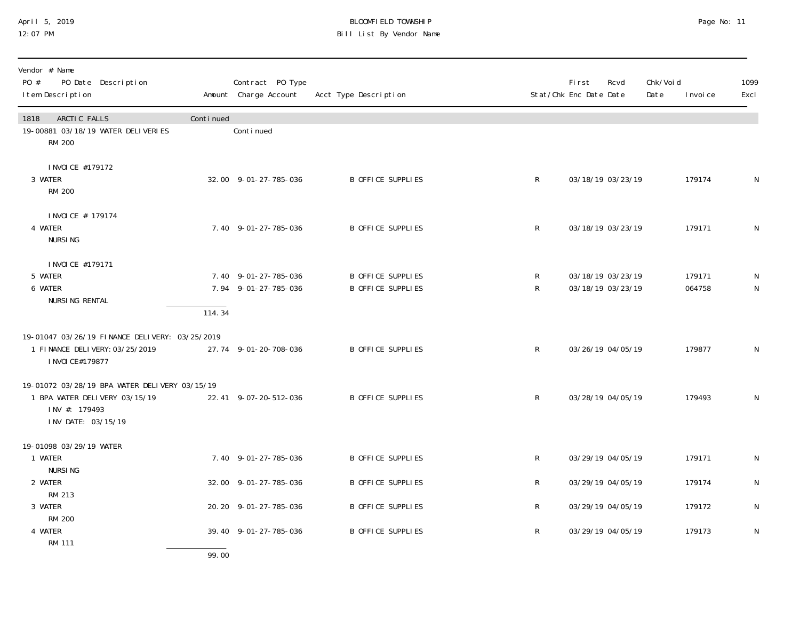#### April 5, 2019 BLOOMFIELD TOWNSHIP Page No: 11 12:07 PM Bill List By Vendor Name

| Vendor # Name<br>PO #<br>PO Date Description<br>I tem Description                                                     |           | Contract PO Type<br>Amount Charge Account    | Acct Type Description                         |              | Fi rst<br>Rcvd<br>Stat/Chk Enc Date Date | Chk/Voi d<br>Date | I nvoi ce        | 1099<br>Excl   |
|-----------------------------------------------------------------------------------------------------------------------|-----------|----------------------------------------------|-----------------------------------------------|--------------|------------------------------------------|-------------------|------------------|----------------|
| ARCTIC FALLS<br>1818<br>19-00881 03/18/19 WATER DELIVERIES<br>RM 200                                                  | Continued | Continued                                    |                                               |              |                                          |                   |                  |                |
| I NVOI CE #179172<br>3 WATER<br><b>RM 200</b>                                                                         |           | 32.00 9-01-27-785-036                        | <b>B OFFICE SUPPLIES</b>                      | R            | 03/18/19 03/23/19                        |                   | 179174           | N              |
| I NVOI CE # 179174<br>4 WATER<br><b>NURSING</b>                                                                       |           | 7.40 9-01-27-785-036                         | B OFFICE SUPPLIES                             | $\mathsf{R}$ | 03/18/19 03/23/19                        |                   | 179171           | N              |
| I NVOI CE #179171<br>5 WATER<br>6 WATER<br>NURSING RENTAL                                                             | 114.34    | 7.40 9-01-27-785-036<br>7.94 9-01-27-785-036 | B OFFICE SUPPLIES<br><b>B OFFICE SUPPLIES</b> | R<br>R       | 03/18/19 03/23/19<br>03/18/19 03/23/19   |                   | 179171<br>064758 | N<br>${\sf N}$ |
| 19-01047 03/26/19 FINANCE DELIVERY: 03/25/2019<br>1 FINANCE DELIVERY: 03/25/2019<br>I NVOI CE#179877                  |           | 27.74 9-01-20-708-036                        | <b>B OFFICE SUPPLIES</b>                      | $\mathsf{R}$ | 03/26/19 04/05/19                        |                   | 179877           | N              |
| 19-01072 03/28/19 BPA WATER DELIVERY 03/15/19<br>1 BPA WATER DELIVERY 03/15/19<br>INV #: 179493<br>INV DATE: 03/15/19 |           | 22.41 9-07-20-512-036                        | <b>B OFFICE SUPPLIES</b>                      | $\mathsf{R}$ | 03/28/19 04/05/19                        |                   | 179493           | N              |
| 19-01098 03/29/19 WATER<br>1 WATER<br><b>NURSING</b>                                                                  |           | 7.40 9-01-27-785-036                         | B OFFICE SUPPLIES                             | $\mathsf{R}$ | 03/29/19 04/05/19                        |                   | 179171           | N              |
| 2 WATER                                                                                                               |           | 32.00 9-01-27-785-036                        | B OFFICE SUPPLIES                             | R            | 03/29/19 04/05/19                        |                   | 179174           | ${\sf N}$      |
| RM 213<br>3 WATER                                                                                                     |           | 20.20 9-01-27-785-036                        | B OFFICE SUPPLIES                             | R            | 03/29/19 04/05/19                        |                   | 179172           | N              |
| <b>RM 200</b><br>4 WATER<br><b>RM 111</b>                                                                             |           | 39.40 9-01-27-785-036                        | B OFFICE SUPPLIES                             | $\mathsf{R}$ | 03/29/19 04/05/19                        |                   | 179173           | N              |

99.00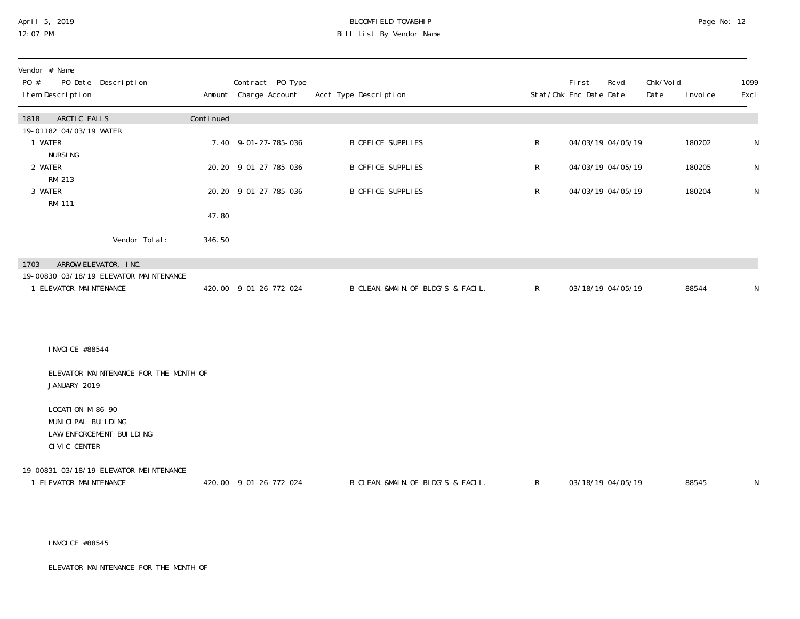# April 5, 2019 BLOOMFIELD TOWNSHIP Page No: 12 Bill List By Vendor Name

| Vendor # Name<br>PO Date Description<br>PO #<br>I tem Description                  |           | Contract PO Type<br>Amount Charge Account | Acct Type Description              |              | Fi rst<br>Rcvd<br>Stat/Chk Enc Date Date | Chk/Voi d<br>Date<br>I nvoi ce | 1099<br>Excl |
|------------------------------------------------------------------------------------|-----------|-------------------------------------------|------------------------------------|--------------|------------------------------------------|--------------------------------|--------------|
| ARCTIC FALLS<br>1818                                                               | Continued |                                           |                                    |              |                                          |                                |              |
| 19-01182 04/03/19 WATER<br>1 WATER                                                 |           | 7.40 9-01-27-785-036                      | B OFFICE SUPPLIES                  | R            | 04/03/19 04/05/19                        | 180202                         | $\mathsf N$  |
| <b>NURSING</b><br>2 WATER                                                          |           | 20.20 9-01-27-785-036                     | B OFFICE SUPPLIES                  | R            | 04/03/19 04/05/19                        | 180205                         | $\mathsf{N}$ |
| RM 213<br>3 WATER                                                                  |           | 20.20 9-01-27-785-036                     | B OFFICE SUPPLIES                  | R            | 04/03/19 04/05/19                        | 180204                         | N            |
| <b>RM 111</b>                                                                      | 47.80     |                                           |                                    |              |                                          |                                |              |
| Vendor Total:                                                                      | 346.50    |                                           |                                    |              |                                          |                                |              |
| ARROW ELEVATOR, INC.<br>1703                                                       |           |                                           |                                    |              |                                          |                                |              |
| 19-00830 03/18/19 ELEVATOR MAINTENANCE<br>1 ELEVATOR MAINTENANCE                   |           | 420.00 9-01-26-772-024                    | B CLEAN. &MAIN. OF BLDG'S & FACIL. | $\mathsf{R}$ | 03/18/19 04/05/19                        | 88544                          | $\mathsf N$  |
| I NVOI CE #88544                                                                   |           |                                           |                                    |              |                                          |                                |              |
| ELEVATOR MAINTENANCE FOR THE MONTH OF<br>JANUARY 2019                              |           |                                           |                                    |              |                                          |                                |              |
| LOCATION M-86-90<br>MUNICIPAL BUILDING<br>LAW ENFORCEMENT BUILDING<br>CIVIC CENTER |           |                                           |                                    |              |                                          |                                |              |
| 19-00831 03/18/19 ELEVATOR MEINTENANCE<br>1 ELEVATOR MAINTENANCE                   |           | 420.00 9-01-26-772-024                    | B CLEAN. &MAIN. OF BLDG'S & FACIL. | $\mathsf{R}$ | 03/18/19 04/05/19                        | 88545                          | ${\sf N}$    |

INVOICE #88545

ELEVATOR MAINTENANCE FOR THE MONTH OF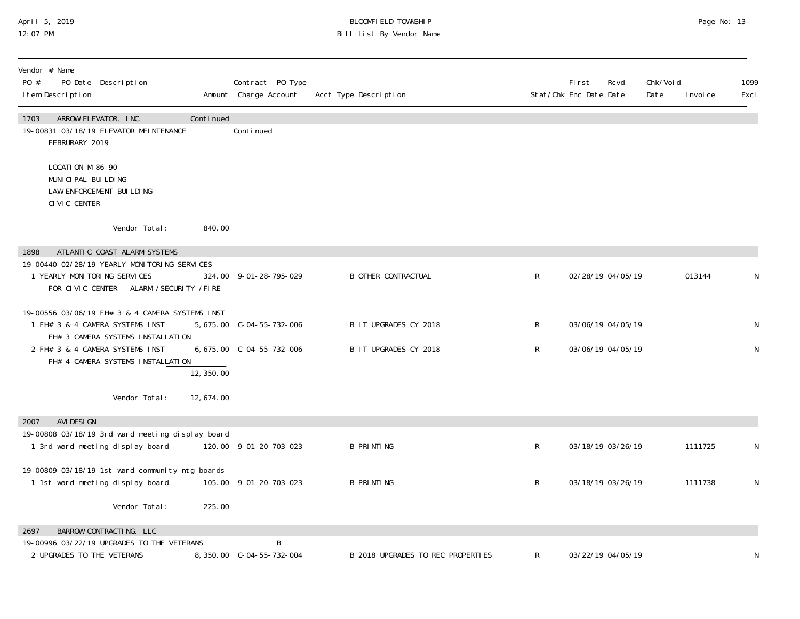#### April 5, 2019 BLOOMFIELD TOWNSHIP Page No: 13 12:07 PM Bill List By Vendor Name

| Vendor # Name<br>PO #<br>PO Date Description<br>I tem Description                                                          |            | Contract PO Type<br>Amount Charge Account | Acct Type Description             |              | <b>First</b><br>Rcvd<br>Stat/Chk Enc Date Date | Chk/Voi d<br>Date | I nvoi ce | 1099<br>Excl |
|----------------------------------------------------------------------------------------------------------------------------|------------|-------------------------------------------|-----------------------------------|--------------|------------------------------------------------|-------------------|-----------|--------------|
| 1703<br>ARROW ELEVATOR, INC.<br>19-00831 03/18/19 ELEVATOR MEINTENANCE<br>FEBRURARY 2019                                   | Continued  | Continued                                 |                                   |              |                                                |                   |           |              |
| LOCATION M-86-90<br>MUNICIPAL BUILDING<br>LAW ENFORCEMENT BUILDING<br>CIVIC CENTER                                         |            |                                           |                                   |              |                                                |                   |           |              |
| Vendor Total:                                                                                                              | 840.00     |                                           |                                   |              |                                                |                   |           |              |
| ATLANTIC COAST ALARM SYSTEMS<br>1898                                                                                       |            |                                           |                                   |              |                                                |                   |           |              |
| 19-00440 02/28/19 YEARLY MONITORING SERVICES<br>1 YEARLY MONITORING SERVICES<br>FOR CIVIC CENTER - ALARM / SECURITY / FIRE |            | 324.00 9-01-28-795-029                    | <b>B OTHER CONTRACTUAL</b>        | $\mathsf R$  | 02/28/19 04/05/19                              |                   | 013144    | N            |
| 19-00556 03/06/19 FH# 3 & 4 CAMERA SYSTEMS INST<br>1 FH# 3 & 4 CAMERA SYSTEMS INST<br>FH# 3 CAMERA SYSTEMS INSTALLATION    |            | 5, 675.00 C-04-55-732-006                 | B IT UPGRADES CY 2018             | R            | 03/06/19 04/05/19                              |                   |           | ${\sf N}$    |
| 2 FH# 3 & 4 CAMERA SYSTEMS INST<br>FH# 4 CAMERA SYSTEMS INSTALLATION                                                       | 12, 350.00 | 6, 675.00 C-04-55-732-006                 | B IT UPGRADES CY 2018             | R            | 03/06/19 04/05/19                              |                   |           | N            |
| Vendor Total:                                                                                                              | 12,674.00  |                                           |                                   |              |                                                |                   |           |              |
| AVI DESI GN<br>2007                                                                                                        |            |                                           |                                   |              |                                                |                   |           |              |
| 19-00808 03/18/19 3rd ward meeting display board<br>1 3rd ward meeting display board                                       |            | 120.00 9-01-20-703-023                    | <b>B PRINTING</b>                 | R            | 03/18/19 03/26/19                              |                   | 1111725   | N            |
| 19-00809 03/18/19 1st ward community mtg boards<br>1 1st ward meeting display board                                        |            | 105.00 9-01-20-703-023                    | <b>B PRINTING</b>                 | $\mathsf{R}$ | 03/18/19 03/26/19                              |                   | 1111738   | $\mathsf{N}$ |
| Vendor Total:                                                                                                              | 225.00     |                                           |                                   |              |                                                |                   |           |              |
| BARROW CONTRACTING, LLC<br>2697                                                                                            |            |                                           |                                   |              |                                                |                   |           |              |
| 19-00996 03/22/19 UPGRADES TO THE VETERANS<br>2 UPGRADES TO THE VETERANS                                                   |            | B                                         | B 2018 UPGRADES TO REC PROPERTIES | ${\sf R}$    | 03/22/19 04/05/19                              |                   |           | N            |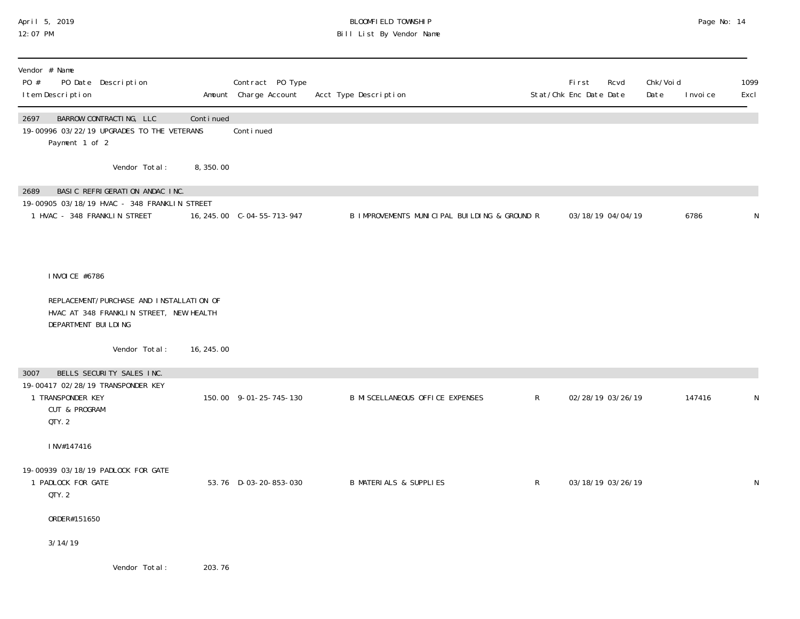#### April 5, 2019 BLOOMFIELD TOWNSHIP Page No: 14 12:07 PM Bill List By Vendor Name

| Vendor # Name<br>PO #<br>PO Date Description<br>I tem Description                                                      |            | Contract PO Type<br>Amount Charge Account | Acct Type Description                        |   | <b>First</b><br>Stat/Chk Enc Date Date | Rcvd | Chk/Voi d<br>Date | I nvoi ce | 1099<br>Excl |
|------------------------------------------------------------------------------------------------------------------------|------------|-------------------------------------------|----------------------------------------------|---|----------------------------------------|------|-------------------|-----------|--------------|
| BARROW CONTRACTING, LLC<br>2697<br>19-00996 03/22/19 UPGRADES TO THE VETERANS<br>Payment 1 of 2                        | Continued  | Continued                                 |                                              |   |                                        |      |                   |           |              |
| Vendor Total:                                                                                                          | 8,350.00   |                                           |                                              |   |                                        |      |                   |           |              |
| BASIC REFRIGERATION ANDAC INC.<br>2689<br>19-00905 03/18/19 HVAC - 348 FRANKLIN STREET<br>1 HVAC - 348 FRANKLIN STREET |            | 16, 245.00 C-04-55-713-947                | B IMPROVEMENTS MUNICIPAL BUILDING & GROUND R |   | 03/18/19 04/04/19                      |      |                   | 6786      | N            |
|                                                                                                                        |            |                                           |                                              |   |                                        |      |                   |           |              |
| I NVOI CE #6786                                                                                                        |            |                                           |                                              |   |                                        |      |                   |           |              |
| REPLACEMENT/PURCHASE AND INSTALLATION OF<br>HVAC AT 348 FRANKLIN STREET, NEW HEALTH<br>DEPARTMENT BUILDING             |            |                                           |                                              |   |                                        |      |                   |           |              |
| Vendor Total:                                                                                                          | 16, 245.00 |                                           |                                              |   |                                        |      |                   |           |              |
| BELLS SECURITY SALES INC.<br>3007                                                                                      |            |                                           |                                              |   |                                        |      |                   |           |              |
| 19-00417 02/28/19 TRANSPONDER KEY<br>1 TRANSPONDER KEY<br><b>CUT &amp; PROGRAM</b><br>QTY.2                            |            | 150.00 9-01-25-745-130                    | <b>B MI SCELLANEOUS OFFICE EXPENSES</b>      | R | 02/28/19 03/26/19                      |      |                   | 147416    | N            |
| INV#147416                                                                                                             |            |                                           |                                              |   |                                        |      |                   |           |              |
| 19-00939 03/18/19 PADLOCK FOR GATE<br>1 PADLOCK FOR GATE<br>QTY.2                                                      |            | 53.76 D-03-20-853-030                     | <b>B MATERIALS &amp; SUPPLIES</b>            | R | 03/18/19 03/26/19                      |      |                   |           | $\mathsf{N}$ |
| ORDER#151650                                                                                                           |            |                                           |                                              |   |                                        |      |                   |           |              |
| 3/14/19                                                                                                                |            |                                           |                                              |   |                                        |      |                   |           |              |
| Vendor Total:                                                                                                          | 203.76     |                                           |                                              |   |                                        |      |                   |           |              |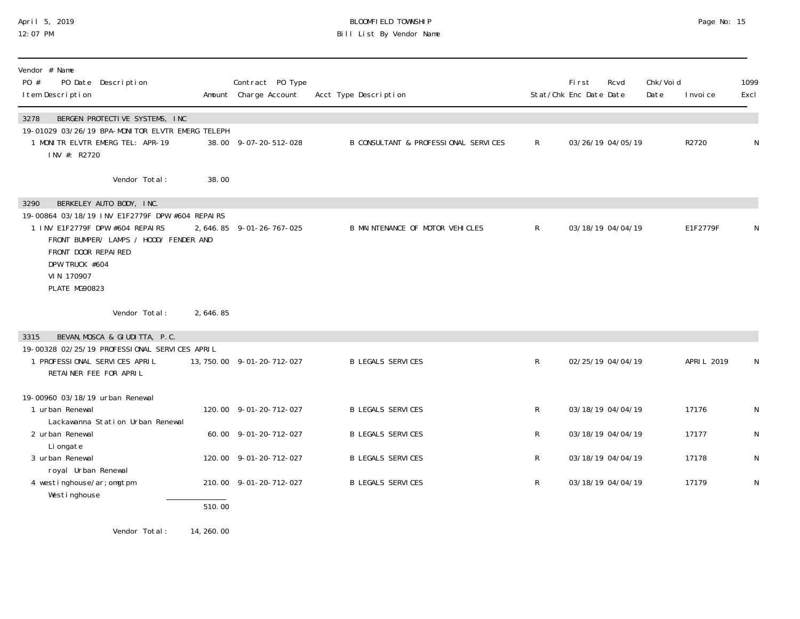## April 5, 2019 BLOOMFIELD TOWNSHIP Page No: 15 12:07 PM Bill List By Vendor Name

| Vendor # Name<br>PO #<br>PO Date Description<br>I tem Description                                                                                                                                                                        |                     | Contract PO Type<br>Amount Charge Account | Acct Type Description                |              | First<br>Stat/Chk Enc Date Date | Rcvd              | Chk/Voi d<br>Date | I nvoi ce   | 1099<br>Excl |
|------------------------------------------------------------------------------------------------------------------------------------------------------------------------------------------------------------------------------------------|---------------------|-------------------------------------------|--------------------------------------|--------------|---------------------------------|-------------------|-------------------|-------------|--------------|
| BERGEN PROTECTIVE SYSTEMS, INC<br>3278<br>19-01029 03/26/19 BPA-MONITOR ELVTR EMERG TELEPH<br>1 MONITR ELVTR EMERG TEL: APR-19<br>INV #: R2720                                                                                           |                     | 38.00 9-07-20-512-028                     | B CONSULTANT & PROFESSIONAL SERVICES | $\mathsf{R}$ |                                 | 03/26/19 04/05/19 |                   | R2720       | N            |
| Vendor Total:                                                                                                                                                                                                                            | 38.00               |                                           |                                      |              |                                 |                   |                   |             |              |
| BERKELEY AUTO BODY, INC.<br>3290<br>19-00864 03/18/19 INV E1F2779F DPW #604 REPAIRS<br>1 INV E1F2779F DPW #604 REPAIRS<br>FRONT BUMPER/ LAMPS / HOOD/ FENDER AND<br>FRONT DOOR REPAIRED<br>DPW TRUCK #604<br>VIN 170907<br>PLATE MG90823 |                     | 2, 646.85 9-01-26-767-025                 | B MAINTENANCE OF MOTOR VEHICLES      | $\mathsf{R}$ |                                 | 03/18/19 04/04/19 |                   | E1F2779F    | N            |
| Vendor Total:                                                                                                                                                                                                                            | 2,646.85            |                                           |                                      |              |                                 |                   |                   |             |              |
| BEVAN, MOSCA & GIUDITTA, P.C.<br>3315<br>19-00328 02/25/19 PROFESSIONAL SERVICES APRIL<br>1 PROFESSIONAL SERVICES APRIL<br>RETAINER FEE FOR APRIL                                                                                        |                     | 13, 750. 00 9-01-20-712-027               | <b>B LEGALS SERVICES</b>             | $\mathsf{R}$ |                                 | 02/25/19 04/04/19 |                   | APRI L 2019 |              |
| 19-00960 03/18/19 urban Renewal<br>1 urban Renewal<br>Lackawanna Station Urban Renewal                                                                                                                                                   |                     | 120.00 9-01-20-712-027                    | <b>B LEGALS SERVICES</b>             | R            |                                 | 03/18/19 04/04/19 |                   | 17176       | N            |
| 2 urban Renewal<br>Li ongate                                                                                                                                                                                                             |                     | 60.00 9-01-20-712-027                     | <b>B LEGALS SERVICES</b>             | R            |                                 | 03/18/19 04/04/19 |                   | 17177       | N            |
| 3 urban Renewal<br>royal Urban Renewal                                                                                                                                                                                                   |                     | 120.00 9-01-20-712-027                    | <b>B LEGALS SERVICES</b>             | $\mathsf{R}$ |                                 | 03/18/19 04/04/19 |                   | 17178       | N            |
| 4 westinghouse/ar; omgtpm<br>Westinghouse                                                                                                                                                                                                | $\overline{510.00}$ | 210.00 9-01-20-712-027                    | <b>B LEGALS SERVICES</b>             | $\mathsf{R}$ |                                 | 03/18/19 04/04/19 |                   | 17179       | ${\sf N}$    |
| Vendor Total:                                                                                                                                                                                                                            | 14, 260.00          |                                           |                                      |              |                                 |                   |                   |             |              |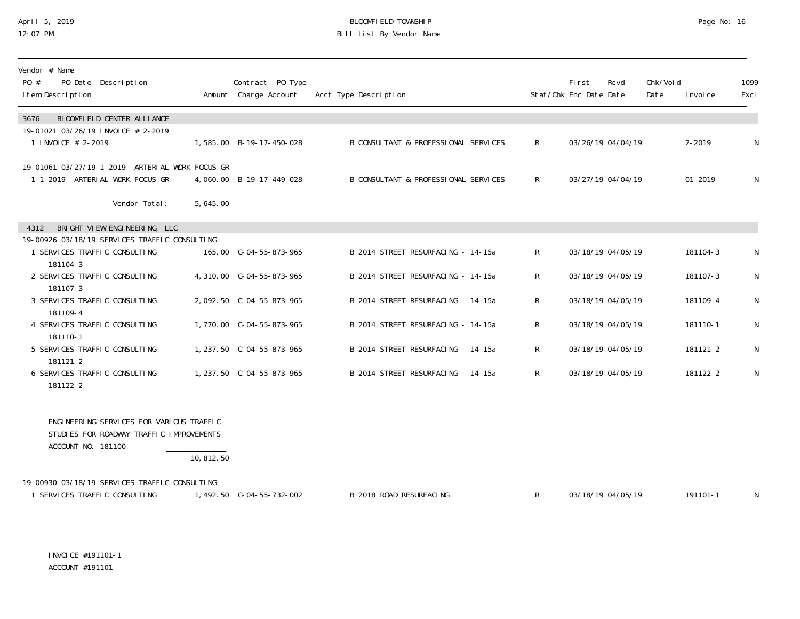## April 5, 2019 BLOOMFIELD TOWNSHIP Page No: 16 12:07 PM Bill List By Vendor Name

| Vendor # Name<br>PO Date Description<br>PO #<br>I tem Description                                          |            | Contract PO Type<br>Amount Charge Account | Acct Type Description                | Stat/Chk Enc Date Date | First | Rcvd              | Chk/Voi d<br>Date | I nvoi ce   | 1099<br>Excl |
|------------------------------------------------------------------------------------------------------------|------------|-------------------------------------------|--------------------------------------|------------------------|-------|-------------------|-------------------|-------------|--------------|
| BLOOMFIELD CENTER ALLIANCE<br>3676                                                                         |            |                                           |                                      |                        |       |                   |                   |             |              |
| 19-01021 03/26/19 INVOICE # 2-2019<br>1 INVOICE # 2-2019                                                   |            | 1,585,00 B-19-17-450-028                  | B CONSULTANT & PROFESSIONAL SERVICES | R                      |       | 03/26/19 04/04/19 |                   | $2 - 2019$  | N            |
| 19-01061 03/27/19 1-2019 ARTERIAL WORK FOCUS GR<br>1 1-2019 ARTERIAL WORK FOCUS GR                         |            | 4,060.00 B-19-17-449-028                  | B CONSULTANT & PROFESSIONAL SERVICES | $\mathsf{R}$           |       | 03/27/19 04/04/19 |                   | $01 - 2019$ | N            |
| Vendor Total:                                                                                              | 5,645.00   |                                           |                                      |                        |       |                   |                   |             |              |
| 4312 BRIGHT VIEW ENGINEERING, LLC                                                                          |            |                                           |                                      |                        |       |                   |                   |             |              |
| 19-00926 03/18/19 SERVICES TRAFFIC CONSULTING<br>1 SERVICES TRAFFIC CONSULTING<br>181104-3                 |            | 165.00 C-04-55-873-965                    | B 2014 STREET RESURFACING - 14-15a   | $\mathsf{R}$           |       | 03/18/19 04/05/19 |                   | 181104-3    | N            |
| 2 SERVICES TRAFFIC CONSULTING                                                                              |            | 4, 310, 00 C-04-55-873-965                | B 2014 STREET RESURFACING - 14-15a   | R.                     |       | 03/18/19 04/05/19 |                   | 181107-3    | N            |
| 181107-3<br>3 SERVICES TRAFFIC CONSULTING<br>181109-4                                                      |            |                                           | B 2014 STREET RESURFACING - 14-15a   | R                      |       | 03/18/19 04/05/19 |                   | 181109-4    | N            |
| 4 SERVICES TRAFFIC CONSULTING<br>181110-1                                                                  |            | 1,770.00 C-04-55-873-965                  | B 2014 STREET RESURFACING - 14-15a   | R                      |       | 03/18/19 04/05/19 |                   | 181110-1    | N            |
| 5 SERVICES TRAFFIC CONSULTING<br>181121-2                                                                  |            | 1, 237.50 C-04-55-873-965                 | B 2014 STREET RESURFACING - 14-15a   | R                      |       | 03/18/19 04/05/19 |                   | 181121-2    | N            |
| 6 SERVICES TRAFFIC CONSULTING<br>181122-2                                                                  |            | 1, 237.50 C-04-55-873-965                 | B 2014 STREET RESURFACING - 14-15a   | $\mathsf{R}^-$         |       | 03/18/19 04/05/19 |                   | 181122-2    | N            |
| ENGINEERING SERVICES FOR VARIOUS TRAFFIC<br>STUDIES FOR ROADWAY TRAFFIC IMPROVEMENTS<br>ACCOUNT NO. 181100 |            |                                           |                                      |                        |       |                   |                   |             |              |
|                                                                                                            | 10, 812.50 |                                           |                                      |                        |       |                   |                   |             |              |
| 19-00930 03/18/19 SERVICES TRAFFIC CONSULTING                                                              |            |                                           |                                      |                        |       |                   |                   |             |              |
| 1 SERVICES TRAFFIC CONSULTING                                                                              |            |                                           | B 2018 ROAD RESURFACING              | $\mathsf{R}$           |       | 03/18/19 04/05/19 |                   | 191101-1    | N            |

INVOICE #191101-1 ACCOUNT #191101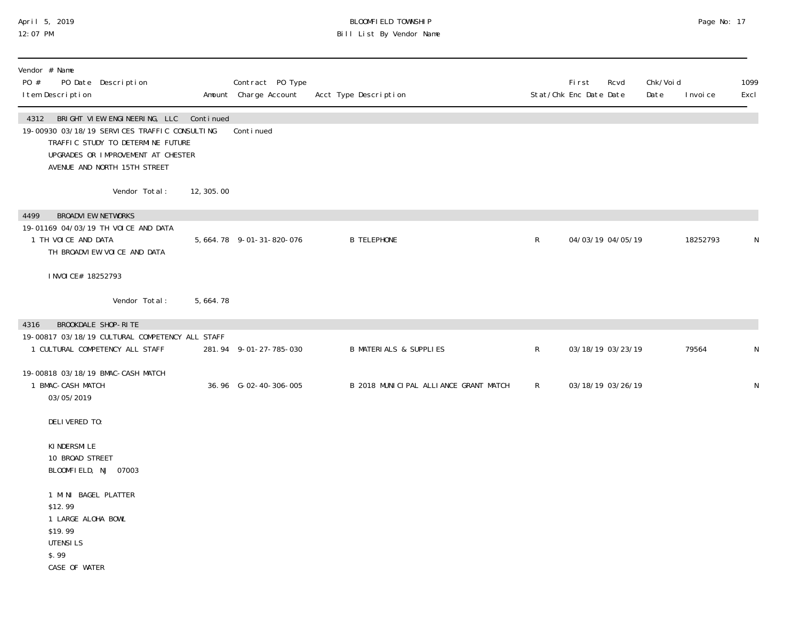#### April 5, 2019 BLOOMFIELD TOWNSHIP Page No: 17 12:07 PM Bill List By Vendor Name

| Vendor # Name<br>PO #<br>I tem Description                                            | PO Date Description                                                                                                                                                                                     |            | Contract PO Type<br>Amount Charge Account | Acct Type Description                 |              | First<br>Rcvd<br>Stat/Chk Enc Date Date | Chk/Voi d<br>Date | I nvoi ce | 1099<br>Excl |
|---------------------------------------------------------------------------------------|---------------------------------------------------------------------------------------------------------------------------------------------------------------------------------------------------------|------------|-------------------------------------------|---------------------------------------|--------------|-----------------------------------------|-------------------|-----------|--------------|
|                                                                                       | 4312 BRIGHT VIEW ENGINEERING, LLC Continued<br>19-00930 03/18/19 SERVICES TRAFFIC CONSULTING<br>TRAFFIC STUDY TO DETERMINE FUTURE<br>UPGRADES OR IMPROVEMENT AT CHESTER<br>AVENUE AND NORTH 15TH STREET |            | Continued                                 |                                       |              |                                         |                   |           |              |
|                                                                                       | Vendor Total:                                                                                                                                                                                           | 12, 305.00 |                                           |                                       |              |                                         |                   |           |              |
| 4499<br>1 TH VOICE AND DATA<br>I NVOI CE# 18252793                                    | <b>BROADVI EW NETWORKS</b><br>19-01169 04/03/19 TH VOICE AND DATA<br>TH BROADVIEW VOICE AND DATA                                                                                                        |            | 5, 664. 78 9-01-31-820-076                | <b>B TELEPHONE</b>                    | $\mathsf{R}$ | 04/03/19 04/05/19                       |                   | 18252793  | N            |
|                                                                                       | Vendor Total:                                                                                                                                                                                           | 5,664.78   |                                           |                                       |              |                                         |                   |           |              |
| 4316                                                                                  | BROOKDALE SHOP-RITE<br>19-00817 03/18/19 CULTURAL COMPETENCY ALL STAFF<br>1 CULTURAL COMPETENCY ALL STAFF                                                                                               |            | 281.94 9-01-27-785-030                    | <b>B MATERIALS &amp; SUPPLIES</b>     | R            | 03/18/19 03/23/19                       |                   | 79564     | ${\sf N}$    |
| 1 BMAC-CASH MATCH<br>03/05/2019                                                       | 19-00818 03/18/19 BMAC-CASH MATCH                                                                                                                                                                       |            | 36.96 G-02-40-306-005                     | B 2018 MUNICIPAL ALLIANCE GRANT MATCH | $\mathsf{R}$ | 03/18/19 03/26/19                       |                   |           | N            |
| DELIVERED TO:                                                                         |                                                                                                                                                                                                         |            |                                           |                                       |              |                                         |                   |           |              |
| KI NDERSMI LE<br>10 BROAD STREET                                                      | BLOOMFIELD, NJ 07003                                                                                                                                                                                    |            |                                           |                                       |              |                                         |                   |           |              |
| \$12.99<br>1 LARGE ALOHA BOWL<br>\$19.99<br><b>UTENSILS</b><br>\$.99<br>CASE OF WATER | 1 MINI BAGEL PLATTER                                                                                                                                                                                    |            |                                           |                                       |              |                                         |                   |           |              |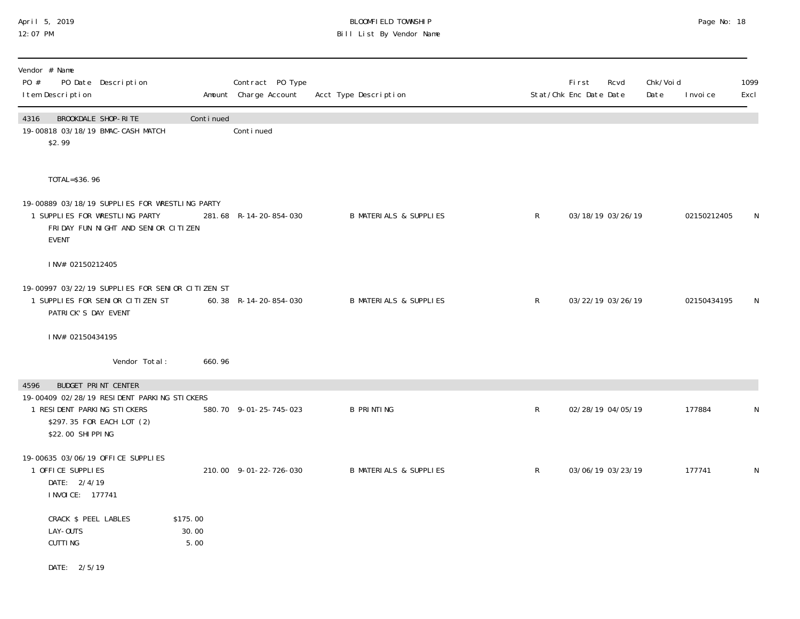### April 5, 2019 BLOOMFIELD TOWNSHIP Page No: 18 12:07 PM Bill List By Vendor Name

| Vendor # Name<br>PO #<br>PO Date Description<br>I tem Description                                                                       |                           | Contract PO Type<br>Amount Charge Account | Acct Type Description             |              | First<br>Rcvd<br>Stat/Chk Enc Date Date | Chk/Voi d<br>Date<br>I nvoi ce | 1099<br>Excl |
|-----------------------------------------------------------------------------------------------------------------------------------------|---------------------------|-------------------------------------------|-----------------------------------|--------------|-----------------------------------------|--------------------------------|--------------|
| BROOKDALE SHOP-RITE<br>4316<br>19-00818 03/18/19 BMAC-CASH MATCH<br>\$2.99                                                              | Continued                 | Continued                                 |                                   |              |                                         |                                |              |
| TOTAL=\$36.96                                                                                                                           |                           |                                           |                                   |              |                                         |                                |              |
| 19-00889 03/18/19 SUPPLIES FOR WRESTLING PARTY<br>1 SUPPLIES FOR WRESTLING PARTY<br>FRIDAY FUN NIGHT AND SENIOR CITIZEN<br><b>EVENT</b> |                           | 281.68 R-14-20-854-030                    | <b>B MATERIALS &amp; SUPPLIES</b> | $\mathsf{R}$ | 03/18/19 03/26/19                       | 02150212405                    | N            |
| INV# 02150212405                                                                                                                        |                           |                                           |                                   |              |                                         |                                |              |
| 19-00997 03/22/19 SUPPLIES FOR SENIOR CITIZEN ST<br>1 SUPPLIES FOR SENIOR CITIZEN ST<br>PATRICK'S DAY EVENT                             |                           | 60.38 R-14-20-854-030                     | <b>B MATERIALS &amp; SUPPLIES</b> | $\mathsf{R}$ | 03/22/19 03/26/19                       | 02150434195                    | N            |
| INV# 02150434195                                                                                                                        |                           |                                           |                                   |              |                                         |                                |              |
| Vendor Total:                                                                                                                           | 660.96                    |                                           |                                   |              |                                         |                                |              |
| BUDGET PRINT CENTER<br>4596                                                                                                             |                           |                                           |                                   |              |                                         |                                |              |
| 19-00409 02/28/19 RESIDENT PARKING STICKERS<br>1 RESIDENT PARKING STICKERS<br>\$297.35 FOR EACH LOT (2)<br>\$22.00 SHI PPI NG           |                           | 580.70 9-01-25-745-023                    | <b>B PRINTING</b>                 | $\mathsf{R}$ | 02/28/19 04/05/19                       | 177884                         | N            |
| 19-00635 03/06/19 OFFICE SUPPLIES<br>1 OFFICE SUPPLIES<br>DATE: 2/4/19<br>I NVOI CE: 177741                                             |                           | 210.00 9-01-22-726-030                    | <b>B MATERIALS &amp; SUPPLIES</b> | $\mathsf{R}$ | 03/06/19 03/23/19                       | 177741                         | N            |
| CRACK \$ PEEL LABLES<br>LAY-OUTS<br><b>CUTTING</b>                                                                                      | \$175.00<br>30.00<br>5.00 |                                           |                                   |              |                                         |                                |              |
| DATE: 2/5/19                                                                                                                            |                           |                                           |                                   |              |                                         |                                |              |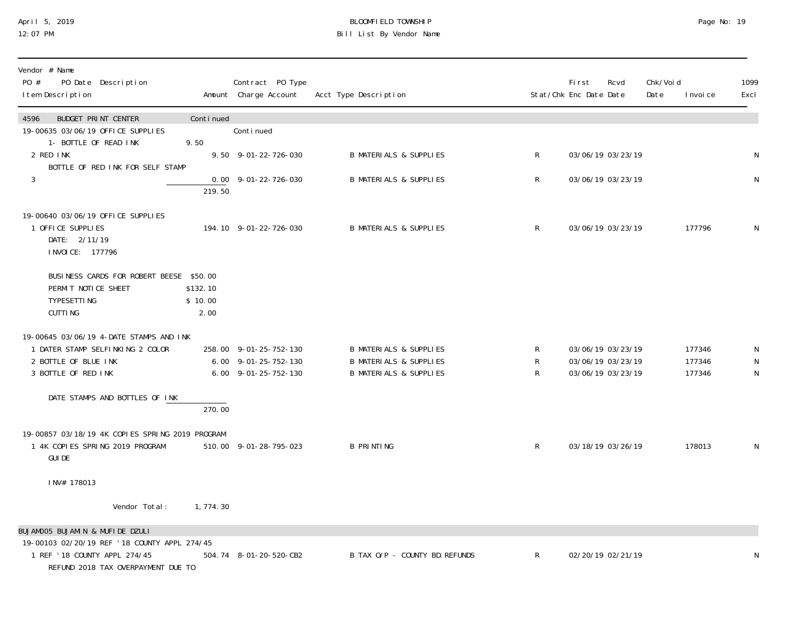## April 5, 2019 BLOOMFIELD TOWNSHIP Page No: 19 12:07 PM Bill List By Vendor Name

| Vendor # Name<br>PO #<br>PO Date Description<br>I tem Description                                                                                     |                             | Contract PO Type<br>Amount Charge Account                                      | Acct Type Description                                                                                       |              | <b>First</b><br>Stat/Chk Enc Date Date                      | Rcvd | Chk/Voi d<br>Date | I nvoi ce                  | 1099<br>Excl        |
|-------------------------------------------------------------------------------------------------------------------------------------------------------|-----------------------------|--------------------------------------------------------------------------------|-------------------------------------------------------------------------------------------------------------|--------------|-------------------------------------------------------------|------|-------------------|----------------------------|---------------------|
| <b>BUDGET PRINT CENTER</b><br>4596<br>19-00635 03/06/19 OFFICE SUPPLIES                                                                               | Continued                   | Continued                                                                      |                                                                                                             |              |                                                             |      |                   |                            |                     |
| 1- BOTTLE OF READ INK<br>2 RED INK<br>BOTTLE OF RED INK FOR SELF STAMP                                                                                | 9.50                        | 9.50 9-01-22-726-030                                                           | <b>B MATERIALS &amp; SUPPLIES</b>                                                                           | $\mathsf{R}$ | 03/06/19 03/23/19                                           |      |                   |                            | ${\sf N}$           |
| $\mathfrak{Z}$                                                                                                                                        | 219.50                      | $0.00$ $9-01-22-726-030$                                                       | <b>B MATERIALS &amp; SUPPLIES</b>                                                                           | $\mathsf{R}$ | 03/06/19 03/23/19                                           |      |                   |                            | ${\sf N}$           |
| 19-00640 03/06/19 OFFICE SUPPLIES<br>1 OFFICE SUPPLIES<br>DATE: 2/11/19<br>I NVOI CE: 177796                                                          |                             | 194.10 9-01-22-726-030                                                         | <b>B MATERIALS &amp; SUPPLIES</b>                                                                           | $\mathsf{R}$ | 03/06/19 03/23/19                                           |      |                   | 177796                     | N                   |
| BUSINESS CARDS FOR ROBERT BEESE \$50.00<br>PERMIT NOTICE SHEET<br><b>TYPESETTING</b><br><b>CUTTING</b>                                                | \$132.10<br>\$10.00<br>2.00 |                                                                                |                                                                                                             |              |                                                             |      |                   |                            |                     |
| 19-00645 03/06/19 4-DATE STAMPS AND INK<br>1 DATER STAMP SELFINKING 2 COLOR<br>2 BOTTLE OF BLUE INK<br>3 BOTTLE OF RED INK                            |                             | 258.00 9-01-25-752-130<br>$6.00$ $9-01-25-752-130$<br>$6.00$ $9-01-25-752-130$ | <b>B MATERIALS &amp; SUPPLIES</b><br><b>B MATERIALS &amp; SUPPLIES</b><br><b>B MATERIALS &amp; SUPPLIES</b> | R<br>R<br>R  | 03/06/19 03/23/19<br>03/06/19 03/23/19<br>03/06/19 03/23/19 |      |                   | 177346<br>177346<br>177346 | N<br>N<br>${\sf N}$ |
| DATE STAMPS AND BOTTLES OF INK                                                                                                                        | 270.00                      |                                                                                |                                                                                                             |              |                                                             |      |                   |                            |                     |
| 19-00857 03/18/19 4K COPIES SPRING 2019 PROGRAM<br>1 4K COPIES SPRING 2019 PROGRAM<br><b>GUI DE</b>                                                   |                             | 510.00 9-01-28-795-023                                                         | <b>B PRINTING</b>                                                                                           | $\mathsf{R}$ | 03/18/19 03/26/19                                           |      |                   | 178013                     | N                   |
| INV# 178013                                                                                                                                           |                             |                                                                                |                                                                                                             |              |                                                             |      |                   |                            |                     |
| Vendor Total:                                                                                                                                         | 1, 774. 30                  |                                                                                |                                                                                                             |              |                                                             |      |                   |                            |                     |
| BUJAMOO5 BUJAMIN & MUFIDE DZULI<br>19-00103 02/20/19 REF '18 COUNTY APPL 274/45<br>1 REF '18 COUNTY APPL 274/45<br>REFUND 2018 TAX OVERPAYMENT DUE TO |                             | 504.74 8-01-20-520-CB2                                                         | B TAX O/P - COUNTY BD. REFUNDS                                                                              | $\mathsf{R}$ | 02/20/19 02/21/19                                           |      |                   |                            | N                   |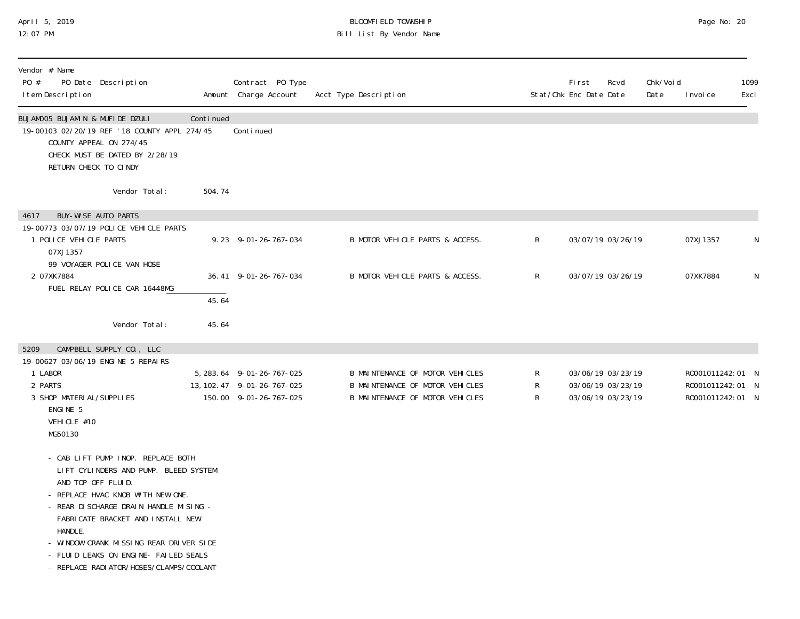#### April 5, 2019 BLOOMFIELD TOWNSHIP Page No: 20 12:07 PM Bill List By Vendor Name

| Vendor # Name<br>PO #<br>PO Date Description<br>I tem Description                                                                                                                                                                                                                                                                                                 |           | Contract PO Type<br>Amount Charge Account                                          | Acct Type Description                                                                                        |              | <b>First</b><br>Rcvd<br>Stat/Chk Enc Date Date              | Chk/Voi d<br>Date | I nvoi ce                                                | 1099<br>Excl |
|-------------------------------------------------------------------------------------------------------------------------------------------------------------------------------------------------------------------------------------------------------------------------------------------------------------------------------------------------------------------|-----------|------------------------------------------------------------------------------------|--------------------------------------------------------------------------------------------------------------|--------------|-------------------------------------------------------------|-------------------|----------------------------------------------------------|--------------|
| BUJAMOO5 BUJAMIN & MUFIDE DZULI<br>19-00103 02/20/19 REF '18 COUNTY APPL 274/45<br>COUNTY APPEAL ON 274/45<br>CHECK MUST BE DATED BY 2/28/19<br>RETURN CHECK TO CINDY                                                                                                                                                                                             | Continued | Conti nued                                                                         |                                                                                                              |              |                                                             |                   |                                                          |              |
| Vendor Total:                                                                                                                                                                                                                                                                                                                                                     | 504.74    |                                                                                    |                                                                                                              |              |                                                             |                   |                                                          |              |
| <b>BUY-WISE AUTO PARTS</b><br>4617<br>19-00773 03/07/19 POLICE VEHICLE PARTS<br>1 POLICE VEHICLE PARTS<br>07XJ1357                                                                                                                                                                                                                                                |           | $9.23$ $9-01-26-767-034$                                                           | B MOTOR VEHICLE PARTS & ACCESS.                                                                              | $\mathsf R$  | 03/07/19 03/26/19                                           |                   | 07XJ1357                                                 | ${\sf N}$    |
| 99 VOYAGER POLICE VAN HOSE<br>2 07XK7884<br>FUEL RELAY POLICE CAR 16448MG                                                                                                                                                                                                                                                                                         |           | 36.41 9-01-26-767-034                                                              | B MOTOR VEHICLE PARTS & ACCESS.                                                                              | $\mathsf{R}$ | 03/07/19 03/26/19                                           |                   | 07XK7884                                                 | N            |
|                                                                                                                                                                                                                                                                                                                                                                   | 45.64     |                                                                                    |                                                                                                              |              |                                                             |                   |                                                          |              |
| Vendor Total:                                                                                                                                                                                                                                                                                                                                                     | 45.64     |                                                                                    |                                                                                                              |              |                                                             |                   |                                                          |              |
| CAMPBELL SUPPLY CO., LLC<br>5209<br>19-00627 03/06/19 ENGINE 5 REPAIRS<br>1 LABOR<br>2 PARTS<br>3 SHOP MATERI AL/SUPPLIES<br>ENGINE 5<br>VEHICLE #10<br>MG50130                                                                                                                                                                                                   |           | 5, 283.64 9-01-26-767-025<br>13, 102. 47 9-01-26-767-025<br>150.00 9-01-26-767-025 | B MAINTENANCE OF MOTOR VEHICLES<br>B MAINTENANCE OF MOTOR VEHICLES<br><b>B MAINTENANCE OF MOTOR VEHICLES</b> | R<br>R<br>R  | 03/06/19 03/23/19<br>03/06/19 03/23/19<br>03/06/19 03/23/19 |                   | R0001011242:01 N<br>R0001011242:01 N<br>R0001011242:01 N |              |
| - CAB LIFT PUMP INOP. REPLACE BOTH<br>LIFT CYLINDERS AND PUMP. BLEED SYSTEM<br>AND TOP OFF FLUID.<br>- REPLACE HVAC KNOB WITH NEW ONE.<br>- REAR DI SCHARGE DRAIN HANDLE MISING -<br>FABRICATE BRACKET AND INSTALL NEW<br>HANDLE.<br>- WINDOW CRANK MISSING REAR DRIVER SIDE<br>- FLUID LEAKS ON ENGINE- FAILED SEALS<br>- REPLACE RADI ATOR/HOSES/CLAMPS/COOLANT |           |                                                                                    |                                                                                                              |              |                                                             |                   |                                                          |              |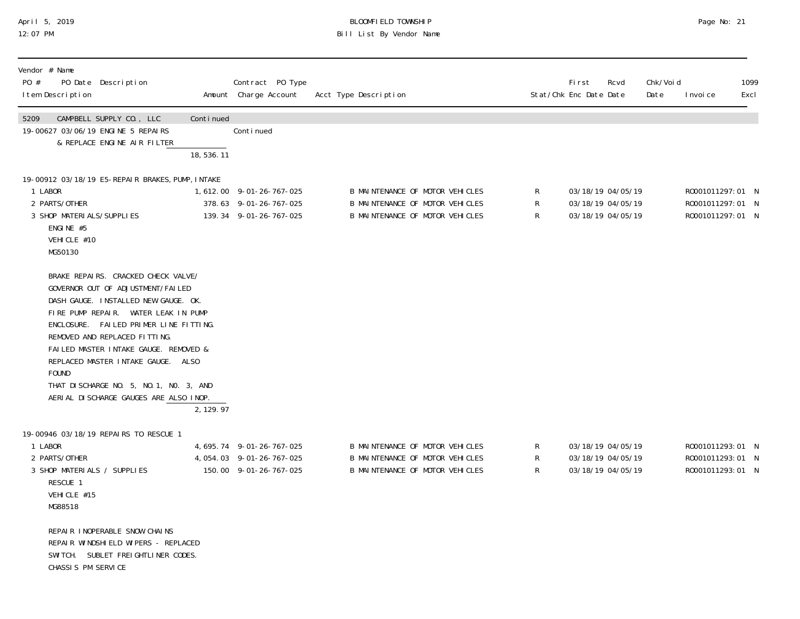## April 5, 2019 BLOOMFIELD TOWNSHIP Page No: 21 12:07 PM Bill List By Vendor Name

| Vendor # Name<br>PO #<br>PO Date Description<br>I tem Description                                                                                                                                                                                                                                                                                                                                                        |                          | Contract PO Type<br>Amount Charge Account                                          | Acct Type Description                                                                                 |             | <b>First</b><br>Rcvd<br>Stat/Chk Enc Date Date              | Chk/Voi d<br>Date | I nvoi ce                                                | 1099<br>Excl |
|--------------------------------------------------------------------------------------------------------------------------------------------------------------------------------------------------------------------------------------------------------------------------------------------------------------------------------------------------------------------------------------------------------------------------|--------------------------|------------------------------------------------------------------------------------|-------------------------------------------------------------------------------------------------------|-------------|-------------------------------------------------------------|-------------------|----------------------------------------------------------|--------------|
| 5209<br>CAMPBELL SUPPLY CO., LLC<br>19-00627 03/06/19 ENGINE 5 REPAIRS<br>& REPLACE ENGINE AIR FILTER                                                                                                                                                                                                                                                                                                                    | Continued<br>18, 536. 11 | Continued                                                                          |                                                                                                       |             |                                                             |                   |                                                          |              |
| 19-00912 03/18/19 E5-REPAIR BRAKES, PUMP, INTAKE<br>1 LABOR<br>2 PARTS/OTHER<br>3 SHOP MATERI ALS/SUPPLIES<br>ENGINE #5<br>VEHICLE #10<br>MG50130                                                                                                                                                                                                                                                                        |                          | 1, 612.00 9-01-26-767-025<br>378.63 9-01-26-767-025<br>139.34 9-01-26-767-025      | B MAINTENANCE OF MOTOR VEHICLES<br>B MAINTENANCE OF MOTOR VEHICLES<br>B MAINTENANCE OF MOTOR VEHICLES | R<br>R<br>R | 03/18/19 04/05/19<br>03/18/19 04/05/19<br>03/18/19 04/05/19 |                   | R0001011297:01 N<br>R0001011297:01 N<br>R0001011297:01 N |              |
| BRAKE REPAIRS. CRACKED CHECK VALVE/<br>GOVERNOR OUT OF ADJUSTMENT/FAILED<br>DASH GAUGE. INSTALLED NEW GAUGE. OK.<br>FIRE PUMP REPAIR. WATER LEAK IN PUMP<br>ENCLOSURE. FAILED PRIMER LINE FITTING.<br>REMOVED AND REPLACED FITTING.<br>FAILED MASTER INTAKE GAUGE. REMOVED &<br>REPLACED MASTER INTAKE GAUGE. ALSO<br><b>FOUND</b><br>THAT DISCHARGE NO. 5, NO. 1, NO. 3, AND<br>AERIAL DI SCHARGE GAUGES ARE ALSO INOP. | 2, 129.97                |                                                                                    |                                                                                                       |             |                                                             |                   |                                                          |              |
| 19-00946 03/18/19 REPAIRS TO RESCUE 1<br>1 LABOR<br>2 PARTS/OTHER<br>3 SHOP MATERIALS / SUPPLIES<br>RESCUE 1<br>VEHICLE #15<br>MG88518                                                                                                                                                                                                                                                                                   |                          | 4, 695. 74 9-01-26-767-025<br>4, 054. 03 9-01-26-767-025<br>150.00 9-01-26-767-025 | B MAINTENANCE OF MOTOR VEHICLES<br>B MAINTENANCE OF MOTOR VEHICLES<br>B MAINTENANCE OF MOTOR VEHICLES | R<br>R<br>R | 03/18/19 04/05/19<br>03/18/19 04/05/19<br>03/18/19 04/05/19 |                   | R0001011293:01 N<br>R0001011293:01 N<br>R0001011293:01 N |              |
| REPAIR INOPERABLE SNOW CHAINS<br>REPAIR WINDSHIELD WIPERS - REPLACED<br>SWITCH. SUBLET FREIGHTLINER CODES.<br>CHASSIS PM SERVICE                                                                                                                                                                                                                                                                                         |                          |                                                                                    |                                                                                                       |             |                                                             |                   |                                                          |              |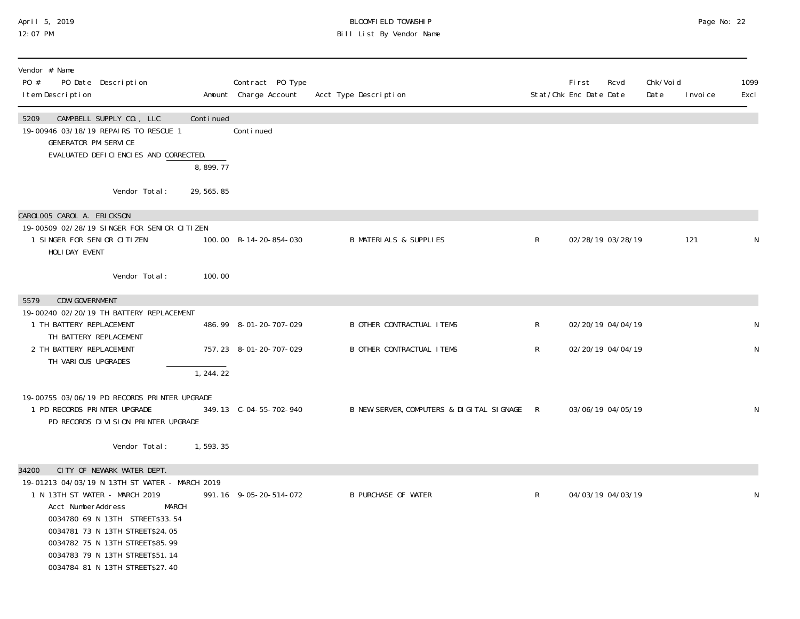#### April 5, 2019 BLOOMFIELD TOWNSHIP Page No: 22 12:07 PM Bill List By Vendor Name

| Vendor # Name<br>PO #<br>PO Date Description<br>I tem Description                                                                                                                                                                                                                                     |             | Contract PO Type<br>Amount Charge Account | Acct Type Description                       |              | <b>First</b><br>Stat/Chk Enc Date Date | Rcvd              | Chk/Voi d<br>Date | I nvoi ce | 1099<br>Excl |
|-------------------------------------------------------------------------------------------------------------------------------------------------------------------------------------------------------------------------------------------------------------------------------------------------------|-------------|-------------------------------------------|---------------------------------------------|--------------|----------------------------------------|-------------------|-------------------|-----------|--------------|
| 5209<br>CAMPBELL SUPPLY CO., LLC<br>19-00946 03/18/19 REPAIRS TO RESCUE 1<br><b>GENERATOR PM SERVICE</b>                                                                                                                                                                                              | Continued   | Conti nued                                |                                             |              |                                        |                   |                   |           |              |
| EVALUATED DEFICIENCIES AND CORRECTED.                                                                                                                                                                                                                                                                 | 8,899.77    |                                           |                                             |              |                                        |                   |                   |           |              |
| Vendor Total:                                                                                                                                                                                                                                                                                         | 29, 565. 85 |                                           |                                             |              |                                        |                   |                   |           |              |
| CAROLOO5 CAROL A. ERICKSON                                                                                                                                                                                                                                                                            |             |                                           |                                             |              |                                        |                   |                   |           |              |
| 19-00509 02/28/19 SINGER FOR SENIOR CITIZEN<br>1 SINGER FOR SENIOR CITIZEN<br>HOLIDAY EVENT                                                                                                                                                                                                           |             | 100.00 R-14-20-854-030                    | <b>B MATERIALS &amp; SUPPLIES</b>           | $\mathsf{R}$ |                                        | 02/28/19 03/28/19 |                   | 121       | N            |
| Vendor Total:                                                                                                                                                                                                                                                                                         | 100.00      |                                           |                                             |              |                                        |                   |                   |           |              |
| CDW-GOVERNMENT<br>5579                                                                                                                                                                                                                                                                                |             |                                           |                                             |              |                                        |                   |                   |           |              |
| 19-00240 02/20/19 TH BATTERY REPLACEMENT<br>1 TH BATTERY REPLACEMENT<br>TH BATTERY REPLACEMENT                                                                                                                                                                                                        |             | 486.99 8-01-20-707-029                    | <b>B OTHER CONTRACTUAL ITEMS</b>            | $\mathsf{R}$ |                                        | 02/20/19 04/04/19 |                   |           | N            |
| 2 TH BATTERY REPLACEMENT<br>TH VARIOUS UPGRADES                                                                                                                                                                                                                                                       |             | 757.23 8-01-20-707-029                    | <b>B OTHER CONTRACTUAL ITEMS</b>            | $\mathsf{R}$ |                                        | 02/20/19 04/04/19 |                   |           | N            |
|                                                                                                                                                                                                                                                                                                       | 1, 244.22   |                                           |                                             |              |                                        |                   |                   |           |              |
| 19-00755 03/06/19 PD RECORDS PRINTER UPGRADE<br>1 PD RECORDS PRINTER UPGRADE<br>PD RECORDS DIVISION PRINTER UPGRADE                                                                                                                                                                                   |             | 349.13 C-04-55-702-940                    | B NEW SERVER, COMPUTERS & DIGITAL SIGNAGE R |              |                                        | 03/06/19 04/05/19 |                   |           | N            |
| Vendor Total:                                                                                                                                                                                                                                                                                         | 1,593.35    |                                           |                                             |              |                                        |                   |                   |           |              |
| CITY OF NEWARK WATER DEPT.<br>34200                                                                                                                                                                                                                                                                   |             |                                           |                                             |              |                                        |                   |                   |           |              |
| 19-01213 04/03/19 N 13TH ST WATER - MARCH 2019<br>1 N 13TH ST WATER - MARCH 2019<br>Acct NumberAddress<br><b>MARCH</b><br>0034780 69 N 13TH STREET\$33.54<br>0034781 73 N 13TH STREET\$24.05<br>0034782 75 N 13TH STREET\$85.99<br>0034783 79 N 13TH STREET\$51.14<br>0034784 81 N 13TH STREET\$27.40 |             | 991.16 9-05-20-514-072                    | <b>B PURCHASE OF WATER</b>                  | $\mathsf{R}$ |                                        | 04/03/19 04/03/19 |                   |           | N            |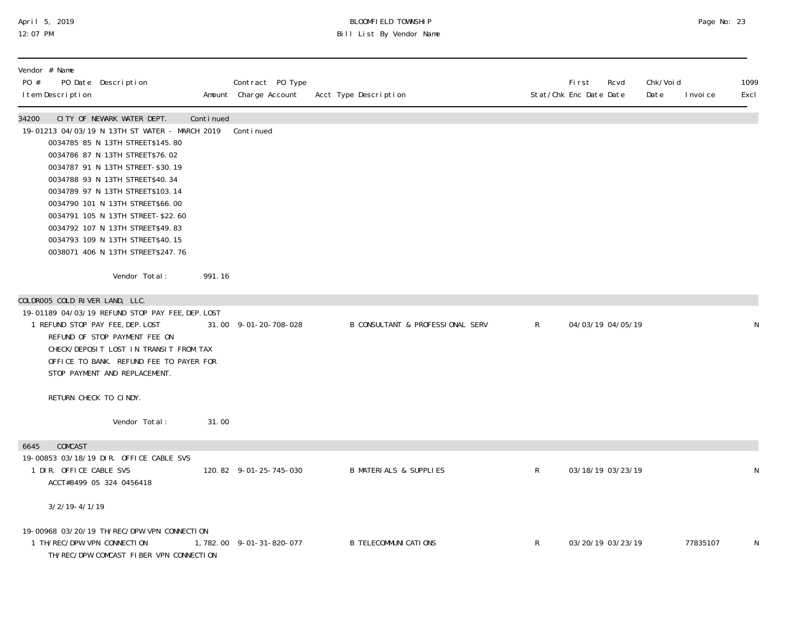## April 5, 2019 BLOOMFIELD TOWNSHIP Page No: 23 12:07 PM Bill List By Vendor Name

| Vendor # Name<br>PO #<br>I tem Description | PO Date Description                                                                                                                                                                                                                                                                                                                                                                                                                                  |           | Contract PO Type<br>Amount Charge Account | Acct Type Description                       |                | Fi rst<br>Stat/Chk Enc Date Date | Rcvd | Chk/Void<br>Date | I nvoi ce | 1099<br>Excl |
|--------------------------------------------|------------------------------------------------------------------------------------------------------------------------------------------------------------------------------------------------------------------------------------------------------------------------------------------------------------------------------------------------------------------------------------------------------------------------------------------------------|-----------|-------------------------------------------|---------------------------------------------|----------------|----------------------------------|------|------------------|-----------|--------------|
| 34200                                      | CITY OF NEWARK WATER DEPT.<br>19-01213 04/03/19 N 13TH ST WATER - MARCH 2019<br>0034785 85 N 13TH STREET\$145.80<br>0034786 87 N 13TH STREET\$76.02<br>0034787 91 N 13TH STREET-\$30.19<br>0034788 93 N 13TH STREET\$40.34<br>0034789 97 N 13TH STREET\$103.14<br>0034790 101 N 13TH STREET\$66.00<br>0034791 105 N 13TH STREET-\$22.60<br>0034792 107 N 13TH STREET\$49.83<br>0034793 109 N 13TH STREET\$40.15<br>0038071 406 N 13TH STREET\$247.76 | Continued | Continued                                 |                                             |                |                                  |      |                  |           |              |
|                                            | Vendor Total:                                                                                                                                                                                                                                                                                                                                                                                                                                        | 991.16    |                                           |                                             |                |                                  |      |                  |           |              |
| COLDROO5 COLD RIVER LAND, LLC.             | 19-01189 04/03/19 REFUND STOP PAY FEE, DEP. LOST<br>1 REFUND STOP PAY FEE, DEP. LOST<br>REFUND OF STOP PAYMENT FEE ON<br>CHECK/DEPOSIT LOST IN TRANSIT FROM TAX<br>OFFICE TO BANK. REFUND FEE TO PAYER FOR<br>STOP PAYMENT AND REPLACEMENT.                                                                                                                                                                                                          |           | 31.00 9-01-20-708-028                     | <b>B CONSULTANT &amp; PROFESSIONAL SERV</b> | $\mathsf{R}^-$ | 04/03/19 04/05/19                |      |                  |           | N            |
| RETURN CHECK TO CINDY.                     |                                                                                                                                                                                                                                                                                                                                                                                                                                                      |           |                                           |                                             |                |                                  |      |                  |           |              |
|                                            | Vendor Total:                                                                                                                                                                                                                                                                                                                                                                                                                                        | 31.00     |                                           |                                             |                |                                  |      |                  |           |              |
| COMCAST<br>6645<br>1 DIR. OFFICE CABLE SVS | 19-00853 03/18/19 DIR. OFFICE CABLE SVS<br>ACCT#8499 05 324 0456418                                                                                                                                                                                                                                                                                                                                                                                  |           | 120.82 9-01-25-745-030                    | <b>B MATERIALS &amp; SUPPLIES</b>           | $\mathsf{R}^-$ | 03/18/19 03/23/19                |      |                  |           | $\mathsf{N}$ |
| $3/2/19 - 4/1/19$                          |                                                                                                                                                                                                                                                                                                                                                                                                                                                      |           |                                           |                                             |                |                                  |      |                  |           |              |
| 1 TH/REC/DPW VPN CONNECTION                | 19-00968 03/20/19 TH/REC/DPW VPN CONNECTION<br>TH/REC/DPW COMCAST FIBER VPN CONNECTION                                                                                                                                                                                                                                                                                                                                                               |           | 1,782.00 9-01-31-820-077                  | <b>B TELECOMMUNI CATIONS</b>                | R              | 03/20/19 03/23/19                |      |                  | 77835107  | N            |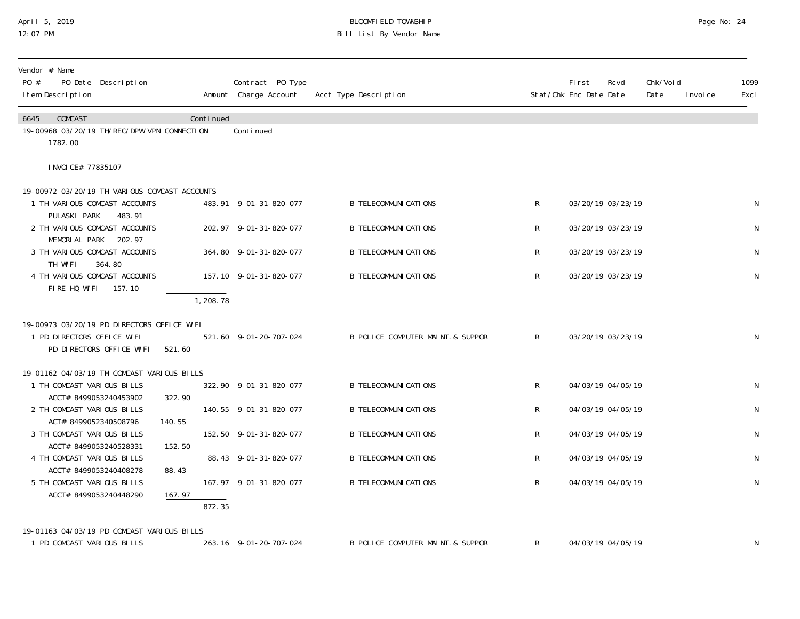## April 5, 2019 BLOOMFIELD TOWNSHIP Page No: 24 12:07 PM Bill List By Vendor Name

| Vendor # Name<br>PO #<br>PO Date Description<br>I tem Description          |           | Contract PO Type<br>Amount Charge Account | Acct Type Description             |              | <b>First</b><br>Stat/Chk Enc Date Date | Rcvd | Chk/Voi d<br>Date<br>I nvoi ce | 1099<br>Excl |
|----------------------------------------------------------------------------|-----------|-------------------------------------------|-----------------------------------|--------------|----------------------------------------|------|--------------------------------|--------------|
| COMCAST<br>6645<br>19-00968 03/20/19 TH/REC/DPW VPN CONNECTION<br>1782.00  | Continued | Conti nued                                |                                   |              |                                        |      |                                |              |
| I NVOI CE# 77835107                                                        |           |                                           |                                   |              |                                        |      |                                |              |
| 19-00972 03/20/19 TH VARIOUS COMCAST ACCOUNTS                              |           |                                           |                                   |              |                                        |      |                                |              |
| 1 TH VARIOUS COMCAST ACCOUNTS<br>PULASKI PARK<br>483.91                    |           | 483.91 9-01-31-820-077                    | <b>B TELECOMMUNI CATIONS</b>      | $R_{\perp}$  | 03/20/19 03/23/19                      |      |                                | ${\sf N}$    |
| 2 TH VARIOUS COMCAST ACCOUNTS                                              |           | 202.97 9-01-31-820-077                    | <b>B TELECOMMUNICATIONS</b>       | R            | 03/20/19 03/23/19                      |      |                                | ${\sf N}$    |
| MEMORIAL PARK 202.97<br>3 TH VARIOUS COMCAST ACCOUNTS<br>TH WIFI<br>364.80 |           | 364.80 9-01-31-820-077                    | <b>B TELECOMMUNI CATIONS</b>      | R            | 03/20/19 03/23/19                      |      |                                | ${\sf N}$    |
| 4 TH VARIOUS COMCAST ACCOUNTS<br>FIRE HQ WIFI 157.10                       |           | 157.10 9-01-31-820-077                    | <b>B TELECOMMUNI CATIONS</b>      | R            | 03/20/19 03/23/19                      |      |                                | ${\sf N}$    |
|                                                                            | 1, 208.78 |                                           |                                   |              |                                        |      |                                |              |
| 19-00973 03/20/19 PD DIRECTORS OFFICE WIFI                                 |           |                                           |                                   |              |                                        |      |                                |              |
| 1 PD DIRECTORS OFFICE WIFI<br>PD DIRECTORS OFFICE WIFI                     | 521.60    | 521.60 9-01-20-707-024                    | B POLICE COMPUTER MAINT. & SUPPOR | $\mathsf{R}$ | 03/20/19 03/23/19                      |      |                                | N            |
| 19-01162 04/03/19 TH COMCAST VARIOUS BILLS                                 |           |                                           |                                   |              |                                        |      |                                |              |
| 1 TH COMCAST VARIOUS BILLS<br>ACCT# 8499053240453902                       | 322.90    | 322.90 9-01-31-820-077                    | <b>B TELECOMMUNICATIONS</b>       | $\mathsf{R}$ | 04/03/19 04/05/19                      |      |                                | ${\sf N}$    |
| 2 TH COMCAST VARIOUS BILLS                                                 |           | 140.55 9-01-31-820-077                    | <b>B TELECOMMUNICATIONS</b>       | R            | 04/03/19 04/05/19                      |      |                                | ${\sf N}$    |
| ACT# 8499052340508796<br>3 TH COMCAST VARIOUS BILLS                        | 140.55    | 152.50 9-01-31-820-077                    | <b>B TELECOMMUNI CATIONS</b>      | R            | 04/03/19 04/05/19                      |      |                                | ${\sf N}$    |
| ACCT# 8499053240528331<br>4 TH COMCAST VARIOUS BILLS                       | 152.50    | 88.43 9-01-31-820-077                     | <b>B TELECOMMUNI CATIONS</b>      | R.           | 04/03/19 04/05/19                      |      |                                | ${\sf N}$    |
| ACCT# 8499053240408278                                                     | 88.43     |                                           |                                   |              |                                        |      |                                |              |
| 5 TH COMCAST VARIOUS BILLS<br>ACCT# 8499053240448290                       | 167.97    | 167.97 9-01-31-820-077                    | <b>B TELECOMMUNICATIONS</b>       | $\mathsf{R}$ | 04/03/19 04/05/19                      |      |                                | ${\sf N}$    |
|                                                                            | 872.35    |                                           |                                   |              |                                        |      |                                |              |
| 19-01163 04/03/19 PD COMCAST VARIOUS BILLS                                 |           |                                           |                                   |              |                                        |      |                                |              |
| 1 PD COMCAST VARIOUS BILLS                                                 |           | 263.16 9-01-20-707-024                    | B POLICE COMPUTER MAINT. & SUPPOR | R            | 04/03/19 04/05/19                      |      |                                | N            |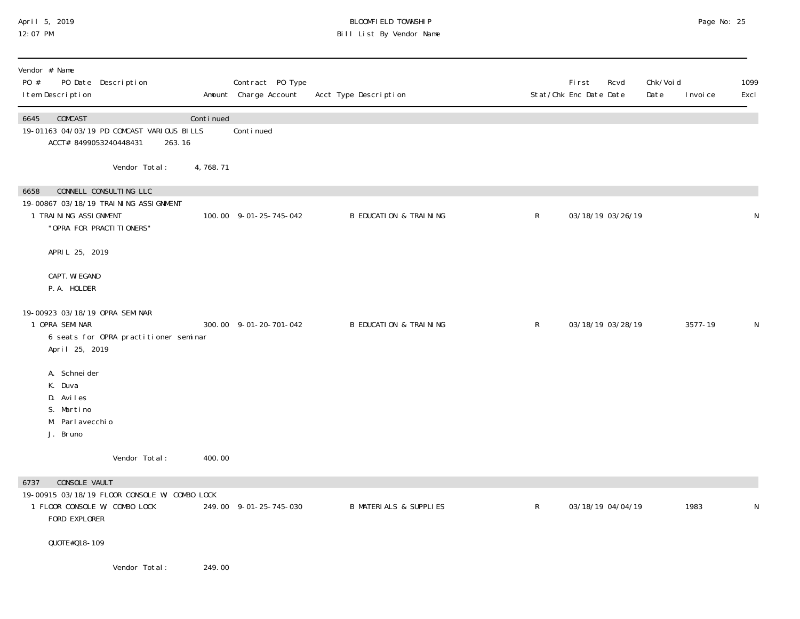## April 5, 2019 BLOOMFIELD TOWNSHIP Page No: 25 12:07 PM Bill List By Vendor Name

| Vendor # Name<br>PO #<br>I tem Description                                          | PO Date Description                                                                           |           | Contract PO Type<br>Amount Charge Account | Acct Type Description             |              | First<br>Stat/Chk Enc Date Date | Rcvd | Chk/Voi d<br>Date | I nvoi ce | 1099<br>Excl |
|-------------------------------------------------------------------------------------|-----------------------------------------------------------------------------------------------|-----------|-------------------------------------------|-----------------------------------|--------------|---------------------------------|------|-------------------|-----------|--------------|
| 6645<br>COMCAST<br>ACCT# 8499053240448431                                           | 19-01163 04/03/19 PD COMCAST VARIOUS BILLS<br>263.16                                          | Continued | Continued                                 |                                   |              |                                 |      |                   |           |              |
|                                                                                     | Vendor Total:                                                                                 | 4,768.71  |                                           |                                   |              |                                 |      |                   |           |              |
| 6658<br>1 TRAINING ASSIGNMENT                                                       | CONNELL CONSULTING LLC<br>19-00867 03/18/19 TRAINING ASSIGNMENT<br>"OPRA FOR PRACTI TI ONERS" |           | 100.00 9-01-25-745-042                    | <b>B EDUCATION &amp; TRAINING</b> | $\mathsf{R}$ | 03/18/19 03/26/19               |      |                   |           | N            |
| APRIL 25, 2019                                                                      |                                                                                               |           |                                           |                                   |              |                                 |      |                   |           |              |
| CAPT. WI EGAND<br>P.A. HOLDER                                                       |                                                                                               |           |                                           |                                   |              |                                 |      |                   |           |              |
| 19-00923 03/18/19 OPRA SEMINAR<br>1 OPRA SEMINAR<br>April 25, 2019                  | 6 seats for OPRA practitioner seminar                                                         |           | 300.00 9-01-20-701-042                    | <b>B EDUCATION &amp; TRAINING</b> | $\mathsf{R}$ | 03/18/19 03/28/19               |      |                   | 3577-19   | N            |
| A. Schneider<br>K. Duva<br>D. Aviles<br>S. Martino<br>M. Parl avecchi o<br>J. Bruno |                                                                                               |           |                                           |                                   |              |                                 |      |                   |           |              |
|                                                                                     | Vendor Total:                                                                                 | 400.00    |                                           |                                   |              |                                 |      |                   |           |              |
| CONSOLE VAULT<br>6737<br>1 FLOOR CONSOLE W/ COMBO LOCK<br>FORD EXPLORER             | 19-00915 03/18/19 FLOOR CONSOLE W/ COMBO LOCK                                                 |           | 249.00 9-01-25-745-030                    | <b>B MATERIALS &amp; SUPPLIES</b> | $\mathsf{R}$ | 03/18/19 04/04/19               |      |                   | 1983      | N            |
| QUOTE#018-109                                                                       |                                                                                               |           |                                           |                                   |              |                                 |      |                   |           |              |
|                                                                                     | Vendor Total:                                                                                 | 249.00    |                                           |                                   |              |                                 |      |                   |           |              |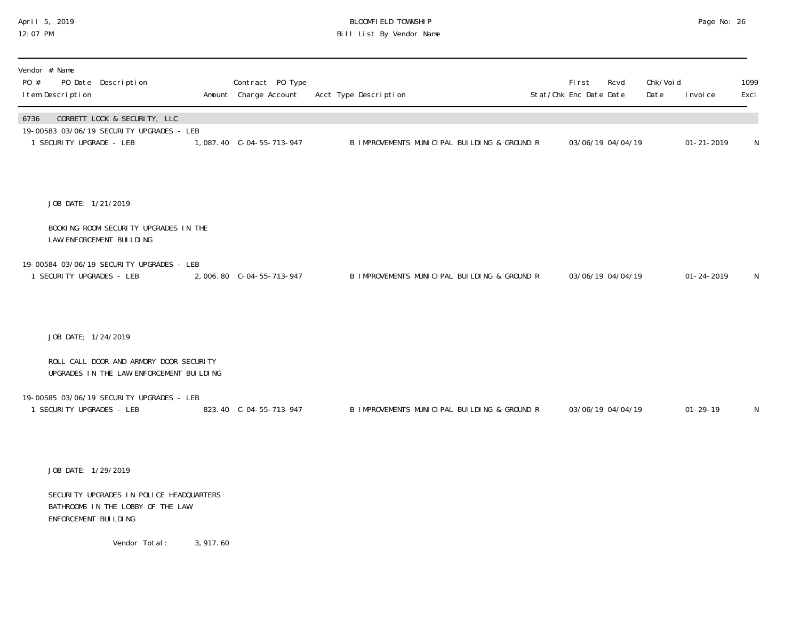### April 5, 2019 BLOOMFIELD TOWNSHIP Page No: 26 12:07 PM Bill List By Vendor Name

| Vendor # Name<br>PO Date Description<br>PO #<br>I tem Description                                             | Contract PO Type<br>Amount Charge Account | Acct Type Description                        | First<br>Stat/Chk Enc Date Date | Rcvd              | Chk/Voi d<br>Date | I nvoi ce        | 1099<br>Excl |
|---------------------------------------------------------------------------------------------------------------|-------------------------------------------|----------------------------------------------|---------------------------------|-------------------|-------------------|------------------|--------------|
| CORBETT LOCK & SECURITY, LLC<br>6736<br>19-00583 03/06/19 SECURITY UPGRADES - LEB<br>1 SECURITY UPGRADE - LEB | 1,087.40 C-04-55-713-947                  | B IMPROVEMENTS MUNICIPAL BUILDING & GROUND R |                                 | 03/06/19 04/04/19 |                   | $01 - 21 - 2019$ | N            |
| JOB DATE: 1/21/2019                                                                                           |                                           |                                              |                                 |                   |                   |                  |              |
| BOOKING ROOM SECURITY UPGRADES IN THE<br>LAW ENFORCEMENT BUILDING                                             |                                           |                                              |                                 |                   |                   |                  |              |
| 19-00584 03/06/19 SECURITY UPGRADES - LEB<br>1 SECURITY UPGRADES - LEB                                        |                                           | B IMPROVEMENTS MUNICIPAL BUILDING & GROUND R |                                 | 03/06/19 04/04/19 |                   | $01 - 24 - 2019$ | N            |
| JOB DATE; 1/24/2019                                                                                           |                                           |                                              |                                 |                   |                   |                  |              |
| ROLL CALL DOOR AND ARMORY DOOR SECURITY<br>UPGRADES IN THE LAW ENFORCEMENT BUILDING                           |                                           |                                              |                                 |                   |                   |                  |              |
| 19-00585 03/06/19 SECURITY UPGRADES - LEB<br>1 SECURITY UPGRADES - LEB                                        | 823.40 C-04-55-713-947                    | B IMPROVEMENTS MUNICIPAL BUILDING & GROUND R |                                 | 03/06/19 04/04/19 |                   | $01 - 29 - 19$   | N            |
| JOB DATE: 1/29/2019                                                                                           |                                           |                                              |                                 |                   |                   |                  |              |
| SECURITY UPGRADES IN POLICE HEADQUARTERS<br>BATHROOMS IN THE LOBBY OF THE LAW<br>ENFORCEMENT BUILDING         |                                           |                                              |                                 |                   |                   |                  |              |

Vendor Total: 3,917.60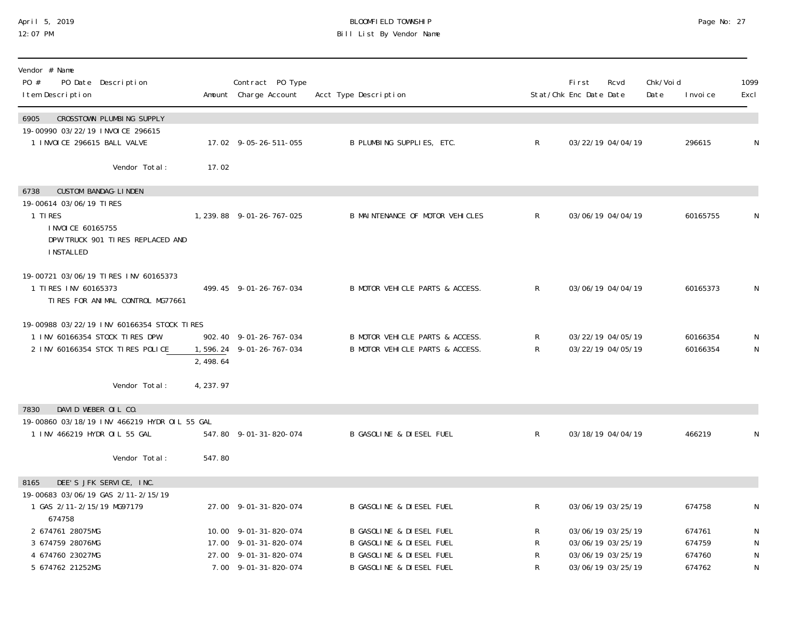# April 5, 2019 BLOOMFIELD TOWNSHIP Page No: 27 Bill List By Vendor Name

| Vendor # Name<br>PO #<br>PO Date Description<br>I tem Description                                                                                       |           | Contract PO Type<br>Amount Charge Account                                                       | Acct Type Description                                                                                                                         |                   | <b>First</b><br>Stat/Chk Enc Date Date | Rcvd                                                                             | Chk/Void<br>Date | I nvoi ce                            | 1099<br>Excl                        |
|---------------------------------------------------------------------------------------------------------------------------------------------------------|-----------|-------------------------------------------------------------------------------------------------|-----------------------------------------------------------------------------------------------------------------------------------------------|-------------------|----------------------------------------|----------------------------------------------------------------------------------|------------------|--------------------------------------|-------------------------------------|
| CROSSTOWN PLUMBING SUPPLY<br>6905<br>19-00990 03/22/19 INVOICE 296615<br>1 INVOICE 296615 BALL VALVE                                                    |           | 17.02 9-05-26-511-055                                                                           | B PLUMBING SUPPLIES, ETC.                                                                                                                     | $\mathsf{R}$      |                                        | 03/22/19 04/04/19                                                                |                  | 296615                               | N                                   |
| Vendor Total:                                                                                                                                           | 17.02     |                                                                                                 |                                                                                                                                               |                   |                                        |                                                                                  |                  |                                      |                                     |
| <b>CUSTOM BANDAG-LINDEN</b><br>6738<br>19-00614 03/06/19 TIRES<br>1 TIRFS<br>I NVOI CE 60165755<br>DPW TRUCK 901 TIRES REPLACED AND<br><b>INSTALLED</b> |           | 1, 239.88 9-01-26-767-025                                                                       | B MAINTENANCE OF MOTOR VEHICLES                                                                                                               | $\mathsf{R}$      |                                        | 03/06/19 04/04/19                                                                |                  | 60165755                             | N                                   |
| 19-00721 03/06/19 TIRES INV 60165373<br>1 TIRES INV 60165373<br>TIRES FOR ANIMAL CONTROL MG77661                                                        |           | 499.45 9-01-26-767-034                                                                          | B MOTOR VEHICLE PARTS & ACCESS.                                                                                                               | R.                |                                        | 03/06/19 04/04/19                                                                |                  | 60165373                             | N                                   |
| 19-00988 03/22/19 INV 60166354 STOCK TIRES<br>1 INV 60166354 STOCK TIRES DPW<br>2 INV 60166354 STCK TIRES POLICE                                        | 2,498.64  | 902.40 9-01-26-767-034<br>1,596.24 9-01-26-767-034                                              | B MOTOR VEHICLE PARTS & ACCESS.<br>B MOTOR VEHICLE PARTS & ACCESS.                                                                            | R<br>$\mathsf{R}$ |                                        | 03/22/19 04/05/19<br>03/22/19 04/05/19                                           |                  | 60166354<br>60166354                 | $\mathsf{N}$<br>$\mathsf N$         |
| Vendor Total:                                                                                                                                           | 4, 237.97 |                                                                                                 |                                                                                                                                               |                   |                                        |                                                                                  |                  |                                      |                                     |
| DAVID WEBER OIL CO.<br>7830<br>19-00860 03/18/19 INV 466219 HYDR OIL 55 GAL<br>1 INV 466219 HYDR OIL 55 GAL<br>Vendor Total:                            | 547.80    | 547.80 9-01-31-820-074                                                                          | <b>B GASOLINE &amp; DIESEL FUEL</b>                                                                                                           | $\mathsf{R}$      |                                        | 03/18/19 04/04/19                                                                |                  | 466219                               | $\mathsf N$                         |
| DEE'S JFK SERVICE, INC.<br>8165                                                                                                                         |           |                                                                                                 |                                                                                                                                               |                   |                                        |                                                                                  |                  |                                      |                                     |
| 19-00683 03/06/19 GAS 2/11-2/15/19<br>1 GAS 2/11-2/15/19 MG97179<br>674758                                                                              |           | 27.00 9-01-31-820-074                                                                           | <b>B GASOLINE &amp; DIESEL FUEL</b>                                                                                                           | R                 |                                        | 03/06/19 03/25/19                                                                |                  | 674758                               | N                                   |
| 2 674761 28075MG<br>3 674759 28076MG<br>4 674760 23027MG<br>5 674762 21252MG                                                                            |           | 10.00 9-01-31-820-074<br>17.00 9-01-31-820-074<br>27.00 9-01-31-820-074<br>7.00 9-01-31-820-074 | <b>B GASOLINE &amp; DIESEL FUEL</b><br><b>B GASOLINE &amp; DIESEL FUEL</b><br><b>B GASOLINE &amp; DIESEL FUEL</b><br>B GASOLINE & DIESEL FUEL | R<br>R<br>R<br>R  |                                        | 03/06/19 03/25/19<br>03/06/19 03/25/19<br>03/06/19 03/25/19<br>03/06/19 03/25/19 |                  | 674761<br>674759<br>674760<br>674762 | ${\sf N}$<br>N<br>$\mathsf{N}$<br>N |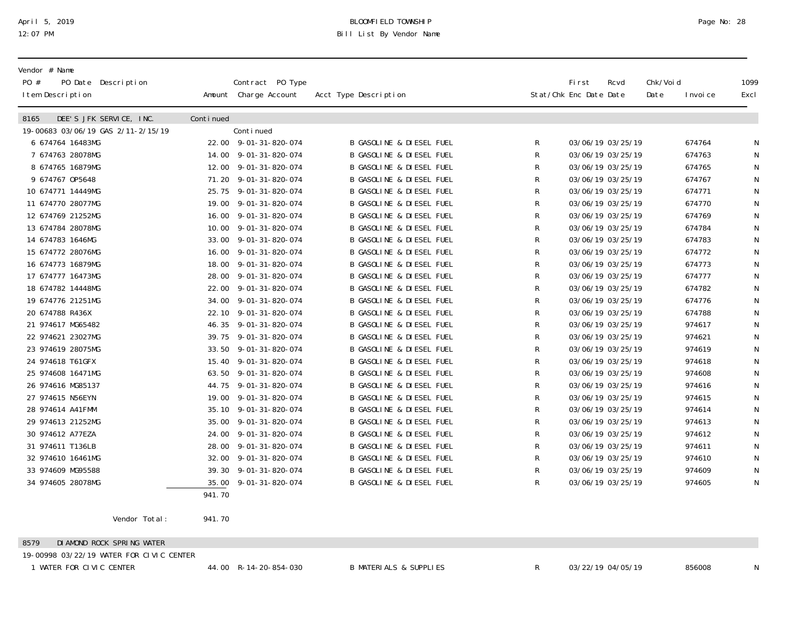# April 5, 2019 BLOOMFIELD TOWNSHIP Page No: 28 Bill List By Vendor Name

| Vendor # Name<br>PO #<br>PO Date Description<br>I tem Description |           | Contract PO Type<br>Amount Charge Account | Acct Type Description               |              | <b>First</b><br>Stat/Chk Enc Date Date | Rcvd              | Chk/Voi d<br>Date | I nvoi ce | 1099<br>Excl |
|-------------------------------------------------------------------|-----------|-------------------------------------------|-------------------------------------|--------------|----------------------------------------|-------------------|-------------------|-----------|--------------|
| DEE'S JFK SERVICE, INC.<br>8165                                   | Continued |                                           |                                     |              |                                        |                   |                   |           |              |
| 19-00683 03/06/19 GAS 2/11-2/15/19                                |           | Continued                                 |                                     |              |                                        |                   |                   |           |              |
| 6 674764 16483MG                                                  |           | 22.00 9-01-31-820-074                     | <b>B GASOLINE &amp; DIESEL FUEL</b> | R            |                                        | 03/06/19 03/25/19 |                   | 674764    |              |
| 7 674763 28078MG                                                  |           | 14.00 9-01-31-820-074                     | B GASOLINE & DIESEL FUEL            | R            |                                        | 03/06/19 03/25/19 |                   | 674763    | N            |
| 8 674765 16879MG                                                  |           | 12.00 9-01-31-820-074                     | <b>B GASOLINE &amp; DIESEL FUEL</b> | R            |                                        | 03/06/19 03/25/19 |                   | 674765    | N            |
| 9 674767 0P5648                                                   |           | 71.20 9-01-31-820-074                     | <b>B GASOLINE &amp; DIESEL FUEL</b> | R            |                                        | 03/06/19 03/25/19 |                   | 674767    | N            |
| 10 674771 14449MG                                                 |           | 25.75 9-01-31-820-074                     | <b>B GASOLINE &amp; DIESEL FUEL</b> | R            |                                        | 03/06/19 03/25/19 |                   | 674771    | N            |
| 11 674770 28077MG                                                 |           | 19.00 9-01-31-820-074                     | <b>B GASOLINE &amp; DIESEL FUEL</b> | R            |                                        | 03/06/19 03/25/19 |                   | 674770    | N            |
| 12 674769 21252MG                                                 |           | 16.00 9-01-31-820-074                     | <b>B GASOLINE &amp; DIESEL FUEL</b> | R            |                                        | 03/06/19 03/25/19 |                   | 674769    | N            |
| 13 674784 28078MG                                                 |           | 10.00 9-01-31-820-074                     | <b>B GASOLINE &amp; DIESEL FUEL</b> | R            |                                        | 03/06/19 03/25/19 |                   | 674784    | N            |
| 14 674783 1646MG                                                  |           | 33.00 9-01-31-820-074                     | <b>B GASOLINE &amp; DIESEL FUEL</b> | R            |                                        | 03/06/19 03/25/19 |                   | 674783    | N            |
| 15 674772 28076MG                                                 |           | 16.00 9-01-31-820-074                     | <b>B GASOLINE &amp; DIESEL FUEL</b> | R            |                                        | 03/06/19 03/25/19 |                   | 674772    |              |
| 16 674773 16879MG                                                 |           | 18.00 9-01-31-820-074                     | <b>B GASOLINE &amp; DIESEL FUEL</b> | R            |                                        | 03/06/19 03/25/19 |                   | 674773    | N            |
| 17 674777 16473MG                                                 |           | 28.00 9-01-31-820-074                     | B GASOLINE & DIESEL FUEL            | R            |                                        | 03/06/19 03/25/19 |                   | 674777    | N            |
| 18 674782 14448MG                                                 | 22.00     | 9-01-31-820-074                           | <b>B GASOLINE &amp; DIESEL FUEL</b> | R            |                                        | 03/06/19 03/25/19 |                   | 674782    | N            |
| 19 674776 21251MG                                                 |           | 34.00 9-01-31-820-074                     | <b>B GASOLINE &amp; DIESEL FUEL</b> | R            |                                        | 03/06/19 03/25/19 |                   | 674776    | N            |
| 20 674788 R436X                                                   |           | 22.10 9-01-31-820-074                     | <b>B GASOLINE &amp; DIESEL FUEL</b> | R            |                                        | 03/06/19 03/25/19 |                   | 674788    | N            |
| 21 974617 MG65482                                                 |           | 46.35 9-01-31-820-074                     | <b>B GASOLINE &amp; DIESEL FUEL</b> | R            |                                        | 03/06/19 03/25/19 |                   | 974617    | N            |
| 22 974621 23027MG                                                 |           | 39.75 9-01-31-820-074                     | <b>B GASOLINE &amp; DIESEL FUEL</b> | R            |                                        | 03/06/19 03/25/19 |                   | 974621    | N            |
| 23 974619 28075MG                                                 |           | 33.50 9-01-31-820-074                     | <b>B GASOLINE &amp; DIESEL FUEL</b> | R            |                                        | 03/06/19 03/25/19 |                   | 974619    | N            |
| 24 974618 T61GFX                                                  |           | 15.40 9-01-31-820-074                     | <b>B GASOLINE &amp; DIESEL FUEL</b> | R            |                                        | 03/06/19 03/25/19 |                   | 974618    | N            |
| 25 974608 16471MG                                                 | 63.50     | 9-01-31-820-074                           | <b>B GASOLINE &amp; DIESEL FUEL</b> | R            |                                        | 03/06/19 03/25/19 |                   | 974608    | N            |
| 26 974616 MG85137                                                 | 44.75     | 9-01-31-820-074                           | <b>B GASOLINE &amp; DIESEL FUEL</b> | ${\sf R}$    |                                        | 03/06/19 03/25/19 |                   | 974616    | N            |
| 27 974615 N56EYN                                                  | 19.00     | 9-01-31-820-074                           | <b>B GASOLINE &amp; DIESEL FUEL</b> | $\mathsf{R}$ |                                        | 03/06/19 03/25/19 |                   | 974615    | N            |
| 28 974614 A41FMM                                                  |           | 35.10 9-01-31-820-074                     | <b>B GASOLINE &amp; DIESEL FUEL</b> | R            |                                        | 03/06/19 03/25/19 |                   | 974614    | N            |
| 29 974613 21252MG                                                 |           | 35.00 9-01-31-820-074                     | <b>B GASOLINE &amp; DIESEL FUEL</b> | R            |                                        | 03/06/19 03/25/19 |                   | 974613    | N            |
| 30 974612 A77EZA                                                  |           | 24.00 9-01-31-820-074                     | <b>B GASOLINE &amp; DIESEL FUEL</b> | R            |                                        | 03/06/19 03/25/19 |                   | 974612    |              |
| 31 974611 T136LB                                                  | 28.00     | 9-01-31-820-074                           | <b>B GASOLINE &amp; DIESEL FUEL</b> | R            |                                        | 03/06/19 03/25/19 |                   | 974611    |              |
| 32 974610 16461MG                                                 | 32.00     | 9-01-31-820-074                           | B GASOLINE & DIESEL FUEL            | R            |                                        | 03/06/19 03/25/19 |                   | 974610    |              |
| 33 974609 MG95588                                                 |           | 39.30 9-01-31-820-074                     | <b>B GASOLINE &amp; DIESEL FUEL</b> | ${\sf R}$    |                                        | 03/06/19 03/25/19 |                   | 974609    | N            |
| 34 974605 28078MG                                                 | 35.00     | 9-01-31-820-074                           | <b>B GASOLINE &amp; DIESEL FUEL</b> | R            |                                        | 03/06/19 03/25/19 |                   | 974605    | N            |
|                                                                   | 941.70    |                                           |                                     |              |                                        |                   |                   |           |              |

Vendor Total: 941.70

8579 DIAMOND ROCK SPRING WATER

19-00998 03/22/19 WATER FOR CIVIC CENTER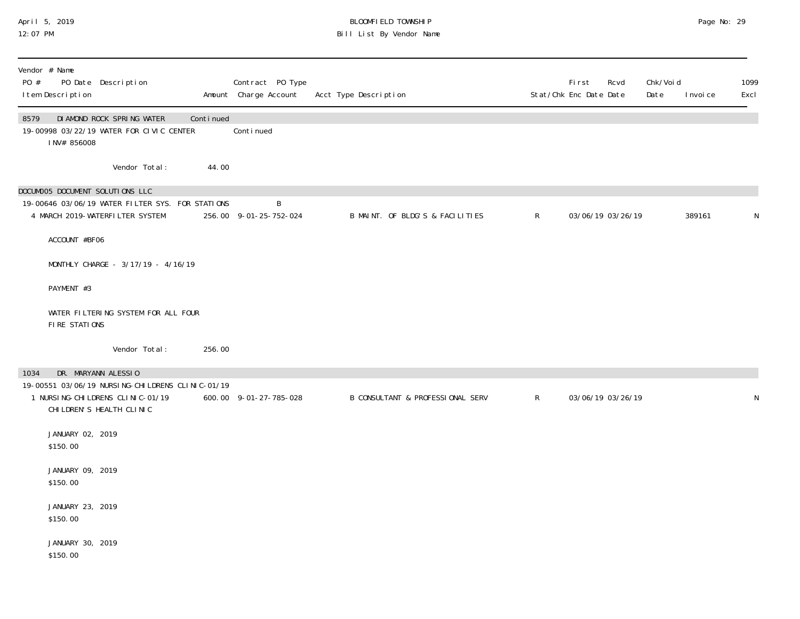### April 5, 2019 BLOOMFIELD TOWNSHIP Page No: 29 12:07 PM Bill List By Vendor Name

| Vendor # Name<br>PO # | I tem Description            | PO Date Description                                                                                                    |           | Contract PO Type<br>Amount Charge Account | Acct Type Description                       |              | First<br>Stat/Chk Enc Date Date | Rcvd | Chk/Voi d<br>Date | I nvoi ce | 1099<br>Excl |
|-----------------------|------------------------------|------------------------------------------------------------------------------------------------------------------------|-----------|-------------------------------------------|---------------------------------------------|--------------|---------------------------------|------|-------------------|-----------|--------------|
| 8579                  | INV# 856008                  | DI AMOND ROCK SPRING WATER<br>19-00998 03/22/19 WATER FOR CIVIC CENTER                                                 | Continued | Continued                                 |                                             |              |                                 |      |                   |           |              |
|                       |                              | Vendor Total:                                                                                                          | 44.00     |                                           |                                             |              |                                 |      |                   |           |              |
|                       |                              | DOCUMOO5 DOCUMENT SOLUTIONS LLC<br>19-00646 03/06/19 WATER FILTER SYS. FOR STATIONS<br>4 MARCH 2019-WATERFILTER SYSTEM |           | B<br>256.00 9-01-25-752-024               | B MAINT. OF BLDG'S & FACILITIES             | $\mathsf{R}$ | 03/06/19 03/26/19               |      |                   | 389161    | N            |
|                       | ACCOUNT #BF06                |                                                                                                                        |           |                                           |                                             |              |                                 |      |                   |           |              |
|                       |                              | MONTHLY CHARGE - 3/17/19 - 4/16/19                                                                                     |           |                                           |                                             |              |                                 |      |                   |           |              |
|                       | PAYMENT #3                   |                                                                                                                        |           |                                           |                                             |              |                                 |      |                   |           |              |
|                       | FIRE STATIONS                | WATER FILTERING SYSTEM FOR ALL FOUR                                                                                    |           |                                           |                                             |              |                                 |      |                   |           |              |
|                       |                              | Vendor Total:                                                                                                          | 256.00    |                                           |                                             |              |                                 |      |                   |           |              |
| 1034                  |                              | DR. MARYANN ALESSIO                                                                                                    |           |                                           |                                             |              |                                 |      |                   |           |              |
|                       |                              | 19-00551 03/06/19 NURSING-CHILDRENS CLINIC-01/19<br>1 NURSI NG-CHI LDRENS CLI NI C-01/19<br>CHILDREN'S HEALTH CLINIC   |           | 600.00 9-01-27-785-028                    | <b>B CONSULTANT &amp; PROFESSIONAL SERV</b> | $\mathsf{R}$ | 03/06/19 03/26/19               |      |                   |           | N            |
|                       | JANUARY 02, 2019<br>\$150.00 |                                                                                                                        |           |                                           |                                             |              |                                 |      |                   |           |              |
|                       | JANUARY 09, 2019<br>\$150.00 |                                                                                                                        |           |                                           |                                             |              |                                 |      |                   |           |              |
|                       | JANUARY 23, 2019<br>\$150.00 |                                                                                                                        |           |                                           |                                             |              |                                 |      |                   |           |              |
|                       | JANUARY 30, 2019<br>\$150.00 |                                                                                                                        |           |                                           |                                             |              |                                 |      |                   |           |              |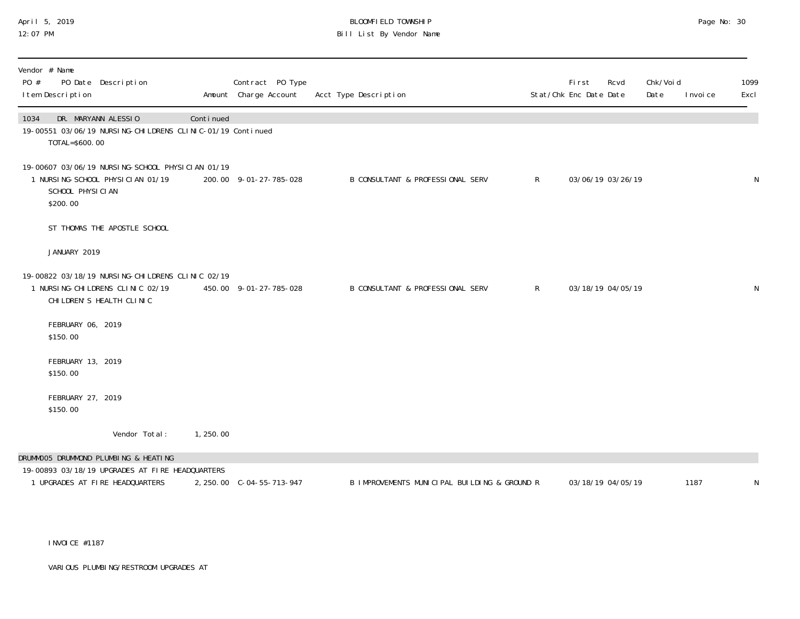# April 5, 2019 BLOOMFIELD TOWNSHIP Page No: 30 Bill List By Vendor Name

| Vendor # Name<br>PO #<br>PO Date Description<br>I tem Description                                                    |           | Contract PO Type<br>Amount Charge Account | Acct Type Description                            | First<br>Stat/Chk Enc Date Date | Rcvd              | Chk/Void<br>Date | I nvoi ce | 1099<br>Excl |
|----------------------------------------------------------------------------------------------------------------------|-----------|-------------------------------------------|--------------------------------------------------|---------------------------------|-------------------|------------------|-----------|--------------|
| DR. MARYANN ALESSIO<br>1034<br>19-00551 03/06/19 NURSING-CHILDRENS CLINIC-01/19 Continued<br>TOTAL=\$600.00          | Continued |                                           |                                                  |                                 |                   |                  |           |              |
| 19-00607 03/06/19 NURSING-SCHOOL PHYSICIAN 01/19<br>1 NURSING-SCHOOL PHYSICIAN 01/19<br>SCHOOL PHYSICIAN<br>\$200.00 |           | 200.00 9-01-27-785-028                    | $\mathsf{R}$<br>B CONSULTANT & PROFESSIONAL SERV |                                 | 03/06/19 03/26/19 |                  |           | ${\sf N}$    |
| ST THOMAS THE APOSTLE SCHOOL                                                                                         |           |                                           |                                                  |                                 |                   |                  |           |              |
| JANUARY 2019                                                                                                         |           |                                           |                                                  |                                 |                   |                  |           |              |
| 19-00822 03/18/19 NURSING-CHILDRENS CLINIC 02/19<br>1 NURSING-CHILDRENS CLINIC 02/19<br>CHI LDREN'S HEALTH CLINIC    |           | 450.00 9-01-27-785-028                    | B CONSULTANT & PROFESSIONAL SERV<br>$\mathsf{R}$ |                                 | 03/18/19 04/05/19 |                  |           | N            |
| FEBRUARY 06, 2019<br>\$150.00                                                                                        |           |                                           |                                                  |                                 |                   |                  |           |              |
| FEBRUARY 13, 2019<br>\$150.00                                                                                        |           |                                           |                                                  |                                 |                   |                  |           |              |
| FEBRUARY 27, 2019<br>\$150.00                                                                                        |           |                                           |                                                  |                                 |                   |                  |           |              |
| Vendor Total:                                                                                                        | 1,250.00  |                                           |                                                  |                                 |                   |                  |           |              |
| DRUMMOO5 DRUMMOND PLUMBING & HEATING                                                                                 |           |                                           |                                                  |                                 |                   |                  |           |              |
| 19-00893 03/18/19 UPGRADES AT FIRE HEADQUARTERS<br>1 UPGRADES AT FIRE HEADQUARTERS                                   |           | 2, 250.00 C-04-55-713-947                 | B IMPROVEMENTS MUNICIPAL BUILDING & GROUND R     |                                 | 03/18/19 04/05/19 |                  | 1187      | ${\sf N}$    |

INVOICE #1187

VARIOUS PLUMBING/RESTROOM UPGRADES AT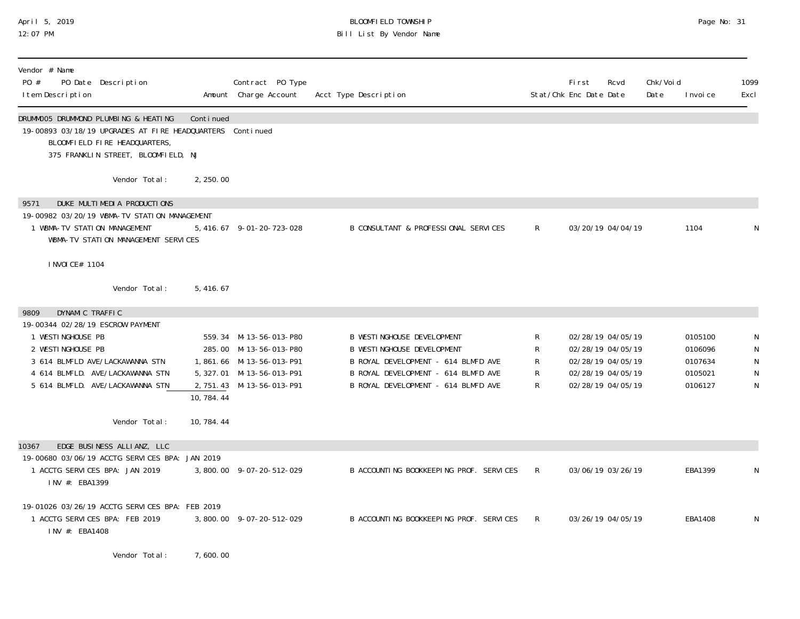# April 5, 2019 BLOOMFIELD TOWNSHIP Page No: 31 Bill List By Vendor Name

| Vendor # Name<br>PO Date Description<br>PO #<br>I tem Description                                                                                                                                                                                       |                                             | Contract PO Type<br>Amount Charge Account                                                                                              | Acct Type Description                                                                                                                                                                       |                       | Fi rst<br>Rcvd<br>Stat/Chk Enc Date Date                                                              | Chk/Voi d<br>Date | I nvoi ce                                           | 1099<br>Excl          |
|---------------------------------------------------------------------------------------------------------------------------------------------------------------------------------------------------------------------------------------------------------|---------------------------------------------|----------------------------------------------------------------------------------------------------------------------------------------|---------------------------------------------------------------------------------------------------------------------------------------------------------------------------------------------|-----------------------|-------------------------------------------------------------------------------------------------------|-------------------|-----------------------------------------------------|-----------------------|
| DRUMMOO5 DRUMMOND PLUMBING & HEATING<br>19-00893 03/18/19 UPGRADES AT FIRE HEADQUARTERS Continued<br>BLOOMFIELD FIRE HEADQUARTERS,<br>375 FRANKLIN STREET, BLOOMFIELD, NJ                                                                               | Continued                                   |                                                                                                                                        |                                                                                                                                                                                             |                       |                                                                                                       |                   |                                                     |                       |
|                                                                                                                                                                                                                                                         | Vendor Total:<br>2, 250.00                  |                                                                                                                                        |                                                                                                                                                                                             |                       |                                                                                                       |                   |                                                     |                       |
| DUKE MULTIMEDIA PRODUCTIONS<br>9571<br>19-00982 03/20/19 WBMA-TV STATION MANAGEMENT<br>1 WBMA-TV STATION MANAGEMENT<br>WBMA-TV STATION MANAGEMENT SERVICES                                                                                              |                                             | 5, 416.67 9-01-20-723-028                                                                                                              | B CONSULTANT & PROFESSIONAL SERVICES                                                                                                                                                        | $\mathsf{R}$          | 03/20/19 04/04/19                                                                                     |                   | 1104                                                | N                     |
| I NVOI CE# 1104                                                                                                                                                                                                                                         |                                             |                                                                                                                                        |                                                                                                                                                                                             |                       |                                                                                                       |                   |                                                     |                       |
|                                                                                                                                                                                                                                                         | Vendor Total:<br>5, 416. 67                 |                                                                                                                                        |                                                                                                                                                                                             |                       |                                                                                                       |                   |                                                     |                       |
| DYNAMIC TRAFFIC<br>9809<br>19-00344 02/28/19 ESCROW PAYMENT<br>1 WESTINGHOUSE PB<br>2 WESTINGHOUSE PB<br>3 614 BLMFLD AVE/LACKAWANNA STN<br>4 614 BLMFLD. AVE/LACKAWANNA STN<br>5 614 BLMFLD. AVE/LACKAWANNA STN<br>EDGE BUSINESS ALLIANZ, LLC<br>10367 | 10, 784. 44<br>Vendor Total:<br>10, 784. 44 | 559.34 M-13-56-013-P80<br>285.00 M-13-56-013-P80<br>1,861.66 M-13-56-013-P91<br>5, 327.01 M-13-56-013-P91<br>2, 751.43 M-13-56-013-P91 | <b>B WESTINGHOUSE DEVELOPMENT</b><br><b>B WESTINGHOUSE DEVELOPMENT</b><br>B ROYAL DEVELOPMENT - 614 BLMFD AVE<br>B ROYAL DEVELOPMENT - 614 BLMFD AVE<br>B ROYAL DEVELOPMENT - 614 BLMFD AVE | R<br>R<br>R<br>R<br>R | 02/28/19 04/05/19<br>02/28/19 04/05/19<br>02/28/19 04/05/19<br>02/28/19 04/05/19<br>02/28/19 04/05/19 |                   | 0105100<br>0106096<br>0107634<br>0105021<br>0106127 | N<br>N<br>N<br>N<br>N |
| 19-00680 03/06/19 ACCTG SERVICES BPA: JAN 2019<br>1 ACCTG SERVICES BPA: JAN 2019<br>INV #: EBA1399                                                                                                                                                      |                                             | 3,800.00 9-07-20-512-029                                                                                                               | B ACCOUNTING BOOKKEEPING PROF. SERVICES                                                                                                                                                     | R.                    | 03/06/19 03/26/19                                                                                     |                   | EBA1399                                             | N                     |
| 19-01026 03/26/19 ACCTG SERVICES BPA: FEB 2019<br>1 ACCTG SERVICES BPA: FEB 2019<br>INV #: EBA1408                                                                                                                                                      |                                             | 3,800.00 9-07-20-512-029                                                                                                               | B ACCOUNTING BOOKKEEPING PROF. SERVICES                                                                                                                                                     | R                     | 03/26/19 04/05/19                                                                                     |                   | EBA1408                                             | N                     |
|                                                                                                                                                                                                                                                         | Vendor Total:<br>7,600.00                   |                                                                                                                                        |                                                                                                                                                                                             |                       |                                                                                                       |                   |                                                     |                       |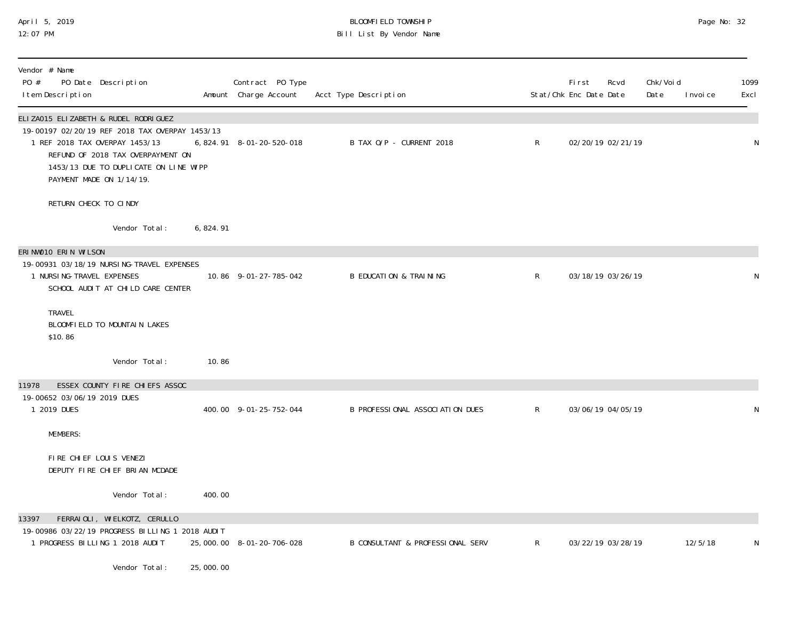## April 5, 2019 BLOOMFIELD TOWNSHIP Page No: 32 12:07 PM Bill List By Vendor Name

| Vendor # Name<br>PO #<br>PO Date Description<br>I tem Description                                                                                                                                                                  |           | Contract PO Type<br>Amount Charge Account | Acct Type Description                       |              | <b>First</b><br>Rcvd<br>Stat/Chk Enc Date Date | Chk/Void<br>Date<br>I nvoi ce | 1099<br>Excl |
|------------------------------------------------------------------------------------------------------------------------------------------------------------------------------------------------------------------------------------|-----------|-------------------------------------------|---------------------------------------------|--------------|------------------------------------------------|-------------------------------|--------------|
| ELIZA015 ELIZABETH & RUDEL RODRIGUEZ<br>19-00197 02/20/19 REF 2018 TAX OVERPAY 1453/13<br>1 REF 2018 TAX OVERPAY 1453/13<br>REFUND OF 2018 TAX OVERPAYMENT ON<br>1453/13 DUE TO DUPLICATE ON LINE WIPP<br>PAYMENT MADE ON 1/14/19. |           | 6, 824. 91 8-01-20-520-018                | B TAX O/P - CURRENT 2018                    | $\mathsf{R}$ | 02/20/19 02/21/19                              |                               | N            |
| RETURN CHECK TO CINDY                                                                                                                                                                                                              |           |                                           |                                             |              |                                                |                               |              |
| Vendor Total:                                                                                                                                                                                                                      | 6,824.91  |                                           |                                             |              |                                                |                               |              |
| ERINWO10 ERIN WILSON<br>19-00931 03/18/19 NURSING-TRAVEL EXPENSES<br>1 NURSI NG-TRAVEL EXPENSES<br>SCHOOL AUDIT AT CHILD CARE CENTER                                                                                               |           | 10.86 9-01-27-785-042                     | <b>B EDUCATION &amp; TRAINING</b>           | $\mathsf{R}$ | 03/18/19 03/26/19                              |                               | N            |
| <b>TRAVEL</b><br>BLOOMFIELD TO MOUNTAIN LAKES<br>\$10.86                                                                                                                                                                           |           |                                           |                                             |              |                                                |                               |              |
| Vendor Total:                                                                                                                                                                                                                      | 10.86     |                                           |                                             |              |                                                |                               |              |
| ESSEX COUNTY FIRE CHIEFS ASSOC<br>11978<br>19-00652 03/06/19 2019 DUES<br>1 2019 DUES                                                                                                                                              |           | 400.00 9-01-25-752-044                    | B PROFESSIONAL ASSOCIATION DUES             | $\mathsf{R}$ | 03/06/19 04/05/19                              |                               | N            |
| <b>MEMBERS:</b>                                                                                                                                                                                                                    |           |                                           |                                             |              |                                                |                               |              |
| FIRE CHIEF LOUIS VENEZI<br>DEPUTY FIRE CHIEF BRIAN MCDADE                                                                                                                                                                          |           |                                           |                                             |              |                                                |                               |              |
| Vendor Total:                                                                                                                                                                                                                      | 400.00    |                                           |                                             |              |                                                |                               |              |
| 13397<br>FERRAIOLI, WIELKOTZ, CERULLO<br>19-00986 03/22/19 PROGRESS BILLING 1 2018 AUDIT<br>1 PROGRESS BILLING 1 2018 AUDIT                                                                                                        |           | 25,000.00 8-01-20-706-028                 | <b>B CONSULTANT &amp; PROFESSIONAL SERV</b> | $\mathsf{R}$ | 03/22/19 03/28/19                              | 12/5/18                       | N            |
| Vendor Total:                                                                                                                                                                                                                      | 25,000.00 |                                           |                                             |              |                                                |                               |              |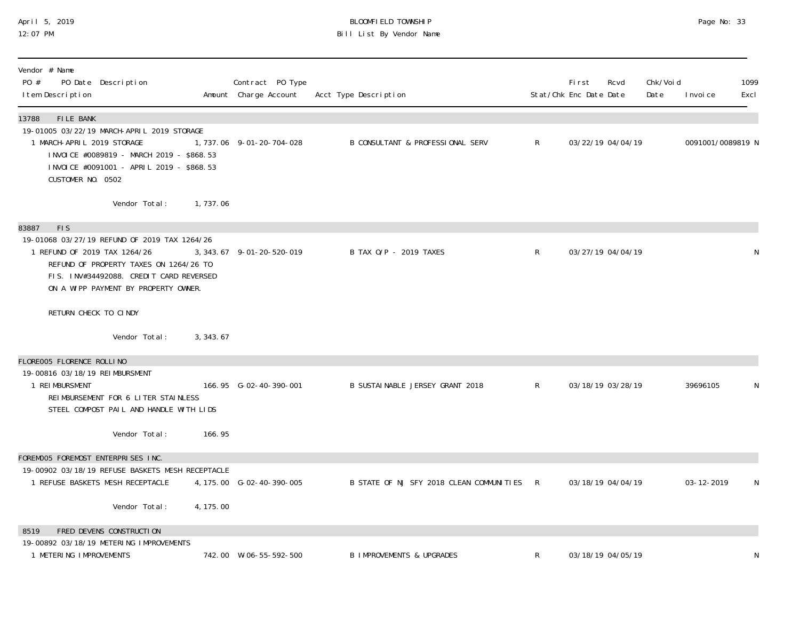## April 5, 2019 BLOOMFIELD TOWNSHIP Page No: 33 12:07 PM Bill List By Vendor Name

| Vendor # Name<br>PO #<br>PO Date Description<br>I tem Description                                                                                                                                                                |            | Contract PO Type<br>Amount Charge Account | Acct Type Description                      |              | First<br>Stat/Chk Enc Date Date | Rcvd              | Chk/Voi d<br>Date | I nvoi ce         | 1099<br>Excl |
|----------------------------------------------------------------------------------------------------------------------------------------------------------------------------------------------------------------------------------|------------|-------------------------------------------|--------------------------------------------|--------------|---------------------------------|-------------------|-------------------|-------------------|--------------|
| 13788<br>FILE BANK<br>19-01005 03/22/19 MARCH-APRIL 2019 STORAGE<br>1 MARCH-APRIL 2019 STORAGE<br>INVOICE #0089819 - MARCH 2019 - \$868.53<br>INVOICE #0091001 - APRIL 2019 - \$868.53<br>CUSTOMER NO. 0502                      |            | 1, 737.06 9-01-20-704-028                 | B CONSULTANT & PROFESSIONAL SERV           | $\mathsf{R}$ |                                 | 03/22/19 04/04/19 |                   | 0091001/0089819 N |              |
| Vendor Total:                                                                                                                                                                                                                    | 1,737.06   |                                           |                                            |              |                                 |                   |                   |                   |              |
| <b>FIS</b><br>83887<br>19-01068 03/27/19 REFUND OF 2019 TAX 1264/26<br>1 REFUND OF 2019 TAX 1264/26<br>REFUND OF PROPERTY TAXES ON 1264/26 TO<br>FIS. INV#34492088. CREDIT CARD REVERSED<br>ON A WIPP PAYMENT BY PROPERTY OWNER. |            | 3, 343. 67 9-01-20-520-019                | B TAX 0/P - 2019 TAXES                     | $\mathsf{R}$ |                                 | 03/27/19 04/04/19 |                   |                   | N            |
| RETURN CHECK TO CINDY                                                                                                                                                                                                            |            |                                           |                                            |              |                                 |                   |                   |                   |              |
| Vendor Total:                                                                                                                                                                                                                    | 3, 343, 67 |                                           |                                            |              |                                 |                   |                   |                   |              |
| FLORE005 FLORENCE ROLLINO<br>19-00816 03/18/19 REIMBURSMENT<br>1 REIMBURSMENT<br>REIMBURSEMENT FOR 6 LITER STAINLESS<br>STEEL COMPOST PAIL AND HANDLE WITH LIDS                                                                  |            | 166.95 G-02-40-390-001                    | B SUSTAINABLE JERSEY GRANT 2018            | $\mathsf{R}$ |                                 | 03/18/19 03/28/19 |                   | 39696105          | N            |
| Vendor Total:                                                                                                                                                                                                                    | 166.95     |                                           |                                            |              |                                 |                   |                   |                   |              |
| FOREMOO5 FOREMOST ENTERPRISES INC.<br>19-00902 03/18/19 REFUSE BASKETS MESH RECEPTACLE<br>1 REFUSE BASKETS MESH RECEPTACLE                                                                                                       |            | 4, 175.00 G-02-40-390-005                 | B STATE OF NJ SFY 2018 CLEAN COMMUNITIES R |              | 03/18/19 04/04/19               |                   |                   | 03-12-2019        | N            |
| Vendor Total:                                                                                                                                                                                                                    | 4, 175.00  |                                           |                                            |              |                                 |                   |                   |                   |              |
| FRED DEVENS CONSTRUCTION<br>8519<br>19-00892 03/18/19 METERING IMPROVEMENTS                                                                                                                                                      |            |                                           |                                            |              |                                 |                   |                   |                   |              |
| 1 METERING IMPROVEMENTS                                                                                                                                                                                                          |            | 742.00 W-06-55-592-500                    | <b>B IMPROVEMENTS &amp; UPGRADES</b>       | R            |                                 | 03/18/19 04/05/19 |                   |                   | N            |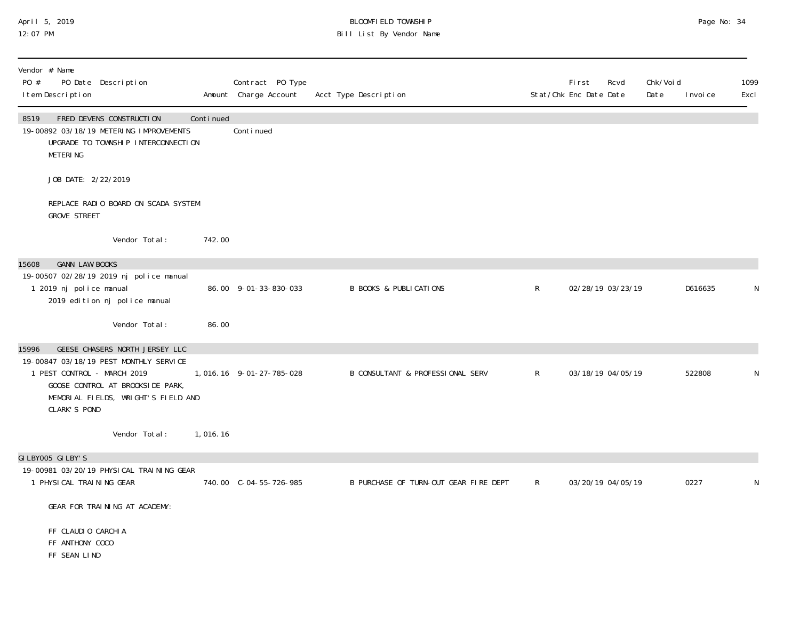#### April 5, 2019 BLOOMFIELD TOWNSHIP Page No: 34 12:07 PM Bill List By Vendor Name

| Vendor # Name<br>PO #<br>PO Date Description<br>I tem Description                                                                                                |           | Contract PO Type<br>Amount Charge Account | Acct Type Description                 |              | First<br>Rcvd<br>Stat/Chk Enc Date Date | Chk/Voi d<br>Date<br>I nvoi ce | 1099<br>Excl |
|------------------------------------------------------------------------------------------------------------------------------------------------------------------|-----------|-------------------------------------------|---------------------------------------|--------------|-----------------------------------------|--------------------------------|--------------|
| FRED DEVENS CONSTRUCTION<br>8519<br>19-00892 03/18/19 METERING IMPROVEMENTS<br>UPGRADE TO TOWNSHIP INTERCONNECTION<br><b>METERING</b>                            | Continued | Continued                                 |                                       |              |                                         |                                |              |
| JOB DATE: 2/22/2019                                                                                                                                              |           |                                           |                                       |              |                                         |                                |              |
| REPLACE RADIO BOARD ON SCADA SYSTEM<br><b>GROVE STREET</b>                                                                                                       |           |                                           |                                       |              |                                         |                                |              |
| Vendor Total:                                                                                                                                                    | 742.00    |                                           |                                       |              |                                         |                                |              |
| <b>GANN LAW BOOKS</b><br>15608                                                                                                                                   |           |                                           |                                       |              |                                         |                                |              |
| 19-00507 02/28/19 2019 nj police manual<br>1 2019 nj police manual<br>2019 edition nj police manual                                                              |           | 86.00 9-01-33-830-033                     | <b>B BOOKS &amp; PUBLICATIONS</b>     | $\mathsf{R}$ | 02/28/19 03/23/19                       | D616635                        | N            |
| Vendor Total:                                                                                                                                                    | 86.00     |                                           |                                       |              |                                         |                                |              |
| GEESE CHASERS NORTH JERSEY LLC<br>15996                                                                                                                          |           |                                           |                                       |              |                                         |                                |              |
| 19-00847 03/18/19 PEST MONTHLY SERVICE<br>1 PEST CONTROL - MARCH 2019<br>GOOSE CONTROL AT BROOKSIDE PARK,<br>MEMORIAL FIELDS, WRIGHT'S FIELD AND<br>CLARK'S POND |           | 1,016.16 9-01-27-785-028                  | B CONSULTANT & PROFESSIONAL SERV      | $\mathsf{R}$ | 03/18/19 04/05/19                       | 522808                         | N            |
| Vendor Total:                                                                                                                                                    | 1,016.16  |                                           |                                       |              |                                         |                                |              |
| GILBY005 GILBY'S                                                                                                                                                 |           |                                           |                                       |              |                                         |                                |              |
| 19-00981 03/20/19 PHYSICAL TRAINING GEAR<br>1 PHYSICAL TRAINING GEAR                                                                                             |           | 740.00 C-04-55-726-985                    | B PURCHASE OF TURN-OUT GEAR FIRE DEPT | $\mathsf{R}$ | 03/20/19 04/05/19                       | 0227                           | N            |
| GEAR FOR TRAINING AT ACADEMY:                                                                                                                                    |           |                                           |                                       |              |                                         |                                |              |
| FF CLAUDIO CARCHIA<br>FF ANTHONY COCO<br>FF SEAN LIND                                                                                                            |           |                                           |                                       |              |                                         |                                |              |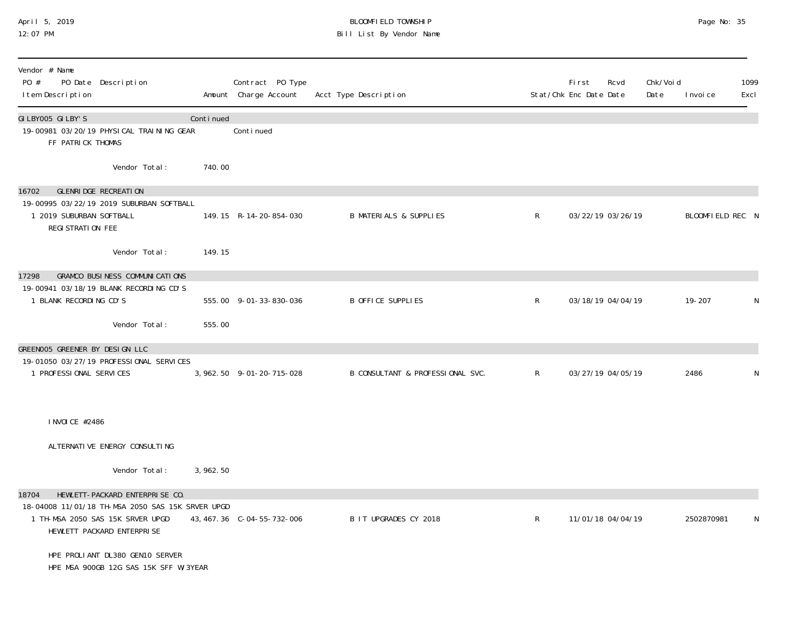## April 5, 2019 BLOOMFIELD TOWNSHIP Page No: 35 12:07 PM Bill List By Vendor Name

| Vendor # Name<br>PO #<br>PO Date Description<br>I tem Description                                                  |           | Contract PO Type<br>Amount Charge Account | Acct Type Description             |              | First<br>Stat/Chk Enc Date Date | Rcvd | Chk/Voi d<br>Date | I nvoi ce        | 1099<br>Excl |
|--------------------------------------------------------------------------------------------------------------------|-----------|-------------------------------------------|-----------------------------------|--------------|---------------------------------|------|-------------------|------------------|--------------|
| GILBY005 GILBY'S<br>19-00981 03/20/19 PHYSICAL TRAINING GEAR<br>FF PATRICK THOMAS                                  | Continued | Continued                                 |                                   |              |                                 |      |                   |                  |              |
| Vendor Total:                                                                                                      | 740.00    |                                           |                                   |              |                                 |      |                   |                  |              |
| GLENRI DGE RECREATION<br>16702                                                                                     |           |                                           |                                   |              |                                 |      |                   |                  |              |
| 19-00995 03/22/19 2019 SUBURBAN SOFTBALL<br>1 2019 SUBURBAN SOFTBALL<br>REGI STRATION FEE                          |           | 149.15 R-14-20-854-030                    | <b>B MATERIALS &amp; SUPPLIES</b> | $\mathsf{R}$ | 03/22/19 03/26/19               |      |                   | BLOOMFIELD REC N |              |
| Vendor Total:                                                                                                      | 149.15    |                                           |                                   |              |                                 |      |                   |                  |              |
| <b>GRAMCO BUSINESS COMMUNICATIONS</b><br>17298                                                                     |           |                                           |                                   |              |                                 |      |                   |                  |              |
| 19-00941 03/18/19 BLANK RECORDING CD'S<br>1 BLANK RECORDING CD'S                                                   |           | 555.00 9-01-33-830-036                    | <b>B OFFICE SUPPLIES</b>          | $\mathsf{R}$ | 03/18/19 04/04/19               |      |                   | $19 - 207$       | N            |
| Vendor Total:                                                                                                      | 555.00    |                                           |                                   |              |                                 |      |                   |                  |              |
| GREENOO5 GREENER BY DESIGN LLC                                                                                     |           |                                           |                                   |              |                                 |      |                   |                  |              |
| 19-01050 03/27/19 PROFESSIONAL SERVICES                                                                            |           |                                           |                                   |              |                                 |      |                   |                  |              |
| 1 PROFESSIONAL SERVICES                                                                                            |           | 3, 962. 50 9-01-20-715-028                | B CONSULTANT & PROFESSIONAL SVC.  | $\mathsf{R}$ | 03/27/19 04/05/19               |      |                   | 2486             | N            |
| I NVOI CE #2486                                                                                                    |           |                                           |                                   |              |                                 |      |                   |                  |              |
| ALTERNATIVE ENERGY CONSULTING                                                                                      |           |                                           |                                   |              |                                 |      |                   |                  |              |
| Vendor Total:                                                                                                      | 3,962.50  |                                           |                                   |              |                                 |      |                   |                  |              |
| 18704<br>HEWLETT-PACKARD ENTERPRISE CO.                                                                            |           |                                           |                                   |              |                                 |      |                   |                  |              |
| 18-04008 11/01/18 TH-MSA 2050 SAS 15K SRVER UPGD<br>1 TH-MSA 2050 SAS 15K SRVER UPGD<br>HEWLETT PACKARD ENTERPRISE |           | 43, 467. 36 C-04-55-732-006               | B IT UPGRADES CY 2018             | $\mathsf{R}$ | 11/01/18 04/04/19               |      |                   | 2502870981       | N            |
| HPE PROLIANT DL380 GEN10 SERVER<br>HPE MSA 900GB 12G SAS 15K SFF W/3YEAR                                           |           |                                           |                                   |              |                                 |      |                   |                  |              |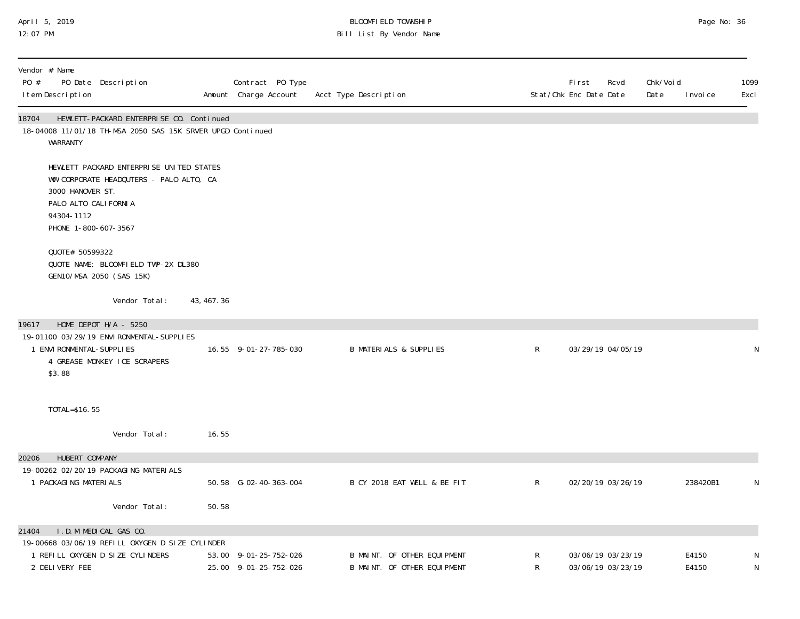## April 5, 2019 BLOOMFIELD TOWNSHIP Page No: 36 12:07 PM Bill List By Vendor Name

| Vendor # Name<br>PO #<br>PO Date Description<br>I tem Description                                     |                                                                                                        |             | Contract PO Type<br>Amount Charge Account      | Acct Type Description                                      |              | Fi rst<br>Rcvd<br>Stat/Chk Enc Date Date | Chk/Voi d<br>Date<br>I nvoi ce | 1099<br>Excl |
|-------------------------------------------------------------------------------------------------------|--------------------------------------------------------------------------------------------------------|-------------|------------------------------------------------|------------------------------------------------------------|--------------|------------------------------------------|--------------------------------|--------------|
| 18704<br>WARRANTY                                                                                     | HEWLETT-PACKARD ENTERPRISE CO. Continued<br>18-04008 11/01/18 TH-MSA 2050 SAS 15K SRVER UPGD Continued |             |                                                |                                                            |              |                                          |                                |              |
| 3000 HANOVER ST.<br>PALO ALTO CALI FORNI A<br>94304-1112<br>PHONE 1-800-607-3567                      | HEWLETT PACKARD ENTERPRISE UNITED STATES<br>WW CORPORATE HEADQUTERS - PALO ALTO, CA                    |             |                                                |                                                            |              |                                          |                                |              |
| QUOTE# 50599322<br>GEN10/MSA 2050 (SAS 15K)                                                           | QUOTE NAME: BLOOMFIELD TWP-2X DL380                                                                    |             |                                                |                                                            |              |                                          |                                |              |
|                                                                                                       | Vendor Total:                                                                                          | 43, 467. 36 |                                                |                                                            |              |                                          |                                |              |
| HOME DEPOT H/A - 5250<br>19617<br>1 ENVI RONMENTAL-SUPPLI ES<br>\$3.88                                | 19-01100 03/29/19 ENVI RONMENTAL-SUPPLI ES<br>4 GREASE MONKEY ICE SCRAPERS                             |             | 16.55 9-01-27-785-030                          | <b>B MATERIALS &amp; SUPPLIES</b>                          | $\mathsf{R}$ | 03/29/19 04/05/19                        |                                | N            |
| TOTAL=\$16.55                                                                                         |                                                                                                        |             |                                                |                                                            |              |                                          |                                |              |
|                                                                                                       | Vendor Total:                                                                                          | 16.55       |                                                |                                                            |              |                                          |                                |              |
| HUBERT COMPANY<br>20206                                                                               |                                                                                                        |             |                                                |                                                            |              |                                          |                                |              |
| 19-00262 02/20/19 PACKAGING MATERIALS<br>1 PACKAGING MATERIALS                                        |                                                                                                        |             | 50.58 G-02-40-363-004                          | B CY 2018 EAT WELL & BE FIT                                | $\mathsf{R}$ | 02/20/19 03/26/19                        | 238420B1                       | N            |
|                                                                                                       | Vendor Total:                                                                                          | 50.58       |                                                |                                                            |              |                                          |                                |              |
| I.D.M MEDICAL GAS CO.<br>21404                                                                        |                                                                                                        |             |                                                |                                                            |              |                                          |                                |              |
| 19-00668 03/06/19 REFILL OXYGEN D SIZE CYLINDER<br>1 REFILL OXYGEN D SIZE CYLINDERS<br>2 DELIVERY FEE |                                                                                                        |             | 53.00 9-01-25-752-026<br>25.00 9-01-25-752-026 | B MAINT. OF OTHER EQUIPMENT<br>B MAINT. OF OTHER EQUIPMENT | R<br>R       | 03/06/19 03/23/19<br>03/06/19 03/23/19   | E4150<br>E4150                 | N<br>N       |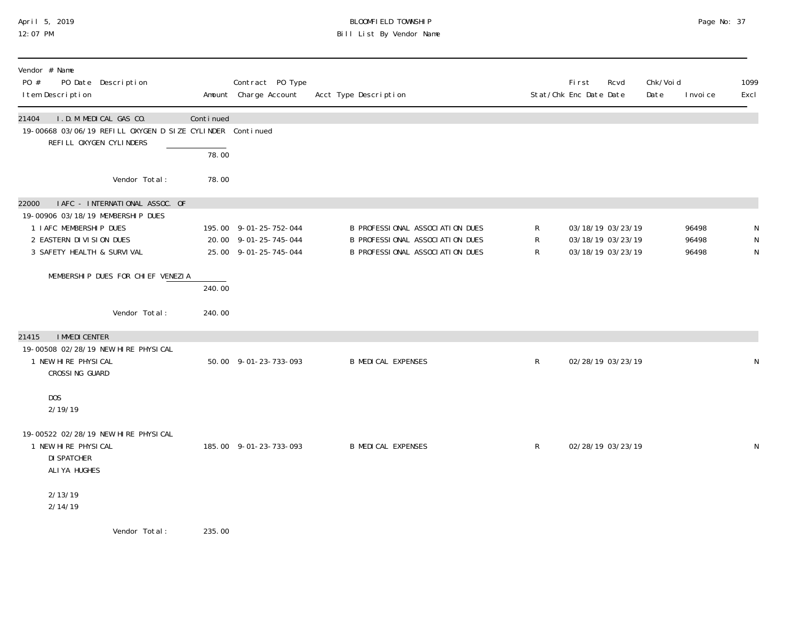# April 5, 2019 BLOOMFIELD TOWNSHIP Page No: 37 Bill List By Vendor Name

| Vendor # Name<br>PO #<br>PO Date Description<br>I tem Description                                                                                                |                    | Contract PO Type<br>Amount Charge Account                                | Acct Type Description                                                                                 |              | First<br>Stat/Chk Enc Date Date                             | Rcvd | Chk/Voi d<br>Date | I nvoi ce               | 1099<br>Excl |
|------------------------------------------------------------------------------------------------------------------------------------------------------------------|--------------------|--------------------------------------------------------------------------|-------------------------------------------------------------------------------------------------------|--------------|-------------------------------------------------------------|------|-------------------|-------------------------|--------------|
| I.D.M MEDICAL GAS CO.<br>21404<br>19-00668 03/06/19 REFILL OXYGEN D SIZE CYLINDER Continued<br>REFILL OXYGEN CYLINDERS                                           | Continued<br>78.00 |                                                                          |                                                                                                       |              |                                                             |      |                   |                         |              |
| Vendor Total:                                                                                                                                                    | 78.00              |                                                                          |                                                                                                       |              |                                                             |      |                   |                         |              |
| I AFC - INTERNATIONAL ASSOC. OF<br>22000<br>19-00906 03/18/19 MEMBERSHIP DUES<br>1 IAFC MEMBERSHIP DUES<br>2 EASTERN DIVISION DUES<br>3 SAFETY HEALTH & SURVIVAL |                    | 195.00 9-01-25-752-044<br>20.00 9-01-25-745-044<br>25.00 9-01-25-745-044 | B PROFESSIONAL ASSOCIATION DUES<br>B PROFESSIONAL ASSOCIATION DUES<br>B PROFESSIONAL ASSOCIATION DUES | R<br>R<br>R  | 03/18/19 03/23/19<br>03/18/19 03/23/19<br>03/18/19 03/23/19 |      |                   | 96498<br>96498<br>96498 | N            |
| MEMBERSHIP DUES FOR CHIEF VENEZIA                                                                                                                                | 240.00             |                                                                          |                                                                                                       |              |                                                             |      |                   |                         |              |
| Vendor Total:                                                                                                                                                    | 240.00             |                                                                          |                                                                                                       |              |                                                             |      |                   |                         |              |
| <b>I MMEDI CENTER</b><br>21415<br>19-00508 02/28/19 NEW HIRE PHYSICAL<br>1 NEW HIRE PHYSICAL<br>CROSSING GUARD                                                   |                    | 50.00 9-01-23-733-093                                                    | <b>B MEDICAL EXPENSES</b>                                                                             | $\mathsf{R}$ | 02/28/19 03/23/19                                           |      |                   |                         |              |
| DOS<br>2/19/19                                                                                                                                                   |                    |                                                                          |                                                                                                       |              |                                                             |      |                   |                         |              |
| 19-00522 02/28/19 NEW HIRE PHYSICAL<br>1 NEW HIRE PHYSICAL<br><b>DI SPATCHER</b><br>ALIYA HUGHES                                                                 |                    | 185.00 9-01-23-733-093                                                   | <b>B MEDICAL EXPENSES</b>                                                                             | $\mathsf{R}$ | 02/28/19 03/23/19                                           |      |                   |                         | N            |
| 2/13/19<br>2/14/19                                                                                                                                               |                    |                                                                          |                                                                                                       |              |                                                             |      |                   |                         |              |
| Vander Total.                                                                                                                                                    | <b>ODE OO</b>      |                                                                          |                                                                                                       |              |                                                             |      |                   |                         |              |

Vendor Total: 235.00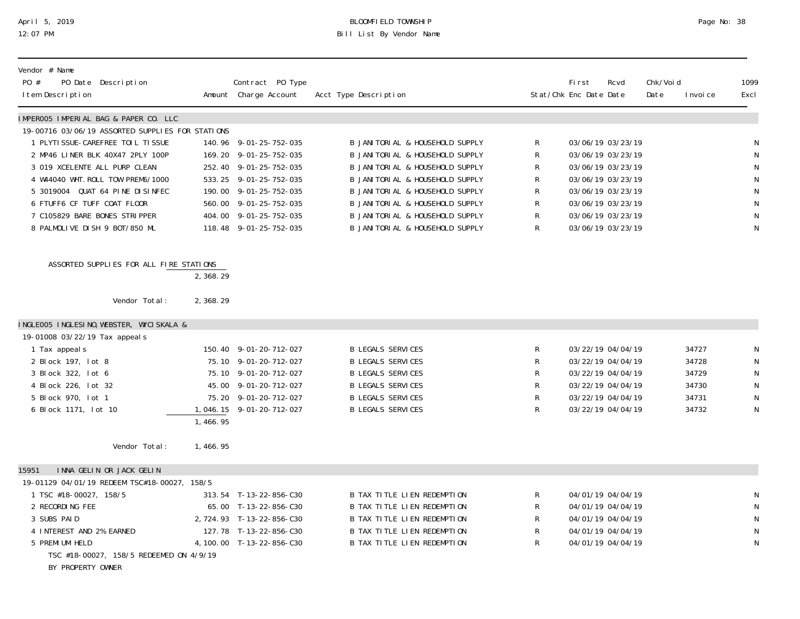## April 5, 2019 BLOOMFIELD TOWNSHIP Page No: 38 12:07 PM Bill List By Vendor Name

| Vendor # Name<br>PO #<br>PO Date Description<br>I tem Description |           | Contract PO Type<br>Amount Charge Account | Acct Type Description              |              | <b>First</b><br>Stat/Chk Enc Date Date | Rcvd              | Chk/Voi d<br>Date | I nvoi ce | 1099<br>Excl |
|-------------------------------------------------------------------|-----------|-------------------------------------------|------------------------------------|--------------|----------------------------------------|-------------------|-------------------|-----------|--------------|
| IMPEROO5 IMPERIAL BAG & PAPER CO. LLC                             |           |                                           |                                    |              |                                        |                   |                   |           |              |
| 19-00716 03/06/19 ASSORTED SUPPLIES FOR STATIONS                  |           |                                           |                                    |              |                                        |                   |                   |           |              |
| 1 PLYTI SSUE-CAREFREE TOIL TI SSUE                                |           | 140.96 9-01-25-752-035                    | B JANI TORI AL & HOUSEHOLD SUPPLY  | R            |                                        | 03/06/19 03/23/19 |                   |           | N            |
| 2 MP46 LINER BLK 40X47 2PLY 100P                                  |           | 169.20 9-01-25-752-035                    | B JANI TORI AL & HOUSEHOLD SUPPLY  | R            |                                        | 03/06/19 03/23/19 |                   |           | $\mathsf{N}$ |
| 3 019 XCELENTE ALL PURP CLEAN                                     |           | 252.40 9-01-25-752-035                    | B JANI TORI AL & HOUSEHOLD SUPPLY  | R            |                                        | 03/06/19 03/23/19 |                   |           | $\mathsf{N}$ |
| 4 W44040 WHT. ROLL TOW PREM6/1000                                 |           | 533.25 9-01-25-752-035                    | B JANITORIAL & HOUSEHOLD SUPPLY    | R            |                                        | 03/06/19 03/23/19 |                   |           | N            |
| 5 3019004 QUAT 64 PINE DISINFEC                                   |           | 190.00 9-01-25-752-035                    | B JANITORIAL & HOUSEHOLD SUPPLY    | R            |                                        | 03/06/19 03/23/19 |                   |           | ${\sf N}$    |
| 6 FTUFF6 CF TUFF COAT FLOOR                                       |           | 560.00 9-01-25-752-035                    | B JANI TORI AL & HOUSEHOLD SUPPLY  | R            |                                        | 03/06/19 03/23/19 |                   |           | N            |
| 7 C105829 BARE BONES STRIPPER                                     |           | 404.00 9-01-25-752-035                    | B JANI TORI AL & HOUSEHOLD SUPPLY  | $\mathsf R$  |                                        | 03/06/19 03/23/19 |                   |           | N            |
| 8 PALMOLIVE DISH 9 BOT/850 ML                                     |           | 118.48 9-01-25-752-035                    | B JANITORIAL & HOUSEHOLD SUPPLY    | $\mathsf{R}$ |                                        | 03/06/19 03/23/19 |                   |           | $\mathsf N$  |
| ASSORTED SUPPLIES FOR ALL FIRE STATIONS                           | 2, 368.29 |                                           |                                    |              |                                        |                   |                   |           |              |
|                                                                   |           |                                           |                                    |              |                                        |                   |                   |           |              |
| Vendor Total:                                                     | 2,368.29  |                                           |                                    |              |                                        |                   |                   |           |              |
| INGLEOO5 INGLESINO, WEBSTER, WYCISKALA &                          |           |                                           |                                    |              |                                        |                   |                   |           |              |
| 19-01008 03/22/19 Tax appeal s                                    |           |                                           |                                    |              |                                        |                   |                   |           |              |
| 1 Tax appeal s                                                    |           | 150.40 9-01-20-712-027                    | <b>B LEGALS SERVICES</b>           | R            |                                        | 03/22/19 04/04/19 |                   | 34727     |              |
| 2 Block 197, lot 8                                                |           | 75.10 9-01-20-712-027                     | <b>B LEGALS SERVICES</b>           | R            |                                        | 03/22/19 04/04/19 |                   | 34728     | N            |
| 3 Block 322, lot 6                                                |           | 75.10 9-01-20-712-027                     | <b>B LEGALS SERVICES</b>           | R            |                                        | 03/22/19 04/04/19 |                   | 34729     | ${\sf N}$    |
| 4 Block 226, lot 32                                               |           | 45.00 9-01-20-712-027                     | <b>B LEGALS SERVICES</b>           | R            |                                        | 03/22/19 04/04/19 |                   | 34730     | ${\sf N}$    |
| 5 Block 970, lot 1                                                |           | 75.20 9-01-20-712-027                     | <b>B LEGALS SERVICES</b>           | R            |                                        | 03/22/19 04/04/19 |                   | 34731     | $\mathsf{N}$ |
| 6 Block 1171, lot 10                                              |           | 1, 046. 15 9-01-20-712-027                | <b>B LEGALS SERVICES</b>           | $\mathsf{R}$ |                                        | 03/22/19 04/04/19 |                   | 34732     | N            |
|                                                                   | 1,466.95  |                                           |                                    |              |                                        |                   |                   |           |              |
| Vendor Total:                                                     | 1,466.95  |                                           |                                    |              |                                        |                   |                   |           |              |
| INNA GELIN OR JACK GELIN<br>15951                                 |           |                                           |                                    |              |                                        |                   |                   |           |              |
| 19-01129 04/01/19 REDEEM TSC#18-00027, 158/5                      |           |                                           |                                    |              |                                        |                   |                   |           |              |
| 1 TSC #18-00027, 158/5                                            |           | 313.54 T-13-22-856-C30                    | <b>B TAX TITLE LIEN REDEMPTION</b> | R            |                                        | 04/01/19 04/04/19 |                   |           | N            |
| 2 RECORDING FEE                                                   |           | 65.00 T-13-22-856-C30                     | <b>B TAX TITLE LIEN REDEMPTION</b> | R            |                                        | 04/01/19 04/04/19 |                   |           | $\mathsf{N}$ |
| 3 SUBS PAID                                                       |           | 2, 724.93 T-13-22-856-C30                 | <b>B TAX TITLE LIEN REDEMPTION</b> | R            |                                        | 04/01/19 04/04/19 |                   |           | ${\sf N}$    |
| 4 INTEREST AND 2% EARNED                                          |           | 127.78 T-13-22-856-C30                    | B TAX TITLE LIEN REDEMPTION        | R            |                                        | 04/01/19 04/04/19 |                   |           | N            |
| 5 PREMI UM HELD                                                   |           | 4, 100.00 T-13-22-856-C30                 | <b>B TAX TITLE LIEN REDEMPTION</b> | R            |                                        | 04/01/19 04/04/19 |                   |           | N            |
| TSC #18-00027, 158/5 REDEEMED ON 4/9/19                           |           |                                           |                                    |              |                                        |                   |                   |           |              |

BY PROPERTY OWNER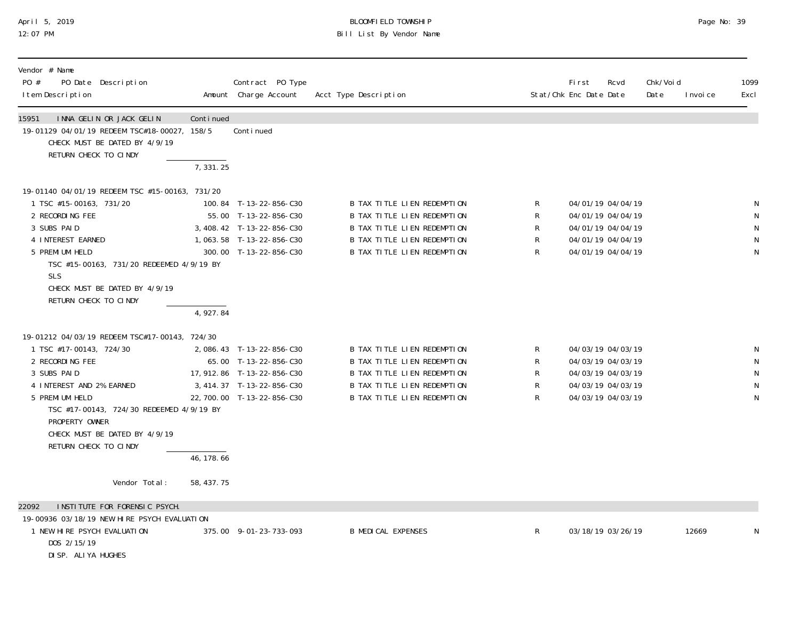## April 5, 2019 BLOOMFIELD TOWNSHIP Page No: 39 12:07 PM Bill List By Vendor Name

| Vendor # Name<br>$P0 \#$<br>PO Date Description<br>I tem Description                                                                                                                                                                                                                               |                                        | Contract PO Type<br>Amount Charge Account                                                                                                    | Acct Type Description                                                                                                                                                 |                                 | First<br>Stat/Chk Enc Date Date                                                                       | Rcvd | Chk/Voi d<br>Date | I nvoi ce | 1099<br>Excl     |
|----------------------------------------------------------------------------------------------------------------------------------------------------------------------------------------------------------------------------------------------------------------------------------------------------|----------------------------------------|----------------------------------------------------------------------------------------------------------------------------------------------|-----------------------------------------------------------------------------------------------------------------------------------------------------------------------|---------------------------------|-------------------------------------------------------------------------------------------------------|------|-------------------|-----------|------------------|
| 15951<br>INNA GELIN OR JACK GELIN<br>19-01129 04/01/19 REDEEM TSC#18-00027, 158/5<br>CHECK MUST BE DATED BY 4/9/19<br>RETURN CHECK TO CINDY                                                                                                                                                        | Continued                              | Conti nued                                                                                                                                   |                                                                                                                                                                       |                                 |                                                                                                       |      |                   |           |                  |
|                                                                                                                                                                                                                                                                                                    | 7,331.25                               |                                                                                                                                              |                                                                                                                                                                       |                                 |                                                                                                       |      |                   |           |                  |
| 19-01140 04/01/19 REDEEM TSC #15-00163, 731/20<br>1 TSC #15-00163, 731/20<br>2 RECORDING FEE<br>3 SUBS PAID<br>4 INTEREST EARNED<br>5 PREMI UM HELD<br>TSC #15-00163, 731/20 REDEEMED 4/9/19 BY<br><b>SLS</b><br>CHECK MUST BE DATED BY 4/9/19<br>RETURN CHECK TO CINDY                            |                                        | 100.84 T-13-22-856-C30<br>55.00 T-13-22-856-C30<br>3, 408.42 T-13-22-856-C30<br>1,063.58 T-13-22-856-C30<br>300.00 T-13-22-856-C30           | B TAX TITLE LIEN REDEMPTION<br>B TAX TITLE LIEN REDEMPTION<br>B TAX TITLE LIEN REDEMPTION<br><b>B TAX TITLE LIEN REDEMPTION</b><br><b>B TAX TITLE LIEN REDEMPTION</b> | R<br>R<br>$\mathsf R$<br>R<br>R | 04/01/19 04/04/19<br>04/01/19 04/04/19<br>04/01/19 04/04/19<br>04/01/19 04/04/19<br>04/01/19 04/04/19 |      |                   |           | $\mathsf N$<br>N |
| 19-01212 04/03/19 REDEEM TSC#17-00143, 724/30<br>1 TSC #17-00143, 724/30<br>2 RECORDING FEE<br>3 SUBS PAID<br>4 INTEREST AND 2% EARNED<br>5 PREMI UM HELD<br>TSC #17-00143, 724/30 REDEEMED 4/9/19 BY<br>PROPERTY OWNER<br>CHECK MUST BE DATED BY 4/9/19<br>RETURN CHECK TO CINDY<br>Vendor Total: | 4,927.84<br>46, 178. 66<br>58, 437. 75 | 2,086.43 T-13-22-856-C30<br>65.00 T-13-22-856-C30<br>17, 912. 86 T-13-22-856-C30<br>3, 414. 37 T-13-22-856-C30<br>22, 700.00 T-13-22-856-C30 | <b>B TAX TITLE LIEN REDEMPTION</b><br>B TAX TITLE LIEN REDEMPTION<br>B TAX TITLE LIEN REDEMPTION<br>B TAX TITLE LIEN REDEMPTION<br>B TAX TITLE LIEN REDEMPTION        | R<br>R<br>R<br>R<br>R           | 04/03/19 04/03/19<br>04/03/19 04/03/19<br>04/03/19 04/03/19<br>04/03/19 04/03/19<br>04/03/19 04/03/19 |      |                   |           |                  |
| INSTITUTE FOR FORENSIC PSYCH.<br>22092                                                                                                                                                                                                                                                             |                                        |                                                                                                                                              |                                                                                                                                                                       |                                 |                                                                                                       |      |                   |           |                  |
| 19-00936 03/18/19 NEW HIRE PSYCH EVALUATION<br>1 NEW HIRE PSYCH EVALUATION<br>DOS 2/15/19<br>DI SP. ALI YA HUGHES                                                                                                                                                                                  |                                        | 375.00 9-01-23-733-093                                                                                                                       | <b>B MEDICAL EXPENSES</b>                                                                                                                                             | R                               | 03/18/19 03/26/19                                                                                     |      |                   | 12669     |                  |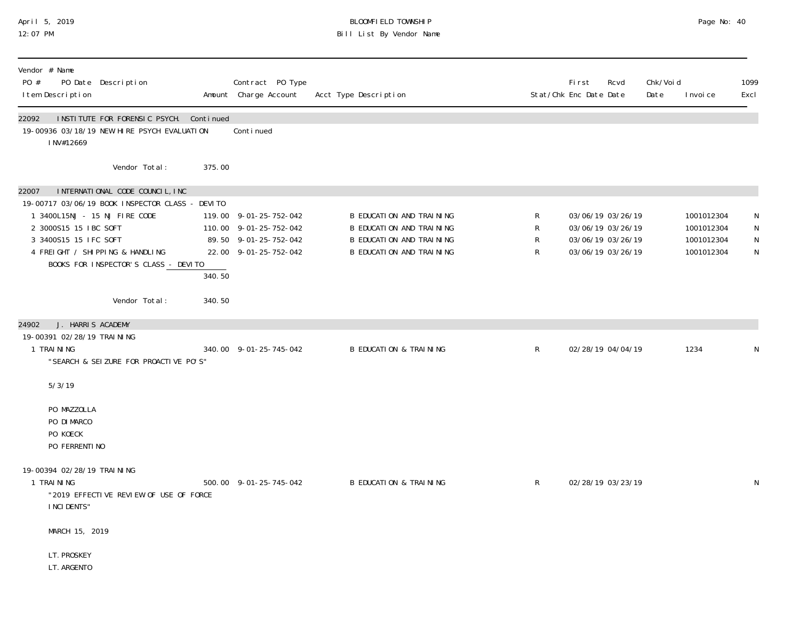### April 5, 2019 BLOOMFIELD TOWNSHIP Page No: 40 12:07 PM Bill List By Vendor Name

| Vendor # Name<br>PO #<br>I tem Description                                                                                       | PO Date Description                                                                                                                                           |        | Contract PO Type<br>Amount Charge Account                                                          | Acct Type Description                                                                                               |                  | First<br>Stat/Chk Enc Date Date        | Rcvd                                   | Chk/Voi d<br>Date | I nvoi ce                                            | 1099<br>Excl               |
|----------------------------------------------------------------------------------------------------------------------------------|---------------------------------------------------------------------------------------------------------------------------------------------------------------|--------|----------------------------------------------------------------------------------------------------|---------------------------------------------------------------------------------------------------------------------|------------------|----------------------------------------|----------------------------------------|-------------------|------------------------------------------------------|----------------------------|
| 22092<br>INV#12669                                                                                                               | INSTITUTE FOR FORENSIC PSYCH. Continued<br>19-00936 03/18/19 NEW HIRE PSYCH EVALUATION                                                                        |        | Continued                                                                                          |                                                                                                                     |                  |                                        |                                        |                   |                                                      |                            |
|                                                                                                                                  | Vendor Total:                                                                                                                                                 | 375.00 |                                                                                                    |                                                                                                                     |                  |                                        |                                        |                   |                                                      |                            |
| 22007<br>1 3400L15NJ - 15 NJ FIRE CODE<br>2 3000S15 15 IBC SOFT<br>3 3400S15 15 IFC SOFT                                         | INTERNATIONAL CODE COUNCIL, INC<br>19-00717 03/06/19 BOOK INSPECTOR CLASS - DEVITO<br>4 FREIGHT / SHIPPING & HANDLING<br>BOOKS FOR INSPECTOR'S CLASS - DEVITO | 340.50 | 119.00 9-01-25-752-042<br>110.00 9-01-25-752-042<br>89.50 9-01-25-752-042<br>22.00 9-01-25-752-042 | <b>B EDUCATION AND TRAINING</b><br>B EDUCATION AND TRAINING<br>B EDUCATION AND TRAINING<br>B EDUCATION AND TRAINING | R<br>R<br>R<br>R | 03/06/19 03/26/19<br>03/06/19 03/26/19 | 03/06/19 03/26/19<br>03/06/19 03/26/19 |                   | 1001012304<br>1001012304<br>1001012304<br>1001012304 | N<br>N<br>N<br>$\mathsf N$ |
|                                                                                                                                  | Vendor Total:                                                                                                                                                 | 340.50 |                                                                                                    |                                                                                                                     |                  |                                        |                                        |                   |                                                      |                            |
| J. HARRIS ACADEMY<br>24902<br>19-00391 02/28/19 TRAI NI NG<br>1 TRAINING                                                         | "SEARCH & SEIZURE FOR PROACTIVE PO'S"                                                                                                                         |        | 340.00 9-01-25-745-042                                                                             | <b>B EDUCATION &amp; TRAINING</b>                                                                                   | $\mathsf{R}$     |                                        | 02/28/19 04/04/19                      |                   | 1234                                                 | N                          |
| 5/3/19<br>PO MAZZOLLA<br>PO DI MARCO<br>PO KOECK<br>PO FERRENTI NO<br>19-00394 02/28/19 TRAI NI NG<br>1 TRAINING<br>I NCI DENTS" | "2019 EFFECTIVE REVIEW OF USE OF FORCE                                                                                                                        |        | 500.00 9-01-25-745-042                                                                             | <b>B EDUCATION &amp; TRAINING</b>                                                                                   | $\mathsf{R}$     | 02/28/19 03/23/19                      |                                        |                   |                                                      | N                          |
| MARCH 15, 2019<br>LT. PROSKEY<br>LT. ARGENTO                                                                                     |                                                                                                                                                               |        |                                                                                                    |                                                                                                                     |                  |                                        |                                        |                   |                                                      |                            |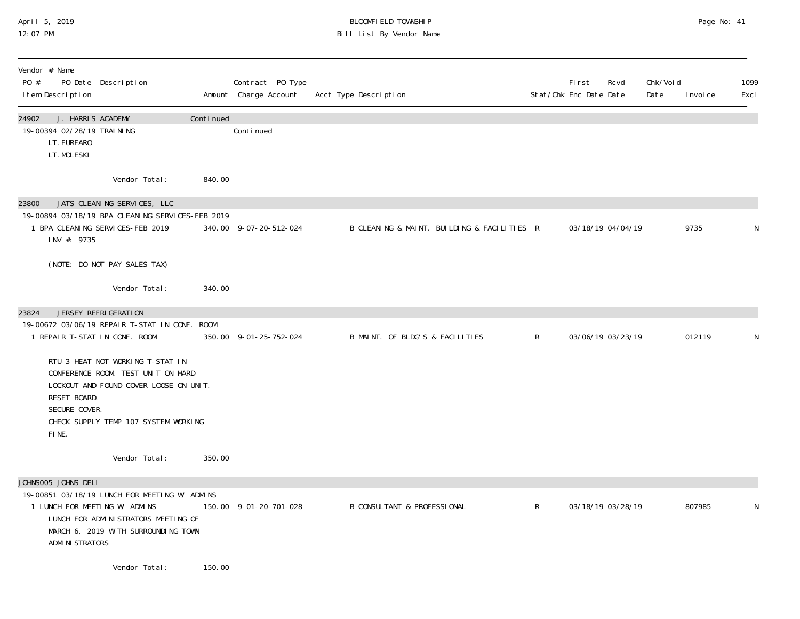## April 5, 2019 BLOOMFIELD TOWNSHIP Page No: 41 12:07 PM Bill List By Vendor Name

| Vendor # Name<br>PO #<br>I tem Description                                               | PO Date Description                                                                                                                                      |           | Contract PO Type<br>Amount Charge Account | Acct Type Description                       |              | <b>First</b><br>Stat/Chk Enc Date Date | Rcvd              | Chk/Voi d<br>Date | I nvoi ce | 1099<br>Excl |
|------------------------------------------------------------------------------------------|----------------------------------------------------------------------------------------------------------------------------------------------------------|-----------|-------------------------------------------|---------------------------------------------|--------------|----------------------------------------|-------------------|-------------------|-----------|--------------|
| 24902<br>J. HARRIS ACADEMY<br>19-00394 02/28/19 TRAI NI NG<br>LT. FURFARO<br>LT. MOLESKI |                                                                                                                                                          | Continued | Continued                                 |                                             |              |                                        |                   |                   |           |              |
|                                                                                          | Vendor Total:                                                                                                                                            | 840.00    |                                           |                                             |              |                                        |                   |                   |           |              |
| 23800<br>INV #: 9735                                                                     | JATS CLEANING SERVICES, LLC<br>19-00894 03/18/19 BPA CLEANING SERVICES-FEB 2019<br>1 BPA CLEANING SERVICES-FEB 2019                                      |           | 340.00 9-07-20-512-024                    | B CLEANING & MAINT. BUILDING & FACILITIES R |              |                                        | 03/18/19 04/04/19 |                   | 9735      |              |
|                                                                                          | (NOTE: DO NOT PAY SALES TAX)                                                                                                                             |           |                                           |                                             |              |                                        |                   |                   |           |              |
|                                                                                          | Vendor Total:                                                                                                                                            | 340.00    |                                           |                                             |              |                                        |                   |                   |           |              |
| 23824<br>1 REPAIR T-STAT IN CONF. ROOM                                                   | JERSEY REFRIGERATION<br>19-00672 03/06/19 REPAIR T-STAT IN CONF. ROOM                                                                                    |           | 350.00 9-01-25-752-024                    | B MAINT. OF BLDG'S & FACILITIES             | $\mathsf{R}$ |                                        | 03/06/19 03/23/19 |                   | 012119    | N            |
| RESET BOARD.<br>SECURE COVER.<br>FINE.                                                   | RTU-3 HEAT NOT WORKING T-STAT IN<br>CONFERENCE ROOM. TEST UNIT ON HARD<br>LOCKOUT AND FOUND COVER LOOSE ON UNIT.<br>CHECK SUPPLY TEMP 107 SYSTEM WORKING |           |                                           |                                             |              |                                        |                   |                   |           |              |
|                                                                                          | Vendor Total:                                                                                                                                            | 350.00    |                                           |                                             |              |                                        |                   |                   |           |              |
| JOHNSOO5 JOHNS DELI<br>1 LUNCH FOR MEETING W/ ADMINS<br>ADMI NI STRATORS                 | 19-00851 03/18/19 LUNCH FOR MEETING W/ ADMINS<br>LUNCH FOR ADMINISTRATORS MEETING OF<br>MARCH 6, 2019 WITH SURROUNDING TOWN                              |           | 150.00 9-01-20-701-028                    | <b>B CONSULTANT &amp; PROFESSIONAL</b>      | $\mathsf{R}$ |                                        | 03/18/19 03/28/19 |                   | 807985    |              |
|                                                                                          | Vendor Total:                                                                                                                                            | 150.00    |                                           |                                             |              |                                        |                   |                   |           |              |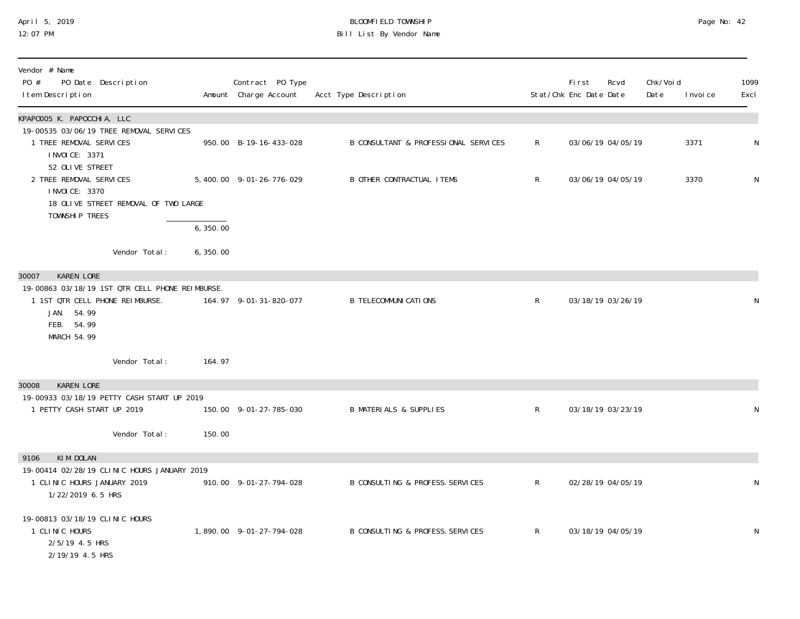## April 5, 2019 BLOOMFIELD TOWNSHIP Page No: 42 12:07 PM Bill List By Vendor Name

| Vendor # Name<br>PO #<br>PO Date Description<br>I tem Description                                                                    |           | Contract PO Type<br>Amount Charge Account | Acct Type Description                |              | <b>First</b><br>Stat/Chk Enc Date Date | Rcvd              | Chk/Voi d<br>Date<br>I nvoi ce | 1099<br>Excl |
|--------------------------------------------------------------------------------------------------------------------------------------|-----------|-------------------------------------------|--------------------------------------|--------------|----------------------------------------|-------------------|--------------------------------|--------------|
| KPAP0005 K. PAPOCCHIA, LLC                                                                                                           |           |                                           |                                      |              |                                        |                   |                                |              |
| 19-00535 03/06/19 TREE REMOVAL SERVICES<br>1 TREE REMOVAL SERVICES<br>I NVOI CE: 3371                                                |           | 950.00 B-19-16-433-028                    | B CONSULTANT & PROFESSIONAL SERVICES | $\mathsf{R}$ |                                        | 03/06/19 04/05/19 | 3371                           | N            |
| 52 OLIVE STREET<br>2 TREE REMOVAL SERVICES<br>I NVOI CE: 3370                                                                        |           | 5,400.00 9-01-26-776-029                  | <b>B OTHER CONTRACTUAL ITEMS</b>     | $\mathsf{R}$ |                                        | 03/06/19 04/05/19 | 3370                           | ${\sf N}$    |
| 18 OLIVE STREET REMOVAL OF TWO LARGE<br>TOWNSHIP TREES                                                                               |           |                                           |                                      |              |                                        |                   |                                |              |
|                                                                                                                                      | 6, 350.00 |                                           |                                      |              |                                        |                   |                                |              |
| Vendor Total:                                                                                                                        | 6, 350.00 |                                           |                                      |              |                                        |                   |                                |              |
| <b>KAREN LORE</b><br>30007                                                                                                           |           |                                           |                                      |              |                                        |                   |                                |              |
| 19-00863 03/18/19 1ST QTR CELL PHONE REIMBURSE.<br>1 1ST QTR CELL PHONE REIMBURSE.<br>JAN. 54.99<br>FEB. 54.99<br><b>MARCH 54.99</b> |           | 164.97 9-01-31-820-077                    | <b>B TELECOMMUNI CATIONS</b>         | $\mathsf{R}$ |                                        | 03/18/19 03/26/19 |                                | N            |
| Vendor Total:                                                                                                                        | 164.97    |                                           |                                      |              |                                        |                   |                                |              |
| <b>KAREN LORE</b><br>30008                                                                                                           |           |                                           |                                      |              |                                        |                   |                                |              |
| 19-00933 03/18/19 PETTY CASH START UP 2019<br>1 PETTY CASH START UP 2019                                                             |           | 150.00 9-01-27-785-030                    | <b>B MATERIALS &amp; SUPPLIES</b>    | $\mathsf{R}$ |                                        | 03/18/19 03/23/19 |                                | N            |
| Vendor Total:                                                                                                                        | 150.00    |                                           |                                      |              |                                        |                   |                                |              |
| KIM DOLAN<br>9106                                                                                                                    |           |                                           |                                      |              |                                        |                   |                                |              |
| 19-00414 02/28/19 CLINIC HOURS JANUARY 2019<br>1 CLINIC HOURS JANUARY 2019<br>1/22/2019 6.5 HRS                                      |           | 910.00 9-01-27-794-028                    | B CONSULTING & PROFESS. SERVICES     | $\mathsf{R}$ |                                        | 02/28/19 04/05/19 |                                | ${\sf N}$    |
| 19-00813 03/18/19 CLINIC HOURS<br>1 CLINIC HOURS<br>2/5/19 4.5 HRS<br>2/19/19 4.5 HRS                                                |           | 1,890.00 9-01-27-794-028                  | B CONSULTING & PROFESS. SERVICES     | $\mathsf{R}$ |                                        | 03/18/19 04/05/19 |                                | ${\sf N}$    |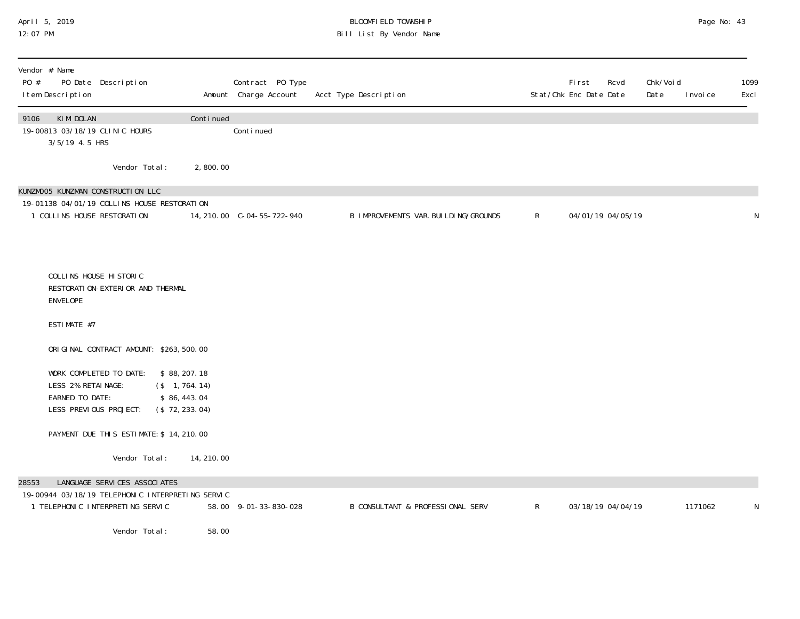## April 5, 2019 BLOOMFIELD TOWNSHIP Page No: 43 12:07 PM Bill List By Vendor Name

| Vendor # Name<br>PO Date Description<br>PO #<br>I tem Description                                                                                               |            | Contract PO Type<br>Amount Charge Account | Acct Type Description                  |              | <b>First</b><br>Rcvd<br>Stat/Chk Enc Date Date | Chk/Voi d<br>Date<br>I nvoi ce | 1099<br>Excl |
|-----------------------------------------------------------------------------------------------------------------------------------------------------------------|------------|-------------------------------------------|----------------------------------------|--------------|------------------------------------------------|--------------------------------|--------------|
| KIM DOLAN<br>9106<br>19-00813 03/18/19 CLINIC HOURS<br>3/5/19 4.5 HRS                                                                                           | Continued  | Continued                                 |                                        |              |                                                |                                |              |
| Vendor Total:                                                                                                                                                   | 2,800.00   |                                           |                                        |              |                                                |                                |              |
| KUNZMOO5 KUNZMAN CONSTRUCTION LLC<br>19-01138 04/01/19 COLLINS HOUSE RESTORATION<br>1 COLLINS HOUSE RESTORATION                                                 |            | 14, 210. 00 C-04-55-722-940               | B IMPROVEMENTS VAR. BUI LDI NG/GROUNDS | $\mathsf{R}$ | 04/01/19 04/05/19                              |                                | N            |
| COLLINS HOUSE HISTORIC<br>RESTORATION-EXTERIOR AND THERMAL<br>ENVELOPE                                                                                          |            |                                           |                                        |              |                                                |                                |              |
| ESTIMATE #7                                                                                                                                                     |            |                                           |                                        |              |                                                |                                |              |
| ORIGINAL CONTRACT AMOUNT: \$263,500.00                                                                                                                          |            |                                           |                                        |              |                                                |                                |              |
| WORK COMPLETED TO DATE:<br>\$88, 207.18<br>LESS 2% RETAINAGE:<br>$($ \$ 1,764.14)<br>EARNED TO DATE:<br>\$86,443.04<br>LESS PREVIOUS PROJECT:<br>(\$72, 233.04) |            |                                           |                                        |              |                                                |                                |              |
| PAYMENT DUE THIS ESTIMATE: \$ 14, 210.00                                                                                                                        |            |                                           |                                        |              |                                                |                                |              |
| Vendor Total:                                                                                                                                                   | 14, 210.00 |                                           |                                        |              |                                                |                                |              |
| 28553<br>LANGUAGE SERVICES ASSOCIATES<br>19-00944 03/18/19 TELEPHONIC INTERPRETING SERVIC<br>1 TELEPHONIC INTERPRETING SERVIC<br>Vendor Total:                  | 58.00      | 58.00 9-01-33-830-028                     | B CONSULTANT & PROFESSIONAL SERV       | $\mathsf{R}$ | 03/18/19 04/04/19                              | 1171062                        | N            |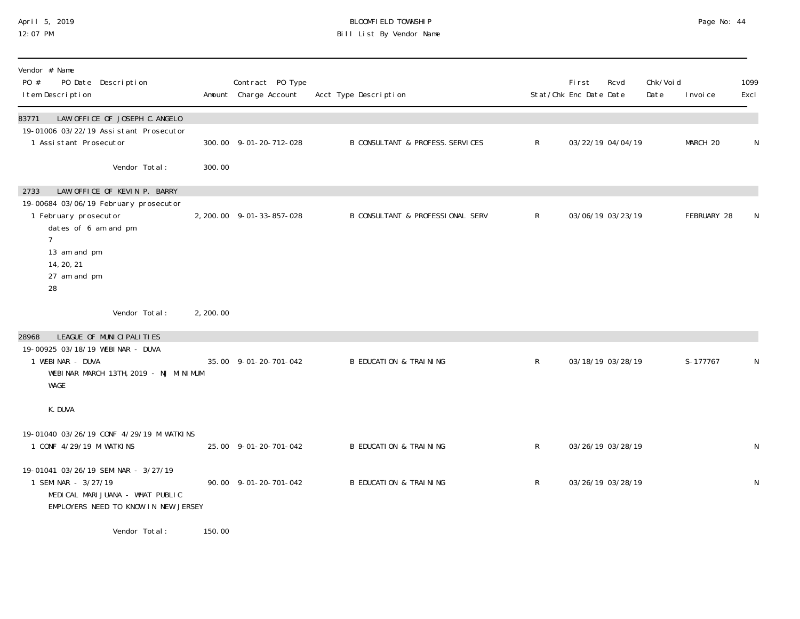# April 5, 2019 BLOOMFIELD TOWNSHIP Page No: 44 Bill List By Vendor Name

| Vendor # Name<br>PO #<br>PO Date Description<br>I tem Description                                                                                                                       |           | Contract PO Type<br>Amount Charge Account | Acct Type Description                       |                | Fi rst<br>Rcvd<br>Stat/Chk Enc Date Date | Chk/Voi d<br>Date | I nvoi ce   | 1099<br>Excl |
|-----------------------------------------------------------------------------------------------------------------------------------------------------------------------------------------|-----------|-------------------------------------------|---------------------------------------------|----------------|------------------------------------------|-------------------|-------------|--------------|
| LAW OFFICE OF JOSEPH C. ANGELO<br>83771<br>19-01006 03/22/19 Assistant Prosecutor<br>1 Assistant Prosecutor                                                                             |           | 300.00 9-01-20-712-028                    | <b>B CONSULTANT &amp; PROFESS. SERVICES</b> | $\mathsf{R}^-$ | 03/22/19 04/04/19                        |                   | MARCH 20    | N            |
| Vendor Total:                                                                                                                                                                           | 300.00    |                                           |                                             |                |                                          |                   |             |              |
| LAW OFFICE OF KEVIN P. BARRY<br>2733<br>19-00684 03/06/19 February prosecutor<br>1 February prosecutor<br>dates of 6 am and pm<br>7<br>13 am and pm<br>14, 20, 21<br>27 am and pm<br>28 |           | 2, 200.00 9-01-33-857-028                 | <b>B CONSULTANT &amp; PROFESSIONAL SERV</b> | R              | 03/06/19 03/23/19                        |                   | FEBRUARY 28 | N            |
| Vendor Total:                                                                                                                                                                           | 2, 200.00 |                                           |                                             |                |                                          |                   |             |              |
| LEAGUE OF MUNICIPALITIES<br>28968<br>19-00925 03/18/19 WEBINAR - DUVA<br>1 WEBINAR - DUVA<br>WEBINAR MARCH 13TH, 2019 - NJ MINIMUM<br>WAGE                                              |           | 35.00 9-01-20-701-042                     | <b>B EDUCATION &amp; TRAINING</b>           | R              | 03/18/19 03/28/19                        |                   | S-177767    | ${\sf N}$    |
| K. DUVA                                                                                                                                                                                 |           |                                           |                                             |                |                                          |                   |             |              |
| 19-01040 03/26/19 CONF 4/29/19 M WATKINS<br>1 CONF 4/29/19 M WATKINS                                                                                                                    |           | 25.00 9-01-20-701-042                     | <b>B EDUCATION &amp; TRAINING</b>           | R              | 03/26/19 03/28/19                        |                   |             | N            |
| 19-01041 03/26/19 SEMINAR - 3/27/19<br>1 SEMINAR - 3/27/19<br>MEDICAL MARIJUANA - WHAT PUBLIC<br>EMPLOYERS NEED TO KNOW IN NEW JERSEY                                                   |           | 90.00 9-01-20-701-042                     | <b>B EDUCATION &amp; TRAINING</b>           | $\mathsf{R}$   | 03/26/19 03/28/19                        |                   |             | ${\sf N}$    |
| Vendor Total:                                                                                                                                                                           | 150.00    |                                           |                                             |                |                                          |                   |             |              |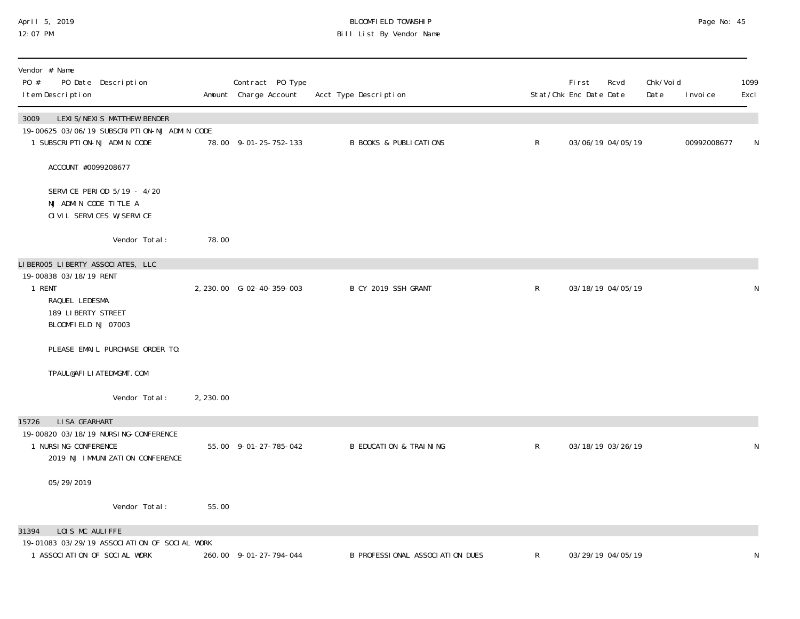## April 5, 2019 BLOOMFIELD TOWNSHIP Page No: 45 12:07 PM Bill List By Vendor Name

| Vendor # Name<br>PO #<br>PO Date Description<br>I tem Description                                                                   |           | Contract PO Type<br>Amount Charge Account | Acct Type Description             |              | First<br>Stat/Chk Enc Date Date | Rcvd              | Chk/Void<br>Date | I nvoi ce   | 1099<br>Excl |
|-------------------------------------------------------------------------------------------------------------------------------------|-----------|-------------------------------------------|-----------------------------------|--------------|---------------------------------|-------------------|------------------|-------------|--------------|
| LEXI S/NEXI S MATTHEW BENDER<br>3009<br>19-00625 03/06/19 SUBSCRIPTION-NJ ADMIN CODE<br>1 SUBSCRIPTION-NJ ADMIN CODE                |           | 78.00 9-01-25-752-133                     | <b>B BOOKS &amp; PUBLICATIONS</b> | $\mathsf{R}$ |                                 | 03/06/19 04/05/19 |                  | 00992008677 | N            |
| ACCOUNT #0099208677                                                                                                                 |           |                                           |                                   |              |                                 |                   |                  |             |              |
| SERVICE PERIOD 5/19 - 4/20<br>NJ ADMIN CODE TITLE A<br>CIVIL SERVICES W/SERVICE                                                     |           |                                           |                                   |              |                                 |                   |                  |             |              |
| Vendor Total:                                                                                                                       | 78.00     |                                           |                                   |              |                                 |                   |                  |             |              |
| LIBEROO5 LIBERTY ASSOCIATES, LLC<br>19-00838 03/18/19 RENT<br>1 RENT<br>RAQUEL LEDESMA<br>189 LIBERTY STREET<br>BLOOMFIELD NJ 07003 |           | 2, 230.00 G-02-40-359-003                 | B CY 2019 SSH GRANT               | $\mathsf{R}$ |                                 | 03/18/19 04/05/19 |                  |             | $\mathsf N$  |
| PLEASE EMAIL PURCHASE ORDER TO:                                                                                                     |           |                                           |                                   |              |                                 |                   |                  |             |              |
| TPAUL@AFILIATEDMGMT.COM                                                                                                             |           |                                           |                                   |              |                                 |                   |                  |             |              |
| Vendor Total:                                                                                                                       | 2, 230.00 |                                           |                                   |              |                                 |                   |                  |             |              |
| LI SA GEARHART<br>15726<br>19-00820 03/18/19 NURSI NG-CONFERENCE<br>1 NURSI NG-CONFERENCE<br>2019 NJ IMMUNIZATION CONFERENCE        |           | 55.00 9-01-27-785-042                     | <b>B EDUCATION &amp; TRAINING</b> | $\mathsf R$  |                                 | 03/18/19 03/26/19 |                  |             | $\mathsf N$  |
| 05/29/2019                                                                                                                          |           |                                           |                                   |              |                                 |                   |                  |             |              |
| Vendor Total:                                                                                                                       | 55.00     |                                           |                                   |              |                                 |                   |                  |             |              |
| LOIS MC AULIFFE<br>31394                                                                                                            |           |                                           |                                   |              |                                 |                   |                  |             |              |
| 19-01083 03/29/19 ASSOCI ATI ON OF SOCI AL WORK<br>1 ASSOCIATION OF SOCIAL WORK                                                     |           | 260.00 9-01-27-794-044                    | B PROFESSIONAL ASSOCIATION DUES   | R            |                                 | 03/29/19 04/05/19 |                  |             | N            |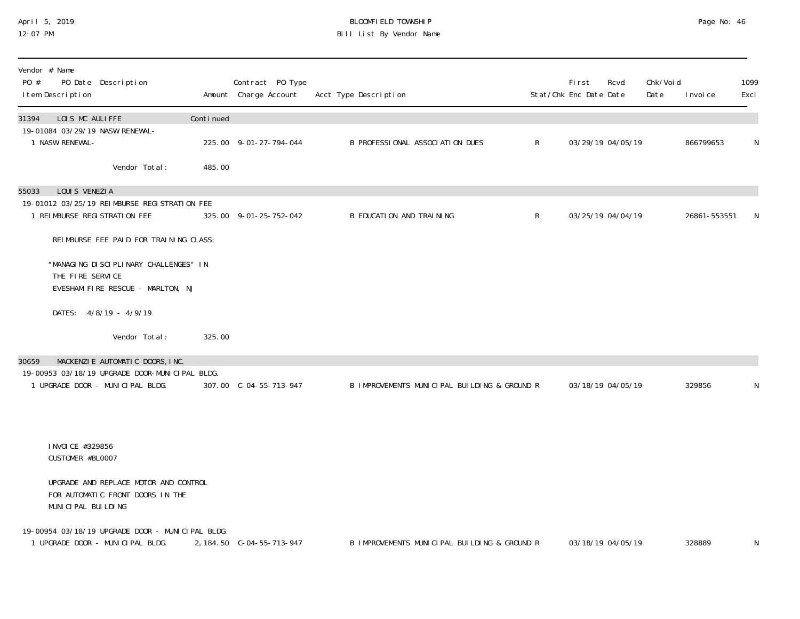### April 5, 2019 BLOOMFIELD TOWNSHIP Page No: 46 12:07 PM Bill List By Vendor Name

| Vendor # Name<br>PO #<br>PO Date Description<br>I tem Description                               |           | Contract PO Type<br>Amount Charge Account | Acct Type Description                        |              | First<br>Stat/Chk Enc Date Date | Rcvd              | Chk/Voi d<br>Date | I nvoi ce    | 1099<br>Excl |
|-------------------------------------------------------------------------------------------------|-----------|-------------------------------------------|----------------------------------------------|--------------|---------------------------------|-------------------|-------------------|--------------|--------------|
| LOIS MC AULIFFE<br>31394                                                                        | Continued |                                           |                                              |              |                                 |                   |                   |              |              |
| 19-01084 03/29/19 NASW RENEWAL-<br>1 NASW RENEWAL-                                              |           | 225.00 9-01-27-794-044                    | B PROFESSIONAL ASSOCIATION DUES              | $\mathsf{R}$ |                                 | 03/29/19 04/05/19 |                   | 866799653    | N            |
| Vendor Total:                                                                                   | 485.00    |                                           |                                              |              |                                 |                   |                   |              |              |
| LOUIS VENEZIA<br>55033                                                                          |           |                                           |                                              |              |                                 |                   |                   |              |              |
| 19-01012 03/25/19 REIMBURSE REGISTRATION FEE<br>1 REIMBURSE REGISTRATION FEE                    |           | 325.00 9-01-25-752-042                    | <b>B EDUCATION AND TRAINING</b>              | $\mathsf{R}$ |                                 | 03/25/19 04/04/19 |                   | 26861-553551 | N            |
| REIMBURSE FEE PAID FOR TRAINING CLASS:                                                          |           |                                           |                                              |              |                                 |                   |                   |              |              |
| "MANAGING DISCIPLINARY CHALLENGES" IN<br>THE FIRE SERVICE                                       |           |                                           |                                              |              |                                 |                   |                   |              |              |
| EVESHAM FIRE RESCUE - MARLTON, NJ                                                               |           |                                           |                                              |              |                                 |                   |                   |              |              |
| DATES: 4/8/19 - 4/9/19                                                                          |           |                                           |                                              |              |                                 |                   |                   |              |              |
| Vendor Total:                                                                                   | 325.00    |                                           |                                              |              |                                 |                   |                   |              |              |
| MACKENZIE AUTOMATIC DOORS, INC.<br>30659                                                        |           |                                           |                                              |              |                                 |                   |                   |              |              |
| 19-00953 03/18/19 UPGRADE DOOR-MUNICIPAL BLDG.<br>1 UPGRADE DOOR - MUNICIPAL BLDG.              |           | 307.00 C-04-55-713-947                    | B IMPROVEMENTS MUNICIPAL BUILDING & GROUND R |              |                                 | 03/18/19 04/05/19 |                   | 329856       | N            |
|                                                                                                 |           |                                           |                                              |              |                                 |                   |                   |              |              |
| I NVOI CE #329856<br>CUSTOMER #BL0007                                                           |           |                                           |                                              |              |                                 |                   |                   |              |              |
| UPGRADE AND REPLACE MOTOR AND CONTROL<br>FOR AUTOMATIC FRONT DOORS IN THE<br>MUNICIPAL BUILDING |           |                                           |                                              |              |                                 |                   |                   |              |              |
| 19-00954 03/18/19 UPGRADE DOOR - MUNICIPAL BLDG.<br>1 UPGRADE DOOR - MUNICIPAL BLDG.            |           | 2, 184.50 C-04-55-713-947                 | B IMPROVEMENTS MUNICIPAL BUILDING & GROUND R |              |                                 | 03/18/19 04/05/19 |                   | 328889       | N            |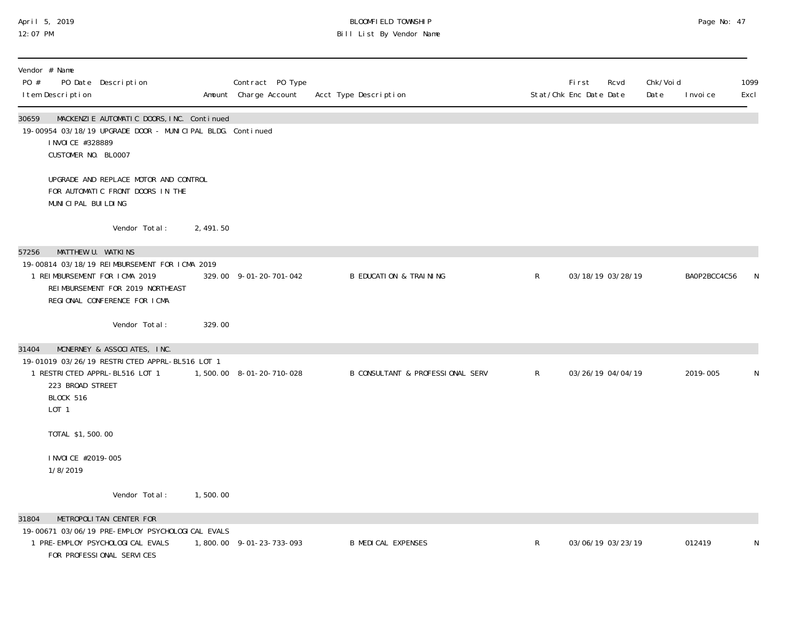## April 5, 2019 BLOOMFIELD TOWNSHIP Page No: 47 12:07 PM Bill List By Vendor Name

| Vendor # Name<br>PO #<br>PO Date Description<br>I tem Description                                                                                                  |                                                                           |          | Contract PO Type<br>Amount Charge Account | Acct Type Description                       |              | <b>First</b><br>Rcvd<br>Stat/Chk Enc Date Date | Chk/Voi d<br>Date | I nvoi ce    | 1099<br>Excl |
|--------------------------------------------------------------------------------------------------------------------------------------------------------------------|---------------------------------------------------------------------------|----------|-------------------------------------------|---------------------------------------------|--------------|------------------------------------------------|-------------------|--------------|--------------|
| 30659<br>19-00954 03/18/19 UPGRADE DOOR - MUNICIPAL BLDG. Continued<br>I NVOI CE #328889<br>CUSTOMER NO. BLOO07                                                    | MACKENZIE AUTOMATIC DOORS, INC. Continued                                 |          |                                           |                                             |              |                                                |                   |              |              |
| MUNICIPAL BUILDING                                                                                                                                                 | UPGRADE AND REPLACE MOTOR AND CONTROL<br>FOR AUTOMATIC FRONT DOORS IN THE |          |                                           |                                             |              |                                                |                   |              |              |
|                                                                                                                                                                    | Vendor Total:                                                             | 2,491.50 |                                           |                                             |              |                                                |                   |              |              |
| MATTHEW U. WATKINS<br>57256<br>19-00814 03/18/19 REIMBURSEMENT FOR ICMA 2019<br>1 REIMBURSEMENT FOR ICMA 2019<br>REGIONAL CONFERENCE FOR ICMA                      | REIMBURSEMENT FOR 2019 NORTHEAST                                          |          | 329.00 9-01-20-701-042                    | <b>B EDUCATION &amp; TRAINING</b>           | $\mathsf{R}$ | 03/18/19 03/28/19                              |                   | BAOP2BCC4C56 | N            |
|                                                                                                                                                                    | Vendor Total:                                                             | 329.00   |                                           |                                             |              |                                                |                   |              |              |
| MCNERNEY & ASSOCIATES, INC.<br>31404<br>19-01019 03/26/19 RESTRICTED APPRL-BL516 LOT 1<br>1 RESTRICTED APPRL-BL516 LOT 1<br>223 BROAD STREET<br>BLOCK 516<br>L0T 1 |                                                                           |          | 1,500.00 8-01-20-710-028                  | <b>B CONSULTANT &amp; PROFESSIONAL SERV</b> | $\mathsf{R}$ | 03/26/19 04/04/19                              |                   | 2019-005     | N            |
| TOTAL \$1,500.00                                                                                                                                                   |                                                                           |          |                                           |                                             |              |                                                |                   |              |              |
| I NVOI CE #2019-005<br>1/8/2019                                                                                                                                    |                                                                           |          |                                           |                                             |              |                                                |                   |              |              |
|                                                                                                                                                                    | Vendor Total:                                                             | 1,500.00 |                                           |                                             |              |                                                |                   |              |              |
| METROPOLITAN CENTER FOR<br>31804<br>19-00671 03/06/19 PRE-EMPLOY PSYCHOLOGICAL EVALS<br>1 PRE-EMPLOY PSYCHOLOGICAL EVALS<br>FOR PROFESSIONAL SERVICES              |                                                                           |          | 1,800.00 9-01-23-733-093                  | <b>B MEDICAL EXPENSES</b>                   | $\mathsf{R}$ | 03/06/19 03/23/19                              |                   | 012419       | N            |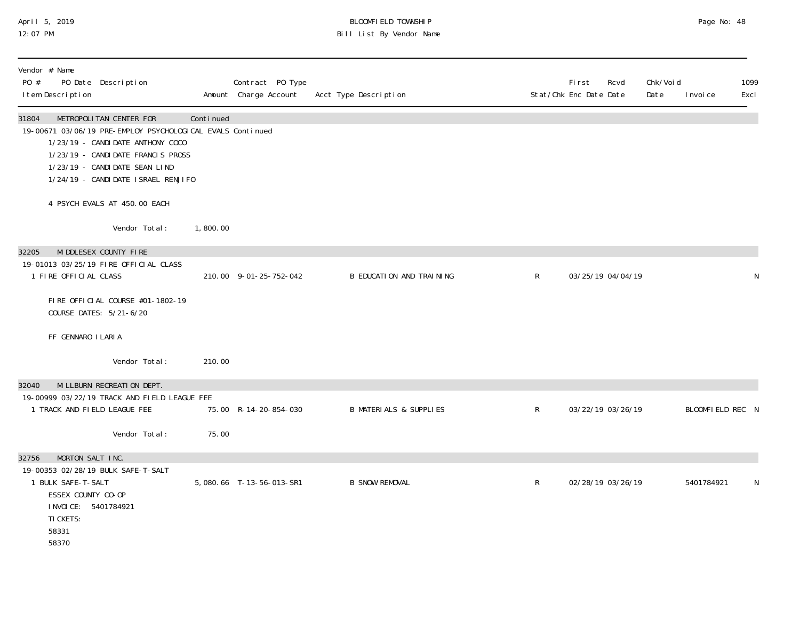## April 5, 2019 BLOOMFIELD TOWNSHIP Page No: 48 12:07 PM Bill List By Vendor Name

| Vendor # Name<br>PO #<br>PO Date Description<br>I tem Description                                                                                                                                                                                  |           | Contract PO Type<br>Amount Charge Account | Acct Type Description             |   | First<br>Rcvd<br>Stat/Chk Enc Date Date | Chk/Voi d<br>Date | I nvoi ce        | 1099<br>Excl |
|----------------------------------------------------------------------------------------------------------------------------------------------------------------------------------------------------------------------------------------------------|-----------|-------------------------------------------|-----------------------------------|---|-----------------------------------------|-------------------|------------------|--------------|
| METROPOLITAN CENTER FOR<br>31804<br>19-00671 03/06/19 PRE-EMPLOY PSYCHOLOGICAL EVALS Continued<br>1/23/19 - CANDI DATE ANTHONY COCO<br>1/23/19 - CANDIDATE FRANCIS PROSS<br>1/23/19 - CANDIDATE SEAN LIND<br>1/24/19 - CANDI DATE I SRAEL RENJI FO | Continued |                                           |                                   |   |                                         |                   |                  |              |
| 4 PSYCH EVALS AT 450.00 EACH                                                                                                                                                                                                                       |           |                                           |                                   |   |                                         |                   |                  |              |
| Vendor Total:                                                                                                                                                                                                                                      | 1,800.00  |                                           |                                   |   |                                         |                   |                  |              |
| MIDDLESEX COUNTY FIRE<br>32205<br>19-01013 03/25/19 FIRE OFFICIAL CLASS<br>1 FIRE OFFICIAL CLASS                                                                                                                                                   |           | 210.00 9-01-25-752-042                    | B EDUCATION AND TRAINING          | R | 03/25/19 04/04/19                       |                   |                  | N            |
|                                                                                                                                                                                                                                                    |           |                                           |                                   |   |                                         |                   |                  |              |
| FIRE OFFICIAL COURSE #01-1802-19<br>COURSE DATES: 5/21-6/20                                                                                                                                                                                        |           |                                           |                                   |   |                                         |                   |                  |              |
| FF GENNARO I LARIA                                                                                                                                                                                                                                 |           |                                           |                                   |   |                                         |                   |                  |              |
| Vendor Total:                                                                                                                                                                                                                                      | 210.00    |                                           |                                   |   |                                         |                   |                  |              |
| MI LLBURN RECREATION DEPT.<br>32040<br>19-00999 03/22/19 TRACK AND FIELD LEAGUE FEE                                                                                                                                                                |           |                                           |                                   |   |                                         |                   |                  |              |
| 1 TRACK AND FIELD LEAGUE FEE                                                                                                                                                                                                                       |           | 75.00 R-14-20-854-030                     | <b>B MATERIALS &amp; SUPPLIES</b> | R | 03/22/19 03/26/19                       |                   | BLOOMFIELD REC N |              |
| Vendor Total:                                                                                                                                                                                                                                      | 75.00     |                                           |                                   |   |                                         |                   |                  |              |
| MORTON SALT INC.<br>32756<br>19-00353 02/28/19 BULK SAFE-T-SALT<br>1 BULK SAFE-T-SALT<br>ESSEX COUNTY CO-OP<br>I NVOI CE: 5401784921<br>TI CKETS:<br>58331<br>58370                                                                                |           | 5,080.66 T-13-56-013-SR1                  | <b>B SNOW REMOVAL</b>             | R | 02/28/19 03/26/19                       |                   | 5401784921       | N            |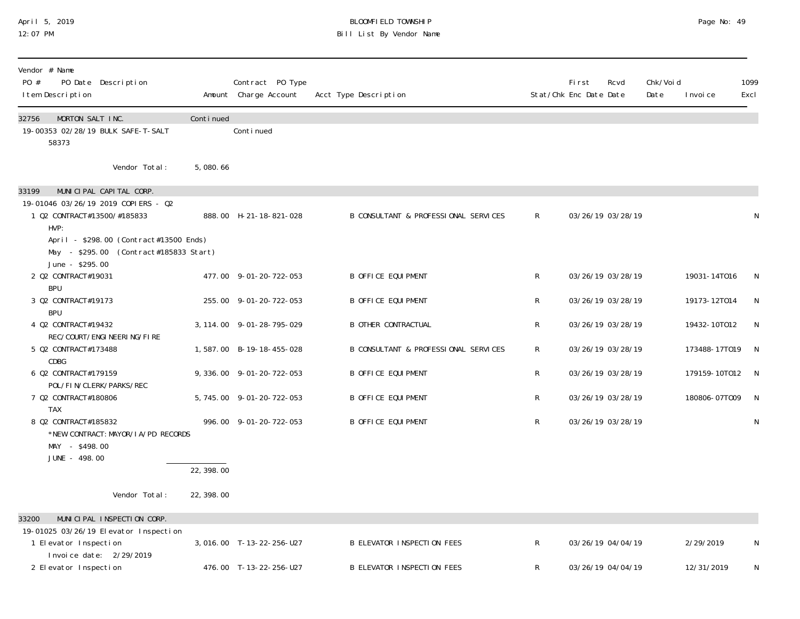### April 5, 2019 BLOOMFIELD TOWNSHIP Page No: 49 12:07 PM Bill List By Vendor Name

| Vendor # Name<br>PO #<br>PO Date Description<br>I tem Description                                   |            | Contract PO Type<br>Amount Charge Account | Acct Type Description                |             | First<br>Stat/Chk Enc Date Date | Rcvd              | Chk/Voi d<br>Date | I nvoi ce       | 1099<br>Excl |
|-----------------------------------------------------------------------------------------------------|------------|-------------------------------------------|--------------------------------------|-------------|---------------------------------|-------------------|-------------------|-----------------|--------------|
| 32756<br>MORTON SALT INC.<br>19-00353 02/28/19 BULK SAFE-T-SALT<br>58373                            | Continued  | Continued                                 |                                      |             |                                 |                   |                   |                 |              |
| Vendor Total:                                                                                       | 5,080.66   |                                           |                                      |             |                                 |                   |                   |                 |              |
| MUNICIPAL CAPITAL CORP.<br>33199                                                                    |            |                                           |                                      |             |                                 |                   |                   |                 |              |
| 19-01046 03/26/19 2019 COPIERS - 02<br>1 Q2 CONTRACT#13500/#185833<br>HVP:                          |            | 888.00 H-21-18-821-028                    | B CONSULTANT & PROFESSIONAL SERVICES | $\mathsf R$ |                                 | 03/26/19 03/28/19 |                   |                 | N            |
| April - \$298.00 (Contract#13500 Ends)<br>May - \$295.00 (Contract#185833 Start)<br>June - \$295.00 |            |                                           |                                      |             |                                 |                   |                   |                 |              |
| 2 Q2 CONTRACT#19031<br><b>BPU</b>                                                                   |            | 477.00 9-01-20-722-053                    | <b>B OFFICE EQUIPMENT</b>            | R           |                                 | 03/26/19 03/28/19 |                   | 19031-14T016    | N            |
| 3 Q2 CONTRACT#19173<br><b>BPU</b>                                                                   |            | 255.00 9-01-20-722-053                    | <b>B OFFICE EQUIPMENT</b>            | R           |                                 | 03/26/19 03/28/19 |                   | 19173-12T014    | N            |
| 4 Q2 CONTRACT#19432<br>REC/COURT/ENGINEERING/FIRE                                                   |            | 3, 114.00 9-01-28-795-029                 | <b>B OTHER CONTRACTUAL</b>           | R           |                                 | 03/26/19 03/28/19 |                   | 19432-10T012    | <sup>N</sup> |
| 5 Q2 CONTRACT#173488<br>CDBG                                                                        |            | 1,587.00 B-19-18-455-028                  | B CONSULTANT & PROFESSIONAL SERVICES | R           |                                 | 03/26/19 03/28/19 |                   | 173488-17T019 N |              |
| 6 Q2 CONTRACT#179159<br>POL/FIN/CLERK/PARKS/REC                                                     |            | 9, 336.00 9-01-20-722-053                 | <b>B OFFICE EQUIPMENT</b>            | R           |                                 | 03/26/19 03/28/19 |                   | 179159-10T012 N |              |
| 7 02 CONTRACT#180806<br><b>TAX</b>                                                                  |            | 5, 745.00 9-01-20-722-053                 | <b>B OFFICE EQUIPMENT</b>            | R           |                                 | 03/26/19 03/28/19 |                   | 180806-07T009   | <sup>N</sup> |
| 8 Q2 CONTRACT#185832<br>*NEW CONTRACT: MAYOR/I A/PD RECORDS<br>MAY - \$498.00<br>JUNE - 498.00      |            | 996.00 9-01-20-722-053                    | <b>B OFFICE EQUIPMENT</b>            | R           |                                 | 03/26/19 03/28/19 |                   |                 | N            |
|                                                                                                     | 22, 398.00 |                                           |                                      |             |                                 |                   |                   |                 |              |
| Vendor Total:                                                                                       | 22, 398.00 |                                           |                                      |             |                                 |                   |                   |                 |              |
| 33200<br>MUNICIPAL INSPECTION CORP.                                                                 |            |                                           |                                      |             |                                 |                   |                   |                 |              |
| 19-01025 03/26/19 Elevator Inspection<br>1 Elevator Inspection<br>Invoice date: 2/29/2019           |            | 3,016.00 T-13-22-256-U27                  | <b>B ELEVATOR INSPECTION FEES</b>    | $\mathsf R$ |                                 | 03/26/19 04/04/19 |                   | 2/29/2019       | N            |
| 2 Elevator Inspection                                                                               |            | 476.00 T-13-22-256-U27                    | <b>B ELEVATOR INSPECTION FEES</b>    | R           |                                 | 03/26/19 04/04/19 |                   | 12/31/2019      | ${\sf N}$    |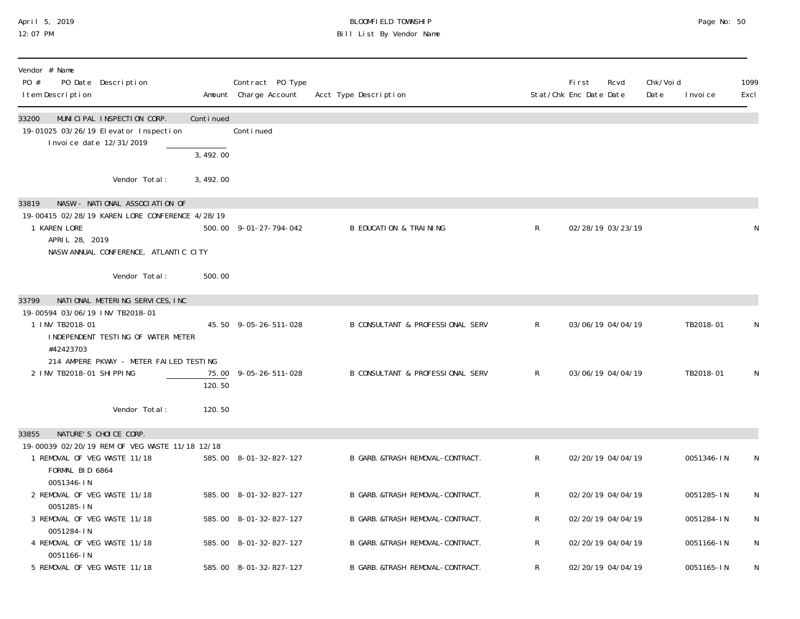### April 5, 2019 BLOOMFIELD TOWNSHIP Page No: 50 12:07 PM Bill List By Vendor Name

| Vendor # Name<br>PO #<br>PO Date Description<br>I tem Description                                       |           | Contract PO Type<br>Amount Charge Account | Acct Type Description             |              | <b>First</b><br>Rcvd<br>Stat/Chk Enc Date Date | Chk/Voi d<br>Date | I nvoi ce  | 1099<br>Excl |
|---------------------------------------------------------------------------------------------------------|-----------|-------------------------------------------|-----------------------------------|--------------|------------------------------------------------|-------------------|------------|--------------|
| 33200<br>MUNICIPAL INSPECTION CORP.<br>19-01025 03/26/19 Elevator Inspection<br>Invoice date 12/31/2019 | Continued | Continued                                 |                                   |              |                                                |                   |            |              |
|                                                                                                         | 3,492.00  |                                           |                                   |              |                                                |                   |            |              |
| Vendor Total:                                                                                           | 3,492.00  |                                           |                                   |              |                                                |                   |            |              |
| NASW - NATIONAL ASSOCIATION OF<br>33819                                                                 |           |                                           |                                   |              |                                                |                   |            |              |
| 19-00415 02/28/19 KAREN LORE CONFERENCE 4/28/19<br>1 KAREN LORE<br>APRIL 28, 2019                       |           | 500.00 9-01-27-794-042                    | <b>B EDUCATION &amp; TRAINING</b> | $\mathsf{R}$ | 02/28/19 03/23/19                              |                   |            | N            |
| NASW ANNUAL CONFERENCE, ATLANTIC CITY                                                                   |           |                                           |                                   |              |                                                |                   |            |              |
| Vendor Total:                                                                                           | 500.00    |                                           |                                   |              |                                                |                   |            |              |
| 33799<br>NATIONAL METERING SERVICES, INC                                                                |           |                                           |                                   |              |                                                |                   |            |              |
| 19-00594 03/06/19 INV TB2018-01<br>1 INV TB2018-01<br>INDEPENDENT TESTING OF WATER METER                |           | 45.50 9-05-26-511-028                     | B CONSULTANT & PROFESSIONAL SERV  | R.           | 03/06/19 04/04/19                              |                   | TB2018-01  | N            |
| #42423703<br>214 AMPERE PKWAY - METER FAILED TESTING                                                    |           |                                           |                                   |              |                                                |                   |            |              |
| 2 INV TB2018-01 SHIPPING                                                                                | 120.50    | 75.00 9-05-26-511-028                     | B CONSULTANT & PROFESSIONAL SERV  | R            | 03/06/19 04/04/19                              |                   | TB2018-01  | N            |
| Vendor Total:                                                                                           | 120.50    |                                           |                                   |              |                                                |                   |            |              |
| NATURE'S CHOICE CORP.<br>33855                                                                          |           |                                           |                                   |              |                                                |                   |            |              |
| 19-00039 02/20/19 REM OF VEG WASTE 11/18 12/18<br>1 REMOVAL OF VEG WASTE 11/18<br>FORMAL BID 6864       |           | 585.00 8-01-32-827-127                    | B GARB. &TRASH REMOVAL-CONTRACT.  | R            | 02/20/19 04/04/19                              |                   | 0051346-IN | N            |
| 0051346-IN<br>2 REMOVAL OF VEG WASTE 11/18                                                              |           | 585.00 8-01-32-827-127                    | B GARB. & TRASH REMOVAL-CONTRACT. | R            | 02/20/19 04/04/19                              |                   | 0051285-IN | N            |
| 0051285-IN<br>3 REMOVAL OF VEG WASTE 11/18<br>0051284-IN                                                |           | 585.00 8-01-32-827-127                    | B GARB. &TRASH REMOVAL-CONTRACT.  | R            | 02/20/19 04/04/19                              |                   | 0051284-IN | N            |
| 4 REMOVAL OF VEG WASTE 11/18<br>0051166-IN                                                              |           | 585.00 8-01-32-827-127                    | B GARB. &TRASH REMOVAL-CONTRACT.  | R            | 02/20/19 04/04/19                              |                   | 0051166-IN | N            |
| 5 REMOVAL OF VEG WASTE 11/18                                                                            |           | 585.00 8-01-32-827-127                    | B GARB. & TRASH REMOVAL-CONTRACT. | R            | 02/20/19 04/04/19                              |                   | 0051165-IN | N            |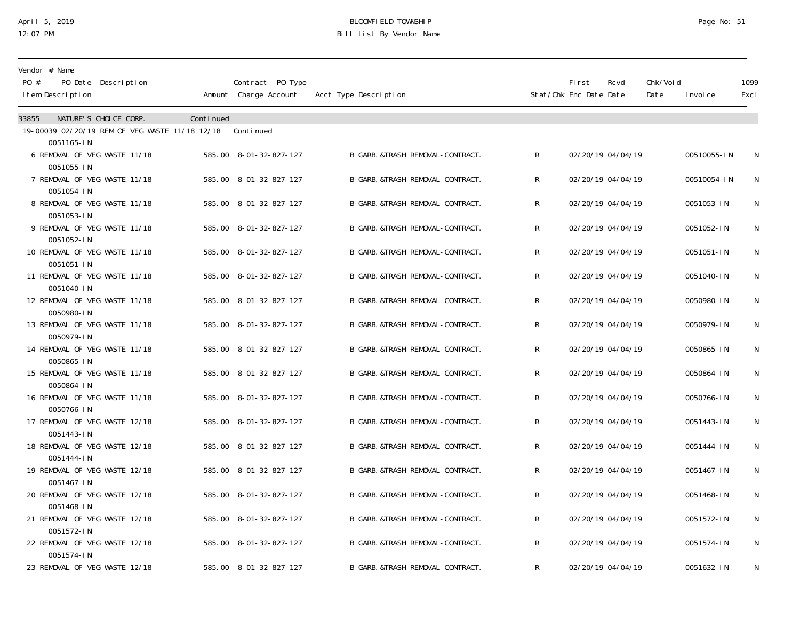### April 5, 2019 BLOOMFIELD TOWNSHIP Page No: 51 12:07 PM Bill List By Vendor Name

| Vendor # Name<br>PO #<br>PO Date Description<br>I tem Description |           | Contract PO Type<br>Amount Charge Account | Acct Type Description             |   | <b>First</b><br>Stat/Chk Enc Date Date | Rcvd              | Chk/Voi d<br>Date | I nvoi ce   | 1099<br>Excl |
|-------------------------------------------------------------------|-----------|-------------------------------------------|-----------------------------------|---|----------------------------------------|-------------------|-------------------|-------------|--------------|
| NATURE'S CHOICE CORP.<br>33855                                    | Continued |                                           |                                   |   |                                        |                   |                   |             |              |
| 19-00039 02/20/19 REM OF VEG WASTE 11/18 12/18<br>0051165-IN      |           | Continued                                 |                                   |   |                                        |                   |                   |             |              |
| 6 REMOVAL OF VEG WASTE 11/18<br>0051055-IN                        |           | 585.00 8-01-32-827-127                    | B GARB. &TRASH REMOVAL-CONTRACT.  | R |                                        | 02/20/19 04/04/19 |                   | 00510055-IN | N            |
| 7 REMOVAL OF VEG WASTE 11/18<br>0051054-IN                        |           | 585.00 8-01-32-827-127                    | B GARB. &TRASH REMOVAL-CONTRACT.  | R |                                        | 02/20/19 04/04/19 |                   | 00510054-IN | N            |
| 8 REMOVAL OF VEG WASTE 11/18<br>0051053-IN                        |           | 585.00 8-01-32-827-127                    | B GARB. & TRASH REMOVAL-CONTRACT. | R |                                        | 02/20/19 04/04/19 |                   | 0051053-IN  | N            |
| 9 REMOVAL OF VEG WASTE 11/18<br>0051052-IN                        |           | 585.00 8-01-32-827-127                    | B GARB. & TRASH REMOVAL-CONTRACT. | R |                                        | 02/20/19 04/04/19 |                   | 0051052-IN  | N            |
| 10 REMOVAL OF VEG WASTE 11/18<br>0051051-IN                       |           | 585.00 8-01-32-827-127                    | B GARB. & TRASH REMOVAL-CONTRACT. | R |                                        | 02/20/19 04/04/19 |                   | 0051051-IN  | N            |
| 11 REMOVAL OF VEG WASTE 11/18<br>0051040-IN                       |           | 585.00 8-01-32-827-127                    | B GARB. & TRASH REMOVAL-CONTRACT. | R |                                        | 02/20/19 04/04/19 |                   | 0051040-IN  | N            |
| 12 REMOVAL OF VEG WASTE 11/18<br>0050980-IN                       |           | 585.00 8-01-32-827-127                    | B GARB. & TRASH REMOVAL-CONTRACT. | R |                                        | 02/20/19 04/04/19 |                   | 0050980-IN  | N            |
| 13 REMOVAL OF VEG WASTE 11/18<br>0050979-IN                       |           | 585.00 8-01-32-827-127                    | B GARB. & TRASH REMOVAL-CONTRACT. | R |                                        | 02/20/19 04/04/19 |                   | 0050979-IN  | $\mathsf N$  |
| 14 REMOVAL OF VEG WASTE 11/18<br>0050865-IN                       |           | 585.00 8-01-32-827-127                    | B GARB. &TRASH REMOVAL-CONTRACT.  | R |                                        | 02/20/19 04/04/19 |                   | 0050865-IN  | N            |
| 15 REMOVAL OF VEG WASTE 11/18<br>0050864-IN                       |           | 585.00 8-01-32-827-127                    | B GARB. & TRASH REMOVAL-CONTRACT. | R |                                        | 02/20/19 04/04/19 |                   | 0050864-IN  | N            |
| 16 REMOVAL OF VEG WASTE 11/18<br>0050766-IN                       |           | 585.00 8-01-32-827-127                    | B GARB. &TRASH REMOVAL-CONTRACT.  | R |                                        | 02/20/19 04/04/19 |                   | 0050766-IN  | N            |
| 17 REMOVAL OF VEG WASTE 12/18<br>0051443-IN                       |           | 585.00 8-01-32-827-127                    | B GARB. &TRASH REMOVAL-CONTRACT.  | R |                                        | 02/20/19 04/04/19 |                   | 0051443-IN  | $\mathsf N$  |
| 18 REMOVAL OF VEG WASTE 12/18<br>0051444-IN                       |           | 585.00 8-01-32-827-127                    | B GARB. &TRASH REMOVAL-CONTRACT.  | R |                                        | 02/20/19 04/04/19 |                   | 0051444-IN  | N            |
| 19 REMOVAL OF VEG WASTE 12/18<br>0051467-IN                       |           | 585.00 8-01-32-827-127                    | B GARB. & TRASH REMOVAL-CONTRACT. | R |                                        | 02/20/19 04/04/19 |                   | 0051467-IN  | N            |
| 20 REMOVAL OF VEG WASTE 12/18<br>0051468-IN                       |           | 585.00 8-01-32-827-127                    | B GARB. &TRASH REMOVAL-CONTRACT.  | R |                                        | 02/20/19 04/04/19 |                   | 0051468-IN  | N            |
| 21 REMOVAL OF VEG WASTE 12/18<br>0051572-IN                       |           | 585.00 8-01-32-827-127                    | B GARB. &TRASH REMOVAL-CONTRACT.  | R |                                        | 02/20/19 04/04/19 |                   | 0051572-IN  | N            |
| 22 REMOVAL OF VEG WASTE 12/18<br>0051574-IN                       |           | 585.00 8-01-32-827-127                    | B GARB. &TRASH REMOVAL-CONTRACT.  | R |                                        | 02/20/19 04/04/19 |                   | 0051574-IN  | N            |
| 23 REMOVAL OF VEG WASTE 12/18                                     |           | 585.00 8-01-32-827-127                    | B GARB. & TRASH REMOVAL-CONTRACT. | R |                                        | 02/20/19 04/04/19 |                   | 0051632-IN  | N            |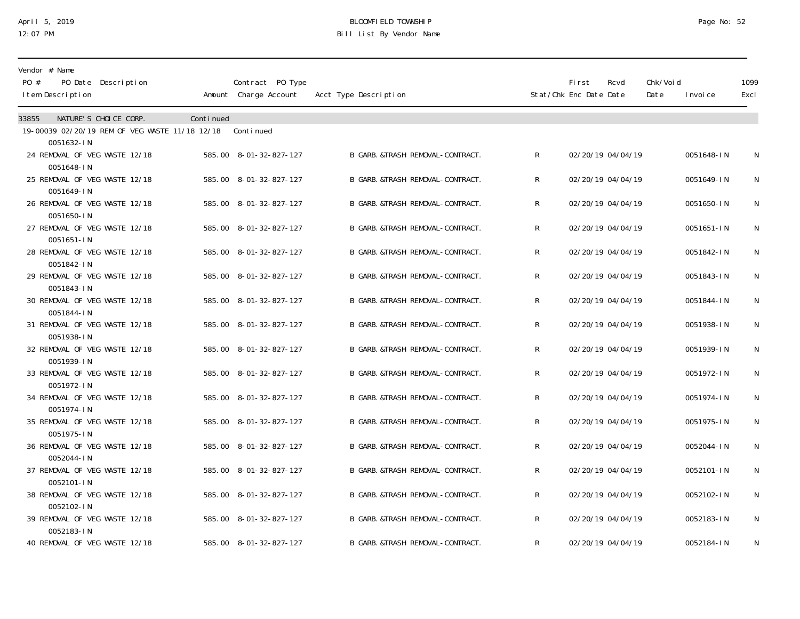### April 5, 2019 BLOOMFIELD TOWNSHIP Page No: 52 12:07 PM Bill List By Vendor Name

| Vendor # Name<br>PO #<br>PO Date Description<br>I tem Description      |           | Contract PO Type<br>Amount Charge Account | Acct Type Description             |   | <b>First</b><br>Stat/Chk Enc Date Date | Rcvd              | Chk/Voi d<br>Date | I nvoi ce  | 1099<br>Excl |
|------------------------------------------------------------------------|-----------|-------------------------------------------|-----------------------------------|---|----------------------------------------|-------------------|-------------------|------------|--------------|
| NATURE'S CHOICE CORP.<br>33855                                         | Continued |                                           |                                   |   |                                        |                   |                   |            |              |
| 19-00039 02/20/19 REM OF VEG WASTE 11/18 12/18 Continued<br>0051632-IN |           |                                           |                                   |   |                                        |                   |                   |            |              |
| 24 REMOVAL OF VEG WASTE 12/18<br>0051648-IN                            |           | 585.00 8-01-32-827-127                    | B GARB. &TRASH REMOVAL-CONTRACT.  | R |                                        | 02/20/19 04/04/19 |                   | 0051648-IN | N            |
| 25 REMOVAL OF VEG WASTE 12/18<br>0051649-IN                            |           | 585.00 8-01-32-827-127                    | B GARB. &TRASH REMOVAL-CONTRACT.  | R |                                        | 02/20/19 04/04/19 |                   | 0051649-IN | ${\sf N}$    |
| 26 REMOVAL OF VEG WASTE 12/18<br>0051650-IN                            |           | 585.00 8-01-32-827-127                    | B GARB. & TRASH REMOVAL-CONTRACT. | R |                                        | 02/20/19 04/04/19 |                   | 0051650-IN | N            |
| 27 REMOVAL OF VEG WASTE 12/18                                          |           | 585.00 8-01-32-827-127                    | B GARB. & TRASH REMOVAL-CONTRACT. | R |                                        | 02/20/19 04/04/19 |                   | 0051651-IN | N            |
| 0051651-IN<br>28 REMOVAL OF VEG WASTE 12/18<br>0051842-IN              |           | 585.00 8-01-32-827-127                    | B GARB. & TRASH REMOVAL-CONTRACT. | R |                                        | 02/20/19 04/04/19 |                   | 0051842-IN | N            |
| 29 REMOVAL OF VEG WASTE 12/18<br>0051843-IN                            |           | 585.00 8-01-32-827-127                    | B GARB. &TRASH REMOVAL-CONTRACT.  | R |                                        | 02/20/19 04/04/19 |                   | 0051843-IN | N            |
| 30 REMOVAL OF VEG WASTE 12/18<br>0051844-IN                            |           | 585.00 8-01-32-827-127                    | B GARB. & TRASH REMOVAL-CONTRACT. | R |                                        | 02/20/19 04/04/19 |                   | 0051844-IN | N            |
| 31 REMOVAL OF VEG WASTE 12/18<br>0051938-IN                            |           | 585.00 8-01-32-827-127                    | B GARB. &TRASH REMOVAL-CONTRACT.  | R |                                        | 02/20/19 04/04/19 |                   | 0051938-IN | ${\sf N}$    |
| 32 REMOVAL OF VEG WASTE 12/18<br>0051939-IN                            |           | 585.00 8-01-32-827-127                    | B GARB. & TRASH REMOVAL-CONTRACT. | R |                                        | 02/20/19 04/04/19 |                   | 0051939-IN | N            |
| 33 REMOVAL OF VEG WASTE 12/18<br>0051972-IN                            |           | 585.00 8-01-32-827-127                    | B GARB. & TRASH REMOVAL-CONTRACT. | R |                                        | 02/20/19 04/04/19 |                   | 0051972-IN | N            |
| 34 REMOVAL OF VEG WASTE 12/18<br>0051974-IN                            |           | 585.00 8-01-32-827-127                    | B GARB. & TRASH REMOVAL-CONTRACT. | R |                                        | 02/20/19 04/04/19 |                   | 0051974-IN | N            |
| 35 REMOVAL OF VEG WASTE 12/18<br>0051975-IN                            |           | 585.00 8-01-32-827-127                    | B GARB. & TRASH REMOVAL-CONTRACT. | R |                                        | 02/20/19 04/04/19 |                   | 0051975-IN | N            |
| 36 REMOVAL OF VEG WASTE 12/18<br>0052044-IN                            |           | 585.00 8-01-32-827-127                    | B GARB. &TRASH REMOVAL-CONTRACT.  | R |                                        | 02/20/19 04/04/19 |                   | 0052044-IN | N            |
| 37 REMOVAL OF VEG WASTE 12/18<br>0052101-IN                            |           | 585.00 8-01-32-827-127                    | B GARB. & TRASH REMOVAL-CONTRACT. | R |                                        | 02/20/19 04/04/19 |                   | 0052101-IN | N            |
| 38 REMOVAL OF VEG WASTE 12/18<br>0052102-IN                            |           | 585.00 8-01-32-827-127                    | B GARB. &TRASH REMOVAL-CONTRACT.  | R |                                        | 02/20/19 04/04/19 |                   | 0052102-IN | N            |
| 39 REMOVAL OF VEG WASTE 12/18<br>0052183-IN                            |           | 585.00 8-01-32-827-127                    | B GARB. & TRASH REMOVAL-CONTRACT. | R |                                        | 02/20/19 04/04/19 |                   | 0052183-IN | N            |
| 40 REMOVAL OF VEG WASTE 12/18                                          |           | 585.00 8-01-32-827-127                    | B GARB. & TRASH REMOVAL-CONTRACT. | R |                                        | 02/20/19 04/04/19 |                   | 0052184-IN | N            |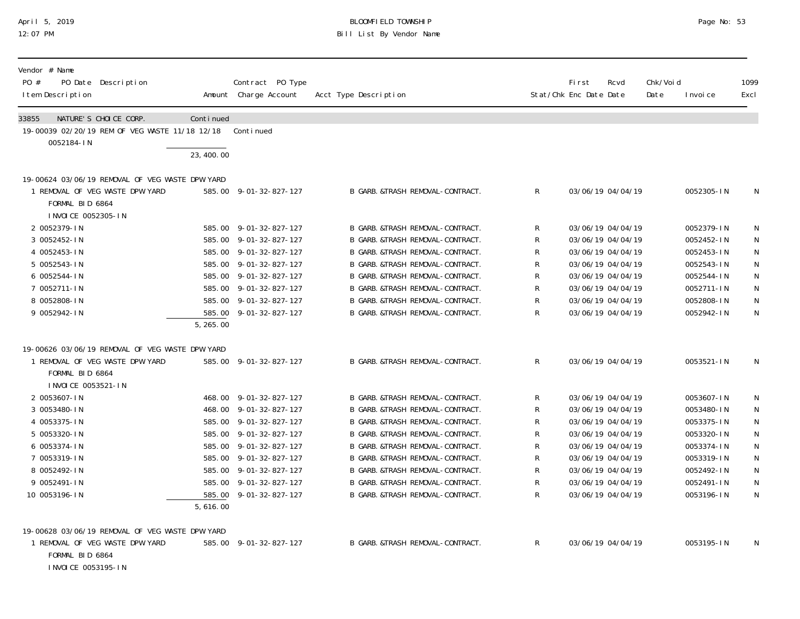# April 5, 2019 BLOOMFIELD TOWNSHIP Page No: 53 Bill List By Vendor Name

| Vendor # Name<br>PO #<br>PO Date Description<br>I tem Description                              |           | Contract PO Type<br>Amount Charge Account | Acct Type Description             |                | <b>First</b><br>Stat/Chk Enc Date Date | Rcvd              | Chk/Voi d<br>Date | I nvoi ce  | 1099<br>Excl |
|------------------------------------------------------------------------------------------------|-----------|-------------------------------------------|-----------------------------------|----------------|----------------------------------------|-------------------|-------------------|------------|--------------|
| 33855<br>NATURE'S CHOICE CORP.<br>19-00039 02/20/19 REM OF VEG WASTE 11/18 12/18<br>0052184-IN | Continued | Continued                                 |                                   |                |                                        |                   |                   |            |              |
|                                                                                                | 23,400.00 |                                           |                                   |                |                                        |                   |                   |            |              |
| 19-00624 03/06/19 REMOVAL OF VEG WASTE DPW YARD                                                |           |                                           |                                   |                |                                        |                   |                   |            |              |
| 1 REMOVAL OF VEG WASTE DPW YARD<br>FORMAL BID 6864<br>I NVOI CE 0052305-IN                     |           | 585.00 9-01-32-827-127                    | B GARB. &TRASH REMOVAL-CONTRACT.  | $\mathsf{R}^-$ |                                        | 03/06/19 04/04/19 |                   | 0052305-IN | N            |
| 2 0052379-IN                                                                                   |           | 585.00 9-01-32-827-127                    | B GARB. & TRASH REMOVAL-CONTRACT. | R              |                                        | 03/06/19 04/04/19 |                   | 0052379-IN | N            |
| 3 0052452-IN                                                                                   |           | 585.00 9-01-32-827-127                    | B GARB. &TRASH REMOVAL-CONTRACT.  | R              |                                        | 03/06/19 04/04/19 |                   | 0052452-IN | N            |
| 4 0052453-IN                                                                                   |           | 585.00 9-01-32-827-127                    | B GARB. &TRASH REMOVAL-CONTRACT.  | R              |                                        | 03/06/19 04/04/19 |                   | 0052453-IN | N            |
| 5 0052543-IN                                                                                   |           | 585.00 9-01-32-827-127                    | B GARB. &TRASH REMOVAL-CONTRACT.  | R              |                                        | 03/06/19 04/04/19 |                   | 0052543-IN | $\mathsf N$  |
| 6 0052544-IN                                                                                   |           | 585.00 9-01-32-827-127                    | B GARB. &TRASH REMOVAL-CONTRACT.  | R              |                                        | 03/06/19 04/04/19 |                   | 0052544-IN | $\mathsf N$  |
| 7 0052711-IN                                                                                   |           | 585.00 9-01-32-827-127                    | B GARB. &TRASH REMOVAL-CONTRACT.  | R              |                                        | 03/06/19 04/04/19 |                   | 0052711-IN | $\mathsf N$  |
| 8 0052808-IN                                                                                   |           | 585.00 9-01-32-827-127                    | B GARB. &TRASH REMOVAL-CONTRACT.  | R              |                                        | 03/06/19 04/04/19 |                   | 0052808-IN | N            |
| 9 0052942-IN                                                                                   | 5, 265.00 | 585.00 9-01-32-827-127                    | B GARB. &TRASH REMOVAL-CONTRACT.  | $\mathsf{R}$   |                                        | 03/06/19 04/04/19 |                   | 0052942-IN | N            |
| 19-00626 03/06/19 REMOVAL OF VEG WASTE DPW YARD                                                |           |                                           |                                   |                |                                        |                   |                   |            |              |
| 1 REMOVAL OF VEG WASTE DPW YARD<br>FORMAL BID 6864<br>I NVOI CE 0053521-IN                     |           | 585.00 9-01-32-827-127                    | B GARB. &TRASH REMOVAL-CONTRACT.  | $\mathsf R$    |                                        | 03/06/19 04/04/19 |                   | 0053521-IN | N            |
| 2 0053607-IN                                                                                   |           | 468.00 9-01-32-827-127                    | B GARB. &TRASH REMOVAL-CONTRACT.  | R              |                                        | 03/06/19 04/04/19 |                   | 0053607-IN | N            |
| 3 0053480-IN                                                                                   |           | 468.00 9-01-32-827-127                    | B GARB. & TRASH REMOVAL-CONTRACT. | R              |                                        | 03/06/19 04/04/19 |                   | 0053480-IN | N            |
| 4 0053375-IN                                                                                   |           | 585.00 9-01-32-827-127                    | B GARB. &TRASH REMOVAL-CONTRACT.  | R              |                                        | 03/06/19 04/04/19 |                   | 0053375-IN | $\mathsf N$  |
| 5 0053320-IN                                                                                   |           | 585.00 9-01-32-827-127                    | B GARB. &TRASH REMOVAL-CONTRACT.  | R              |                                        | 03/06/19 04/04/19 |                   | 0053320-IN | ${\sf N}$    |
| 6 0053374-IN                                                                                   |           | 585.00 9-01-32-827-127                    | B GARB. &TRASH REMOVAL-CONTRACT.  | R              |                                        | 03/06/19 04/04/19 |                   | 0053374-IN | ${\sf N}$    |
| 7 0053319-IN                                                                                   |           | 585.00 9-01-32-827-127                    | B GARB. &TRASH REMOVAL-CONTRACT.  | R              |                                        | 03/06/19 04/04/19 |                   | 0053319-IN | $\mathsf{N}$ |
| 8 0052492-IN                                                                                   |           | 585.00 9-01-32-827-127                    | B GARB. &TRASH REMOVAL-CONTRACT.  | R              |                                        | 03/06/19 04/04/19 |                   | 0052492-IN | $\mathsf N$  |
| 9 0052491-IN                                                                                   |           | 585.00 9-01-32-827-127                    | B GARB. &TRASH REMOVAL-CONTRACT.  | R              |                                        | 03/06/19 04/04/19 |                   | 0052491-IN | ${\sf N}$    |
| 10 0053196-IN                                                                                  | 5,616.00  | 585.00 9-01-32-827-127                    | B GARB. &TRASH REMOVAL-CONTRACT.  | R              |                                        | 03/06/19 04/04/19 |                   | 0053196-IN | N            |
| 19-00628 03/06/19 REMOVAL OF VEG WASTE DPW YARD                                                |           |                                           |                                   |                |                                        |                   |                   |            |              |
| 1 REMOVAL OF VEG WASTE DPW YARD<br>FORMAL BID 6864<br>I NVOI CE 0053195-I N                    |           | 585.00 9-01-32-827-127                    | B GARB. &TRASH REMOVAL-CONTRACT.  | $\mathsf R$    |                                        | 03/06/19 04/04/19 |                   | 0053195-IN | N            |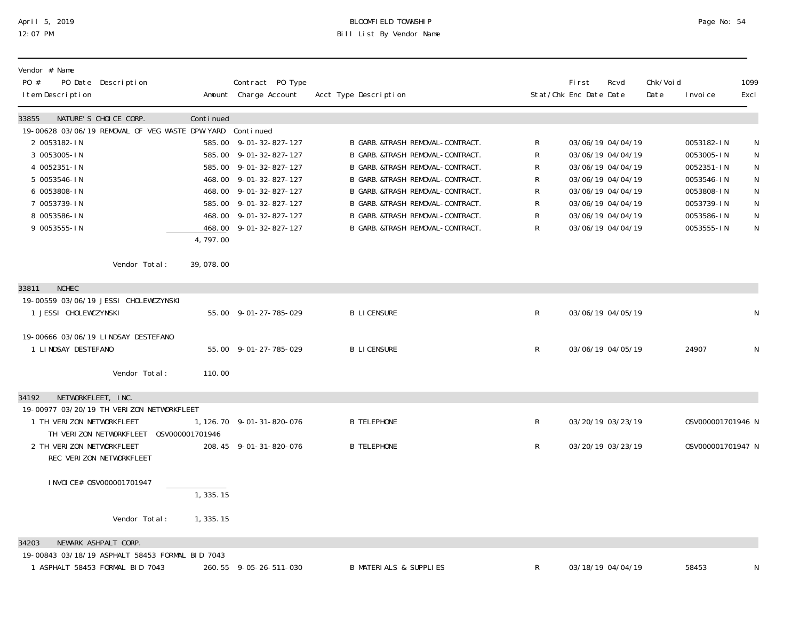## April 5, 2019 BLOOMFIELD TOWNSHIP Page No: 54 12:07 PM Bill List By Vendor Name

| Vendor # Name<br>PO #<br>PO Date Description<br>I tem Description    |            | Contract PO Type<br>Amount Charge Account        | Acct Type Description                                                |              | Fi rst<br>Stat/Chk Enc Date Date | Rcvd                                   | Chk/Voi d<br>Date | I nvoi ce                | 1099<br>Excl |
|----------------------------------------------------------------------|------------|--------------------------------------------------|----------------------------------------------------------------------|--------------|----------------------------------|----------------------------------------|-------------------|--------------------------|--------------|
| NATURE'S CHOICE CORP.<br>33855                                       | Continued  |                                                  |                                                                      |              |                                  |                                        |                   |                          |              |
| 19-00628 03/06/19 REMOVAL OF VEG WASTE DPW YARD Continued            |            |                                                  |                                                                      |              |                                  |                                        |                   |                          |              |
| 2 0053182-IN                                                         |            | 585.00 9-01-32-827-127                           | B GARB. &TRASH REMOVAL-CONTRACT.                                     | R            |                                  | 03/06/19 04/04/19                      |                   | 0053182-IN               | N            |
| 3 0053005-IN                                                         |            | 585.00 9-01-32-827-127                           | B GARB. &TRASH REMOVAL-CONTRACT.                                     | R            |                                  | 03/06/19 04/04/19                      |                   | 0053005-IN               | N            |
| 4 0052351-IN                                                         |            | 585.00 9-01-32-827-127                           | B GARB. &TRASH REMOVAL-CONTRACT.                                     | R            |                                  | 03/06/19 04/04/19                      |                   | 0052351-IN               | $\mathsf N$  |
| 5 0053546-IN<br>6 0053808-IN                                         |            | 468.00 9-01-32-827-127<br>468.00 9-01-32-827-127 | B GARB. &TRASH REMOVAL-CONTRACT.<br>B GARB. &TRASH REMOVAL-CONTRACT. | R<br>R       |                                  | 03/06/19 04/04/19<br>03/06/19 04/04/19 |                   | 0053546-IN<br>0053808-IN | N            |
| 7 0053739-IN                                                         |            | 585.00 9-01-32-827-127                           | B GARB. &TRASH REMOVAL-CONTRACT.                                     | R            |                                  | 03/06/19 04/04/19                      |                   | 0053739-IN               | ${\sf N}$    |
| 8 0053586-IN                                                         |            | 468.00 9-01-32-827-127                           | B GARB. &TRASH REMOVAL-CONTRACT.                                     | R            |                                  | 03/06/19 04/04/19                      |                   | 0053586-IN               | N<br>N       |
| 9 0053555-IN                                                         |            | 468.00 9-01-32-827-127                           | B GARB. &TRASH REMOVAL-CONTRACT.                                     | R            |                                  | 03/06/19 04/04/19                      |                   | 0053555-IN               | $\mathsf{N}$ |
|                                                                      | 4,797.00   |                                                  |                                                                      |              |                                  |                                        |                   |                          |              |
| Vendor Total:                                                        | 39,078.00  |                                                  |                                                                      |              |                                  |                                        |                   |                          |              |
| <b>NCHEC</b><br>33811                                                |            |                                                  |                                                                      |              |                                  |                                        |                   |                          |              |
| 19-00559 03/06/19 JESSI CHOLEWCZYNSKI                                |            |                                                  |                                                                      |              |                                  |                                        |                   |                          |              |
| 1 JESSI CHOLEWCZYNSKI                                                |            | 55.00 9-01-27-785-029                            | <b>B LICENSURE</b>                                                   | R            |                                  | 03/06/19 04/05/19                      |                   |                          | N            |
| 19-00666 03/06/19 LINDSAY DESTEFANO                                  |            |                                                  |                                                                      |              |                                  |                                        |                   |                          |              |
| 1 LINDSAY DESTEFANO                                                  |            | 55.00 9-01-27-785-029                            | <b>B LICENSURE</b>                                                   | $\mathsf{R}$ |                                  | 03/06/19 04/05/19                      |                   | 24907                    | $\mathsf N$  |
| Vendor Total:                                                        | 110.00     |                                                  |                                                                      |              |                                  |                                        |                   |                          |              |
| NETWORKFLEET, INC.<br>34192                                          |            |                                                  |                                                                      |              |                                  |                                        |                   |                          |              |
| 19-00977 03/20/19 TH VERIZON NETWORKFLEET                            |            |                                                  |                                                                      |              |                                  |                                        |                   |                          |              |
| 1 TH VERIZON NETWORKFLEET                                            |            | 1, 126. 70 9-01-31-820-076                       | <b>B TELEPHONE</b>                                                   | R            |                                  | 03/20/19 03/23/19                      |                   | 0SV000001701946 N        |              |
| TH VERIZON NETWORKFLEET 0SV000001701946<br>2 TH VERIZON NETWORKFLEET |            | 208.45 9-01-31-820-076                           | <b>B TELEPHONE</b>                                                   | R            |                                  | 03/20/19 03/23/19                      |                   | 0SV000001701947 N        |              |
| REC VERIZON NETWORKFLEET                                             |            |                                                  |                                                                      |              |                                  |                                        |                   |                          |              |
| I NVOI CE# 0SV000001701947                                           |            |                                                  |                                                                      |              |                                  |                                        |                   |                          |              |
|                                                                      | 1, 335.15  |                                                  |                                                                      |              |                                  |                                        |                   |                          |              |
| Vendor Total:                                                        | 1, 335. 15 |                                                  |                                                                      |              |                                  |                                        |                   |                          |              |
| NEWARK ASHPALT CORP.<br>34203                                        |            |                                                  |                                                                      |              |                                  |                                        |                   |                          |              |
| 19-00843 03/18/19 ASPHALT 58453 FORMAL BID 7043                      |            |                                                  |                                                                      |              |                                  |                                        |                   |                          |              |
| 1 ASPHALT 58453 FORMAL BID 7043                                      |            | 260.55 9-05-26-511-030                           | <b>B MATERIALS &amp; SUPPLIES</b>                                    | R            |                                  | 03/18/19 04/04/19                      |                   | 58453                    | N            |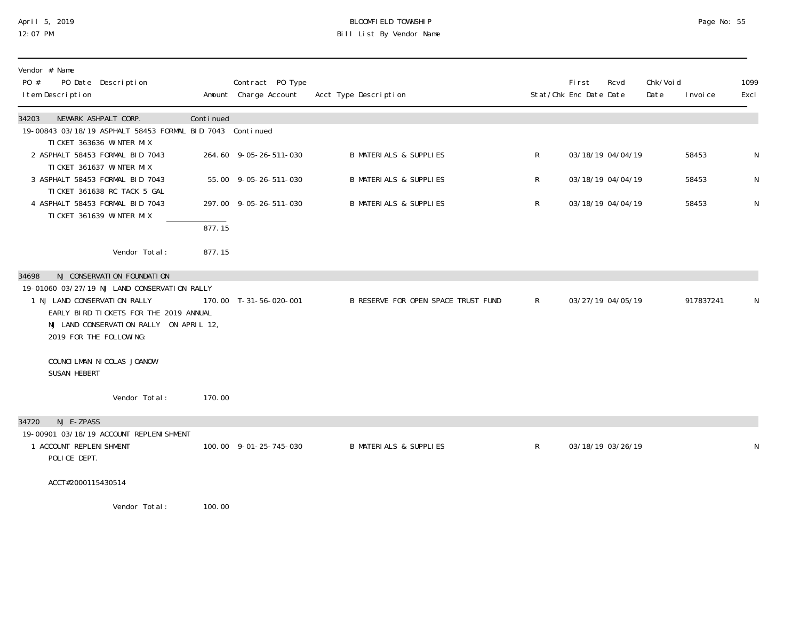## April 5, 2019 BLOOMFIELD TOWNSHIP Page No: 55 12:07 PM Bill List By Vendor Name

| Vendor # Name<br>PO #<br>PO Date Description<br>I tem Description                                                                                                                            |           | Contract PO Type<br>Amount Charge Account | Acct Type Description               |              | First<br>Stat/Chk Enc Date Date | Rcvd              | Chk/Voi d<br>Date | I nvoi ce | 1099<br>Excl |
|----------------------------------------------------------------------------------------------------------------------------------------------------------------------------------------------|-----------|-------------------------------------------|-------------------------------------|--------------|---------------------------------|-------------------|-------------------|-----------|--------------|
| NEWARK ASHPALT CORP.<br>34203                                                                                                                                                                | Continued |                                           |                                     |              |                                 |                   |                   |           |              |
| 19-00843 03/18/19 ASPHALT 58453 FORMAL BID 7043 Continued<br>TICKET 363636 WINTER MIX                                                                                                        |           |                                           |                                     |              |                                 |                   |                   |           |              |
| 2 ASPHALT 58453 FORMAL BID 7043                                                                                                                                                              |           | 264.60 9-05-26-511-030                    | <b>B MATERIALS &amp; SUPPLIES</b>   | R            |                                 | 03/18/19 04/04/19 |                   | 58453     | N            |
| TICKET 361637 WINTER MIX                                                                                                                                                                     |           |                                           |                                     |              |                                 |                   |                   |           |              |
| 3 ASPHALT 58453 FORMAL BID 7043                                                                                                                                                              |           | 55.00 9-05-26-511-030                     | <b>B MATERIALS &amp; SUPPLIES</b>   | R            |                                 | 03/18/19 04/04/19 |                   | 58453     | N            |
| TICKET 361638 RC TACK 5 GAL<br>4 ASPHALT 58453 FORMAL BID 7043                                                                                                                               |           | 297.00 9-05-26-511-030                    | <b>B MATERIALS &amp; SUPPLIES</b>   | R            |                                 | 03/18/19 04/04/19 |                   | 58453     | ${\sf N}$    |
| TICKET 361639 WINTER MIX                                                                                                                                                                     |           |                                           |                                     |              |                                 |                   |                   |           |              |
|                                                                                                                                                                                              | 877.15    |                                           |                                     |              |                                 |                   |                   |           |              |
| Vendor Total:                                                                                                                                                                                | 877.15    |                                           |                                     |              |                                 |                   |                   |           |              |
| NJ CONSERVATION FOUNDATION<br>34698                                                                                                                                                          |           |                                           |                                     |              |                                 |                   |                   |           |              |
| 19-01060 03/27/19 NJ LAND CONSERVATION RALLY<br>1 NJ LAND CONSERVATION RALLY<br>EARLY BIRD TICKETS FOR THE 2019 ANNUAL<br>NJ LAND CONSERVATION RALLY ON APRIL 12,<br>2019 FOR THE FOLLOWING: |           | 170.00 T-31-56-020-001                    | B RESERVE FOR OPEN SPACE TRUST FUND | $\mathsf{R}$ |                                 | 03/27/19 04/05/19 |                   | 917837241 | N            |
| COUNCILMAN NI COLAS JOANOW<br>SUSAN HEBERT                                                                                                                                                   |           |                                           |                                     |              |                                 |                   |                   |           |              |
| Vendor Total:                                                                                                                                                                                | 170.00    |                                           |                                     |              |                                 |                   |                   |           |              |
| NJ E-ZPASS<br>34720                                                                                                                                                                          |           |                                           |                                     |              |                                 |                   |                   |           |              |
| 19-00901 03/18/19 ACCOUNT REPLENI SHMENT<br>1 ACCOUNT REPLENI SHMENT<br>POLICE DEPT.                                                                                                         |           | 100.00 9-01-25-745-030                    | <b>B MATERIALS &amp; SUPPLIES</b>   | $\mathsf{R}$ |                                 | 03/18/19 03/26/19 |                   |           | N            |
| ACCT#2000115430514                                                                                                                                                                           |           |                                           |                                     |              |                                 |                   |                   |           |              |
| Vendor Total:                                                                                                                                                                                | 100.00    |                                           |                                     |              |                                 |                   |                   |           |              |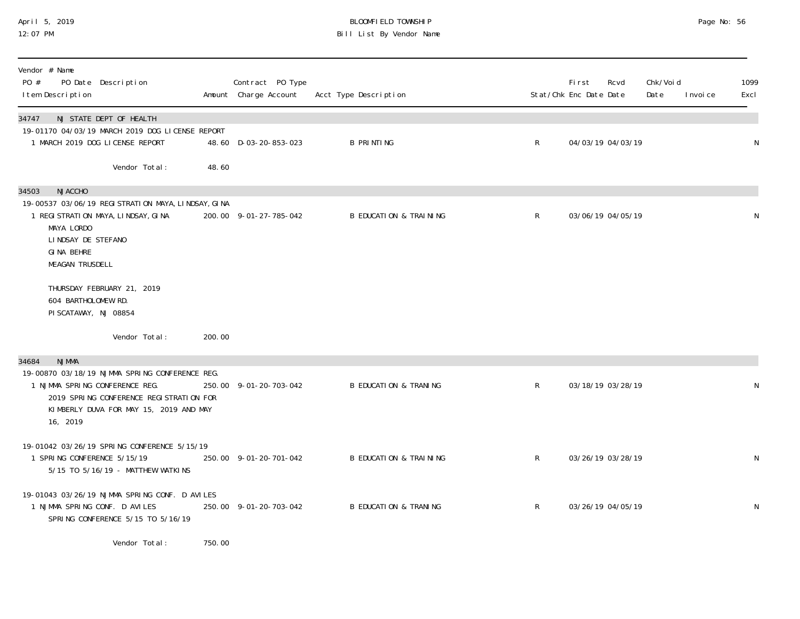# April 5, 2019 BLOOMFIELD TOWNSHIP Page No: 56 Bill List By Vendor Name

| Vendor # Name<br>PO #<br>PO Date Description<br>I tem Description                                                                                                                                          |         | Contract PO Type<br>Amount Charge Account | Acct Type Description             |              | Fi rst<br>Rcvd<br>Stat/Chk Enc Date Date | Chk/Voi d<br>Date<br>I nvoi ce | 1099<br>Excl |
|------------------------------------------------------------------------------------------------------------------------------------------------------------------------------------------------------------|---------|-------------------------------------------|-----------------------------------|--------------|------------------------------------------|--------------------------------|--------------|
| NJ STATE DEPT OF HEALTH<br>34747<br>19-01170 04/03/19 MARCH 2019 DOG LICENSE REPORT<br>1 MARCH 2019 DOG LICENSE REPORT                                                                                     |         | 48.60 D-03-20-853-023                     | <b>B PRINTING</b>                 | $\mathsf{R}$ | 04/03/19 04/03/19                        |                                | N            |
| Vendor Total:                                                                                                                                                                                              | 48.60   |                                           |                                   |              |                                          |                                |              |
| <b>NJACCHO</b><br>34503<br>19-00537 03/06/19 REGI STRATI ON MAYA, LI NDSAY, GI NA<br>1 REGI STRATI ON MAYA, LI NDSAY, GI NA<br>MAYA LORDO<br>LINDSAY DE STEFANO<br>GINA BEHRE<br><b>MEAGAN TRUSDELL</b>    |         | 200.00 9-01-27-785-042                    | <b>B EDUCATION &amp; TRAINING</b> | $\mathsf{R}$ | 03/06/19 04/05/19                        |                                | N            |
| THURSDAY FEBRUARY 21, 2019<br>604 BARTHOLOMEW RD.<br>PISCATAWAY, NJ 08854                                                                                                                                  |         |                                           |                                   |              |                                          |                                |              |
| Vendor Total:                                                                                                                                                                                              | 200.00  |                                           |                                   |              |                                          |                                |              |
| <b>NJMMA</b><br>34684<br>19-00870 03/18/19 NJMMA SPRING CONFERENCE REG.<br>1 NJMMA SPRING CONFERENCE REG.<br>2019 SPRING CONFERENCE REGISTRATION FOR<br>KIMBERLY DUVA FOR MAY 15, 2019 AND MAY<br>16, 2019 |         | 250.00 9-01-20-703-042                    | <b>B EDUCATION &amp; TRANING</b>  | $\mathsf{R}$ | 03/18/19 03/28/19                        |                                | N            |
| 19-01042 03/26/19 SPRING CONFERENCE 5/15/19<br>1 SPRING CONFERENCE 5/15/19<br>5/15 TO 5/16/19 - MATTHEW WATKINS                                                                                            |         | 250.00 9-01-20-701-042                    | <b>B EDUCATION &amp; TRAINING</b> | $\mathsf{R}$ | 03/26/19 03/28/19                        |                                | $\mathsf N$  |
| 19-01043 03/26/19 NJMMA SPRING CONF. D AVILES<br>1 NJMMA SPRING CONF. D AVILES<br>SPRING CONFERENCE 5/15 TO 5/16/19                                                                                        |         | 250.00 9-01-20-703-042                    | <b>B EDUCATION &amp; TRANING</b>  | $\mathsf{R}$ | 03/26/19 04/05/19                        |                                | N            |
| Vondor Total .                                                                                                                                                                                             | 750. UV |                                           |                                   |              |                                          |                                |              |

Vendor Total: 750.00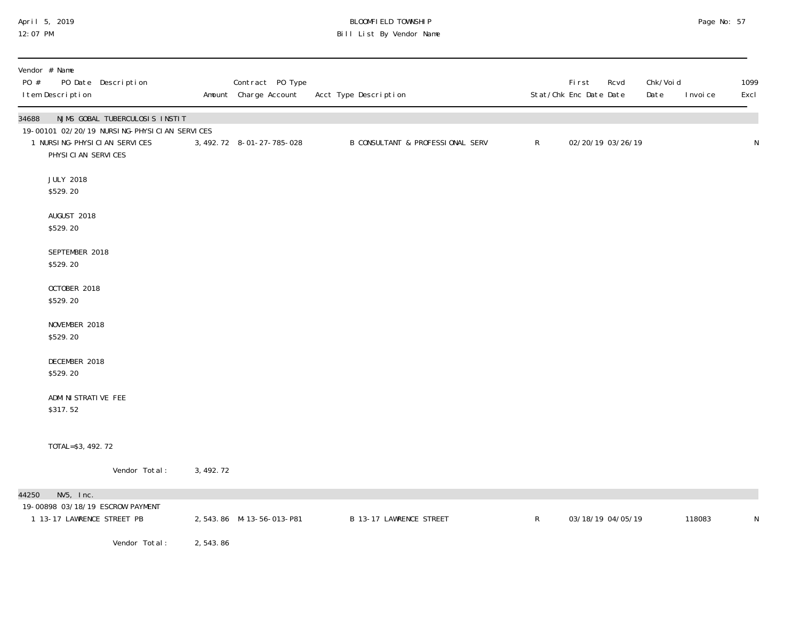## April 5, 2019 BLOOMFIELD TOWNSHIP Page No: 57 12:07 PM Bill List By Vendor Name

| Vendor # Name<br>PO #<br>PO Date Description<br>I tem Description                                                                                |            | Contract PO Type<br>Amount Charge Account | Acct Type Description            |              | First<br>Rcvd<br>Stat/Chk Enc Date Date | Chk/Voi d<br>Date<br>I nvoi ce | 1099<br>Excl |
|--------------------------------------------------------------------------------------------------------------------------------------------------|------------|-------------------------------------------|----------------------------------|--------------|-----------------------------------------|--------------------------------|--------------|
| 34688<br>NJMS GOBAL TUBERCULOSIS INSTIT<br>19-00101 02/20/19 NURSING-PHYSICIAN SERVICES<br>1 NURSI NG-PHYSI CI AN SERVICES<br>PHYSICIAN SERVICES |            | 3, 492. 72 8-01-27-785-028                | B CONSULTANT & PROFESSIONAL SERV | $\mathsf{R}$ | 02/20/19 03/26/19                       |                                | ${\sf N}$    |
| <b>JULY 2018</b><br>\$529.20                                                                                                                     |            |                                           |                                  |              |                                         |                                |              |
| AUGUST 2018<br>\$529.20                                                                                                                          |            |                                           |                                  |              |                                         |                                |              |
| SEPTEMBER 2018<br>\$529.20                                                                                                                       |            |                                           |                                  |              |                                         |                                |              |
| OCTOBER 2018<br>\$529.20                                                                                                                         |            |                                           |                                  |              |                                         |                                |              |
| NOVEMBER 2018<br>\$529.20                                                                                                                        |            |                                           |                                  |              |                                         |                                |              |
| DECEMBER 2018<br>\$529.20                                                                                                                        |            |                                           |                                  |              |                                         |                                |              |
| ADMI NI STRATI VE FEE<br>\$317.52                                                                                                                |            |                                           |                                  |              |                                         |                                |              |
| TOTAL=\$3, 492. 72                                                                                                                               |            |                                           |                                  |              |                                         |                                |              |
| Vendor Total:                                                                                                                                    | 3, 492. 72 |                                           |                                  |              |                                         |                                |              |
| $NV5$ , $Inc.$<br>44250<br>19-00898 03/18/19 ESCROW PAYMENT<br>1 13-17 LAWRENCE STREET PB                                                        |            | 2,543.86 M-13-56-013-P81                  | B 13-17 LAWRENCE STREET          | $\mathsf{R}$ | 03/18/19 04/05/19                       | 118083                         | N            |
| Vendor Total:                                                                                                                                    | 2,543.86   |                                           |                                  |              |                                         |                                |              |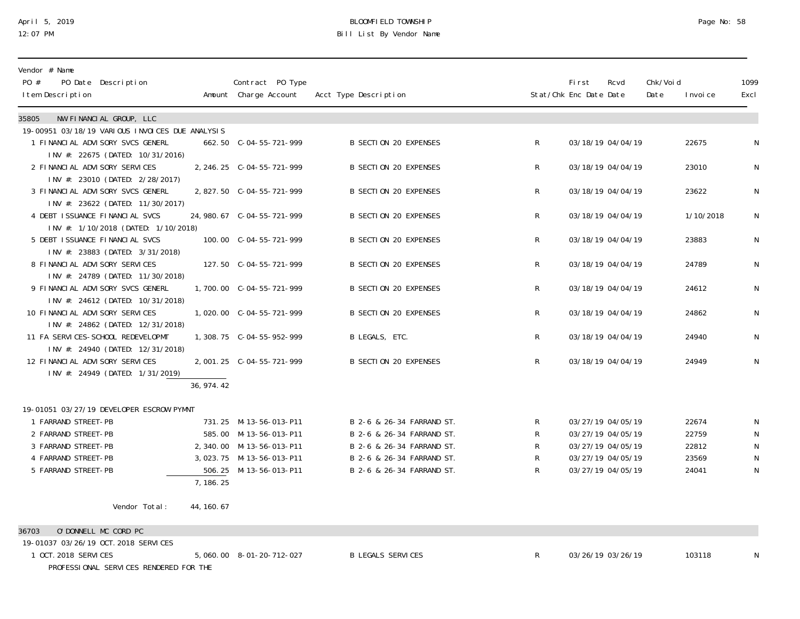## April 5, 2019 BLOOMFIELD TOWNSHIP Page No: 58 12:07 PM Bill List By Vendor Name

| NW FINANCIAL GROUP, LLC<br>35805<br>19-00951 03/18/19 VARIOUS INVOICES DUE ANALYSIS<br>662.50 C-04-55-721-999<br><b>B SECTION 20 EXPENSES</b><br>03/18/19 04/04/19<br>22675<br>1 FINANCIAL ADVISORY SVCS GENERL<br>$\mathsf{R}^-$<br>INV #: 22675 (DATED: 10/31/2016)<br><b>B SECTION 20 EXPENSES</b><br>03/18/19 04/04/19<br>N<br>2 FINANCIAL ADVISORY SERVICES<br>2, 246. 25 C-04-55-721-999<br>R<br>23010<br>INV #: 23010 (DATED: 2/28/2017)<br>3 FINANCIAL ADVISORY SVCS GENERL<br><b>B SECTION 20 EXPENSES</b><br>03/18/19 04/04/19<br>23622<br>$\mathsf{R}^-$<br>INV #: 23622 (DATED: 11/30/2017)<br><b>B SECTION 20 EXPENSES</b><br>03/18/19 04/04/19<br>4 DEBT ISSUANCE FINANCIAL SVCS<br>$\mathsf{R}^-$<br>1/10/2018<br>INV #: 1/10/2018 (DATED: 1/10/2018)<br><b>B SECTION 20 EXPENSES</b><br>$\mathsf{R}$<br>23883<br>5 DEBT ISSUANCE FINANCIAL SVCS<br>03/18/19 04/04/19<br>INV #: 23883 (DATED: 3/31/2018)<br>N<br>8 FINANCIAL ADVISORY SERVICES<br>B SECTION 20 EXPENSES<br>$\mathsf{R}^-$<br>03/18/19 04/04/19<br>24789<br>INV #: 24789 (DATED: 11/30/2018)<br>9 FINANCIAL ADVISORY SVCS GENERL<br><b>B SECTION 20 EXPENSES</b><br>$\mathsf{R}^-$<br>03/18/19 04/04/19<br>24612<br>INV #: 24612 (DATED: 10/31/2018)<br><b>B SECTION 20 EXPENSES</b><br>10 FINANCIAL ADVISORY SERVICES<br>$\mathsf{R}^-$<br>03/18/19 04/04/19<br>24862<br>INV #: 24862 (DATED: 12/31/2018) | Vendor # Name<br>PO #<br>PO Date Description<br>I tem Description | Contract PO Type<br>Amount Charge Account | Acct Type Description |              | First<br>Stat/Chk Enc Date Date | Rcvd | Chk/Voi d<br>Date | I nvoi ce | 1099<br>Excl |
|------------------------------------------------------------------------------------------------------------------------------------------------------------------------------------------------------------------------------------------------------------------------------------------------------------------------------------------------------------------------------------------------------------------------------------------------------------------------------------------------------------------------------------------------------------------------------------------------------------------------------------------------------------------------------------------------------------------------------------------------------------------------------------------------------------------------------------------------------------------------------------------------------------------------------------------------------------------------------------------------------------------------------------------------------------------------------------------------------------------------------------------------------------------------------------------------------------------------------------------------------------------------------------------------------------------------------------------------------------------------------------------|-------------------------------------------------------------------|-------------------------------------------|-----------------------|--------------|---------------------------------|------|-------------------|-----------|--------------|
|                                                                                                                                                                                                                                                                                                                                                                                                                                                                                                                                                                                                                                                                                                                                                                                                                                                                                                                                                                                                                                                                                                                                                                                                                                                                                                                                                                                          |                                                                   |                                           |                       |              |                                 |      |                   |           |              |
|                                                                                                                                                                                                                                                                                                                                                                                                                                                                                                                                                                                                                                                                                                                                                                                                                                                                                                                                                                                                                                                                                                                                                                                                                                                                                                                                                                                          |                                                                   |                                           |                       |              |                                 |      |                   |           |              |
|                                                                                                                                                                                                                                                                                                                                                                                                                                                                                                                                                                                                                                                                                                                                                                                                                                                                                                                                                                                                                                                                                                                                                                                                                                                                                                                                                                                          |                                                                   |                                           |                       |              |                                 |      |                   |           | N            |
|                                                                                                                                                                                                                                                                                                                                                                                                                                                                                                                                                                                                                                                                                                                                                                                                                                                                                                                                                                                                                                                                                                                                                                                                                                                                                                                                                                                          |                                                                   |                                           |                       |              |                                 |      |                   |           |              |
|                                                                                                                                                                                                                                                                                                                                                                                                                                                                                                                                                                                                                                                                                                                                                                                                                                                                                                                                                                                                                                                                                                                                                                                                                                                                                                                                                                                          |                                                                   |                                           |                       |              |                                 |      |                   |           |              |
|                                                                                                                                                                                                                                                                                                                                                                                                                                                                                                                                                                                                                                                                                                                                                                                                                                                                                                                                                                                                                                                                                                                                                                                                                                                                                                                                                                                          |                                                                   |                                           |                       |              |                                 |      |                   |           | N            |
|                                                                                                                                                                                                                                                                                                                                                                                                                                                                                                                                                                                                                                                                                                                                                                                                                                                                                                                                                                                                                                                                                                                                                                                                                                                                                                                                                                                          |                                                                   |                                           |                       |              |                                 |      |                   |           |              |
|                                                                                                                                                                                                                                                                                                                                                                                                                                                                                                                                                                                                                                                                                                                                                                                                                                                                                                                                                                                                                                                                                                                                                                                                                                                                                                                                                                                          |                                                                   |                                           |                       |              |                                 |      |                   |           | N            |
|                                                                                                                                                                                                                                                                                                                                                                                                                                                                                                                                                                                                                                                                                                                                                                                                                                                                                                                                                                                                                                                                                                                                                                                                                                                                                                                                                                                          |                                                                   |                                           |                       |              |                                 |      |                   |           |              |
|                                                                                                                                                                                                                                                                                                                                                                                                                                                                                                                                                                                                                                                                                                                                                                                                                                                                                                                                                                                                                                                                                                                                                                                                                                                                                                                                                                                          |                                                                   |                                           |                       |              |                                 |      |                   |           | N            |
|                                                                                                                                                                                                                                                                                                                                                                                                                                                                                                                                                                                                                                                                                                                                                                                                                                                                                                                                                                                                                                                                                                                                                                                                                                                                                                                                                                                          |                                                                   |                                           |                       |              |                                 |      |                   |           |              |
|                                                                                                                                                                                                                                                                                                                                                                                                                                                                                                                                                                                                                                                                                                                                                                                                                                                                                                                                                                                                                                                                                                                                                                                                                                                                                                                                                                                          |                                                                   |                                           |                       |              |                                 |      |                   |           |              |
|                                                                                                                                                                                                                                                                                                                                                                                                                                                                                                                                                                                                                                                                                                                                                                                                                                                                                                                                                                                                                                                                                                                                                                                                                                                                                                                                                                                          |                                                                   |                                           |                       |              |                                 |      |                   |           | N            |
|                                                                                                                                                                                                                                                                                                                                                                                                                                                                                                                                                                                                                                                                                                                                                                                                                                                                                                                                                                                                                                                                                                                                                                                                                                                                                                                                                                                          |                                                                   |                                           |                       |              |                                 |      |                   |           |              |
|                                                                                                                                                                                                                                                                                                                                                                                                                                                                                                                                                                                                                                                                                                                                                                                                                                                                                                                                                                                                                                                                                                                                                                                                                                                                                                                                                                                          |                                                                   |                                           |                       |              |                                 |      |                   |           | N            |
|                                                                                                                                                                                                                                                                                                                                                                                                                                                                                                                                                                                                                                                                                                                                                                                                                                                                                                                                                                                                                                                                                                                                                                                                                                                                                                                                                                                          |                                                                   |                                           |                       |              |                                 |      |                   |           |              |
| 03/18/19 04/04/19                                                                                                                                                                                                                                                                                                                                                                                                                                                                                                                                                                                                                                                                                                                                                                                                                                                                                                                                                                                                                                                                                                                                                                                                                                                                                                                                                                        | 11 FA SERVICES-SCHOOL REDEVELOPMT                                 |                                           | B LEGALS, ETC.        | $\mathsf{R}$ |                                 |      |                   | 24940     | N            |
| INV #: 24940 (DATED: 12/31/2018)                                                                                                                                                                                                                                                                                                                                                                                                                                                                                                                                                                                                                                                                                                                                                                                                                                                                                                                                                                                                                                                                                                                                                                                                                                                                                                                                                         |                                                                   |                                           |                       |              |                                 |      |                   |           |              |
| 12 FINANCIAL ADVISORY SERVICES<br><b>B SECTION 20 EXPENSES</b><br>$\mathsf{R}$<br>03/18/19 04/04/19<br>24949                                                                                                                                                                                                                                                                                                                                                                                                                                                                                                                                                                                                                                                                                                                                                                                                                                                                                                                                                                                                                                                                                                                                                                                                                                                                             |                                                                   |                                           |                       |              |                                 |      |                   |           | N            |
| INV #: 24949 (DATED: 1/31/2019)                                                                                                                                                                                                                                                                                                                                                                                                                                                                                                                                                                                                                                                                                                                                                                                                                                                                                                                                                                                                                                                                                                                                                                                                                                                                                                                                                          |                                                                   |                                           |                       |              |                                 |      |                   |           |              |
| 36, 974.42                                                                                                                                                                                                                                                                                                                                                                                                                                                                                                                                                                                                                                                                                                                                                                                                                                                                                                                                                                                                                                                                                                                                                                                                                                                                                                                                                                               |                                                                   |                                           |                       |              |                                 |      |                   |           |              |
| 19-01051 03/27/19 DEVELOPER ESCROW PYMNT                                                                                                                                                                                                                                                                                                                                                                                                                                                                                                                                                                                                                                                                                                                                                                                                                                                                                                                                                                                                                                                                                                                                                                                                                                                                                                                                                 |                                                                   |                                           |                       |              |                                 |      |                   |           |              |
| B 2-6 & 26-34 FARRAND ST.<br>1 FARRAND STREET-PB<br>731.25 M-13-56-013-P11<br>03/27/19 04/05/19<br>22674<br>R.                                                                                                                                                                                                                                                                                                                                                                                                                                                                                                                                                                                                                                                                                                                                                                                                                                                                                                                                                                                                                                                                                                                                                                                                                                                                           |                                                                   |                                           |                       |              |                                 |      |                   |           |              |
| 2 FARRAND STREET-PB<br>R<br>22759<br>585.00 M-13-56-013-P11<br>B 2-6 & 26-34 FARRAND ST.<br>03/27/19 04/05/19                                                                                                                                                                                                                                                                                                                                                                                                                                                                                                                                                                                                                                                                                                                                                                                                                                                                                                                                                                                                                                                                                                                                                                                                                                                                            |                                                                   |                                           |                       |              |                                 |      |                   |           |              |
| $\mathsf{R}$<br>3 FARRAND STREET-PB<br>2, 340.00 M-13-56-013-P11<br>B 2-6 & 26-34 FARRAND ST.<br>03/27/19 04/05/19<br>22812                                                                                                                                                                                                                                                                                                                                                                                                                                                                                                                                                                                                                                                                                                                                                                                                                                                                                                                                                                                                                                                                                                                                                                                                                                                              |                                                                   |                                           |                       |              |                                 |      |                   |           | N            |
| 4 FARRAND STREET-PB<br>3, 023. 75 M-13-56-013-P11<br>B 2-6 & 26-34 FARRAND ST.<br>R.<br>03/27/19 04/05/19<br>23569                                                                                                                                                                                                                                                                                                                                                                                                                                                                                                                                                                                                                                                                                                                                                                                                                                                                                                                                                                                                                                                                                                                                                                                                                                                                       |                                                                   |                                           |                       |              |                                 |      |                   |           | N            |
| 5 FARRAND STREET-PB<br>$\mathsf{R}$<br>506.25 M-13-56-013-P11<br>B 2-6 & 26-34 FARRAND ST.<br>03/27/19 04/05/19<br>24041                                                                                                                                                                                                                                                                                                                                                                                                                                                                                                                                                                                                                                                                                                                                                                                                                                                                                                                                                                                                                                                                                                                                                                                                                                                                 |                                                                   |                                           |                       |              |                                 |      |                   |           | N            |
| 7, 186.25                                                                                                                                                                                                                                                                                                                                                                                                                                                                                                                                                                                                                                                                                                                                                                                                                                                                                                                                                                                                                                                                                                                                                                                                                                                                                                                                                                                |                                                                   |                                           |                       |              |                                 |      |                   |           |              |
| Vendor Total:<br>44, 160, 67                                                                                                                                                                                                                                                                                                                                                                                                                                                                                                                                                                                                                                                                                                                                                                                                                                                                                                                                                                                                                                                                                                                                                                                                                                                                                                                                                             |                                                                   |                                           |                       |              |                                 |      |                   |           |              |
|                                                                                                                                                                                                                                                                                                                                                                                                                                                                                                                                                                                                                                                                                                                                                                                                                                                                                                                                                                                                                                                                                                                                                                                                                                                                                                                                                                                          |                                                                   |                                           |                       |              |                                 |      |                   |           |              |
| O'DONNELL MC CORD PC<br>36703<br>19-01037 03/26/19 OCT. 2018 SERVICES                                                                                                                                                                                                                                                                                                                                                                                                                                                                                                                                                                                                                                                                                                                                                                                                                                                                                                                                                                                                                                                                                                                                                                                                                                                                                                                    |                                                                   |                                           |                       |              |                                 |      |                   |           |              |
| 1 OCT. 2018 SERVICES<br>5,060.00 8-01-20-712-027<br><b>B LEGALS SERVICES</b><br>03/26/19 03/26/19<br>103118<br>R.                                                                                                                                                                                                                                                                                                                                                                                                                                                                                                                                                                                                                                                                                                                                                                                                                                                                                                                                                                                                                                                                                                                                                                                                                                                                        |                                                                   |                                           |                       |              |                                 |      |                   |           | N            |
| PROFESSIONAL SERVICES RENDERED FOR THE                                                                                                                                                                                                                                                                                                                                                                                                                                                                                                                                                                                                                                                                                                                                                                                                                                                                                                                                                                                                                                                                                                                                                                                                                                                                                                                                                   |                                                                   |                                           |                       |              |                                 |      |                   |           |              |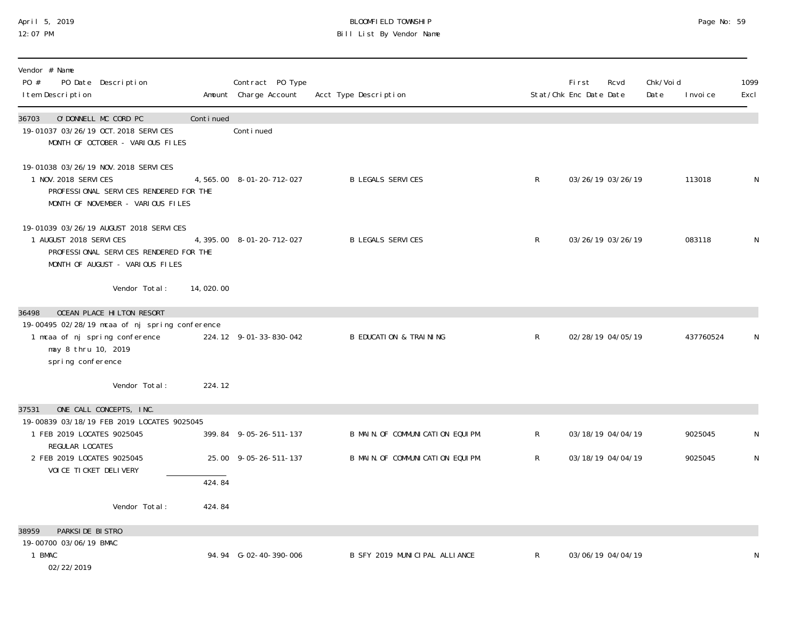## April 5, 2019 BLOOMFIELD TOWNSHIP Page No: 59 12:07 PM Bill List By Vendor Name

| Vendor # Name<br>PO #<br>PO Date Description<br>I tem Description                                                                                                  |           | Contract PO Type<br>Amount Charge Account | Acct Type Description             |                | <b>First</b><br>Stat/Chk Enc Date Date | Rcvd              | Chk/Voi d<br>Date | I nvoi ce | 1099<br>Excl |
|--------------------------------------------------------------------------------------------------------------------------------------------------------------------|-----------|-------------------------------------------|-----------------------------------|----------------|----------------------------------------|-------------------|-------------------|-----------|--------------|
| 36703<br>O'DONNELL MC CORD PC<br>19-01037 03/26/19 OCT. 2018 SERVICES<br>MONTH OF OCTOBER - VARIOUS FILES                                                          | Continued | Conti nued                                |                                   |                |                                        |                   |                   |           |              |
| 19-01038 03/26/19 NOV. 2018 SERVICES<br>1 NOV. 2018 SERVICES<br>PROFESSIONAL SERVICES RENDERED FOR THE<br>MONTH OF NOVEMBER - VARIOUS FILES                        |           | 4, 565.00 8-01-20-712-027                 | <b>B LEGALS SERVICES</b>          | $\mathsf{R}$   |                                        | 03/26/19 03/26/19 |                   | 113018    | N            |
| 19-01039 03/26/19 AUGUST 2018 SERVICES<br>1 AUGUST 2018 SERVICES<br>PROFESSIONAL SERVICES RENDERED FOR THE<br>MONTH OF AUGUST - VARIOUS FILES                      |           | 4, 395.00 8-01-20-712-027                 | <b>B LEGALS SERVICES</b>          | $\mathsf{R}$   |                                        | 03/26/19 03/26/19 |                   | 083118    | N            |
| Vendor Total:                                                                                                                                                      | 14,020.00 |                                           |                                   |                |                                        |                   |                   |           |              |
| OCEAN PLACE HILTON RESORT<br>36498<br>19-00495 02/28/19 mcaa of nj spring conference<br>1 mcaa of nj spring conference<br>may 8 thru 10, 2019<br>spring conference |           | 224.12 9-01-33-830-042                    | <b>B EDUCATION &amp; TRAINING</b> | R              |                                        | 02/28/19 04/05/19 |                   | 437760524 | N            |
| Vendor Total:                                                                                                                                                      | 224.12    |                                           |                                   |                |                                        |                   |                   |           |              |
| ONE CALL CONCEPTS, INC.<br>37531                                                                                                                                   |           |                                           |                                   |                |                                        |                   |                   |           |              |
| 19-00839 03/18/19 FEB 2019 LOCATES 9025045<br>1 FEB 2019 LOCATES 9025045                                                                                           |           | 399.84 9-05-26-511-137                    | B MAIN. OF COMMUNICATION EQUIPM.  | R              |                                        | 03/18/19 04/04/19 |                   | 9025045   | N            |
| REGULAR LOCATES<br>2 FEB 2019 LOCATES 9025045                                                                                                                      |           | 25.00 9-05-26-511-137                     | B MAIN. OF COMMUNICATION EQUIPM.  | $\mathsf{R}^-$ |                                        | 03/18/19 04/04/19 |                   | 9025045   | $\mathsf{N}$ |
| VOI CE TI CKET DELI VERY                                                                                                                                           | 424.84    |                                           |                                   |                |                                        |                   |                   |           |              |
| Vendor Total:                                                                                                                                                      | 424.84    |                                           |                                   |                |                                        |                   |                   |           |              |
| PARKSIDE BISTRO<br>38959                                                                                                                                           |           |                                           |                                   |                |                                        |                   |                   |           |              |
| 19-00700 03/06/19 BMAC<br>1 BMAC<br>02/22/2019                                                                                                                     |           | 94.94 G-02-40-390-006                     | B SFY 2019 MUNICIPAL ALLIANCE     | $\mathsf{R}$   |                                        | 03/06/19 04/04/19 |                   |           | N            |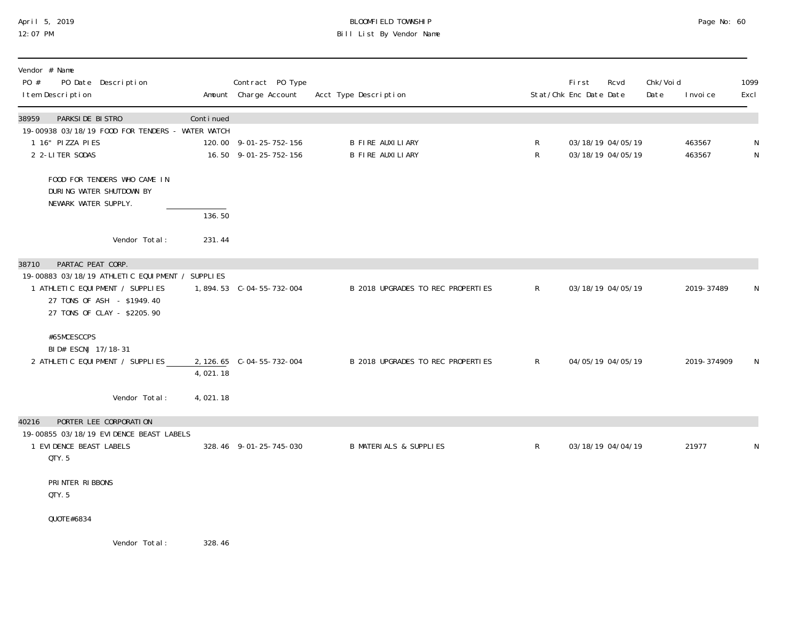# April 5, 2019 BLOOMFIELD TOWNSHIP Page No: 60 Bill List By Vendor Name

| Vendor # Name<br>PO #<br>PO Date Description<br>I tem Description                                                                               |            | Contract PO Type<br>Amount Charge Account       | Acct Type Description                       |              | <b>First</b><br>Rcvd<br>Stat/Chk Enc Date Date | Chk/Voi d<br>Date | I nvoi ce        | 1099<br>Excl |
|-------------------------------------------------------------------------------------------------------------------------------------------------|------------|-------------------------------------------------|---------------------------------------------|--------------|------------------------------------------------|-------------------|------------------|--------------|
| 38959<br>PARKSIDE BISTRO<br>19-00938 03/18/19 FOOD FOR TENDERS - WATER WATCH<br>1 16" PIZZA PIES<br>2 2-LITER SODAS                             | Continued  | 120.00 9-01-25-752-156<br>16.50 9-01-25-752-156 | <b>B FIRE AUXILIARY</b><br>B FIRE AUXILIARY | R<br>R       | 03/18/19 04/05/19<br>03/18/19 04/05/19         |                   | 463567<br>463567 | N<br>N       |
| FOOD FOR TENDERS WHO CAME IN<br>DURING WATER SHUTDOWN BY<br>NEWARK WATER SUPPLY.                                                                | 136.50     |                                                 |                                             |              |                                                |                   |                  |              |
| Vendor Total:                                                                                                                                   | 231.44     |                                                 |                                             |              |                                                |                   |                  |              |
| PARTAC PEAT CORP.<br>38710                                                                                                                      |            |                                                 |                                             |              |                                                |                   |                  |              |
| 19-00883 03/18/19 ATHLETIC EQUIPMENT / SUPPLIES<br>1 ATHLETIC EQUIPMENT / SUPPLIES<br>27 TONS OF ASH - \$1949.40<br>27 TONS OF CLAY - \$2205.90 |            |                                                 | B 2018 UPGRADES TO REC PROPERTIES           | $\mathsf{R}$ | 03/18/19 04/05/19                              |                   | 2019-37489       | N            |
| #65MCESCCPS<br>BID# ESCNJ 17/18-31<br>2 ATHLETIC EQUIPMENT / SUPPLIES                                                                           | 4,021.18   | 2, 126.65 C-04-55-732-004                       | B 2018 UPGRADES TO REC PROPERTIES           | $\mathsf{R}$ | 04/05/19 04/05/19                              |                   | 2019-374909      | N            |
| Vendor Total:                                                                                                                                   | 4,021.18   |                                                 |                                             |              |                                                |                   |                  |              |
| PORTER LEE CORPORATION<br>40216<br>19-00855 03/18/19 EVIDENCE BEAST LABELS<br>1 EVIDENCE BEAST LABELS<br>QTY.5                                  |            | 328.46 9-01-25-745-030                          | <b>B MATERIALS &amp; SUPPLIES</b>           | R            | 03/18/19 04/04/19                              |                   | 21977            | N            |
| PRINTER RIBBONS<br>QTY.5                                                                                                                        |            |                                                 |                                             |              |                                                |                   |                  |              |
| QUOTE#6834                                                                                                                                      |            |                                                 |                                             |              |                                                |                   |                  |              |
| <i>Ucadora</i> Total.                                                                                                                           | $220 \t11$ |                                                 |                                             |              |                                                |                   |                  |              |

Vendor Total: 328.46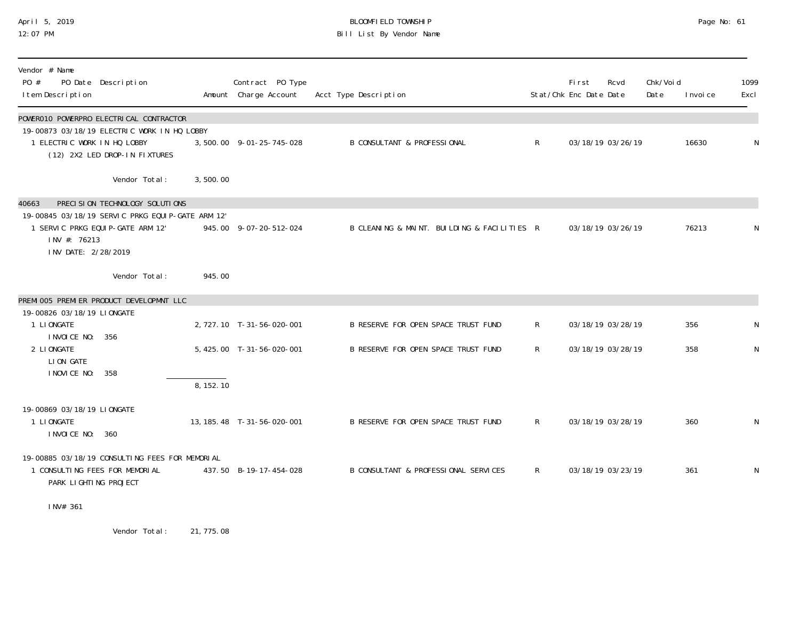## April 5, 2019 BLOOMFIELD TOWNSHIP Page No: 61 12:07 PM Bill List By Vendor Name

| Vendor # Name<br>PO #<br>I tem Description                              | PO Date Description                                                          |           | Contract PO Type<br>Amount Charge Account | Acct Type Description                       |                | <b>First</b><br>Stat/Chk Enc Date Date | Rcvd              | Chk/Voi d<br>Date | I nvoi ce | 1099<br>Excl |
|-------------------------------------------------------------------------|------------------------------------------------------------------------------|-----------|-------------------------------------------|---------------------------------------------|----------------|----------------------------------------|-------------------|-------------------|-----------|--------------|
|                                                                         | POWER010 POWERPRO ELECTRICAL CONTRACTOR                                      |           |                                           |                                             |                |                                        |                   |                   |           |              |
| 1 ELECTRIC WORK IN HQ LOBBY                                             | 19-00873 03/18/19 ELECTRIC WORK IN HQ LOBBY<br>(12) 2X2 LED DROP-IN FIXTURES |           | 3,500.00 9-01-25-745-028                  | <b>B CONSULTANT &amp; PROFESSIONAL</b>      | R              |                                        | 03/18/19 03/26/19 |                   | 16630     | N            |
|                                                                         | Vendor Total:                                                                | 3,500.00  |                                           |                                             |                |                                        |                   |                   |           |              |
| 40663                                                                   | PRECISION TECHNOLOGY SOLUTIONS                                               |           |                                           |                                             |                |                                        |                   |                   |           |              |
| 1 SERVIC PRKG EQUIP-GATE ARM 12'<br>INV #: 76213<br>INV DATE: 2/28/2019 | 19-00845 03/18/19 SERVIC PRKG EQUIP-GATE ARM 12'                             |           | 945.00 9-07-20-512-024                    | B CLEANING & MAINT. BUILDING & FACILITIES R |                |                                        | 03/18/19 03/26/19 |                   | 76213     | N            |
|                                                                         | Vendor Total:                                                                | 945.00    |                                           |                                             |                |                                        |                   |                   |           |              |
|                                                                         | PREMI 005 PREMI ER PRODUCT DEVELOPMNT LLC                                    |           |                                           |                                             |                |                                        |                   |                   |           |              |
| 19-00826 03/18/19 LIONGATE                                              |                                                                              |           |                                           |                                             |                |                                        |                   |                   |           |              |
| 1 LI ONGATE                                                             |                                                                              |           | 2, 727.10 T-31-56-020-001                 | B RESERVE FOR OPEN SPACE TRUST FUND         | R              |                                        | 03/18/19 03/28/19 |                   | 356       | N            |
| I NVOI CE NO:<br>2 LI ONGATE<br>LION GATE                               | 356                                                                          |           | 5, 425.00 T-31-56-020-001                 | B RESERVE FOR OPEN SPACE TRUST FUND         | $\mathsf{R}$   |                                        | 03/18/19 03/28/19 |                   | 358       | N            |
| I NOVICE NO:                                                            | 358                                                                          | 8, 152.10 |                                           |                                             |                |                                        |                   |                   |           |              |
| 19-00869 03/18/19 LIONGATE<br>1 LIONGATE<br>I NVOI CE NO: 360           |                                                                              |           | 13, 185. 48 T-31-56-020-001               | B RESERVE FOR OPEN SPACE TRUST FUND         | $R_{\perp}$    |                                        | 03/18/19 03/28/19 |                   | 360       | $\mathsf N$  |
| 1 CONSULTING FEES FOR MEMORIAL<br>PARK LIGHTING PROJECT                 | 19-00885 03/18/19 CONSULTING FEES FOR MEMORIAL                               |           | 437.50 B-19-17-454-028                    | B CONSULTANT & PROFESSIONAL SERVICES        | $\mathsf{R}^-$ |                                        | 03/18/19 03/23/19 |                   | 361       | N            |
| INV# 361                                                                |                                                                              |           |                                           |                                             |                |                                        |                   |                   |           |              |

Vendor Total: 21,775.08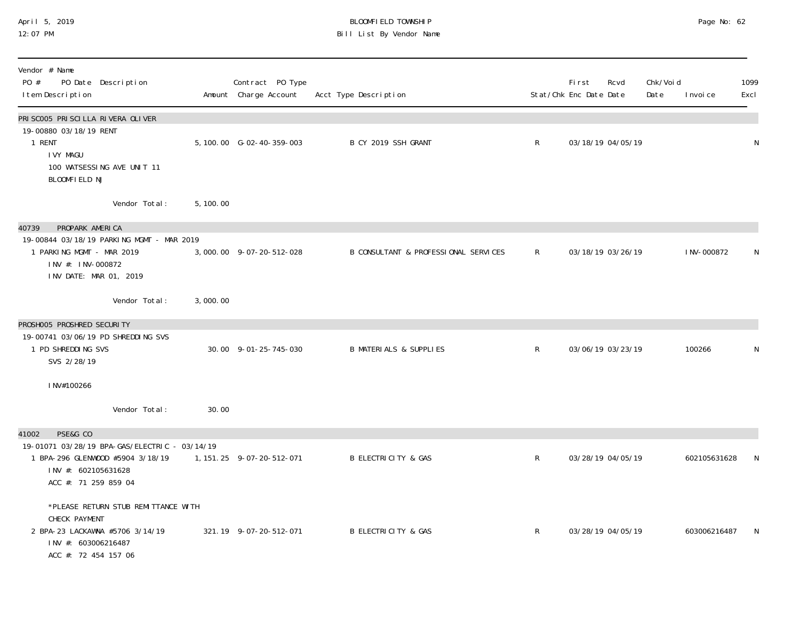### April 5, 2019 BLOOMFIELD TOWNSHIP Page No: 62 12:07 PM Bill List By Vendor Name

| Vendor # Name<br>PO #<br>PO Date Description<br>I tem Description                                                                                     |           | Contract PO Type<br>Amount Charge Account | Acct Type Description                |              | First<br>Stat/Chk Enc Date Date | Rcvd              | Chk/Voi d<br>Date<br>I nvoi ce | 1099<br>Excl |
|-------------------------------------------------------------------------------------------------------------------------------------------------------|-----------|-------------------------------------------|--------------------------------------|--------------|---------------------------------|-------------------|--------------------------------|--------------|
| PRI SCOO5 PRI SCI LLA RIVERA OLI VER<br>19-00880 03/18/19 RENT<br>1 RENT<br><b>IVY MAGU</b><br>100 WATSESSING AVE UNIT 11<br>BLOOMFIELD NJ            |           | 5, 100.00 G-02-40-359-003                 | B CY 2019 SSH GRANT                  | $\mathsf{R}$ |                                 | 03/18/19 04/05/19 |                                | ${\sf N}$    |
| Vendor Total:                                                                                                                                         | 5, 100.00 |                                           |                                      |              |                                 |                   |                                |              |
| PROPARK AMERICA<br>40739<br>19-00844 03/18/19 PARKING MGMT - MAR 2019<br>1 PARKING MGMT - MAR 2019<br>INV #: INV-000872<br>INV DATE: MAR 01, 2019     |           | 3,000.00 9-07-20-512-028                  | B CONSULTANT & PROFESSIONAL SERVICES | R            |                                 | 03/18/19 03/26/19 | I NV-000872                    | N            |
| Vendor Total:                                                                                                                                         | 3,000.00  |                                           |                                      |              |                                 |                   |                                |              |
| PROSHOO5 PROSHRED SECURITY<br>19-00741 03/06/19 PD SHREDDING SVS<br>1 PD SHREDDING SVS<br>SVS 2/28/19                                                 |           | 30.00 9-01-25-745-030                     | <b>B MATERIALS &amp; SUPPLIES</b>    | $\mathsf R$  |                                 | 03/06/19 03/23/19 | 100266                         | N            |
| INV#100266                                                                                                                                            |           |                                           |                                      |              |                                 |                   |                                |              |
| Vendor Total:                                                                                                                                         | 30.00     |                                           |                                      |              |                                 |                   |                                |              |
| PSE&G CO<br>41002<br>19-01071 03/28/19 BPA-GAS/ELECTRIC - 03/14/19<br>1 BPA-296 GLENWOOD #5904 3/18/19<br>INV #: 602105631628<br>ACC #: 71 259 859 04 |           | 1, 151. 25 9-07-20-512-071                | <b>B ELECTRICITY &amp; GAS</b>       | $\mathsf{R}$ |                                 | 03/28/19 04/05/19 | 602105631628                   | N            |
| *PLEASE RETURN STUB REMITTANCE WITH<br>CHECK PAYMENT<br>2 BPA-23 LACKAWNA #5706 3/14/19<br>INV #: 603006216487<br>ACC #: 72 454 157 06                |           | 321.19 9-07-20-512-071                    | <b>B ELECTRICITY &amp; GAS</b>       | $\mathsf{R}$ |                                 | 03/28/19 04/05/19 | 603006216487                   | N            |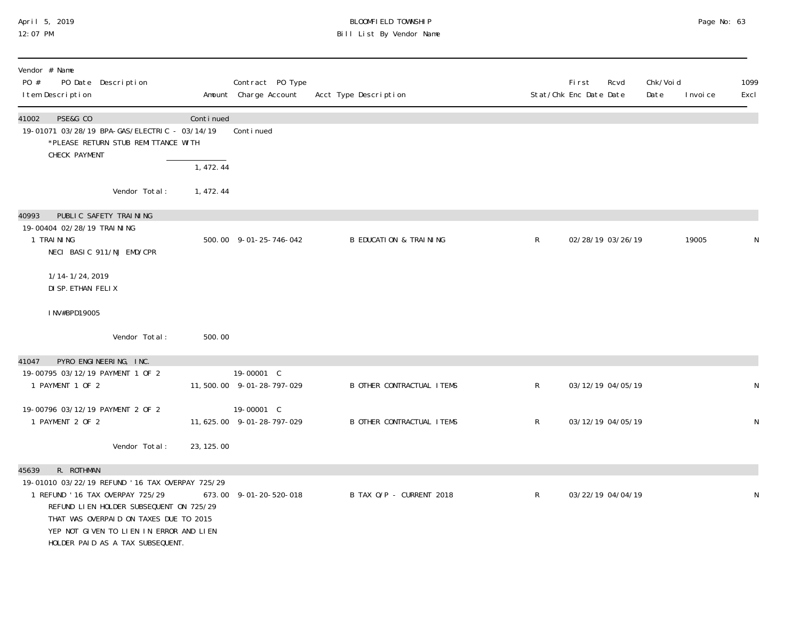## April 5, 2019 BLOOMFIELD TOWNSHIP Page No: 63 12:07 PM Bill List By Vendor Name

| Vendor # Name<br>PO #<br>PO Date Description<br>I tem Description                                                                                                                                                                                                              |            | Contract PO Type<br>Amount Charge Account | Acct Type Description             |              | First<br>Stat/Chk Enc Date Date | Rcvd | Chk/Voi d<br>Date | I nvoi ce | 1099<br>Excl |
|--------------------------------------------------------------------------------------------------------------------------------------------------------------------------------------------------------------------------------------------------------------------------------|------------|-------------------------------------------|-----------------------------------|--------------|---------------------------------|------|-------------------|-----------|--------------|
| PSE&G CO<br>41002<br>19-01071 03/28/19 BPA-GAS/ELECTRIC - 03/14/19<br>*PLEASE RETURN STUB REMITTANCE WITH<br>CHECK PAYMENT                                                                                                                                                     | Continued  | Conti nued                                |                                   |              |                                 |      |                   |           |              |
|                                                                                                                                                                                                                                                                                | 1,472.44   |                                           |                                   |              |                                 |      |                   |           |              |
| Vendor Total:                                                                                                                                                                                                                                                                  | 1, 472.44  |                                           |                                   |              |                                 |      |                   |           |              |
| PUBLIC SAFETY TRAINING<br>40993<br>19-00404 02/28/19 TRAI NI NG<br>1 TRAINING<br>NECI BASIC 911/NJ EMD/CPR                                                                                                                                                                     |            | 500.00 9-01-25-746-042                    | <b>B EDUCATION &amp; TRAINING</b> | $\mathsf{R}$ | 02/28/19 03/26/19               |      |                   | 19005     | N            |
| 1/14-1/24, 2019<br>DI SP. ETHAN FELIX                                                                                                                                                                                                                                          |            |                                           |                                   |              |                                 |      |                   |           |              |
| INV#BPD19005                                                                                                                                                                                                                                                                   |            |                                           |                                   |              |                                 |      |                   |           |              |
| Vendor Total:                                                                                                                                                                                                                                                                  | 500.00     |                                           |                                   |              |                                 |      |                   |           |              |
| PYRO ENGINEERING, INC.<br>41047                                                                                                                                                                                                                                                |            |                                           |                                   |              |                                 |      |                   |           |              |
| 19-00795 03/12/19 PAYMENT 1 OF 2<br>1 PAYMENT 1 OF 2                                                                                                                                                                                                                           |            | 19-00001 C<br>11,500.00 9-01-28-797-029   | <b>B OTHER CONTRACTUAL ITEMS</b>  | $\mathsf{R}$ | 03/12/19 04/05/19               |      |                   |           | N            |
| 19-00796 03/12/19 PAYMENT 2 OF 2<br>1 PAYMENT 2 OF 2                                                                                                                                                                                                                           |            | 19-00001 C<br>11, 625.00 9-01-28-797-029  | <b>B OTHER CONTRACTUAL ITEMS</b>  | $\mathsf{R}$ | 03/12/19 04/05/19               |      |                   |           | N            |
| Vendor Total:                                                                                                                                                                                                                                                                  | 23, 125.00 |                                           |                                   |              |                                 |      |                   |           |              |
| R. ROTHMAN<br>45639<br>19-01010 03/22/19 REFUND '16 TAX OVERPAY 725/29<br>1 REFUND ' 16 TAX OVERPAY 725/29<br>REFUND LIEN HOLDER SUBSEQUENT ON 725/29<br>THAT WAS OVERPAID ON TAXES DUE TO 2015<br>YEP NOT GIVEN TO LIEN IN ERROR AND LIEN<br>HOLDER PAID AS A TAX SUBSEQUENT. |            | 673.00 9-01-20-520-018                    | B TAX 0/P - CURRENT 2018          | $\mathsf{R}$ | 03/22/19 04/04/19               |      |                   |           | N            |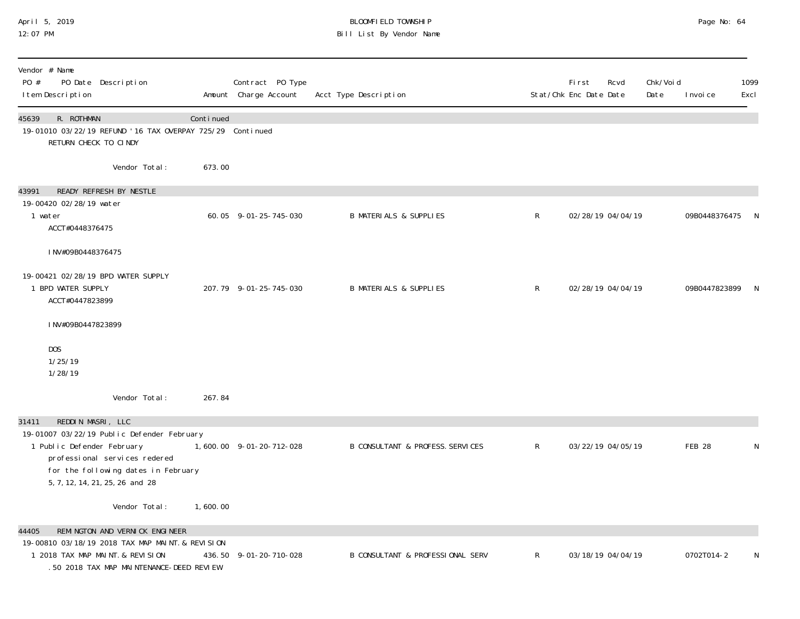### April 5, 2019 BLOOMFIELD TOWNSHIP Page No: 64 12:07 PM Bill List By Vendor Name

| Vendor # Name<br>PO #<br>PO Date Description<br>I tem Description                                                                                                                   |           | Contract PO Type<br>Amount Charge Account | Acct Type Description                       |              | <b>First</b><br>Stat/Chk Enc Date Date | Rcvd              | Chk/Void<br>Date | I nvoi ce       | 1099<br>Excl |
|-------------------------------------------------------------------------------------------------------------------------------------------------------------------------------------|-----------|-------------------------------------------|---------------------------------------------|--------------|----------------------------------------|-------------------|------------------|-----------------|--------------|
| 45639<br>R. ROTHMAN<br>19-01010 03/22/19 REFUND '16 TAX OVERPAY 725/29 Continued<br>RETURN CHECK TO CINDY                                                                           | Continued |                                           |                                             |              |                                        |                   |                  |                 |              |
| Vendor Total:                                                                                                                                                                       | 673.00    |                                           |                                             |              |                                        |                   |                  |                 |              |
| READY REFRESH BY NESTLE<br>43991                                                                                                                                                    |           |                                           |                                             |              |                                        |                   |                  |                 |              |
| 19-00420 02/28/19 water<br>1 water<br>ACCT#0448376475                                                                                                                               |           | 60.05 9-01-25-745-030                     | <b>B MATERIALS &amp; SUPPLIES</b>           | $\mathsf{R}$ |                                        | 02/28/19 04/04/19 |                  | 09B0448376475   |              |
| INV#09B0448376475                                                                                                                                                                   |           |                                           |                                             |              |                                        |                   |                  |                 |              |
| 19-00421 02/28/19 BPD WATER SUPPLY<br>1 BPD WATER SUPPLY<br>ACCT#0447823899                                                                                                         |           | 207.79 9-01-25-745-030                    | <b>B MATERIALS &amp; SUPPLIES</b>           | $\mathsf{R}$ |                                        | 02/28/19 04/04/19 |                  | 09B0447823899 N |              |
| INV#09B0447823899                                                                                                                                                                   |           |                                           |                                             |              |                                        |                   |                  |                 |              |
| DOS<br>1/25/19<br>1/28/19                                                                                                                                                           |           |                                           |                                             |              |                                        |                   |                  |                 |              |
| Vendor Total:                                                                                                                                                                       | 267.84    |                                           |                                             |              |                                        |                   |                  |                 |              |
| REDDIN MASRI, LLC<br>31411                                                                                                                                                          |           |                                           |                                             |              |                                        |                   |                  |                 |              |
| 19-01007 03/22/19 Public Defender February<br>1 Public Defender February<br>professional services redered<br>for the following dates in February<br>5, 7, 12, 14, 21, 25, 26 and 28 |           | 1,600.00 9-01-20-712-028                  | <b>B CONSULTANT &amp; PROFESS. SERVICES</b> | $\mathsf{R}$ |                                        | 03/22/19 04/05/19 |                  | <b>FEB 28</b>   | N            |
| Vendor Total:                                                                                                                                                                       | 1,600.00  |                                           |                                             |              |                                        |                   |                  |                 |              |
| REMINGTON AND VERNICK ENGINEER<br>44405                                                                                                                                             |           |                                           |                                             |              |                                        |                   |                  |                 |              |
| 19-00810 03/18/19 2018 TAX MAP MAINT. & REVISION<br>1 2018 TAX MAP MAINT. & REVISION<br>.50 2018 TAX MAP MAINTENANCE-DEED REVIEW                                                    |           | 436.50 9-01-20-710-028                    | <b>B CONSULTANT &amp; PROFESSIONAL SERV</b> | $\mathsf{R}$ |                                        | 03/18/19 04/04/19 |                  | 0702T014-2      | N            |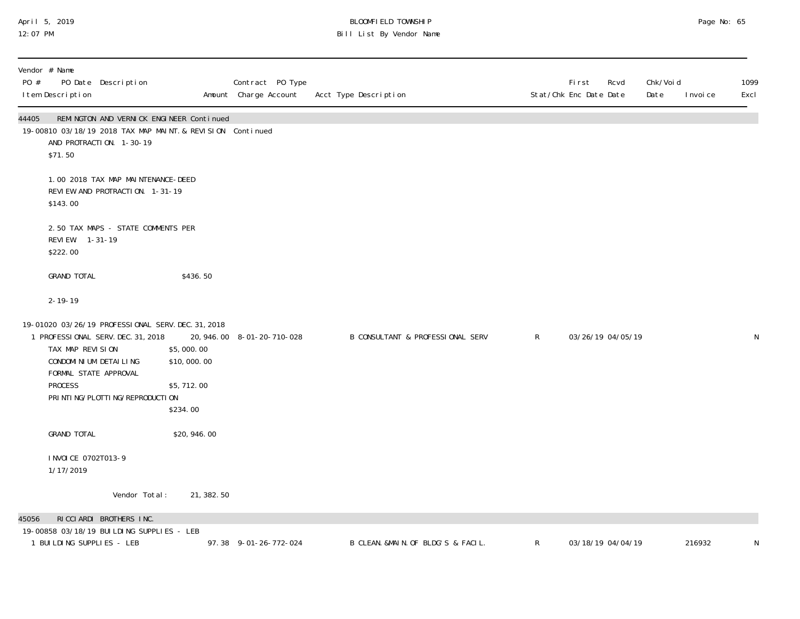### April 5, 2019 BLOOMFIELD TOWNSHIP Page No: 65 12:07 PM Bill List By Vendor Name

| PO #  | Vendor # Name<br>I tem Description                                                       | PO Date Description                                                                                                                |                                                     | Contract PO Type<br>Amount Charge Account | Acct Type Description              |              | Rcvd<br>Fi rst<br>Stat/Chk Enc Date Date | Chk/Voi d<br>Date | I nvoi ce | 1099<br>Excl |
|-------|------------------------------------------------------------------------------------------|------------------------------------------------------------------------------------------------------------------------------------|-----------------------------------------------------|-------------------------------------------|------------------------------------|--------------|------------------------------------------|-------------------|-----------|--------------|
| 44405 | \$71.50                                                                                  | REMINGTON AND VERNICK ENGINEER Continued<br>19-00810 03/18/19 2018 TAX MAP MAINT. & REVISION Continued<br>AND PROTRACTION. 1-30-19 |                                                     |                                           |                                    |              |                                          |                   |           |              |
|       | \$143.00                                                                                 | 1.00 2018 TAX MAP MAINTENANCE-DEED<br>REVIEW AND PROTRACTION. 1-31-19                                                              |                                                     |                                           |                                    |              |                                          |                   |           |              |
|       | REVIEW. 1-31-19<br>\$222.00                                                              | 2.50 TAX MAPS - STATE COMMENTS PER                                                                                                 |                                                     |                                           |                                    |              |                                          |                   |           |              |
|       | <b>GRAND TOTAL</b>                                                                       |                                                                                                                                    | \$436.50                                            |                                           |                                    |              |                                          |                   |           |              |
|       | $2 - 19 - 19$                                                                            |                                                                                                                                    |                                                     |                                           |                                    |              |                                          |                   |           |              |
|       | TAX MAP REVISION<br>CONDOMI NI UM DETAI LI NG<br>FORMAL STATE APPROVAL<br><b>PROCESS</b> | 19-01020 03/26/19 PROFESSIONAL SERV. DEC. 31, 2018<br>1 PROFESSIONAL SERV. DEC. 31, 2018<br>PRI NTI NG/PLOTTI NG/REPRODUCTI ON     | \$5,000.00<br>\$10,000.00<br>\$5,712.00<br>\$234.00 | 20, 946.00 8-01-20-710-028                | B CONSULTANT & PROFESSIONAL SERV   | $\mathsf{R}$ | 03/26/19 04/05/19                        |                   |           | ${\sf N}$    |
|       | <b>GRAND TOTAL</b>                                                                       |                                                                                                                                    | \$20,946.00                                         |                                           |                                    |              |                                          |                   |           |              |
|       | I NVOI CE 0702T013-9<br>1/17/2019                                                        |                                                                                                                                    |                                                     |                                           |                                    |              |                                          |                   |           |              |
|       |                                                                                          | Vendor Total:                                                                                                                      | 21, 382. 50                                         |                                           |                                    |              |                                          |                   |           |              |
| 45056 | 1 BUILDING SUPPLIES - LEB                                                                | RICCIARDI BROTHERS INC.<br>19-00858 03/18/19 BUILDING SUPPLIES - LEB                                                               |                                                     | 97.38 9-01-26-772-024                     | B CLEAN. &MAIN. OF BLDG'S & FACIL. | $\mathsf{R}$ | 03/18/19 04/04/19                        |                   | 216932    | N            |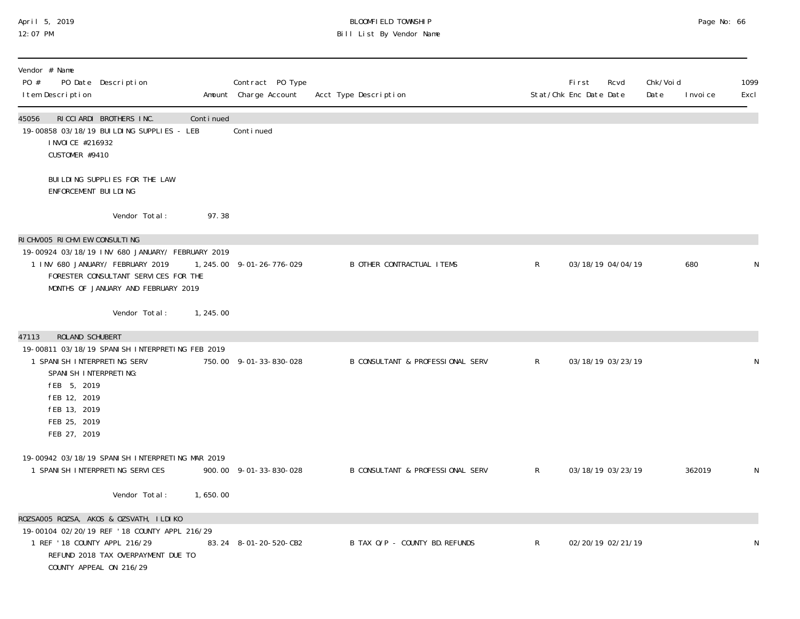### April 5, 2019 BLOOMFIELD TOWNSHIP Page No: 66 12:07 PM Bill List By Vendor Name

| Vendor # Name<br>PO Date Description<br>PO #<br>I tem Description                                                                                                                        |           | Contract PO Type<br>Amount Charge Account | Acct Type Description            |              | First<br>Stat/Chk Enc Date Date | Rcvd | Chk/Voi d<br>Date | 1099<br>Excl<br>I nvoi ce |
|------------------------------------------------------------------------------------------------------------------------------------------------------------------------------------------|-----------|-------------------------------------------|----------------------------------|--------------|---------------------------------|------|-------------------|---------------------------|
| RICCIARDI BROTHERS INC.<br>45056<br>19-00858 03/18/19 BUILDING SUPPLIES - LEB<br>I NVOI CE #216932<br>CUSTOMER #9410                                                                     | Continued | Continued                                 |                                  |              |                                 |      |                   |                           |
| BUILDING SUPPLIES FOR THE LAW<br>ENFORCEMENT BUILDING                                                                                                                                    |           |                                           |                                  |              |                                 |      |                   |                           |
| Vendor Total:                                                                                                                                                                            | 97.38     |                                           |                                  |              |                                 |      |                   |                           |
| RICHVOO5 RICHVIEW CONSULTING                                                                                                                                                             |           |                                           |                                  |              |                                 |      |                   |                           |
| 19-00924 03/18/19 INV 680 JANUARY/ FEBRUARY 2019<br>1 INV 680 JANUARY/ FEBRUARY 2019<br>FORESTER CONSULTANT SERVICES FOR THE<br>MONTHS OF JANUARY AND FEBRUARY 2019                      |           | 1, 245.00 9-01-26-776-029                 | <b>B OTHER CONTRACTUAL ITEMS</b> | $\mathsf{R}$ | 03/18/19 04/04/19               |      |                   | 680<br>N                  |
| Vendor Total:                                                                                                                                                                            | 1,245.00  |                                           |                                  |              |                                 |      |                   |                           |
| 47113<br><b>ROLAND SCHUBERT</b>                                                                                                                                                          |           |                                           |                                  |              |                                 |      |                   |                           |
| 19-00811 03/18/19 SPANISH INTERPRETING FEB 2019<br>1 SPANI SH INTERPRETING SERV<br>SPANI SH INTERPRETING:<br>fEB 5, 2019<br>fEB 12, 2019<br>FEB 13, 2019<br>FEB 25, 2019<br>FEB 27, 2019 |           | 750.00 9-01-33-830-028                    | B CONSULTANT & PROFESSIONAL SERV | R            | 03/18/19 03/23/19               |      |                   | N                         |
| 19-00942 03/18/19 SPANISH INTERPRETING MAR 2019<br>1 SPANI SH INTERPRETING SERVICES                                                                                                      |           | 900.00 9-01-33-830-028                    | B CONSULTANT & PROFESSIONAL SERV | R            | 03/18/19 03/23/19               |      |                   | 362019<br>N               |
| Vendor Total:                                                                                                                                                                            | 1,650.00  |                                           |                                  |              |                                 |      |                   |                           |
| ROZSAOO5 ROZSA, AKOS & OZSVATH, ILDIKO<br>19-00104 02/20/19 REF '18 COUNTY APPL 216/29<br>1 REF '18 COUNTY APPL 216/29<br>REFUND 2018 TAX OVERPAYMENT DUE TO<br>COUNTY APPEAL ON 216/29  |           | 83.24 8-01-20-520-CB2                     | B TAX O/P - COUNTY BD. REFUNDS   | $\mathsf{R}$ | 02/20/19 02/21/19               |      |                   | N                         |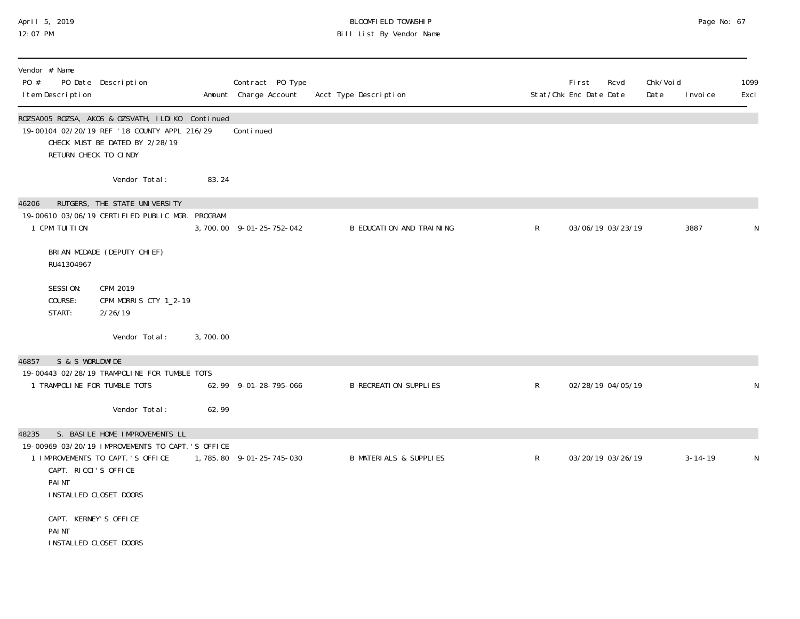### April 5, 2019 BLOOMFIELD TOWNSHIP Page No: 67 12:07 PM Bill List By Vendor Name

| Vendor # Name<br>PO #<br>I tem Description                | PO Date Description                                                                                                                |          | Contract PO Type<br>Amount Charge Account | Acct Type Description             |              | First<br>Stat/Chk Enc Date Date | Rcvd              | Chk/Voi d<br>Date | I nvoi ce     | 1099<br>Excl |
|-----------------------------------------------------------|------------------------------------------------------------------------------------------------------------------------------------|----------|-------------------------------------------|-----------------------------------|--------------|---------------------------------|-------------------|-------------------|---------------|--------------|
| RETURN CHECK TO CINDY                                     | ROZSAOO5 ROZSA, AKOS & OZSVATH, ILDIKO Continued<br>19-00104 02/20/19 REF '18 COUNTY APPL 216/29<br>CHECK MUST BE DATED BY 2/28/19 |          | Conti nued                                |                                   |              |                                 |                   |                   |               |              |
|                                                           | Vendor Total:                                                                                                                      | 83.24    |                                           |                                   |              |                                 |                   |                   |               |              |
| 46206<br>1 CPM TUITION                                    | RUTGERS, THE STATE UNIVERSITY<br>19-00610 03/06/19 CERTIFIED PUBLIC MGR. PROGRAM                                                   |          | 3, 700.00 9-01-25-752-042                 | B EDUCATION AND TRAINING          | $\mathsf{R}$ |                                 | 03/06/19 03/23/19 |                   | 3887          | N            |
| RU41304967                                                | BRIAN MCDADE (DEPUTY CHIEF)                                                                                                        |          |                                           |                                   |              |                                 |                   |                   |               |              |
| SESSION:<br>COURSE:<br>START:                             | CPM 2019<br>CPM MORRIS CTY 1_2-19<br>2/26/19                                                                                       |          |                                           |                                   |              |                                 |                   |                   |               |              |
|                                                           | Vendor Total:                                                                                                                      | 3,700.00 |                                           |                                   |              |                                 |                   |                   |               |              |
| S & S WORLDWIDE<br>46857                                  |                                                                                                                                    |          |                                           |                                   |              |                                 |                   |                   |               |              |
|                                                           | 19-00443 02/28/19 TRAMPOLINE FOR TUMBLE TOTS                                                                                       |          |                                           |                                   |              |                                 |                   |                   |               |              |
| 1 TRAMPOLINE FOR TUMBLE TOTS                              |                                                                                                                                    |          | 62.99 9-01-28-795-066                     | <b>B RECREATION SUPPLIES</b>      | $\mathsf{R}$ |                                 | 02/28/19 04/05/19 |                   |               | N            |
|                                                           | Vendor Total:                                                                                                                      | 62.99    |                                           |                                   |              |                                 |                   |                   |               |              |
| 48235                                                     | S. BASILE HOME IMPROVEMENTS LL                                                                                                     |          |                                           |                                   |              |                                 |                   |                   |               |              |
|                                                           | 19-00969 03/20/19 IMPROVEMENTS TO CAPT.'S OFFICE                                                                                   |          |                                           |                                   |              |                                 |                   |                   |               |              |
| CAPT. RICCI'S OFFICE<br>PAI NT<br>INSTALLED CLOSET DOORS  | 1 IMPROVEMENTS TO CAPT.'S OFFICE                                                                                                   |          | 1,785.80 9-01-25-745-030                  | <b>B MATERIALS &amp; SUPPLIES</b> | $\mathsf{R}$ |                                 | 03/20/19 03/26/19 |                   | $3 - 14 - 19$ | N            |
| CAPT. KERNEY'S OFFICE<br>PAI NT<br>INSTALLED CLOSET DOORS |                                                                                                                                    |          |                                           |                                   |              |                                 |                   |                   |               |              |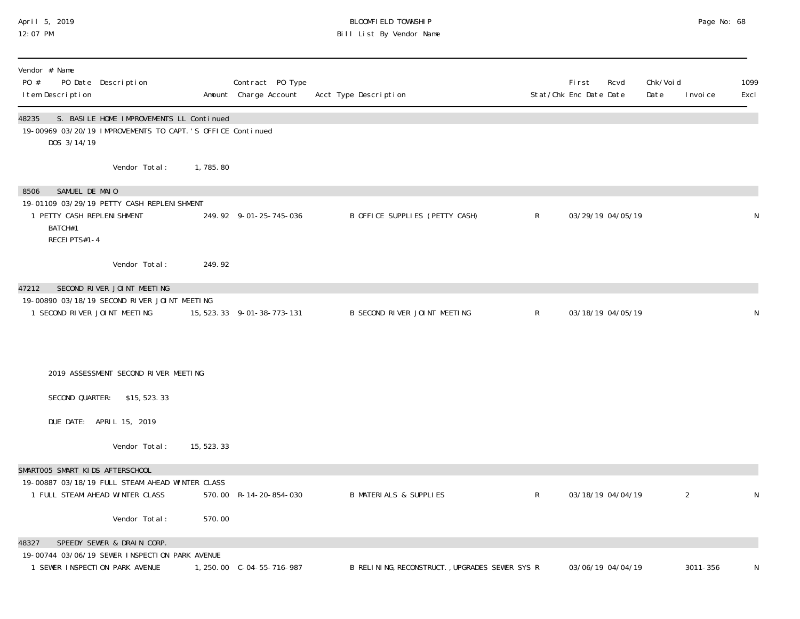### April 5, 2019 BLOOMFIELD TOWNSHIP Page No: 68 12:07 PM Bill List By Vendor Name

| Vendor # Name<br>PO #<br>PO Date Description<br>I tem Description                                                                |             | Contract PO Type<br>Amount Charge Account | Acct Type Description                          |              | First<br>Rcvd<br>Stat/Chk Enc Date Date | Chk/Voi d<br>Date<br>I nvoi ce | 1099<br>Excl |
|----------------------------------------------------------------------------------------------------------------------------------|-------------|-------------------------------------------|------------------------------------------------|--------------|-----------------------------------------|--------------------------------|--------------|
| 48235<br>S. BASILE HOME IMPROVEMENTS LL Continued<br>19-00969 03/20/19 IMPROVEMENTS TO CAPT.'S OFFICE Continued<br>DOS 3/14/19   |             |                                           |                                                |              |                                         |                                |              |
| Vendor Total:                                                                                                                    | 1,785.80    |                                           |                                                |              |                                         |                                |              |
| 8506<br>SAMUEL DE MAIO<br>19-01109 03/29/19 PETTY CASH REPLENI SHMENT<br>1 PETTY CASH REPLENI SHMENT<br>BATCH#1<br>RECEI PTS#1-4 |             | 249.92 9-01-25-745-036                    | B OFFICE SUPPLIES (PETTY CASH)                 | $\mathsf{R}$ | 03/29/19 04/05/19                       |                                | N            |
| Vendor Total:                                                                                                                    | 249.92      |                                           |                                                |              |                                         |                                |              |
| SECOND RIVER JOINT MEETING<br>47212                                                                                              |             |                                           |                                                |              |                                         |                                |              |
| 19-00890 03/18/19 SECOND RIVER JOINT MEETING<br>1 SECOND RIVER JOINT MEETING                                                     |             | 15, 523. 33 9-01-38-773-131               | B SECOND RIVER JOINT MEETING                   | $\mathsf{R}$ | 03/18/19 04/05/19                       |                                | N            |
| 2019 ASSESSMENT SECOND RIVER MEETING                                                                                             |             |                                           |                                                |              |                                         |                                |              |
| SECOND QUARTER:<br>\$15,523.33                                                                                                   |             |                                           |                                                |              |                                         |                                |              |
| DUE DATE: APRIL 15, 2019                                                                                                         |             |                                           |                                                |              |                                         |                                |              |
| Vendor Total:                                                                                                                    | 15, 523. 33 |                                           |                                                |              |                                         |                                |              |
| SMARTOO5 SMART KIDS AFTERSCHOOL<br>19-00887 03/18/19 FULL STEAM AHEAD WINTER CLASS<br>1 FULL STEAM AHEAD WINTER CLASS            |             | 570.00 R-14-20-854-030                    | <b>B MATERIALS &amp; SUPPLIES</b>              | $\mathsf{R}$ | 03/18/19 04/04/19                       | $\overline{2}$                 | N            |
| Vendor Total:                                                                                                                    | 570.00      |                                           |                                                |              |                                         |                                |              |
| SPEEDY SEWER & DRAIN CORP.<br>48327<br>19-00744 03/06/19 SEWER INSPECTION PARK AVENUE<br>1 SEWER INSPECTION PARK AVENUE          |             |                                           | B RELINING, RECONSTRUCT., UPGRADES SEWER SYS R |              | 03/06/19 04/04/19                       | 3011-356                       | N            |
|                                                                                                                                  |             |                                           |                                                |              |                                         |                                |              |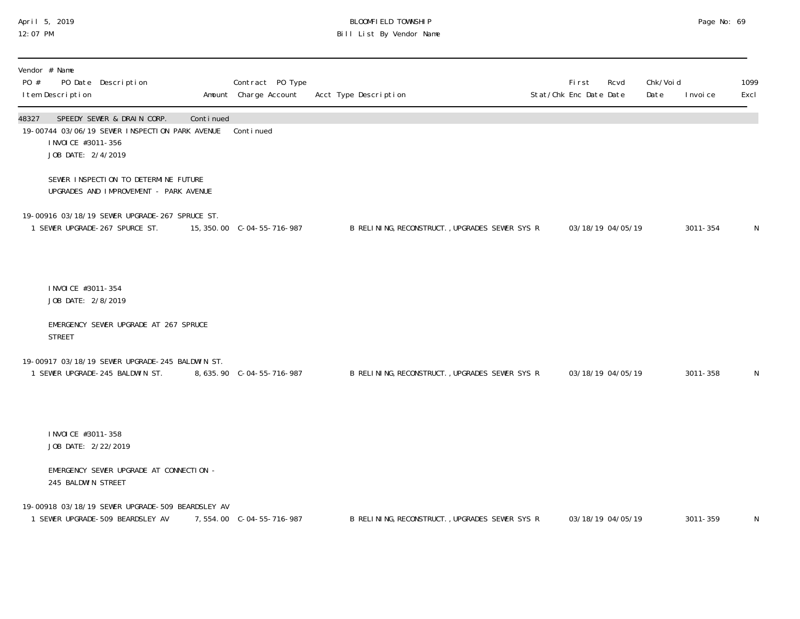### April 5, 2019 BLOOMFIELD TOWNSHIP Page No: 69 12:07 PM Bill List By Vendor Name

| Vendor # Name<br>PO #<br>I tem Description         | PO Date Description                                                                  |           | Contract PO Type<br>Amount Charge Account | Acct Type Description                          | First<br>Stat/Chk Enc Date Date | Rcvd              | Chk/Void<br>Date | I nvoi ce | 1099<br>Excl |
|----------------------------------------------------|--------------------------------------------------------------------------------------|-----------|-------------------------------------------|------------------------------------------------|---------------------------------|-------------------|------------------|-----------|--------------|
| 48327<br>I NVOI CE #3011-356<br>JOB DATE: 2/4/2019 | SPEEDY SEWER & DRAIN CORP.<br>19-00744 03/06/19 SEWER INSPECTION PARK AVENUE         | Continued | Continued                                 |                                                |                                 |                   |                  |           |              |
|                                                    | SEWER INSPECTION TO DETERMINE FUTURE<br>UPGRADES AND IMPROVEMENT - PARK AVENUE       |           |                                           |                                                |                                 |                   |                  |           |              |
|                                                    | 19-00916 03/18/19 SEWER UPGRADE-267 SPRUCE ST.<br>1 SEWER UPGRADE-267 SPURCE ST.     |           | 15, 350.00 C-04-55-716-987                | B RELINING, RECONSTRUCT., UPGRADES SEWER SYS R |                                 | 03/18/19 04/05/19 |                  | 3011-354  | N            |
| I NVOI CE #3011-354<br>JOB DATE: 2/8/2019          |                                                                                      |           |                                           |                                                |                                 |                   |                  |           |              |
| <b>STREET</b>                                      | EMERGENCY SEWER UPGRADE AT 267 SPRUCE                                                |           |                                           |                                                |                                 |                   |                  |           |              |
|                                                    | 19-00917 03/18/19 SEWER UPGRADE-245 BALDWIN ST.<br>1 SEWER UPGRADE-245 BALDWIN ST.   |           | 8, 635. 90 C-04-55-716-987                | B RELINING, RECONSTRUCT., UPGRADES SEWER SYS R |                                 | 03/18/19 04/05/19 |                  | 3011-358  | N            |
| I NVOI CE #3011-358<br>JOB DATE: 2/22/2019         |                                                                                      |           |                                           |                                                |                                 |                   |                  |           |              |
| 245 BALDWIN STREET                                 | EMERGENCY SEWER UPGRADE AT CONNECTION -                                              |           |                                           |                                                |                                 |                   |                  |           |              |
|                                                    | 19-00918 03/18/19 SEWER UPGRADE-509 BEARDSLEY AV<br>1 SEWER UPGRADE-509 BEARDSLEY AV |           | 7,554.00 C-04-55-716-987                  | B RELINING, RECONSTRUCT., UPGRADES SEWER SYS R |                                 | 03/18/19 04/05/19 |                  | 3011-359  | N            |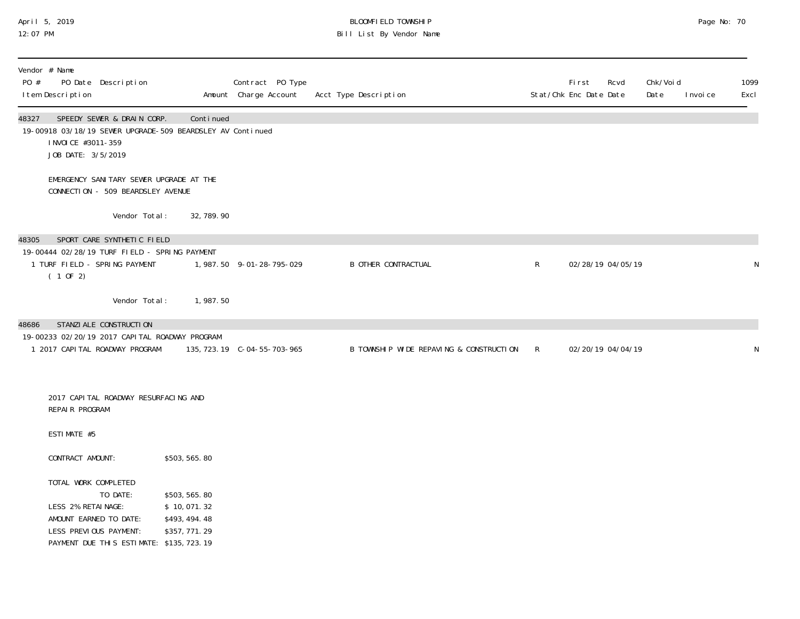#### April 5, 2019 BLOOMFIELD TOWNSHIP Page No: 70 12:07 PM Bill List By Vendor Name

| Vendor # Name<br>PO #<br>PO Date Description<br>I tem Description                                                                                      |                                                                 | Contract PO Type<br>Amount Charge Account | Acct Type Description                   |              | First<br>Stat/Chk Enc Date Date | Rcvd              | Chk/Voi d<br>Date | I nvoi ce | 1099<br>Excl |
|--------------------------------------------------------------------------------------------------------------------------------------------------------|-----------------------------------------------------------------|-------------------------------------------|-----------------------------------------|--------------|---------------------------------|-------------------|-------------------|-----------|--------------|
| SPEEDY SEWER & DRAIN CORP.<br>48327<br>19-00918 03/18/19 SEWER UPGRADE-509 BEARDSLEY AV Continued<br>I NVOI CE #3011-359<br>JOB DATE: 3/5/2019         | Continued                                                       |                                           |                                         |              |                                 |                   |                   |           |              |
| EMERGENCY SANITARY SEWER UPGRADE AT THE<br>CONNECTION - 509 BEARDSLEY AVENUE                                                                           |                                                                 |                                           |                                         |              |                                 |                   |                   |           |              |
| Vendor Total:                                                                                                                                          | 32, 789. 90                                                     |                                           |                                         |              |                                 |                   |                   |           |              |
| SPORT CARE SYNTHETIC FIELD<br>48305                                                                                                                    |                                                                 |                                           |                                         |              |                                 |                   |                   |           |              |
| 19-00444 02/28/19 TURF FIELD - SPRING PAYMENT<br>1 TURF FIELD - SPRING PAYMENT<br>(10F2)                                                               |                                                                 | 1, 987.50 9-01-28-795-029                 | <b>B OTHER CONTRACTUAL</b>              | $\mathsf{R}$ | 02/28/19 04/05/19               |                   |                   |           | N            |
| Vendor Total:                                                                                                                                          | 1,987.50                                                        |                                           |                                         |              |                                 |                   |                   |           |              |
| STANZI ALE CONSTRUCTI ON<br>48686<br>19-00233 02/20/19 2017 CAPITAL ROADWAY PROGRAM<br>1 2017 CAPITAL ROADWAY PROGRAM                                  |                                                                 |                                           | B TOWNSHIP WIDE REPAVING & CONSTRUCTION | $\mathsf{R}$ |                                 | 02/20/19 04/04/19 |                   |           | N            |
| 2017 CAPI TAL ROADWAY RESURFACING AND<br>REPAIR PROGRAM                                                                                                |                                                                 |                                           |                                         |              |                                 |                   |                   |           |              |
| ESTIMATE #5                                                                                                                                            |                                                                 |                                           |                                         |              |                                 |                   |                   |           |              |
| CONTRACT AMOUNT:                                                                                                                                       | \$503, 565.80                                                   |                                           |                                         |              |                                 |                   |                   |           |              |
| TOTAL WORK COMPLETED<br>TO DATE:<br>LESS 2% RETAINAGE:<br>AMOUNT EARNED TO DATE:<br>LESS PREVIOUS PAYMENT:<br>PAYMENT DUE THIS ESTIMATE: \$135, 723.19 | \$503, 565.80<br>\$10,071.32<br>\$493, 494. 48<br>\$357, 771.29 |                                           |                                         |              |                                 |                   |                   |           |              |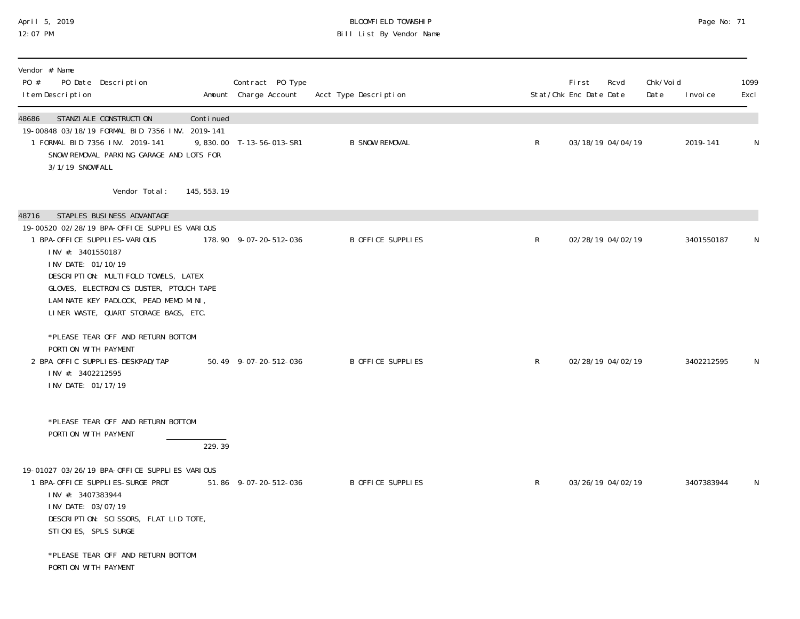### April 5, 2019 BLOOMFIELD TOWNSHIP Page No: 71 12:07 PM Bill List By Vendor Name

| Vendor # Name<br>PO #<br>PO Date Description<br>I tem Description                                                                                                                                                                                                                                                                     | Contract PO Type<br>Amount Charge Account | Acct Type Description |              | <b>First</b><br>Stat/Chk Enc Date Date | Rcvd              | Chk/Voi d<br>Date | I nvoi ce  | 1099<br>Excl |
|---------------------------------------------------------------------------------------------------------------------------------------------------------------------------------------------------------------------------------------------------------------------------------------------------------------------------------------|-------------------------------------------|-----------------------|--------------|----------------------------------------|-------------------|-------------------|------------|--------------|
| 48686<br>STANZI ALE CONSTRUCTI ON<br>Continued<br>19-00848 03/18/19 FORMAL BID 7356 INV. 2019-141<br>1 FORMAL BID 7356 INV. 2019-141<br>SNOW REMOVAL PARKING GARAGE AND LOTS FOR<br>3/1/19 SNOWFALL                                                                                                                                   | 9,830.00 T-13-56-013-SR1                  | <b>B SNOW REMOVAL</b> | $\mathsf{R}$ |                                        | 03/18/19 04/04/19 |                   | 2019-141   | N            |
| Vendor Total:<br>145, 553. 19                                                                                                                                                                                                                                                                                                         |                                           |                       |              |                                        |                   |                   |            |              |
| STAPLES BUSINESS ADVANTAGE<br>48716<br>19-00520 02/28/19 BPA-OFFICE SUPPLIES VARIOUS<br>1 BPA-OFFICE SUPPLIES-VARIOUS<br>INV #: 3401550187<br>INV DATE: 01/10/19<br>DESCRIPTION: MULTIFOLD TOWELS, LATEX<br>GLOVES, ELECTRONICS DUSTER, PTOUCH TAPE<br>LAMINATE KEY PADLOCK, PEAD MEMO MINI,<br>LINER WASTE, QUART STORAGE BAGS, ETC. | 178.90 9-07-20-512-036                    | B OFFICE SUPPLIES     | $\mathsf{R}$ |                                        | 02/28/19 04/02/19 |                   | 3401550187 | N            |
| *PLEASE TEAR OFF AND RETURN BOTTOM<br>PORTION WITH PAYMENT<br>2 BPA OFFIC SUPPLIES-DESKPAD/TAP<br>INV #: 3402212595<br>INV DATE: 01/17/19                                                                                                                                                                                             | 50.49 9-07-20-512-036                     | B OFFICE SUPPLIES     | $\mathsf{R}$ |                                        | 02/28/19 04/02/19 |                   | 3402212595 | N            |
| *PLEASE TEAR OFF AND RETURN BOTTOM<br>PORTION WITH PAYMENT<br>229.39<br>19-01027 03/26/19 BPA-OFFICE SUPPLIES VARIOUS<br>1 BPA-OFFICE SUPPLIES-SURGE PROT<br>INV #: 3407383944<br>INV DATE: 03/07/19<br>DESCRIPTION: SCISSORS, FLAT LID TOTE,<br>STICKIES, SPLS SURGE<br>*PLEASE TEAR OFF AND RETURN BOTTOM<br>PORTION WITH PAYMENT   | 51.86 9-07-20-512-036                     | B OFFICE SUPPLIES     | $\mathsf{R}$ |                                        | 03/26/19 04/02/19 |                   | 3407383944 | N            |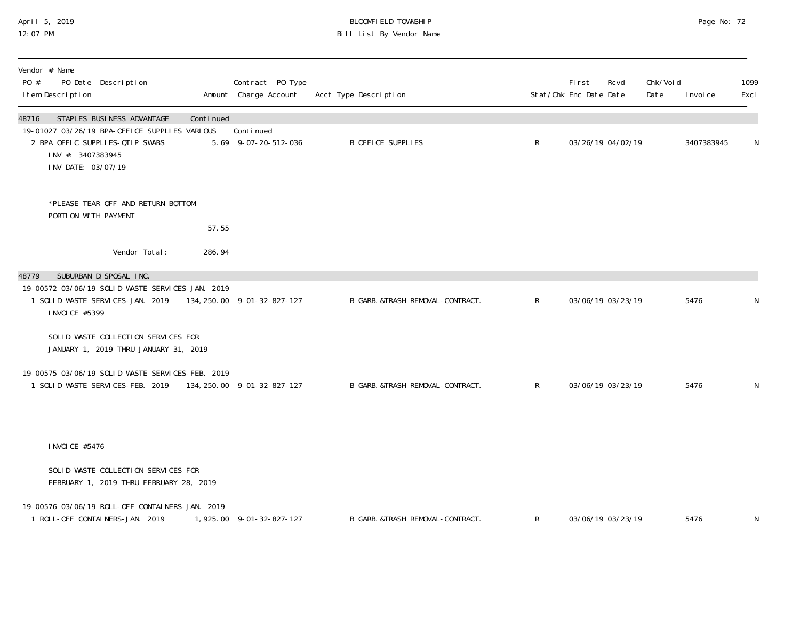## April 5, 2019 BLOOMFIELD TOWNSHIP Page No: 72 12:07 PM Bill List By Vendor Name

| Vendor # Name<br>PO #<br>PO Date Description<br>I tem Description                                                                                                       |                 | Contract PO Type<br>Amount Charge Account | Acct Type Description            |              | <b>First</b><br>Stat/Chk Enc Date Date | Rcvd              | Chk/Voi d<br>Date | I nvoi ce  | 1099<br>Excl |
|-------------------------------------------------------------------------------------------------------------------------------------------------------------------------|-----------------|-------------------------------------------|----------------------------------|--------------|----------------------------------------|-------------------|-------------------|------------|--------------|
| STAPLES BUSINESS ADVANTAGE<br>48716<br>19-01027 03/26/19 BPA-OFFICE SUPPLIES VARIOUS<br>2 BPA OFFIC SUPPLIES-QTIP SWABS<br>INV #: 3407383945<br>INV DATE: 03/07/19      | Continued       | Continued<br>5.69 9-07-20-512-036         | <b>B OFFICE SUPPLIES</b>         | $R_{\perp}$  |                                        | 03/26/19 04/02/19 |                   | 3407383945 | N            |
| *PLEASE TEAR OFF AND RETURN BOTTOM<br>PORTION WITH PAYMENT<br>Vendor Total:                                                                                             | 57.55<br>286.94 |                                           |                                  |              |                                        |                   |                   |            |              |
|                                                                                                                                                                         |                 |                                           |                                  |              |                                        |                   |                   |            |              |
| SUBURBAN DI SPOSAL INC.<br>48779<br>19-00572 03/06/19 SOLID WASTE SERVICES-JAN. 2019<br>1 SOLID WASTE SERVICES-JAN. 2019 134, 250.00 9-01-32-827-127<br>I NVOI CE #5399 |                 |                                           | B GARB. &TRASH REMOVAL-CONTRACT. | $\mathsf{R}$ |                                        | 03/06/19 03/23/19 |                   | 5476       | N            |
| SOLID WASTE COLLECTION SERVICES FOR<br>JANUARY 1, 2019 THRU JANUARY 31, 2019                                                                                            |                 |                                           |                                  |              |                                        |                   |                   |            |              |
| 19-00575 03/06/19 SOLID WASTE SERVICES-FEB. 2019<br>1 SOLID WASTE SERVICES-FEB. 2019 134, 250.00 9-01-32-827-127                                                        |                 |                                           | B GARB. &TRASH REMOVAL-CONTRACT. | $\mathsf{R}$ |                                        | 03/06/19 03/23/19 |                   | 5476       | N            |
| I NVOI CE #5476                                                                                                                                                         |                 |                                           |                                  |              |                                        |                   |                   |            |              |
|                                                                                                                                                                         |                 |                                           |                                  |              |                                        |                   |                   |            |              |
| SOLID WASTE COLLECTION SERVICES FOR<br>FEBRUARY 1, 2019 THRU FEBRUARY 28, 2019                                                                                          |                 |                                           |                                  |              |                                        |                   |                   |            |              |
| 19-00576 03/06/19 ROLL-OFF CONTAINERS-JAN. 2019<br>1 ROLL-OFF CONTAINERS-JAN. 2019                                                                                      |                 | 1, 925.00 9-01-32-827-127                 | B GARB. &TRASH REMOVAL-CONTRACT. | $\mathsf{R}$ |                                        | 03/06/19 03/23/19 |                   | 5476       | N            |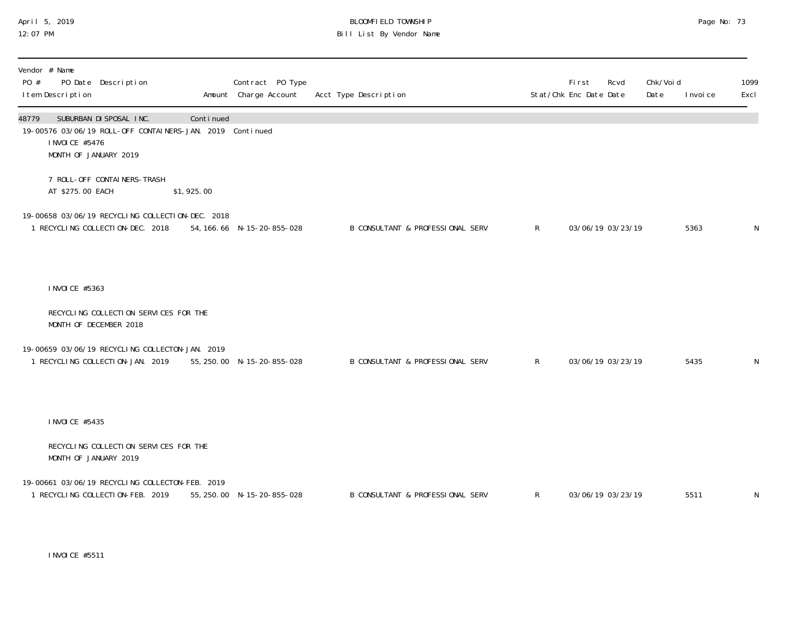#### April 5, 2019 BLOOMFIELD TOWNSHIP Page No: 73 12:07 PM Bill List By Vendor Name

| Vendor # Name<br>PO #<br>PO Date Description<br>I tem Description                                                                         |            | Contract PO Type<br>Amount Charge Account | Acct Type Description                       |              | <b>First</b><br>Rcvd<br>Stat/Chk Enc Date Date | Chk/Void<br>Date | I nvoi ce | 1099<br>Excl |
|-------------------------------------------------------------------------------------------------------------------------------------------|------------|-------------------------------------------|---------------------------------------------|--------------|------------------------------------------------|------------------|-----------|--------------|
| SUBURBAN DI SPOSAL INC.<br>48779<br>19-00576 03/06/19 ROLL-OFF CONTAINERS-JAN. 2019 Continued<br>I NVOI CE #5476<br>MONTH OF JANUARY 2019 | Continued  |                                           |                                             |              |                                                |                  |           |              |
| 7 ROLL-OFF CONTAINERS-TRASH<br>AT \$275.00 EACH                                                                                           | \$1,925.00 |                                           |                                             |              |                                                |                  |           |              |
| 19-00658 03/06/19 RECYCLING COLLECTION-DEC. 2018<br>1 RECYCLING COLLECTION-DEC. 2018                                                      |            | 54, 166. 66 N-15-20-855-028               | B CONSULTANT & PROFESSIONAL SERV            | R            | 03/06/19 03/23/19                              |                  | 5363      | $\mathsf N$  |
| I NVOI CE #5363                                                                                                                           |            |                                           |                                             |              |                                                |                  |           |              |
| RECYCLING COLLECTION SERVICES FOR THE<br>MONTH OF DECEMBER 2018                                                                           |            |                                           |                                             |              |                                                |                  |           |              |
| 19-00659 03/06/19 RECYCLING COLLECTON-JAN. 2019<br>1 RECYCLING COLLECTION-JAN. 2019                                                       |            | 55, 250.00 N-15-20-855-028                | B CONSULTANT & PROFESSIONAL SERV            | $\mathsf{R}$ | 03/06/19 03/23/19                              |                  | 5435      | N            |
| I NVOI CE #5435                                                                                                                           |            |                                           |                                             |              |                                                |                  |           |              |
| RECYCLING COLLECTION SERVICES FOR THE<br>MONTH OF JANUARY 2019                                                                            |            |                                           |                                             |              |                                                |                  |           |              |
| 19-00661 03/06/19 RECYCLING COLLECTON-FEB. 2019<br>1 RECYCLING COLLECTION-FEB. 2019                                                       |            | 55, 250.00 N-15-20-855-028                | <b>B CONSULTANT &amp; PROFESSIONAL SERV</b> | R            | 03/06/19 03/23/19                              |                  | 5511      | N            |

INVOICE #5511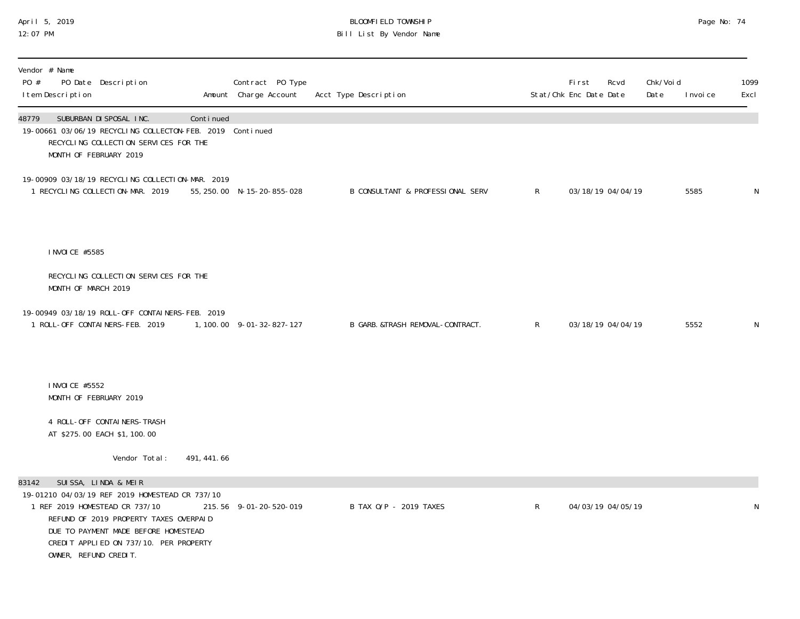#### April 5, 2019 BLOOMFIELD TOWNSHIP Page No: 74 12:07 PM Bill List By Vendor Name

| Vendor # Name<br>PO #<br>PO Date Description<br>I tem Description                                                                          |                                                                                                                          |             | Contract PO Type<br>Amount Charge Account | Acct Type Description            |                | <b>First</b><br>Stat/Chk Enc Date Date | Rcvd | Chk/Voi d<br>Date | I nvoi ce | 1099<br>Excl |
|--------------------------------------------------------------------------------------------------------------------------------------------|--------------------------------------------------------------------------------------------------------------------------|-------------|-------------------------------------------|----------------------------------|----------------|----------------------------------------|------|-------------------|-----------|--------------|
| SUBURBAN DI SPOSAL INC.<br>48779<br>19-00661 03/06/19 RECYCLING COLLECTON-FEB. 2019 Continued<br>MONTH OF FEBRUARY 2019                    | RECYCLING COLLECTION SERVICES FOR THE                                                                                    | Continued   |                                           |                                  |                |                                        |      |                   |           |              |
| 19-00909 03/18/19 RECYCLING COLLECTION-MAR. 2019<br>1 RECYCLING COLLECTION-MAR. 2019                                                       |                                                                                                                          |             | 55, 250.00 N-15-20-855-028                | B CONSULTANT & PROFESSIONAL SERV | R              | 03/18/19 04/04/19                      |      |                   | 5585      | N            |
| I NVOI CE #5585                                                                                                                            |                                                                                                                          |             |                                           |                                  |                |                                        |      |                   |           |              |
| MONTH OF MARCH 2019                                                                                                                        | RECYCLING COLLECTION SERVICES FOR THE                                                                                    |             |                                           |                                  |                |                                        |      |                   |           |              |
| 19-00949 03/18/19 ROLL-OFF CONTAINERS-FEB. 2019<br>1 ROLL-OFF CONTAINERS-FEB. 2019                                                         |                                                                                                                          |             | 1, 100.00 9-01-32-827-127                 | B GARB. &TRASH REMOVAL-CONTRACT. | R              | 03/18/19 04/04/19                      |      |                   | 5552      | N            |
| I NVOI CE #5552<br>MONTH OF FEBRUARY 2019                                                                                                  |                                                                                                                          |             |                                           |                                  |                |                                        |      |                   |           |              |
| 4 ROLL-OFF CONTAINERS-TRASH<br>AT \$275.00 EACH \$1,100.00                                                                                 |                                                                                                                          |             |                                           |                                  |                |                                        |      |                   |           |              |
|                                                                                                                                            | Vendor Total:                                                                                                            | 491, 441.66 |                                           |                                  |                |                                        |      |                   |           |              |
| SUISSA, LINDA & MEIR<br>83142<br>19-01210 04/03/19 REF 2019 HOMESTEAD CR 737/10<br>1 REF 2019 HOMESTEAD CR 737/10<br>OWNER, REFUND CREDIT. | REFUND OF 2019 PROPERTY TAXES OVERPAID<br>DUE TO PAYMENT MADE BEFORE HOMESTEAD<br>CREDIT APPLIED ON 737/10. PER PROPERTY |             | 215.56 9-01-20-520-019                    | B TAX 0/P - 2019 TAXES           | $\mathsf{R}^-$ | 04/03/19 04/05/19                      |      |                   |           | N            |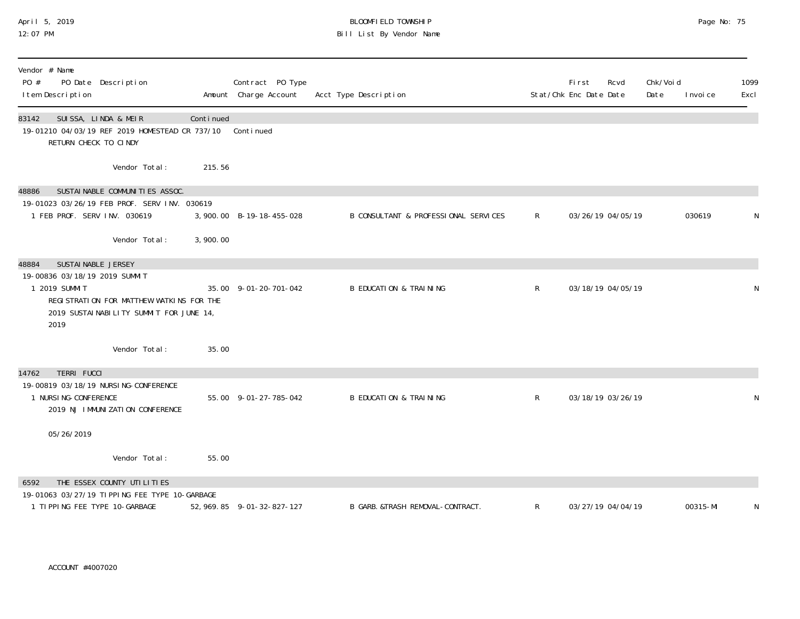## April 5, 2019 BLOOMFIELD TOWNSHIP Page No: 75 12:07 PM Bill List By Vendor Name

| Vendor # Name<br>PO #<br>PO Date Description<br>I tem Description                                                                               |           | Contract PO Type<br>Amount Charge Account | Acct Type Description                |                | <b>First</b><br>Rcvd<br>Stat/Chk Enc Date Date | Chk/Voi d<br>Date | 1099<br>Excl<br>I nvoi ce |
|-------------------------------------------------------------------------------------------------------------------------------------------------|-----------|-------------------------------------------|--------------------------------------|----------------|------------------------------------------------|-------------------|---------------------------|
| SUISSA, LINDA & MEIR<br>83142<br>19-01210 04/03/19 REF 2019 HOMESTEAD CR 737/10<br>RETURN CHECK TO CINDY                                        | Continued | Continued                                 |                                      |                |                                                |                   |                           |
| Vendor Total:                                                                                                                                   | 215.56    |                                           |                                      |                |                                                |                   |                           |
| SUSTAINABLE COMMUNITIES ASSOC.<br>48886                                                                                                         |           |                                           |                                      |                |                                                |                   |                           |
| 19-01023 03/26/19 FEB PROF. SERV INV. 030619<br>1 FEB PROF. SERV INV. 030619                                                                    |           | 3,900.00 B-19-18-455-028                  | B CONSULTANT & PROFESSIONAL SERVICES | $\mathsf{R}$   | 03/26/19 04/05/19                              |                   | 030619<br>N               |
| Vendor Total:                                                                                                                                   | 3,900.00  |                                           |                                      |                |                                                |                   |                           |
| SUSTAI NABLE JERSEY<br>48884                                                                                                                    |           |                                           |                                      |                |                                                |                   |                           |
| 19-00836 03/18/19 2019 SUMMIT<br>1 2019 SUMMIT<br>REGI STRATION FOR MATTHEW WATKINS FOR THE<br>2019 SUSTAI NABILITY SUMMIT FOR JUNE 14,<br>2019 |           | 35.00 9-01-20-701-042                     | <b>B EDUCATION &amp; TRAINING</b>    | $\mathsf{R}$   | 03/18/19 04/05/19                              |                   | N                         |
| Vendor Total:                                                                                                                                   | 35.00     |                                           |                                      |                |                                                |                   |                           |
| <b>TERRI FUCCI</b><br>14762                                                                                                                     |           |                                           |                                      |                |                                                |                   |                           |
| 19-00819 03/18/19 NURSI NG-CONFERENCE<br>1 NURSI NG-CONFERENCE<br>2019 NJ IMMUNIZATION CONFERENCE                                               |           | 55.00 9-01-27-785-042                     | <b>B EDUCATION &amp; TRAINING</b>    | $\mathsf{R}^-$ | 03/18/19 03/26/19                              |                   | N                         |
| 05/26/2019                                                                                                                                      |           |                                           |                                      |                |                                                |                   |                           |
| Vendor Total:                                                                                                                                   | 55.00     |                                           |                                      |                |                                                |                   |                           |
| THE ESSEX COUNTY UTILITIES<br>6592                                                                                                              |           |                                           |                                      |                |                                                |                   |                           |
| 19-01063 03/27/19 TIPPING FEE TYPE 10-GARBAGE<br>1 TIPPING FEE TYPE 10-GARBAGE                                                                  |           | 52, 969. 85 9-01-32-827-127               | B GARB. & TRASH REMOVAL-CONTRACT.    | $\mathsf{R}$   | 03/27/19 04/04/19                              |                   | 00315-MI<br>N             |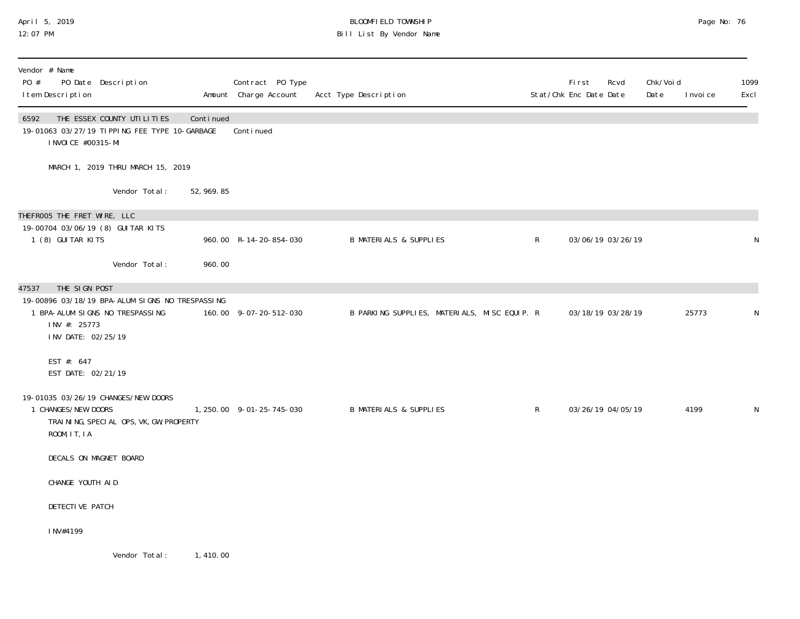## April 5, 2019 BLOOMFIELD TOWNSHIP Page No: 76 Bill List By Vendor Name

| Vendor # Name<br>PO #<br>PO Date Description<br>I tem Description                                                                                                                      |             | Contract PO Type<br>Amount Charge Account | Acct Type Description                        |              | <b>First</b><br>Rcvd<br>Stat/Chk Enc Date Date | Chk/Voi d<br>Date | I nvoi ce | 1099<br>Excl |
|----------------------------------------------------------------------------------------------------------------------------------------------------------------------------------------|-------------|-------------------------------------------|----------------------------------------------|--------------|------------------------------------------------|-------------------|-----------|--------------|
| 6592<br>THE ESSEX COUNTY UTILITIES<br>19-01063 03/27/19 TIPPING FEE TYPE 10-GARBAGE<br>I NVOI CE #00315-MI                                                                             | Continued   | Conti nued                                |                                              |              |                                                |                   |           |              |
| MARCH 1, 2019 THRU MARCH 15, 2019                                                                                                                                                      |             |                                           |                                              |              |                                                |                   |           |              |
| Vendor Total:                                                                                                                                                                          | 52, 969. 85 |                                           |                                              |              |                                                |                   |           |              |
| THEFROO5 THE FRET WIRE, LLC<br>19-00704 03/06/19 (8) GUI TAR KITS<br>1 (8) GUITAR KITS                                                                                                 |             | 960.00 R-14-20-854-030                    | <b>B MATERIALS &amp; SUPPLIES</b>            | $\mathsf{R}$ | 03/06/19 03/26/19                              |                   |           | N            |
| Vendor Total:                                                                                                                                                                          | 960.00      |                                           |                                              |              |                                                |                   |           |              |
| THE SIGN POST<br>47537<br>19-00896 03/18/19 BPA-ALUM SIGNS NO TRESPASSING<br>1 BPA-ALUM SIGNS NO TRESPASSING<br>INV #: 25773<br>INV DATE: 02/25/19<br>EST #: 647<br>EST DATE: 02/21/19 |             | 160.00 9-07-20-512-030                    | B PARKING SUPPLIES, MATERIALS, MISC EQUIP. R |              | 03/18/19 03/28/19                              |                   | 25773     | N            |
| 19-01035 03/26/19 CHANGES/NEW DOORS<br>1 CHANGES/NEW DOORS<br>TRAINING, SPECIAL OPS, VK, GW, PROPERTY<br>ROOM, IT, IA                                                                  |             | 1, 250.00 9-01-25-745-030                 | <b>B MATERIALS &amp; SUPPLIES</b>            | $\mathsf{R}$ | 03/26/19 04/05/19                              |                   | 4199      | $\mathsf{N}$ |
| DECALS ON MAGNET BOARD                                                                                                                                                                 |             |                                           |                                              |              |                                                |                   |           |              |
| CHANGE YOUTH AID                                                                                                                                                                       |             |                                           |                                              |              |                                                |                   |           |              |
| DETECTIVE PATCH                                                                                                                                                                        |             |                                           |                                              |              |                                                |                   |           |              |
| INV#4199                                                                                                                                                                               |             |                                           |                                              |              |                                                |                   |           |              |
| Vendor Total:                                                                                                                                                                          | 1, 410, 00  |                                           |                                              |              |                                                |                   |           |              |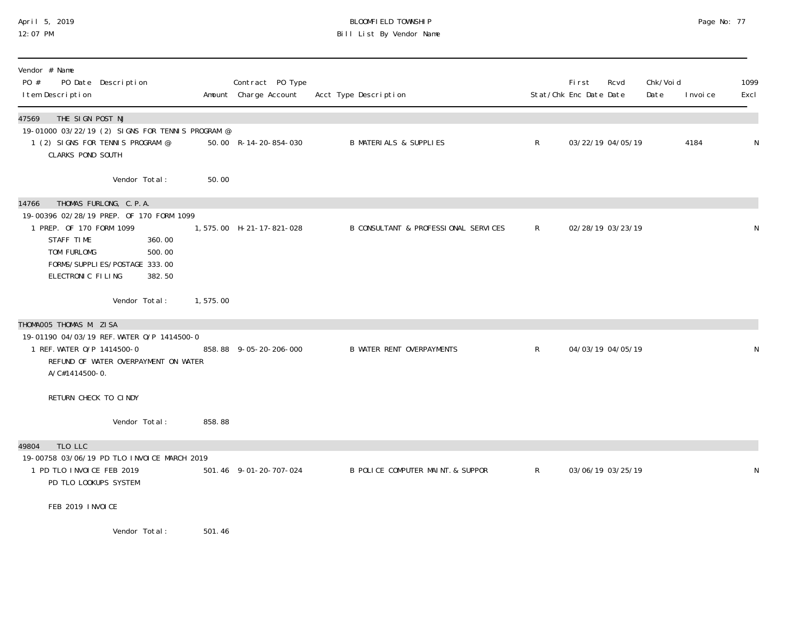## April 5, 2019 BLOOMFIELD TOWNSHIP Page No: 77 12:07 PM Bill List By Vendor Name

| Vendor # Name<br>PO #<br>PO Date Description<br>I tem Description                                                                                                                                                         |          | Contract PO Type<br>Amount Charge Account | Acct Type Description                |              | First<br>Stat/Chk Enc Date Date | Rcvd              | Chk/Voi d<br>Date | I nvoi ce | 1099<br>Excl |
|---------------------------------------------------------------------------------------------------------------------------------------------------------------------------------------------------------------------------|----------|-------------------------------------------|--------------------------------------|--------------|---------------------------------|-------------------|-------------------|-----------|--------------|
| THE SIGN POST NJ<br>47569<br>19-01000 03/22/19 (2) SIGNS FOR TENNIS PROGRAM @<br>1 (2) SIGNS FOR TENNIS PROGRAM @<br><b>CLARKS POND SOUTH</b>                                                                             |          | 50.00 R-14-20-854-030                     | <b>B MATERIALS &amp; SUPPLIES</b>    | $\mathsf{R}$ |                                 | 03/22/19 04/05/19 |                   | 4184      | N            |
| Vendor Total:                                                                                                                                                                                                             | 50.00    |                                           |                                      |              |                                 |                   |                   |           |              |
| THOMAS FURLONG, C.P.A.<br>14766<br>19-00396 02/28/19 PREP. OF 170 FORM 1099<br>1 PREP. OF 170 FORM 1099<br>STAFF TIME<br>360.00<br>TOM FURLOMG<br>500.00<br>FORMS/SUPPLI ES/POSTAGE 333.00<br>ELECTRONIC FILING<br>382.50 |          | 1,575.00 H-21-17-821-028                  | B CONSULTANT & PROFESSIONAL SERVICES | $\mathsf{R}$ |                                 | 02/28/19 03/23/19 |                   |           | N            |
| Vendor Total:                                                                                                                                                                                                             | 1,575.00 |                                           |                                      |              |                                 |                   |                   |           |              |
| THOMAOO5 THOMAS M. ZISA<br>19-01190 04/03/19 REF. WATER 0/P 1414500-0<br>1 REF. WATER 0/P 1414500-0<br>REFUND OF WATER OVERPAYMENT ON WATER<br>A/C#1414500-0.                                                             |          | 858.88 9-05-20-206-000                    | <b>B WATER RENT OVERPAYMENTS</b>     | $\mathsf{R}$ |                                 | 04/03/19 04/05/19 |                   |           | N            |
| RETURN CHECK TO CINDY                                                                                                                                                                                                     |          |                                           |                                      |              |                                 |                   |                   |           |              |
| Vendor Total:                                                                                                                                                                                                             | 858.88   |                                           |                                      |              |                                 |                   |                   |           |              |
| TLO LLC<br>49804<br>19-00758 03/06/19 PD TLO INVOICE MARCH 2019<br>1 PD TLO INVOICE FEB 2019<br>PD TLO LOOKUPS SYSTEM                                                                                                     |          | 501.46 9-01-20-707-024                    | B POLICE COMPUTER MAINT. & SUPPOR    | $\mathsf{R}$ |                                 | 03/06/19 03/25/19 |                   |           | N            |
| FEB 2019 INVOICE                                                                                                                                                                                                          |          |                                           |                                      |              |                                 |                   |                   |           |              |
| Vendor Total:                                                                                                                                                                                                             | 501.46   |                                           |                                      |              |                                 |                   |                   |           |              |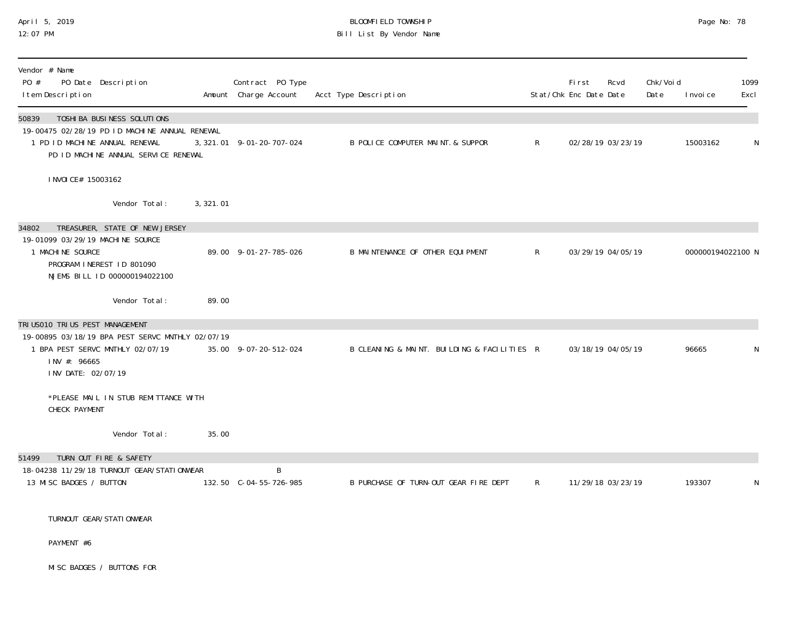## April 5, 2019 BLOOMFIELD TOWNSHIP Page No: 78 12:07 PM Bill List By Vendor Name

| Vendor # Name<br>PO #<br>PO Date Description<br>I tem Description                                                                                                  |           | Contract PO Type<br>Amount Charge Account | Acct Type Description                       |              | First<br>Stat/Chk Enc Date Date | Rcvd              | Chk/Voi d<br>Date | I nvoi ce         | 1099<br>Excl |
|--------------------------------------------------------------------------------------------------------------------------------------------------------------------|-----------|-------------------------------------------|---------------------------------------------|--------------|---------------------------------|-------------------|-------------------|-------------------|--------------|
| 50839<br>TOSHI BA BUSI NESS SOLUTI ONS<br>19-00475 02/28/19 PD ID MACHINE ANNUAL RENEWAL<br>1 PD ID MACHINE ANNUAL RENEWAL<br>PD ID MACHINE ANNUAL SERVICE RENEWAL |           | 3, 321.01 9-01-20-707-024                 | B POLICE COMPUTER MAINT & SUPPOR            | $\mathsf{R}$ |                                 | 02/28/19 03/23/19 |                   | 15003162          | N            |
| I NVOI CE# 15003162                                                                                                                                                |           |                                           |                                             |              |                                 |                   |                   |                   |              |
| Vendor Total:                                                                                                                                                      | 3, 321.01 |                                           |                                             |              |                                 |                   |                   |                   |              |
| 34802<br>TREASURER, STATE OF NEW JERSEY<br>19-01099 03/29/19 MACHINE SOURCE<br>1 MACHINE SOURCE<br>PROGRAM INEREST ID 801090<br>NJEMS BILL ID 000000194022100      |           | 89.00 9-01-27-785-026                     | B MAINTENANCE OF OTHER EQUIPMENT            | $\mathsf{R}$ |                                 | 03/29/19 04/05/19 |                   | 000000194022100 N |              |
| Vendor Total:                                                                                                                                                      | 89.00     |                                           |                                             |              |                                 |                   |                   |                   |              |
| TRI US010 TRI US PEST MANAGEMENT<br>19-00895 03/18/19 BPA PEST SERVC MNTHLY 02/07/19<br>1 BPA PEST SERVC MNTHLY 02/07/19<br>INV #: 96665<br>INV DATE: 02/07/19     |           | 35.00 9-07-20-512-024                     | B CLEANING & MAINT. BUILDING & FACILITIES R |              |                                 | 03/18/19 04/05/19 |                   | 96665             | N            |
| *PLEASE MAIL IN STUB REMITTANCE WITH<br>CHECK PAYMENT                                                                                                              |           |                                           |                                             |              |                                 |                   |                   |                   |              |
| Vendor Total:                                                                                                                                                      | 35.00     |                                           |                                             |              |                                 |                   |                   |                   |              |
| TURN OUT FIRE & SAFETY<br>51499<br>18-04238 11/29/18 TURNOUT GEAR/STATIONWEAR<br>13 MISC BADGES / BUTTON                                                           |           | B<br>132.50 C-04-55-726-985               | B PURCHASE OF TURN-OUT GEAR FIRE DEPT       | R            |                                 | 11/29/18 03/23/19 |                   | 193307            | N            |
| TURNOUT GEAR/STATI ONWEAR                                                                                                                                          |           |                                           |                                             |              |                                 |                   |                   |                   |              |
| PAYMENT #6                                                                                                                                                         |           |                                           |                                             |              |                                 |                   |                   |                   |              |
| MI SC BADGES / BUTTONS FOR                                                                                                                                         |           |                                           |                                             |              |                                 |                   |                   |                   |              |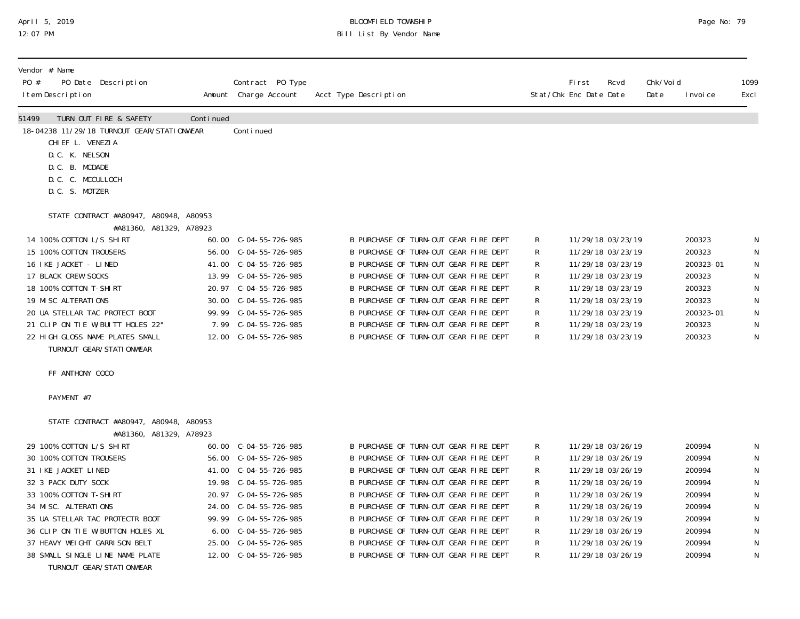#### April 5, 2019 BLOOMFIELD TOWNSHIP Page No: 79 12:07 PM Bill List By Vendor Name

| Vendor # Name<br>PO Date Description<br>PO #<br>I tem Description                                                                                                                                                                                                                                                                         |           | Contract PO Type<br>Amount Charge Account                                                                                                                                                             | Acct Type Description                                                                                                                                                                                                                                                                                                                                                         |                                           | First<br>Stat/Chk Enc Date Date                                                                                            | Rcvd                                                        | Chk/Voi d<br>Date | I nvoi ce                                                                                    | 1099<br>Excl                    |
|-------------------------------------------------------------------------------------------------------------------------------------------------------------------------------------------------------------------------------------------------------------------------------------------------------------------------------------------|-----------|-------------------------------------------------------------------------------------------------------------------------------------------------------------------------------------------------------|-------------------------------------------------------------------------------------------------------------------------------------------------------------------------------------------------------------------------------------------------------------------------------------------------------------------------------------------------------------------------------|-------------------------------------------|----------------------------------------------------------------------------------------------------------------------------|-------------------------------------------------------------|-------------------|----------------------------------------------------------------------------------------------|---------------------------------|
| 51499<br>TURN OUT FIRE & SAFETY<br>18-04238 11/29/18 TURNOUT GEAR/STATIONWEAR<br>CHI EF L. VENEZIA<br>D.C. K. NELSON<br>D.C. B. MCDADE<br>D.C. C. MCCULLOCH<br>D.C. S. MOTZER                                                                                                                                                             | Continued | Conti nued                                                                                                                                                                                            |                                                                                                                                                                                                                                                                                                                                                                               |                                           |                                                                                                                            |                                                             |                   |                                                                                              |                                 |
| STATE CONTRACT #A80947, A80948, A80953                                                                                                                                                                                                                                                                                                    |           |                                                                                                                                                                                                       |                                                                                                                                                                                                                                                                                                                                                                               |                                           |                                                                                                                            |                                                             |                   |                                                                                              |                                 |
| #A81360, A81329, A78923<br>14 100% COTTON L/S SHIRT<br>15 100% COTTON TROUSERS<br>16 IKE JACKET - LINED<br>17 BLACK CREW SOCKS<br>18 100% COTTON T-SHIRT<br>19 MI SC ALTERATIONS<br>20 UA STELLAR TAC PROTECT BOOT<br>21 CLIP ON TIE W/BUITT HOLES 22"<br>22 HIGH GLOSS NAME PLATES SMALL<br>TURNOUT GEAR/STATI ONWEAR<br>FF ANTHONY COCO |           | 60.00 C-04-55-726-985<br>56.00 C-04-55-726-985<br>41.00 C-04-55-726-985<br>13.99 $C-04-55-726-985$<br>20.97 C-04-55-726-985<br>99.99 C-04-55-726-985<br>7.99 C-04-55-726-985<br>12.00 C-04-55-726-985 | B PURCHASE OF TURN-OUT GEAR FIRE DEPT<br>B PURCHASE OF TURN-OUT GEAR FIRE DEPT<br>B PURCHASE OF TURN-OUT GEAR FIRE DEPT<br>B PURCHASE OF TURN-OUT GEAR FIRE DEPT<br>B PURCHASE OF TURN-OUT GEAR FIRE DEPT<br>B PURCHASE OF TURN-OUT GEAR FIRE DEPT<br>B PURCHASE OF TURN-OUT GEAR FIRE DEPT<br>B PURCHASE OF TURN-OUT GEAR FIRE DEPT<br>B PURCHASE OF TURN-OUT GEAR FIRE DEPT | R<br>R<br>R<br>R<br>R<br>R<br>R<br>R<br>R | 11/29/18 03/23/19<br>11/29/18 03/23/19<br>11/29/18 03/23/19<br>11/29/18 03/23/19<br>11/29/18 03/23/19<br>11/29/18 03/23/19 | 11/29/18 03/23/19<br>11/29/18 03/23/19<br>11/29/18 03/23/19 |                   | 200323<br>200323<br>200323-01<br>200323<br>200323<br>200323<br>200323-01<br>200323<br>200323 | N<br>N<br>N<br>N<br>N<br>N<br>N |
|                                                                                                                                                                                                                                                                                                                                           |           |                                                                                                                                                                                                       |                                                                                                                                                                                                                                                                                                                                                                               |                                           |                                                                                                                            |                                                             |                   |                                                                                              |                                 |
| PAYMENT #7<br>STATE CONTRACT #A80947, A80948, A80953<br>#A81360, A81329, A78923                                                                                                                                                                                                                                                           |           |                                                                                                                                                                                                       |                                                                                                                                                                                                                                                                                                                                                                               |                                           |                                                                                                                            |                                                             |                   |                                                                                              |                                 |
| 29 100% COTTON L/S SHIRT                                                                                                                                                                                                                                                                                                                  |           | 60.00 C-04-55-726-985                                                                                                                                                                                 | B PURCHASE OF TURN-OUT GEAR FIRE DEPT                                                                                                                                                                                                                                                                                                                                         | R                                         |                                                                                                                            | 11/29/18 03/26/19                                           |                   | 200994                                                                                       | N                               |
| 30 100% COTTON TROUSERS                                                                                                                                                                                                                                                                                                                   |           |                                                                                                                                                                                                       | B PURCHASE OF TURN-OUT GEAR FIRE DEPT                                                                                                                                                                                                                                                                                                                                         | R                                         | 11/29/18 03/26/19                                                                                                          |                                                             |                   | 200994                                                                                       |                                 |
| 31 IKE JACKET LINED                                                                                                                                                                                                                                                                                                                       |           | 41.00 C-04-55-726-985                                                                                                                                                                                 | B PURCHASE OF TURN-OUT GEAR FIRE DEPT                                                                                                                                                                                                                                                                                                                                         | R                                         |                                                                                                                            | 11/29/18 03/26/19                                           |                   | 200994                                                                                       |                                 |
| 32 3 PACK DUTY SOCK<br>33 100% COTTON T-SHIRT                                                                                                                                                                                                                                                                                             |           | 20.97 C-04-55-726-985                                                                                                                                                                                 | B PURCHASE OF TURN-OUT GEAR FIRE DEPT<br>B PURCHASE OF TURN-OUT GEAR FIRE DEPT                                                                                                                                                                                                                                                                                                | R<br>R                                    | 11/29/18 03/26/19<br>11/29/18 03/26/19                                                                                     |                                                             |                   | 200994<br>200994                                                                             |                                 |
| 34 MISC. ALTERATIONS                                                                                                                                                                                                                                                                                                                      |           |                                                                                                                                                                                                       | B PURCHASE OF TURN-OUT GEAR FIRE DEPT                                                                                                                                                                                                                                                                                                                                         | R                                         |                                                                                                                            | 11/29/18 03/26/19                                           |                   | 200994                                                                                       | N                               |
| 35 UA STELLAR TAC PROTECTR BOOT                                                                                                                                                                                                                                                                                                           |           | 99.99 C-04-55-726-985                                                                                                                                                                                 | B PURCHASE OF TURN-OUT GEAR FIRE DEPT                                                                                                                                                                                                                                                                                                                                         | R                                         | 11/29/18 03/26/19                                                                                                          |                                                             |                   | 200994                                                                                       |                                 |
| 36 CLIP ON TIE W/BUTTON HOLES XL                                                                                                                                                                                                                                                                                                          |           | 6.00 C-04-55-726-985                                                                                                                                                                                  | B PURCHASE OF TURN-OUT GEAR FIRE DEPT                                                                                                                                                                                                                                                                                                                                         | R                                         | 11/29/18 03/26/19                                                                                                          |                                                             |                   | 200994                                                                                       |                                 |
| 37 HEAVY WEIGHT GARRI SON BELT                                                                                                                                                                                                                                                                                                            |           | 25.00 C-04-55-726-985                                                                                                                                                                                 | B PURCHASE OF TURN-OUT GEAR FIRE DEPT                                                                                                                                                                                                                                                                                                                                         | R                                         | 11/29/18 03/26/19                                                                                                          |                                                             |                   | 200994                                                                                       | N                               |
| 38 SMALL SINGLE LINE NAME PLATE<br>TURNOUT GEAR/STATI ONWEAR                                                                                                                                                                                                                                                                              |           | 12.00 C-04-55-726-985                                                                                                                                                                                 | B PURCHASE OF TURN-OUT GEAR FIRE DEPT                                                                                                                                                                                                                                                                                                                                         | R                                         |                                                                                                                            | 11/29/18 03/26/19                                           |                   | 200994                                                                                       | N                               |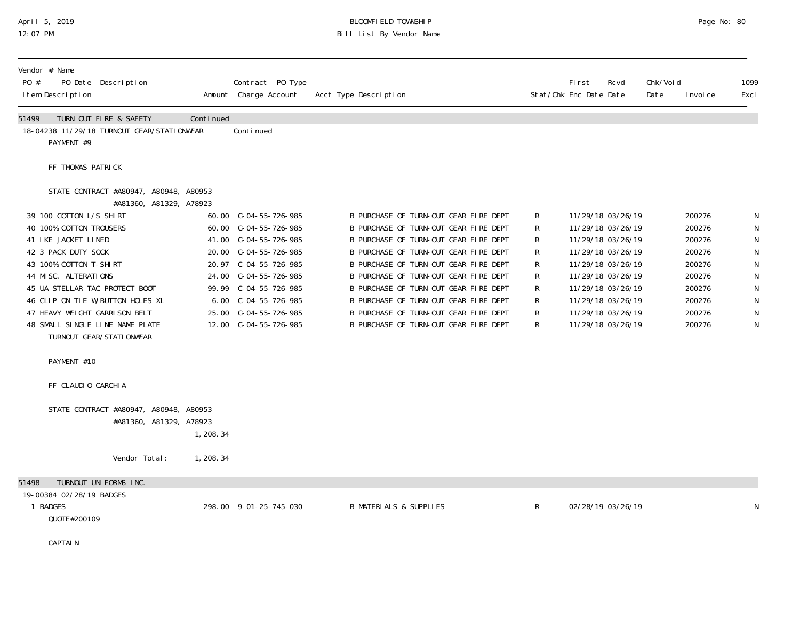#### April 5, 2019 BLOOMFIELD TOWNSHIP Page No: 80 12:07 PM Bill List By Vendor Name

| Vendor # Name<br>PO #<br>PO Date Description<br>I tem Description                                                                                                                                                                                                                                                                                                                              |            | Contract PO Type<br>Amount Charge Account                                                                                                                                                                                                                               | Acct Type Description                                                                                                                                                                                                                                                                                                                                                                                                  |                                                | Fi rst<br>Stat/Chk Enc Date Date | Rcvd                                                                                                                                                                                                           | Chk/Voi d<br>Date | I nvoi ce                                                                                        | 1099<br>Excl |
|------------------------------------------------------------------------------------------------------------------------------------------------------------------------------------------------------------------------------------------------------------------------------------------------------------------------------------------------------------------------------------------------|------------|-------------------------------------------------------------------------------------------------------------------------------------------------------------------------------------------------------------------------------------------------------------------------|------------------------------------------------------------------------------------------------------------------------------------------------------------------------------------------------------------------------------------------------------------------------------------------------------------------------------------------------------------------------------------------------------------------------|------------------------------------------------|----------------------------------|----------------------------------------------------------------------------------------------------------------------------------------------------------------------------------------------------------------|-------------------|--------------------------------------------------------------------------------------------------|--------------|
| TURN OUT FIRE & SAFETY<br>51499<br>18-04238 11/29/18 TURNOUT GEAR/STATIONWEAR<br>PAYMENT #9                                                                                                                                                                                                                                                                                                    | Continued  | Continued                                                                                                                                                                                                                                                               |                                                                                                                                                                                                                                                                                                                                                                                                                        |                                                |                                  |                                                                                                                                                                                                                |                   |                                                                                                  |              |
| FF THOMAS PATRICK                                                                                                                                                                                                                                                                                                                                                                              |            |                                                                                                                                                                                                                                                                         |                                                                                                                                                                                                                                                                                                                                                                                                                        |                                                |                                  |                                                                                                                                                                                                                |                   |                                                                                                  |              |
| STATE CONTRACT #A80947, A80948, A80953<br>#A81360, A81329, A78923<br>39 100 COTTON L/S SHIRT<br>40 100% COTTON TROUSERS<br>41 IKE JACKET LINED<br>42 3 PACK DUTY SOCK<br>43 100% COTTON T-SHIRT<br>44 MISC. ALTERATIONS<br>45 UA STELLAR TAC PROTECT BOOT<br>46 CLIP ON TIE W/BUTTON HOLES XL<br>47 HEAVY WEIGHT GARRISON BELT<br>48 SMALL SINGLE LINE NAME PLATE<br>TURNOUT GEAR/STATI ONWEAR |            | 60.00 C-04-55-726-985<br>60.00 C-04-55-726-985<br>41.00 C-04-55-726-985<br>20.00 C-04-55-726-985<br>20.97 C-04-55-726-985<br>24.00 C-04-55-726-985<br>99.99 $C-04-55-726-985$<br>$6.00 \quad C - 04 - 55 - 726 - 985$<br>25.00 C-04-55-726-985<br>12.00 C-04-55-726-985 | B PURCHASE OF TURN-OUT GEAR FIRE DEPT<br>B PURCHASE OF TURN-OUT GEAR FIRE DEPT<br>B PURCHASE OF TURN-OUT GEAR FIRE DEPT<br>B PURCHASE OF TURN-OUT GEAR FIRE DEPT<br>B PURCHASE OF TURN-OUT GEAR FIRE DEPT<br>B PURCHASE OF TURN-OUT GEAR FIRE DEPT<br>B PURCHASE OF TURN-OUT GEAR FIRE DEPT<br>B PURCHASE OF TURN-OUT GEAR FIRE DEPT<br>B PURCHASE OF TURN-OUT GEAR FIRE DEPT<br>B PURCHASE OF TURN-OUT GEAR FIRE DEPT | R<br>R<br>R<br>R<br>R<br>R<br>R<br>R<br>R<br>R |                                  | 11/29/18 03/26/19<br>11/29/18 03/26/19<br>11/29/18 03/26/19<br>11/29/18 03/26/19<br>11/29/18 03/26/19<br>11/29/18 03/26/19<br>11/29/18 03/26/19<br>11/29/18 03/26/19<br>11/29/18 03/26/19<br>11/29/18 03/26/19 |                   | 200276<br>200276<br>200276<br>200276<br>200276<br>200276<br>200276<br>200276<br>200276<br>200276 | N            |
| PAYMENT #10                                                                                                                                                                                                                                                                                                                                                                                    |            |                                                                                                                                                                                                                                                                         |                                                                                                                                                                                                                                                                                                                                                                                                                        |                                                |                                  |                                                                                                                                                                                                                |                   |                                                                                                  |              |
| FF CLAUDIO CARCHIA                                                                                                                                                                                                                                                                                                                                                                             |            |                                                                                                                                                                                                                                                                         |                                                                                                                                                                                                                                                                                                                                                                                                                        |                                                |                                  |                                                                                                                                                                                                                |                   |                                                                                                  |              |
| STATE CONTRACT #A80947, A80948, A80953<br>#A81360, A81329, A78923                                                                                                                                                                                                                                                                                                                              | 1, 208.34  |                                                                                                                                                                                                                                                                         |                                                                                                                                                                                                                                                                                                                                                                                                                        |                                                |                                  |                                                                                                                                                                                                                |                   |                                                                                                  |              |
| Vendor Total:                                                                                                                                                                                                                                                                                                                                                                                  | 1, 208. 34 |                                                                                                                                                                                                                                                                         |                                                                                                                                                                                                                                                                                                                                                                                                                        |                                                |                                  |                                                                                                                                                                                                                |                   |                                                                                                  |              |
| TURNOUT UNIFORMS INC.<br>51498<br>19-00384 02/28/19 BADGES<br>1 BADGES<br>QUOTE#200109<br><b>CAPTAIN</b>                                                                                                                                                                                                                                                                                       |            | 298.00 9-01-25-745-030                                                                                                                                                                                                                                                  | <b>B MATERIALS &amp; SUPPLIES</b>                                                                                                                                                                                                                                                                                                                                                                                      | R                                              |                                  | 02/28/19 03/26/19                                                                                                                                                                                              |                   |                                                                                                  |              |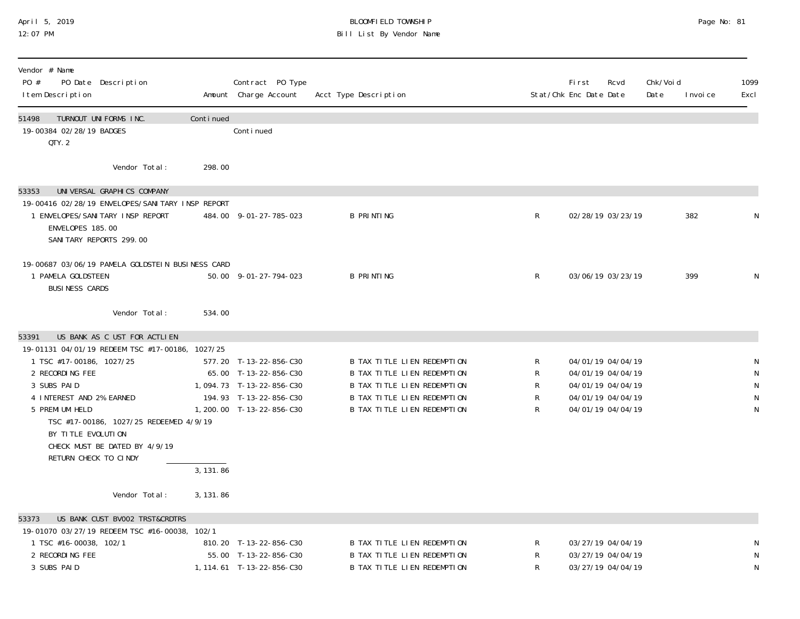## April 5, 2019 BLOOMFIELD TOWNSHIP Page No: 81 12:07 PM Bill List By Vendor Name

| Vendor # Name<br>PO #<br>PO Date Description<br>I tem Description                                                                                                                                                                                                                                                               |           | Contract PO Type<br>Amount Charge Account                                                                                          | Acct Type Description                                                                                                                                   |                       | First<br>Rcvd<br>Stat/Chk Enc Date Date                                                               | Chk/Voi d<br>Date | 1099<br>I nvoi ce<br>Excl                        |
|---------------------------------------------------------------------------------------------------------------------------------------------------------------------------------------------------------------------------------------------------------------------------------------------------------------------------------|-----------|------------------------------------------------------------------------------------------------------------------------------------|---------------------------------------------------------------------------------------------------------------------------------------------------------|-----------------------|-------------------------------------------------------------------------------------------------------|-------------------|--------------------------------------------------|
| TURNOUT UNIFORMS INC.<br>51498<br>19-00384 02/28/19 BADGES<br>QTY.2                                                                                                                                                                                                                                                             | Continued | Conti nued                                                                                                                         |                                                                                                                                                         |                       |                                                                                                       |                   |                                                  |
| Vendor Total:                                                                                                                                                                                                                                                                                                                   | 298.00    |                                                                                                                                    |                                                                                                                                                         |                       |                                                                                                       |                   |                                                  |
| UNIVERSAL GRAPHICS COMPANY<br>53353<br>19-00416 02/28/19 ENVELOPES/SANI TARY INSP REPORT<br>1 ENVELOPES/SANITARY INSP REPORT<br>ENVELOPES 185.00<br>SANI TARY REPORTS 299.00                                                                                                                                                    |           | 484.00 9-01-27-785-023                                                                                                             | <b>B PRINTING</b>                                                                                                                                       | $\mathsf{R}$          | 02/28/19 03/23/19                                                                                     | 382               | N                                                |
| 19-00687 03/06/19 PAMELA GOLDSTEIN BUSINESS CARD<br>1 PAMELA GOLDSTEEN<br><b>BUSINESS CARDS</b>                                                                                                                                                                                                                                 |           | 50.00 9-01-27-794-023                                                                                                              | <b>B PRINTING</b>                                                                                                                                       | R                     | 03/06/19 03/23/19                                                                                     | 399               | N                                                |
| Vendor Total:                                                                                                                                                                                                                                                                                                                   | 534.00    |                                                                                                                                    |                                                                                                                                                         |                       |                                                                                                       |                   |                                                  |
| US BANK AS C UST FOR ACTLIEN<br>53391<br>19-01131 04/01/19 REDEEM TSC #17-00186, 1027/25<br>1 TSC #17-00186, 1027/25<br>2 RECORDING FEE<br>3 SUBS PAID<br>4 INTEREST AND 2% EARNED<br>5 PREMI UM HELD<br>TSC #17-00186, 1027/25 REDEEMED 4/9/19<br>BY TITLE EVOLUTION<br>CHECK MUST BE DATED BY 4/9/19<br>RETURN CHECK TO CINDY | 3, 131.86 | 577.20 T-13-22-856-C30<br>65.00 T-13-22-856-C30<br>1,094.73 T-13-22-856-C30<br>194.93 T-13-22-856-C30<br>1, 200.00 T-13-22-856-C30 | B TAX TITLE LIEN REDEMPTION<br>B TAX TITLE LIEN REDEMPTION<br>B TAX TITLE LIEN REDEMPTION<br>B TAX TITLE LIEN REDEMPTION<br>B TAX TITLE LIEN REDEMPTION | R<br>R<br>R<br>R<br>R | 04/01/19 04/04/19<br>04/01/19 04/04/19<br>04/01/19 04/04/19<br>04/01/19 04/04/19<br>04/01/19 04/04/19 |                   | N<br>${\sf N}$<br>${\sf N}$<br>N<br>$\mathsf{N}$ |
| Vendor Total:                                                                                                                                                                                                                                                                                                                   | 3, 131.86 |                                                                                                                                    |                                                                                                                                                         |                       |                                                                                                       |                   |                                                  |
| US BANK CUST BV002 TRST&CRDTRS<br>53373<br>19-01070 03/27/19 REDEEM TSC #16-00038, 102/1<br>1 TSC #16-00038, 102/1<br>2 RECORDING FEE<br>3 SUBS PAID                                                                                                                                                                            |           | 810.20 T-13-22-856-C30<br>55.00 T-13-22-856-C30<br>1, 114.61 T-13-22-856-C30                                                       | B TAX TITLE LIEN REDEMPTION<br><b>B TAX TITLE LIEN REDEMPTION</b><br>B TAX TITLE LIEN REDEMPTION                                                        | R<br>R<br>R           | 03/27/19 04/04/19<br>03/27/19 04/04/19<br>03/27/19 04/04/19                                           |                   | N<br>N<br>${\sf N}$                              |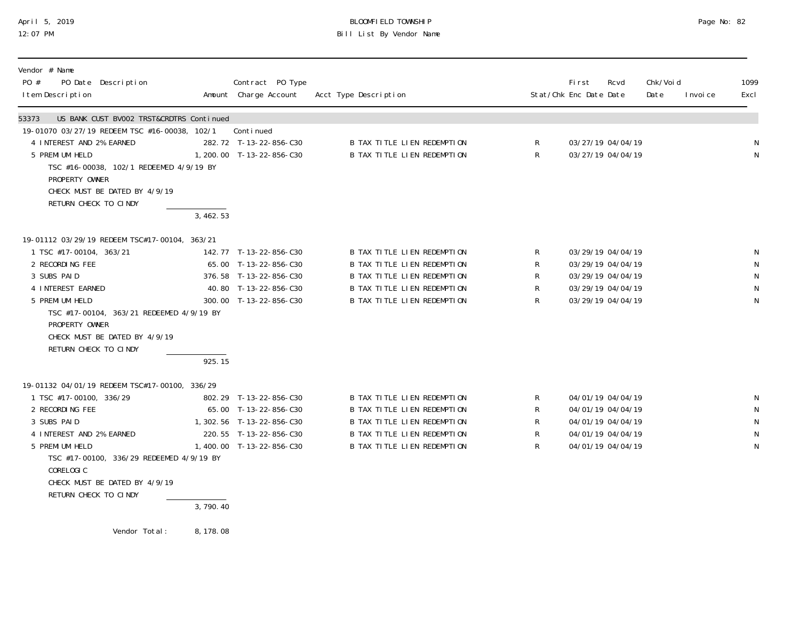## April 5, 2019 BLOOMFIELD TOWNSHIP Page No: 82 12:07 PM Bill List By Vendor Name

| Vendor # Name<br>PO #<br>PO Date Description<br>I tem Description                                                                       |            | Contract PO Type<br>Amount Charge Account | Acct Type Description              |              | Fi rst<br>Stat/Chk Enc Date Date | Rcvd | Chk/Voi d<br>Date | I nvoi ce | 1099<br>Excl |
|-----------------------------------------------------------------------------------------------------------------------------------------|------------|-------------------------------------------|------------------------------------|--------------|----------------------------------|------|-------------------|-----------|--------------|
| US BANK CUST BV002 TRST&CRDTRS Continued<br>53373                                                                                       |            |                                           |                                    |              |                                  |      |                   |           |              |
| 19-01070 03/27/19 REDEEM TSC #16-00038, 102/1                                                                                           |            | Continued                                 |                                    |              |                                  |      |                   |           |              |
| 4 INTEREST AND 2% EARNED                                                                                                                |            | 282.72 T-13-22-856-C30                    | B TAX TITLE LIEN REDEMPTION        | R            | 03/27/19 04/04/19                |      |                   |           | N            |
| 5 PREMI UM HELD                                                                                                                         |            | 1, 200.00 T-13-22-856-C30                 | <b>B TAX TITLE LIEN REDEMPTION</b> | $\mathsf{R}$ | 03/27/19 04/04/19                |      |                   |           | ${\sf N}$    |
| TSC #16-00038, 102/1 REDEEMED 4/9/19 BY<br>PROPERTY OWNER                                                                               |            |                                           |                                    |              |                                  |      |                   |           |              |
| CHECK MUST BE DATED BY 4/9/19                                                                                                           |            |                                           |                                    |              |                                  |      |                   |           |              |
| RETURN CHECK TO CINDY                                                                                                                   |            |                                           |                                    |              |                                  |      |                   |           |              |
|                                                                                                                                         | 3,462.53   |                                           |                                    |              |                                  |      |                   |           |              |
| 19-01112 03/29/19 REDEEM TSC#17-00104, 363/21                                                                                           |            |                                           |                                    |              |                                  |      |                   |           |              |
| 1 TSC #17-00104, 363/21                                                                                                                 |            | 142.77 T-13-22-856-C30                    | <b>B TAX TITLE LIEN REDEMPTION</b> | R.           | 03/29/19 04/04/19                |      |                   |           | N            |
| 2 RECORDING FEE                                                                                                                         |            | 65.00 T-13-22-856-C30                     | B TAX TITLE LIEN REDEMPTION        | R            | 03/29/19 04/04/19                |      |                   |           | N            |
| 3 SUBS PAID                                                                                                                             |            | 376.58 T-13-22-856-C30                    | B TAX TITLE LIEN REDEMPTION        | R            | 03/29/19 04/04/19                |      |                   |           | N            |
| 4 INTEREST EARNED                                                                                                                       |            | 40.80 T-13-22-856-C30                     | B TAX TITLE LIEN REDEMPTION        | R            | 03/29/19 04/04/19                |      |                   |           | N            |
| 5 PREMI UM HELD<br>TSC #17-00104, 363/21 REDEEMED 4/9/19 BY<br>PROPERTY OWNER<br>CHECK MUST BE DATED BY 4/9/19<br>RETURN CHECK TO CINDY |            | 300.00 T-13-22-856-C30                    | <b>B TAX TITLE LIEN REDEMPTION</b> | $\mathsf R$  | 03/29/19 04/04/19                |      |                   |           | $\mathsf N$  |
|                                                                                                                                         | 925.15     |                                           |                                    |              |                                  |      |                   |           |              |
| 19-01132 04/01/19 REDEEM TSC#17-00100, 336/29                                                                                           |            |                                           |                                    |              |                                  |      |                   |           |              |
| 1 TSC #17-00100, 336/29                                                                                                                 |            | 802.29 T-13-22-856-C30                    | B TAX TITLE LIEN REDEMPTION        | R            | 04/01/19 04/04/19                |      |                   |           | N            |
| 2 RECORDING FEE                                                                                                                         |            | 65.00 T-13-22-856-C30                     | <b>B TAX TITLE LIEN REDEMPTION</b> | R            | 04/01/19 04/04/19                |      |                   |           | $\mathsf{N}$ |
| 3 SUBS PAID                                                                                                                             |            | 1, 302. 56 T-13-22-856-C30                | <b>B TAX TITLE LIEN REDEMPTION</b> | $\mathsf R$  | 04/01/19 04/04/19                |      |                   |           | N            |
| 4 INTEREST AND 2% EARNED                                                                                                                |            | 220.55 T-13-22-856-C30                    | <b>B TAX TITLE LIEN REDEMPTION</b> | R            | 04/01/19 04/04/19                |      |                   |           | N            |
| 5 PREMI UM HELD<br>TSC #17-00100, 336/29 REDEEMED 4/9/19 BY<br>CORELOGIC<br>CHECK MUST BE DATED BY 4/9/19                               |            | 1,400.00 T-13-22-856-C30                  | <b>B TAX TITLE LIEN REDEMPTION</b> | $\mathsf{R}$ | 04/01/19 04/04/19                |      |                   |           | N            |
| RETURN CHECK TO CINDY                                                                                                                   |            |                                           |                                    |              |                                  |      |                   |           |              |
|                                                                                                                                         | 3,790.40   |                                           |                                    |              |                                  |      |                   |           |              |
| Vendor Total:                                                                                                                           | 8, 178, 08 |                                           |                                    |              |                                  |      |                   |           |              |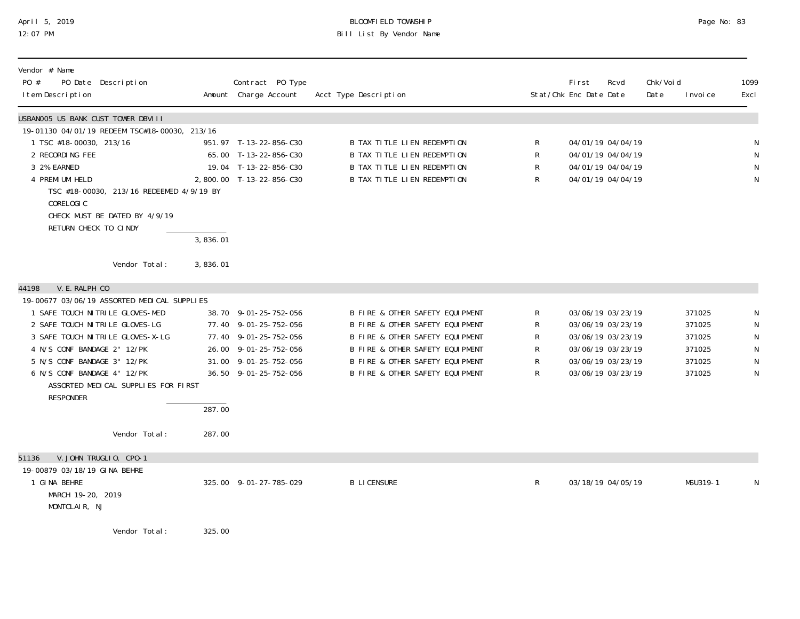## April 5, 2019 BLOOMFIELD TOWNSHIP Page No: 83 12:07 PM Bill List By Vendor Name

| Vendor # Name<br>PO #<br>PO Date Description<br>I tem Description                                                                                                                                                                                                                                                                                        |                      | Contract PO Type<br>Amount Charge Account                                                                                                          | Acct Type Description                                                                                                                                                                                          |                                      | <b>First</b><br>Rcvd<br>Stat/Chk Enc Date Date                                                                             | Chk/Voi d<br>Date | I nvoi ce                                                | 1099<br>Excl                               |
|----------------------------------------------------------------------------------------------------------------------------------------------------------------------------------------------------------------------------------------------------------------------------------------------------------------------------------------------------------|----------------------|----------------------------------------------------------------------------------------------------------------------------------------------------|----------------------------------------------------------------------------------------------------------------------------------------------------------------------------------------------------------------|--------------------------------------|----------------------------------------------------------------------------------------------------------------------------|-------------------|----------------------------------------------------------|--------------------------------------------|
| USBANOO5 US BANK CUST TOWER DBVIII<br>19-01130 04/01/19 REDEEM TSC#18-00030, 213/16<br>1 TSC #18-00030, 213/16<br>2 RECORDING FEE<br>3 2% EARNED<br>4 PREMI UM HELD<br>TSC #18-00030, 213/16 REDEEMED 4/9/19 BY<br>CORELOGIC<br>CHECK MUST BE DATED BY 4/9/19<br>RETURN CHECK TO CINDY<br>Vendor Total:                                                  | 3,836.01<br>3,836.01 | 951.97 T-13-22-856-C30<br>65.00 T-13-22-856-C30<br>19.04 T-13-22-856-C30<br>2,800.00 T-13-22-856-C30                                               | B TAX TITLE LIEN REDEMPTION<br>B TAX TITLE LIEN REDEMPTION<br><b>B TAX TITLE LIEN REDEMPTION</b><br><b>B TAX TITLE LIEN REDEMPTION</b>                                                                         | R<br>R<br>R<br>R                     | 04/01/19 04/04/19<br>04/01/19 04/04/19<br>04/01/19 04/04/19<br>04/01/19 04/04/19                                           |                   |                                                          | N<br>${\sf N}$<br>$\mathsf N$<br>N         |
| V. E. RALPH CO<br>44198<br>19-00677 03/06/19 ASSORTED MEDICAL SUPPLIES<br>1 SAFE TOUCH NITRILE GLOVES-MED<br>2 SAFE TOUCH NITRILE GLOVES-LG<br>3 SAFE TOUCH NITRILE GLOVES-X-LG<br>4 N/S CONF BANDAGE 2" 12/PK<br>5 N/S CONF BANDAGE 3" 12/PK<br>6 N/S CONF BANDAGE 4" 12/PK<br>ASSORTED MEDICAL SUPPLIES FOR FIRST<br><b>RESPONDER</b><br>Vendor Total: | 287.00<br>287.00     | 38.70 9-01-25-752-056<br>77.40 9-01-25-752-056<br>77.40 9-01-25-752-056<br>26.00 9-01-25-752-056<br>31.00 9-01-25-752-056<br>36.50 9-01-25-752-056 | B FIRE & OTHER SAFETY EQUIPMENT<br>B FIRE & OTHER SAFETY EQUIPMENT<br>B FIRE & OTHER SAFETY EQUIPMENT<br>B FIRE & OTHER SAFETY EQUIPMENT<br>B FIRE & OTHER SAFETY EQUIPMENT<br>B FIRE & OTHER SAFETY EQUIPMENT | R<br>R<br>R<br>$\mathsf R$<br>R<br>R | 03/06/19 03/23/19<br>03/06/19 03/23/19<br>03/06/19 03/23/19<br>03/06/19 03/23/19<br>03/06/19 03/23/19<br>03/06/19 03/23/19 |                   | 371025<br>371025<br>371025<br>371025<br>371025<br>371025 | N<br>N<br>N<br>${\sf N}$<br>${\sf N}$<br>N |
| V. JOHN TRUGLIO, CPO-1<br>51136<br>19-00879 03/18/19 GINA BEHRE<br>1 GINA BEHRE<br>MARCH 19-20, 2019<br>MONTCLAIR, NJ<br>Vendor Total:                                                                                                                                                                                                                   | 325.00               | 325.00 9-01-27-785-029                                                                                                                             | <b>B LICENSURE</b>                                                                                                                                                                                             | R                                    | 03/18/19 04/05/19                                                                                                          |                   | MSU319-1                                                 | N                                          |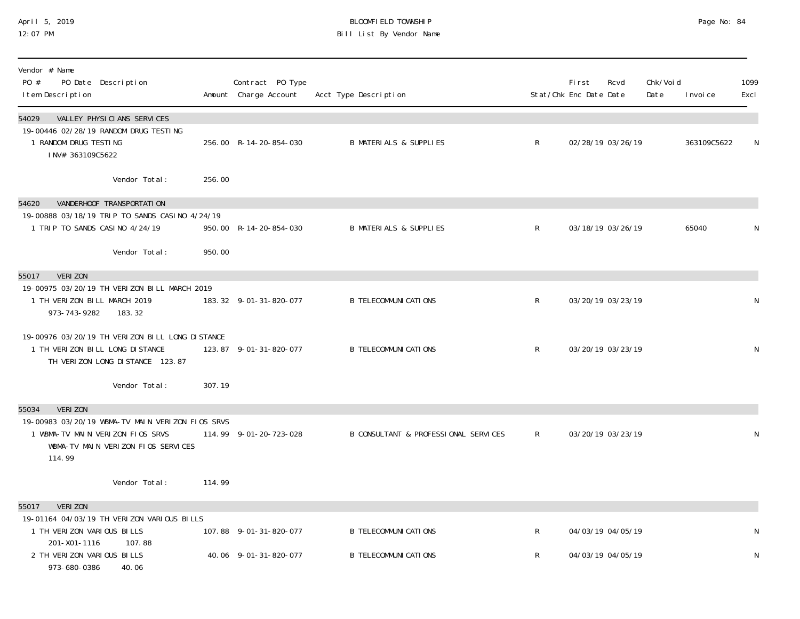## April 5, 2019 BLOOMFIELD TOWNSHIP Page No: 84 Bill List By Vendor Name

| Vendor # Name<br>PO #<br>PO Date Description<br>I tem Description                                                                    |        | Contract PO Type<br>Amount Charge Account | Acct Type Description                |                | <b>First</b><br>Stat/Chk Enc Date Date | Rcvd              | Chk/Void<br>Date | I nvoi ce   | 1099<br>Excl |
|--------------------------------------------------------------------------------------------------------------------------------------|--------|-------------------------------------------|--------------------------------------|----------------|----------------------------------------|-------------------|------------------|-------------|--------------|
| VALLEY PHYSICIANS SERVICES<br>54029<br>19-00446 02/28/19 RANDOM DRUG TESTING<br>1 RANDOM DRUG TESTING<br>INV# 363109C5622            |        | 256.00 R-14-20-854-030                    | <b>B MATERIALS &amp; SUPPLIES</b>    | $\mathsf{R}$   |                                        | 02/28/19 03/26/19 |                  | 363109C5622 | N            |
| Vendor Total:                                                                                                                        | 256.00 |                                           |                                      |                |                                        |                   |                  |             |              |
| VANDERHOOF TRANSPORTATION<br>54620                                                                                                   |        |                                           |                                      |                |                                        |                   |                  |             |              |
| 19-00888 03/18/19 TRIP TO SANDS CASINO 4/24/19<br>1 TRIP TO SANDS CASINO 4/24/19                                                     |        | 950.00 R-14-20-854-030                    | <b>B MATERIALS &amp; SUPPLIES</b>    | $\mathsf{R}$   |                                        | 03/18/19 03/26/19 |                  | 65040       | N            |
| Vendor Total:                                                                                                                        | 950.00 |                                           |                                      |                |                                        |                   |                  |             |              |
| 55017<br>VERI ZON                                                                                                                    |        |                                           |                                      |                |                                        |                   |                  |             |              |
| 19-00975 03/20/19 TH VERIZON BILL MARCH 2019<br>1 TH VERIZON BILL MARCH 2019<br>973-743-9282<br>183.32                               |        | 183.32 9-01-31-820-077                    | <b>B TELECOMMUNICATIONS</b>          | $\mathsf{R}^-$ |                                        | 03/20/19 03/23/19 |                  |             | N            |
| 19-00976 03/20/19 TH VERIZON BILL LONG DISTANCE<br>1 TH VERIZON BILL LONG DISTANCE<br>TH VERIZON LONG DISTANCE 123.87                |        | 123.87 9-01-31-820-077                    | <b>B TELECOMMUNI CATIONS</b>         | R              |                                        | 03/20/19 03/23/19 |                  |             | N            |
| Vendor Total:                                                                                                                        | 307.19 |                                           |                                      |                |                                        |                   |                  |             |              |
| <b>VERIZON</b><br>55034                                                                                                              |        |                                           |                                      |                |                                        |                   |                  |             |              |
| 19-00983 03/20/19 WBMA-TV MAIN VERIZON FIOS SRVS<br>1 WBMA-TV MAIN VERIZON FIOS SRVS<br>WBMA-TV MAIN VERIZON FIOS SERVICES<br>114.99 |        | 114.99 9-01-20-723-028                    | B CONSULTANT & PROFESSIONAL SERVICES | $\mathsf{R}$   |                                        | 03/20/19 03/23/19 |                  |             | N            |
| Vendor Total:                                                                                                                        | 114.99 |                                           |                                      |                |                                        |                   |                  |             |              |
| <b>VERIZON</b><br>55017                                                                                                              |        |                                           |                                      |                |                                        |                   |                  |             |              |
| 19-01164 04/03/19 TH VERIZON VARIOUS BILLS<br>1 TH VERIZON VARIOUS BILLS                                                             |        | 107.88 9-01-31-820-077                    | <b>B TELECOMMUNICATIONS</b>          | $\mathsf{R}^-$ |                                        | 04/03/19 04/05/19 |                  |             | N            |
| 201-X01-1116<br>107.88<br>2 TH VERIZON VARIOUS BILLS<br>973-680-0386<br>40.06                                                        |        | 40.06 9-01-31-820-077                     | <b>B TELECOMMUNICATIONS</b>          | $\mathsf{R}^-$ |                                        | 04/03/19 04/05/19 |                  |             | N            |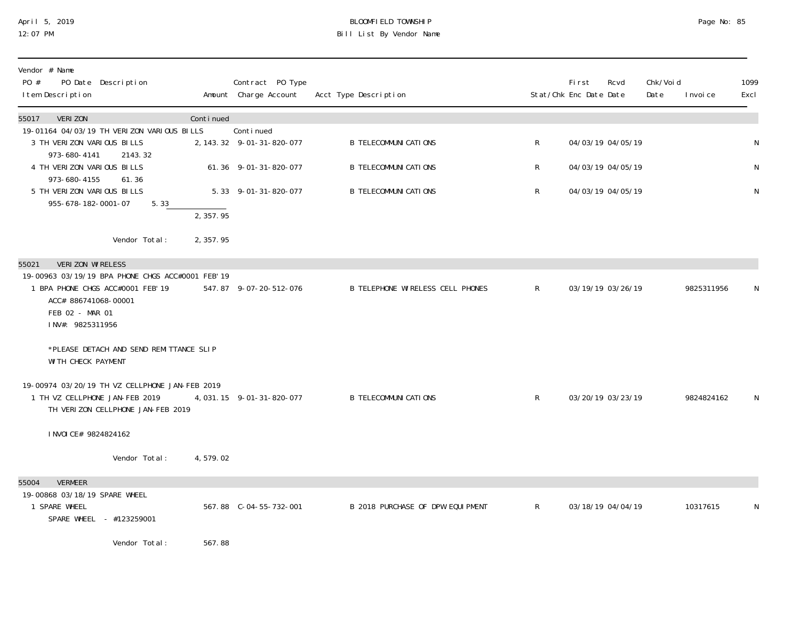## April 5, 2019 BLOOMFIELD TOWNSHIP Page No: 85 12:07 PM Bill List By Vendor Name

| Vendor # Name<br>PO #<br>PO Date Description<br>I tem Description                                                                                     |           | Contract PO Type<br>Amount Charge Account | Acct Type Description                   |              | First<br>Rcvd<br>Stat/Chk Enc Date Date | Chk/Voi d<br>Date<br>I nvoi ce | 1099<br>Excl |
|-------------------------------------------------------------------------------------------------------------------------------------------------------|-----------|-------------------------------------------|-----------------------------------------|--------------|-----------------------------------------|--------------------------------|--------------|
| VERI ZON<br>55017                                                                                                                                     | Continued | Conti nued                                |                                         |              |                                         |                                |              |
| 19-01164 04/03/19 TH VERIZON VARIOUS BILLS<br>3 TH VERIZON VARIOUS BILLS<br>973-680-4141<br>2143.32                                                   |           | 2, 143. 32 9-01-31-820-077                | <b>B TELECOMMUNI CATI ONS</b>           | R            | 04/03/19 04/05/19                       |                                | N            |
| 4 TH VERIZON VARIOUS BILLS<br>973-680-4155<br>61.36                                                                                                   |           | 61.36 9-01-31-820-077                     | <b>B TELECOMMUNI CATI ONS</b>           | R            | 04/03/19 04/05/19                       |                                | N            |
| 5 TH VERIZON VARIOUS BILLS<br>955-678-182-0001-07<br>5.33                                                                                             |           | 5.33 9-01-31-820-077                      | <b>B TELECOMMUNI CATI ONS</b>           | R            | 04/03/19 04/05/19                       |                                | ${\sf N}$    |
|                                                                                                                                                       | 2, 357.95 |                                           |                                         |              |                                         |                                |              |
| Vendor Total:                                                                                                                                         | 2, 357.95 |                                           |                                         |              |                                         |                                |              |
| VERIZON WIRELESS<br>55021                                                                                                                             |           |                                           |                                         |              |                                         |                                |              |
| 19-00963 03/19/19 BPA PHONE CHGS ACC#0001 FEB' 19<br>1 BPA PHONE CHGS ACC#0001 FEB' 19<br>ACC# 886741068-00001<br>FEB 02 - MAR 01<br>INV#: 9825311956 |           | 547.87 9-07-20-512-076                    | <b>B TELEPHONE WIRELESS CELL PHONES</b> | $\mathsf{R}$ | 03/19/19 03/26/19                       | 9825311956                     | N.           |
| *PLEASE DETACH AND SEND REMITTANCE SLIP<br>WI TH CHECK PAYMENT                                                                                        |           |                                           |                                         |              |                                         |                                |              |
| 19-00974 03/20/19 TH VZ CELLPHONE JAN-FEB 2019<br>1 TH VZ CELLPHONE JAN-FEB 2019<br>TH VERIZON CELLPHONE JAN-FEB 2019                                 |           | 4, 031. 15 9-01-31-820-077                | <b>B TELECOMMUNI CATI ONS</b>           | $\mathsf{R}$ | 03/20/19 03/23/19                       | 9824824162                     | N            |
| I NVOI CE# 9824824162                                                                                                                                 |           |                                           |                                         |              |                                         |                                |              |
| Vendor Total:                                                                                                                                         | 4,579.02  |                                           |                                         |              |                                         |                                |              |
| 55004<br><b>VERMEER</b>                                                                                                                               |           |                                           |                                         |              |                                         |                                |              |
| 19-00868 03/18/19 SPARE WHEEL<br>1 SPARE WHEEL<br>SPARE WHEEL - #123259001                                                                            |           |                                           | B 2018 PURCHASE OF DPW EQUIPMENT        | $\mathsf{R}$ | 03/18/19 04/04/19                       | 10317615                       | N            |
| Vendor Total:                                                                                                                                         | 567.88    |                                           |                                         |              |                                         |                                |              |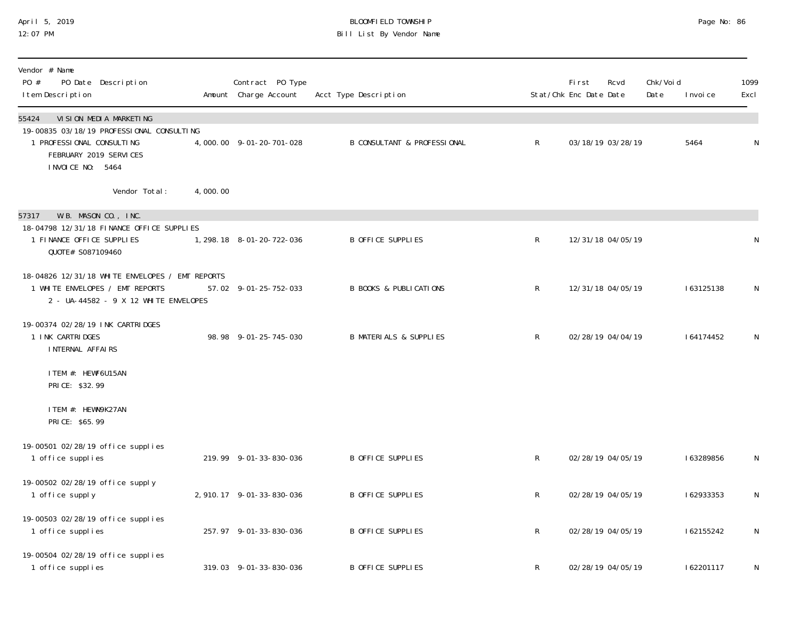## April 5, 2019 BLOOMFIELD TOWNSHIP Page No: 86 Bill List By Vendor Name

| Vendor # Name<br>PO #<br>PO Date Description<br>I tem Description                                                                                             |          | Contract PO Type<br>Amount Charge Account | Acct Type Description                  |              | First<br>Stat/Chk Enc Date Date | Rcvd              | Chk/Voi d<br>Date | I nvoi ce | 1099<br>Excl |
|---------------------------------------------------------------------------------------------------------------------------------------------------------------|----------|-------------------------------------------|----------------------------------------|--------------|---------------------------------|-------------------|-------------------|-----------|--------------|
| VI SI ON MEDI A MARKETI NG<br>55424<br>19-00835 03/18/19 PROFESSIONAL CONSULTING<br>1 PROFESSIONAL CONSULTING<br>FEBRUARY 2019 SERVICES<br>I NVOI CE NO: 5464 |          | 4,000.00 9-01-20-701-028                  | <b>B CONSULTANT &amp; PROFESSIONAL</b> | $\mathsf{R}$ |                                 | 03/18/19 03/28/19 |                   | 5464      | $\mathsf N$  |
| Vendor Total:                                                                                                                                                 | 4,000.00 |                                           |                                        |              |                                 |                   |                   |           |              |
| W.B. MASON CO., INC.<br>57317<br>18-04798 12/31/18 FINANCE OFFICE SUPPLIES<br>1 FINANCE OFFICE SUPPLIES<br>QUOTE# S087109460                                  |          | 1, 298. 18 8-01-20-722-036                | B OFFICE SUPPLIES                      | $\mathsf R$  |                                 | 12/31/18 04/05/19 |                   |           | N            |
| 18-04826 12/31/18 WHITE ENVELOPES / EMT REPORTS<br>1 WHITE ENVELOPES / EMT REPORTS<br>2 - UA-44582 - 9 X 12 WHITE ENVELOPES                                   |          | 57.02 9-01-25-752-033                     | <b>B BOOKS &amp; PUBLICATIONS</b>      | $\mathsf R$  |                                 | 12/31/18 04/05/19 |                   | 163125138 | N            |
| 19-00374 02/28/19 INK CARTRIDGES<br>1 INK CARTRIDGES<br>INTERNAL AFFAIRS                                                                                      |          | 98.98 9-01-25-745-030                     | <b>B MATERIALS &amp; SUPPLIES</b>      | $\mathsf R$  |                                 | 02/28/19 04/04/19 |                   | 164174452 | N            |
| ITEM #: HEWF6U15AN<br>PRICE: \$32.99                                                                                                                          |          |                                           |                                        |              |                                 |                   |                   |           |              |
| ITEM #: HEWN9K27AN<br>PRICE: \$65.99                                                                                                                          |          |                                           |                                        |              |                                 |                   |                   |           |              |
| 19-00501 02/28/19 office supplies<br>1 office supplies                                                                                                        |          | 219.99 9-01-33-830-036                    | B OFFICE SUPPLIES                      | R            |                                 | 02/28/19 04/05/19 |                   | 163289856 | N            |
| 19-00502 02/28/19 office supply<br>1 office supply                                                                                                            |          | 2, 910. 17 9-01-33-830-036                | B OFFICE SUPPLIES                      | R            |                                 | 02/28/19 04/05/19 |                   | 162933353 | N            |
| 19-00503 02/28/19 office supplies<br>1 office supplies                                                                                                        |          | 257.97 9-01-33-830-036                    | B OFFICE SUPPLIES                      | $\mathsf R$  |                                 | 02/28/19 04/05/19 |                   | 162155242 | N            |
| 19-00504 02/28/19 office supplies<br>1 office supplies                                                                                                        |          | 319.03 9-01-33-830-036                    | B OFFICE SUPPLIES                      | R            |                                 | 02/28/19 04/05/19 |                   | 162201117 | N            |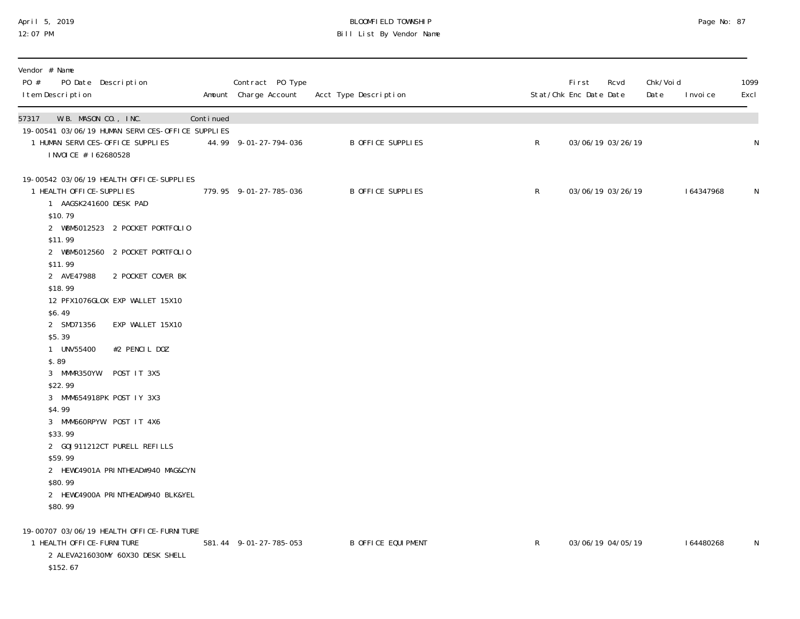### April 5, 2019 BLOOMFIELD TOWNSHIP Page No: 87 12:07 PM Bill List By Vendor Name

| Vendor # Name<br>PO #<br>PO Date Description<br>I tem Description |                   |           | Contract PO Type<br>Amount Charge Account | Acct Type Description     |              | <b>First</b><br>Rcvd<br>Stat/Chk Enc Date Date | Chk/Voi d<br>Date<br>I nvoi ce | 1099<br>Excl |
|-------------------------------------------------------------------|-------------------|-----------|-------------------------------------------|---------------------------|--------------|------------------------------------------------|--------------------------------|--------------|
| 57317 W.B. MASON CO., INC.                                        |                   | Continued |                                           |                           |              |                                                |                                |              |
| 19-00541 03/06/19 HUMAN SERVICES-OFFICE SUPPLIES                  |                   |           |                                           |                           |              |                                                |                                |              |
| 1 HUMAN SERVICES-OFFICE SUPPLIES                                  |                   |           | 44.99 9-01-27-794-036                     | <b>B OFFICE SUPPLIES</b>  | R            | 03/06/19 03/26/19                              |                                | N            |
| INVOICE # 162680528                                               |                   |           |                                           |                           |              |                                                |                                |              |
| 19-00542 03/06/19 HEALTH OFFICE-SUPPLIES                          |                   |           |                                           |                           |              |                                                |                                |              |
| 1 HEALTH OFFICE-SUPPLIES                                          |                   |           | 779.95 9-01-27-785-036                    | B OFFICE SUPPLIES         | R            | 03/06/19 03/26/19                              | 164347968                      | N            |
| 1 AAGSK241600 DESK PAD                                            |                   |           |                                           |                           |              |                                                |                                |              |
| \$10.79                                                           |                   |           |                                           |                           |              |                                                |                                |              |
| 2 WBM5012523 2 POCKET PORTFOLIO                                   |                   |           |                                           |                           |              |                                                |                                |              |
| \$11.99                                                           |                   |           |                                           |                           |              |                                                |                                |              |
| 2 WBM5012560 2 POCKET PORTFOLIO                                   |                   |           |                                           |                           |              |                                                |                                |              |
| \$11.99                                                           |                   |           |                                           |                           |              |                                                |                                |              |
| 2 AVE47988                                                        | 2 POCKET COVER BK |           |                                           |                           |              |                                                |                                |              |
| \$18.99                                                           |                   |           |                                           |                           |              |                                                |                                |              |
| 12 PFX1076GLOX EXP WALLET 15X10<br>\$6.49                         |                   |           |                                           |                           |              |                                                |                                |              |
| 2 SMD71356                                                        | EXP WALLET 15X10  |           |                                           |                           |              |                                                |                                |              |
| \$5.39                                                            |                   |           |                                           |                           |              |                                                |                                |              |
| UNV55400                                                          | #2 PENCIL DOZ     |           |                                           |                           |              |                                                |                                |              |
| \$.89                                                             |                   |           |                                           |                           |              |                                                |                                |              |
| 3 MMMR350YW                                                       | POST IT 3X5       |           |                                           |                           |              |                                                |                                |              |
| \$22.99                                                           |                   |           |                                           |                           |              |                                                |                                |              |
| 3 MMM654918PK POST IY 3X3                                         |                   |           |                                           |                           |              |                                                |                                |              |
| \$4.99                                                            |                   |           |                                           |                           |              |                                                |                                |              |
| 3 MMM660RPYW POST IT 4X6                                          |                   |           |                                           |                           |              |                                                |                                |              |
| \$33.99                                                           |                   |           |                                           |                           |              |                                                |                                |              |
| 2 GOJ911212CT PURELL REFILLS                                      |                   |           |                                           |                           |              |                                                |                                |              |
| \$59.99                                                           |                   |           |                                           |                           |              |                                                |                                |              |
| 2 HEWC4901A PRINTHEAD#940 MAG&CYN                                 |                   |           |                                           |                           |              |                                                |                                |              |
| \$80.99                                                           |                   |           |                                           |                           |              |                                                |                                |              |
| 2 HEWC4900A PRINTHEAD#940 BLK&YEL                                 |                   |           |                                           |                           |              |                                                |                                |              |
| \$80.99                                                           |                   |           |                                           |                           |              |                                                |                                |              |
| 19-00707 03/06/19 HEALTH OFFICE-FURNITURE                         |                   |           |                                           |                           |              |                                                |                                |              |
| 1 HEALTH OFFICE-FURNITURE                                         |                   |           | 581.44 9-01-27-785-053                    | <b>B OFFICE EQUIPMENT</b> | $\mathsf{R}$ | 03/06/19 04/05/19                              | 164480268                      | N            |
| 2 ALEVA216030MY 60X30 DESK SHELL                                  |                   |           |                                           |                           |              |                                                |                                |              |
| \$152.67                                                          |                   |           |                                           |                           |              |                                                |                                |              |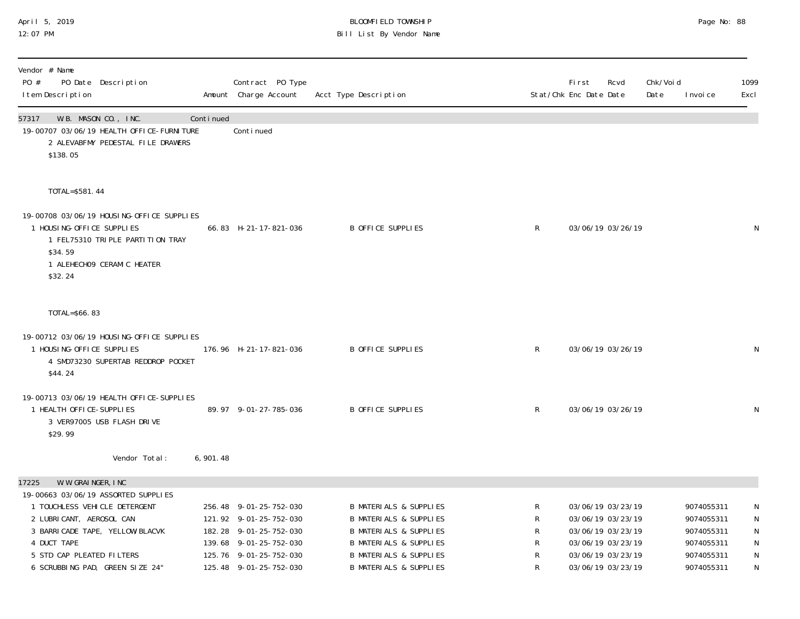## April 5, 2019 BLOOMFIELD TOWNSHIP Page No: 88 Bill List By Vendor Name

| Vendor # Name<br>PO #<br>PO Date Description<br>I tem Description                                                                                                                                                                                   |                                                                                 |           | Contract PO Type<br>Amount Charge Account                                                                                                                | Acct Type Description                                                                                                                                                                                                      |                            | <b>First</b><br>Rcvd<br>Stat/Chk Enc Date Date                                                                             | Chk/Voi d<br>Date | I nvoi ce                                                                        | 1099<br>Excl                       |
|-----------------------------------------------------------------------------------------------------------------------------------------------------------------------------------------------------------------------------------------------------|---------------------------------------------------------------------------------|-----------|----------------------------------------------------------------------------------------------------------------------------------------------------------|----------------------------------------------------------------------------------------------------------------------------------------------------------------------------------------------------------------------------|----------------------------|----------------------------------------------------------------------------------------------------------------------------|-------------------|----------------------------------------------------------------------------------|------------------------------------|
| W.B. MASON CO., INC.<br>57317<br>\$138.05                                                                                                                                                                                                           | 19-00707 03/06/19 HEALTH OFFICE-FURNITURE<br>2 ALEVABFMY PEDESTAL FILE DRAWERS  | Continued | Conti nued                                                                                                                                               |                                                                                                                                                                                                                            |                            |                                                                                                                            |                   |                                                                                  |                                    |
| TOTAL=\$581.44<br>1 HOUSING-OFFICE SUPPLIES<br>\$34.59<br>1 ALEHECHO9 CERAMIC HEATER<br>\$32.24                                                                                                                                                     | 19-00708 03/06/19 HOUSING-OFFICE SUPPLIES<br>1 FEL75310 TRIPLE PARTITION TRAY   |           | 66.83 H-21-17-821-036                                                                                                                                    | B OFFICE SUPPLIES                                                                                                                                                                                                          | $\mathsf{R}$               | 03/06/19 03/26/19                                                                                                          |                   |                                                                                  | N                                  |
| TOTAL=\$66.83                                                                                                                                                                                                                                       |                                                                                 |           |                                                                                                                                                          |                                                                                                                                                                                                                            |                            |                                                                                                                            |                   |                                                                                  |                                    |
| 1 HOUSING-OFFICE SUPPLIES<br>\$44.24                                                                                                                                                                                                                | 19-00712 03/06/19 HOUSING-OFFICE SUPPLIES<br>4 SMD73230 SUPERTAB REDDROP POCKET |           | 176.96 H-21-17-821-036                                                                                                                                   | B OFFICE SUPPLIES                                                                                                                                                                                                          | $\mathsf{R}$               | 03/06/19 03/26/19                                                                                                          |                   |                                                                                  | N                                  |
| 1 HEALTH OFFICE-SUPPLIES<br>\$29.99                                                                                                                                                                                                                 | 19-00713 03/06/19 HEALTH OFFICE-SUPPLIES<br>3 VER97005 USB FLASH DRIVE          |           | 89.97 9-01-27-785-036                                                                                                                                    | B OFFICE SUPPLIES                                                                                                                                                                                                          | $\mathsf{R}$               | 03/06/19 03/26/19                                                                                                          |                   |                                                                                  | N                                  |
|                                                                                                                                                                                                                                                     | Vendor Total:                                                                   | 6,901.48  |                                                                                                                                                          |                                                                                                                                                                                                                            |                            |                                                                                                                            |                   |                                                                                  |                                    |
| W. W. GRAINGER, INC<br>17225<br>19-00663 03/06/19 ASSORTED SUPPLIES<br>1 TOUCHLESS VEHICLE DETERGENT<br>2 LUBRICANT, AEROSOL CAN<br>3 BARRI CADE TAPE, YELLOW/BLACVK<br>4 DUCT TAPE<br>5 STD CAP PLEATED FILTERS<br>6 SCRUBBING PAD, GREEN SIZE 24" |                                                                                 |           | 256.48 9-01-25-752-030<br>121.92 9-01-25-752-030<br>182.28 9-01-25-752-030<br>139.68 9-01-25-752-030<br>125.76 9-01-25-752-030<br>125.48 9-01-25-752-030 | <b>B MATERIALS &amp; SUPPLIES</b><br><b>B MATERIALS &amp; SUPPLIES</b><br><b>B MATERIALS &amp; SUPPLIES</b><br><b>B MATERIALS &amp; SUPPLIES</b><br><b>B MATERIALS &amp; SUPPLIES</b><br><b>B MATERIALS &amp; SUPPLIES</b> | R<br>R<br>R<br>R<br>R<br>R | 03/06/19 03/23/19<br>03/06/19 03/23/19<br>03/06/19 03/23/19<br>03/06/19 03/23/19<br>03/06/19 03/23/19<br>03/06/19 03/23/19 |                   | 9074055311<br>9074055311<br>9074055311<br>9074055311<br>9074055311<br>9074055311 | N<br>N<br>${\sf N}$<br>N<br>N<br>N |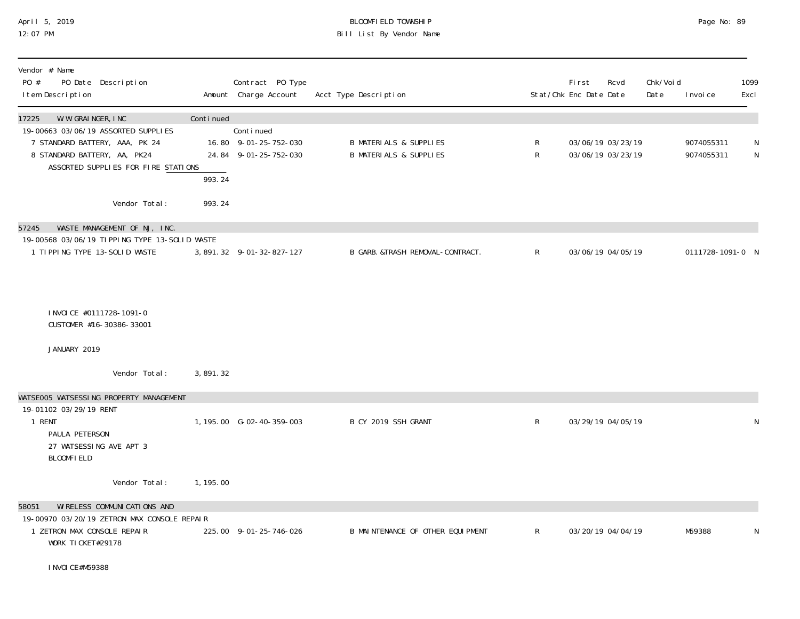# April 5, 2019 BLOOMFIELD TOWNSHIP Page No: 89 Bill List By Vendor Name

| Vendor # Name<br>PO #<br>PO Date Description<br>I tem Description                                                                                                            |                     | Contract PO Type<br>Amount Charge Account                   | Acct Type Description                                                  |              | <b>First</b><br>Stat/Chk Enc Date Date | Rcvd                                   | Chk/Voi d<br>Date | I nvoi ce                | 1099<br>Excl |
|------------------------------------------------------------------------------------------------------------------------------------------------------------------------------|---------------------|-------------------------------------------------------------|------------------------------------------------------------------------|--------------|----------------------------------------|----------------------------------------|-------------------|--------------------------|--------------|
| 17225<br>W. W. GRAINGER, INC<br>19-00663 03/06/19 ASSORTED SUPPLIES<br>7 STANDARD BATTERY, AAA, PK 24<br>8 STANDARD BATTERY, AA, PK24<br>ASSORTED SUPPLIES FOR FIRE STATIONS | Continued<br>993.24 | Continued<br>16.80 9-01-25-752-030<br>24.84 9-01-25-752-030 | <b>B MATERIALS &amp; SUPPLIES</b><br><b>B MATERIALS &amp; SUPPLIES</b> | R<br>R       |                                        | 03/06/19 03/23/19<br>03/06/19 03/23/19 |                   | 9074055311<br>9074055311 | N<br>N       |
| Vendor Total:                                                                                                                                                                | 993.24              |                                                             |                                                                        |              |                                        |                                        |                   |                          |              |
| WASTE MANAGEMENT OF NJ, INC.<br>57245<br>19-00568 03/06/19 TIPPING TYPE 13-SOLID WASTE<br>1 TIPPING TYPE 13-SOLID WASTE                                                      |                     | 3, 891. 32 9-01-32-827-127                                  | B GARB. &TRASH REMOVAL-CONTRACT.                                       | $\mathsf{R}$ |                                        | 03/06/19 04/05/19                      |                   | 0111728-1091-0 N         |              |
| I NVOI CE #0111728-1091-0<br>CUSTOMER #16-30386-33001                                                                                                                        |                     |                                                             |                                                                        |              |                                        |                                        |                   |                          |              |
| JANUARY 2019                                                                                                                                                                 |                     |                                                             |                                                                        |              |                                        |                                        |                   |                          |              |
| Vendor Total:                                                                                                                                                                | 3, 891. 32          |                                                             |                                                                        |              |                                        |                                        |                   |                          |              |
| WATSE005 WATSESSING PROPERTY MANAGEMENT<br>19-01102 03/29/19 RENT<br>1 RENT<br>PAULA PETERSON<br>27 WATSESSING AVE APT 3<br><b>BLOOMFIELD</b>                                |                     | 1, 195.00 G-02-40-359-003                                   | B CY 2019 SSH GRANT                                                    | $\mathsf{R}$ |                                        | 03/29/19 04/05/19                      |                   |                          | N            |
| Vendor Total:                                                                                                                                                                | 1, 195.00           |                                                             |                                                                        |              |                                        |                                        |                   |                          |              |
| WI RELESS COMMUNI CATI ONS AND<br>58051<br>19-00970 03/20/19 ZETRON MAX CONSOLE REPAIR<br>1 ZETRON MAX CONSOLE REPAIR<br>WORK TICKET#29178<br>I NVOI CE#M59388               |                     | 225.00 9-01-25-746-026                                      | B MAINTENANCE OF OTHER EQUIPMENT                                       | $\mathsf{R}$ |                                        | 03/20/19 04/04/19                      |                   | M59388                   | N            |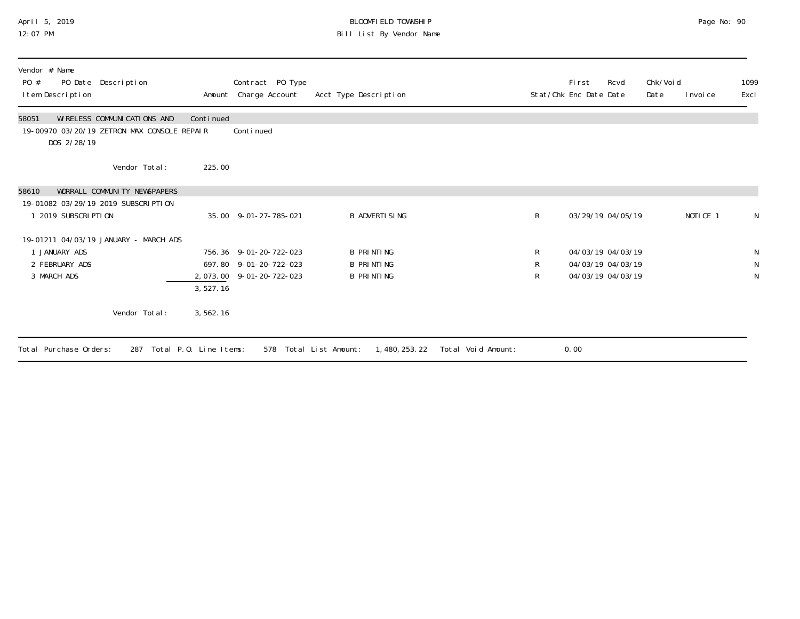## April 5, 2019 BLOOMFIELD TOWNSHIP Page No: 90 12:07 PM Bill List By Vendor Name

| Vendor # Name<br>PO Date Description<br>PO #<br>I tem Description                                  |           | Contract PO Type<br>Amount Charge Account | Acct Type Description                 |                    | Fi rst<br>Stat/Chk Enc Date Date | Rcvd | Chk/Voi d<br>Date | I nvoi ce           | 1099<br>Excl |
|----------------------------------------------------------------------------------------------------|-----------|-------------------------------------------|---------------------------------------|--------------------|----------------------------------|------|-------------------|---------------------|--------------|
| WIRELESS COMMUNICATIONS AND<br>58051<br>19-00970 03/20/19 ZETRON MAX CONSOLE REPAIR<br>DOS 2/28/19 | Continued | Continued                                 |                                       |                    |                                  |      |                   |                     |              |
| Vendor Total:                                                                                      | 225.00    |                                           |                                       |                    |                                  |      |                   |                     |              |
| 58610<br>WORRALL COMMUNITY NEWSPAPERS                                                              |           |                                           |                                       |                    |                                  |      |                   |                     |              |
| 19-01082 03/29/19 2019 SUBSCRIPTION<br>2019 SUBSCRIPTION                                           |           | 35.00 9-01-27-785-021                     | B ADVERTI SI NG                       | $\mathsf{R}$       | 03/29/19 04/05/19                |      |                   | NOTICE <sub>1</sub> | N            |
| 19-01211 04/03/19 JANUARY - MARCH ADS                                                              |           |                                           |                                       |                    |                                  |      |                   |                     |              |
| JANUARY ADS                                                                                        |           | 756.36 9-01-20-722-023                    | B PRINTING                            | R                  | 04/03/19 04/03/19                |      |                   |                     | N            |
| 2 FEBRUARY ADS                                                                                     |           | 697.80 9-01-20-722-023                    | B PRINTING                            | R                  | 04/03/19 04/03/19                |      |                   |                     | N            |
| 3 MARCH ADS                                                                                        | 3, 527.16 | 2, 073.00 9-01-20-722-023                 | B PRINTING                            | R                  | 04/03/19 04/03/19                |      |                   |                     | N            |
| Vendor Total:                                                                                      | 3,562.16  |                                           |                                       |                    |                                  |      |                   |                     |              |
| Total Purchase Orders:<br>Total P.O. Line Items:<br>287                                            |           | 578                                       | 1, 480, 253. 22<br>Total List Amount: | Total Void Amount: | 0.00                             |      |                   |                     |              |